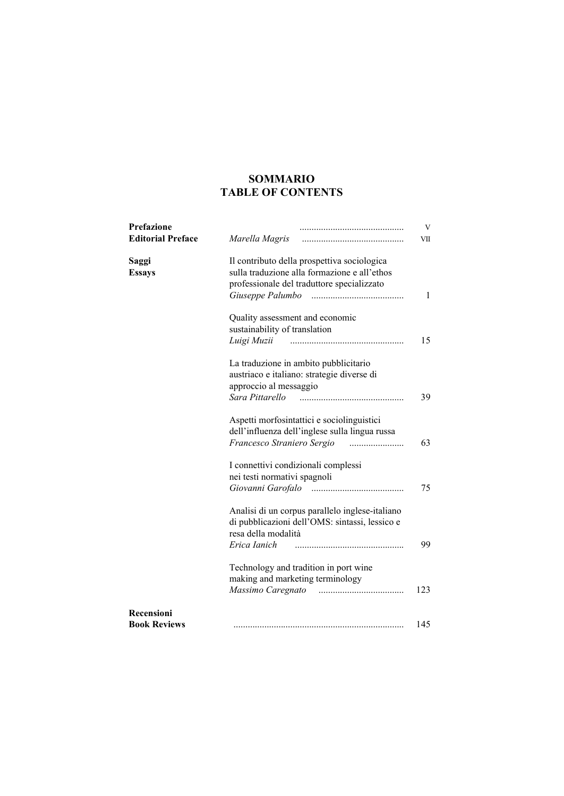# **SOMMARIO TABLE OF CONTENTS**

| Prefazione<br><b>Editorial Preface</b> | Marella Magris                                                                                    | V<br>VII |
|----------------------------------------|---------------------------------------------------------------------------------------------------|----------|
| Saggi<br><b>Essays</b>                 | Il contributo della prospettiva sociologica<br>sulla traduzione alla formazione e all'ethos       |          |
|                                        | professionale del traduttore specializzato                                                        | 1        |
|                                        | Quality assessment and economic<br>sustainability of translation                                  |          |
|                                        | Luigi Muzii                                                                                       | 15       |
|                                        | La traduzione in ambito pubblicitario<br>austriaco e italiano: strategie diverse di               |          |
|                                        | approccio al messaggio                                                                            |          |
|                                        | Sara Pittarello                                                                                   | 39       |
|                                        | Aspetti morfosintattici e sociolinguistici<br>dell'influenza dell'inglese sulla lingua russa      |          |
|                                        |                                                                                                   | 63       |
|                                        | I connettivi condizionali complessi                                                               |          |
|                                        | nei testi normativi spagnoli                                                                      |          |
|                                        |                                                                                                   | 75       |
|                                        | Analisi di un corpus parallelo inglese-italiano<br>di pubblicazioni dell'OMS: sintassi, lessico e |          |
|                                        | resa della modalità                                                                               |          |
|                                        | Erica Ianich                                                                                      | 99       |
|                                        | Technology and tradition in port wine                                                             |          |
|                                        | making and marketing terminology                                                                  |          |
|                                        |                                                                                                   | 123      |
| Recensioni<br><b>Book Reviews</b>      |                                                                                                   | 145      |
|                                        |                                                                                                   |          |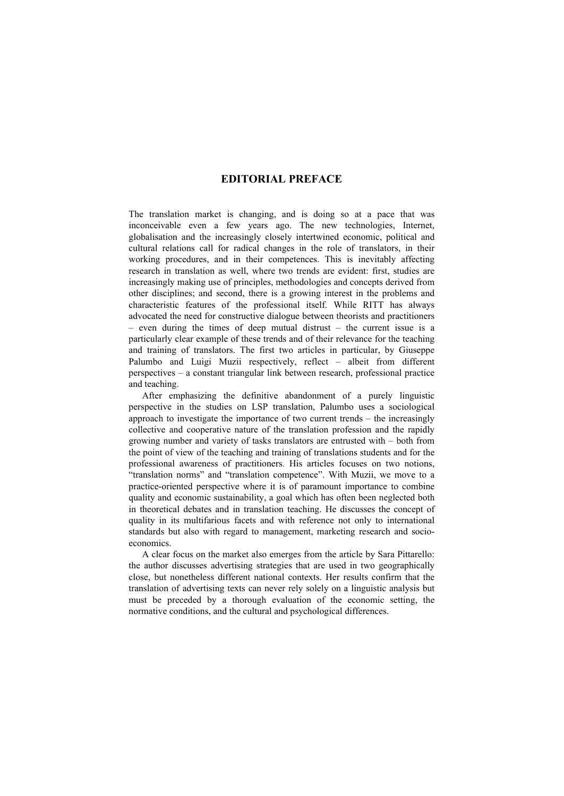## **EDITORIAL PREFACE**

The translation market is changing, and is doing so at a pace that was inconceivable even a few years ago. The new technologies, Internet, globalisation and the increasingly closely intertwined economic, political and cultural relations call for radical changes in the role of translators, in their working procedures, and in their competences. This is inevitably affecting research in translation as well, where two trends are evident: first, studies are increasingly making use of principles, methodologies and concepts derived from other disciplines; and second, there is a growing interest in the problems and characteristic features of the professional itself. While RITT has always advocated the need for constructive dialogue between theorists and practitioners – even during the times of deep mutual distrust – the current issue is a particularly clear example of these trends and of their relevance for the teaching and training of translators. The first two articles in particular, by Giuseppe Palumbo and Luigi Muzii respectively, reflect – albeit from different perspectives – a constant triangular link between research, professional practice and teaching.

After emphasizing the definitive abandonment of a purely linguistic perspective in the studies on LSP translation, Palumbo uses a sociological approach to investigate the importance of two current trends – the increasingly collective and cooperative nature of the translation profession and the rapidly growing number and variety of tasks translators are entrusted with – both from the point of view of the teaching and training of translations students and for the professional awareness of practitioners. His articles focuses on two notions, "translation norms" and "translation competence". With Muzii, we move to a practice-oriented perspective where it is of paramount importance to combine quality and economic sustainability, a goal which has often been neglected both in theoretical debates and in translation teaching. He discusses the concept of quality in its multifarious facets and with reference not only to international standards but also with regard to management, marketing research and socioeconomics.

A clear focus on the market also emerges from the article by Sara Pittarello: the author discusses advertising strategies that are used in two geographically close, but nonetheless different national contexts. Her results confirm that the translation of advertising texts can never rely solely on a linguistic analysis but must be preceded by a thorough evaluation of the economic setting, the normative conditions, and the cultural and psychological differences.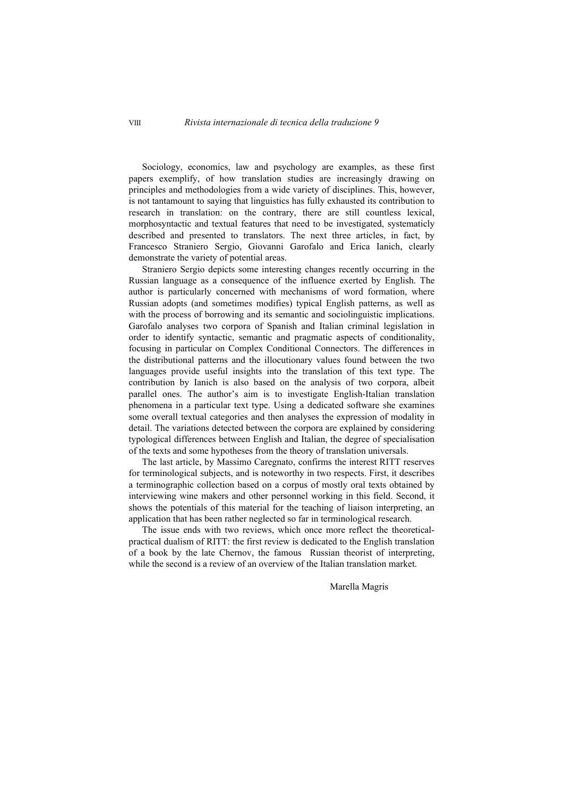Sociology, economics, law and psychology are examples, as these first papers exemplify, of how translation studies are increasingly drawing on principles and methodologies from a wide variety of disciplines. This, however, is not tantamount to saying that linguistics has fully exhausted its contribution to research in translation: on the contrary, there are still countless lexical, morphosyntactic and textual features that need to be investigated, systematicly described and presented to translators. The next three articles, in fact, by Francesco Straniero Sergio, Giovanni Garofalo and Erica Ianich, clearly demonstrate the variety of potential areas.

Straniero Sergio depicts some interesting changes recently occurring in the Russian language as a consequence of the influence exerted by English. The author is particularly concerned with mechanisms of word formation, where Russian adopts (and sometimes modifies) typical English patterns, as well as with the process of borrowing and its semantic and sociolinguistic implications. Garofalo analyses two corpora of Spanish and Italian criminal legislation in order to identify syntactic, semantic and pragmatic aspects of conditionality, focusing in particular on Complex Conditional Connectors. The differences in the distributional patterns and the illocutionary values found between the two languages provide useful insights into the translation of this text type. The contribution by Ianich is also based on the analysis of two corpora, albeit parallel ones. The author's aim is to investigate English-Italian translation phenomena in a particular text type. Using a dedicated software she examines some overall textual categories and then analyses the expression of modality in detail. The variations detected between the corpora are explained by considering typological differences between English and Italian, the degree of specialisation of the texts and some hypotheses from the theory of translation universals.

The last article, by Massimo Caregnato, confirms the interest RITT reserves for terminological subjects, and is noteworthy in two respects. First, it describes a terminographic collection based on a corpus of mostly oral texts obtained by interviewing wine makers and other personnel working in this field. Second, it shows the potentials of this material for the teaching of liaison interpreting, an application that has been rather neglected so far in terminological research.

The issue ends with two reviews, which once more reflect the theoreticalpractical dualism of RITT: the first review is dedicated to the English translation of a book by the late Chernov, the famous Russian theorist of interpreting, while the second is a review of an overview of the Italian translation market.

Marella Magris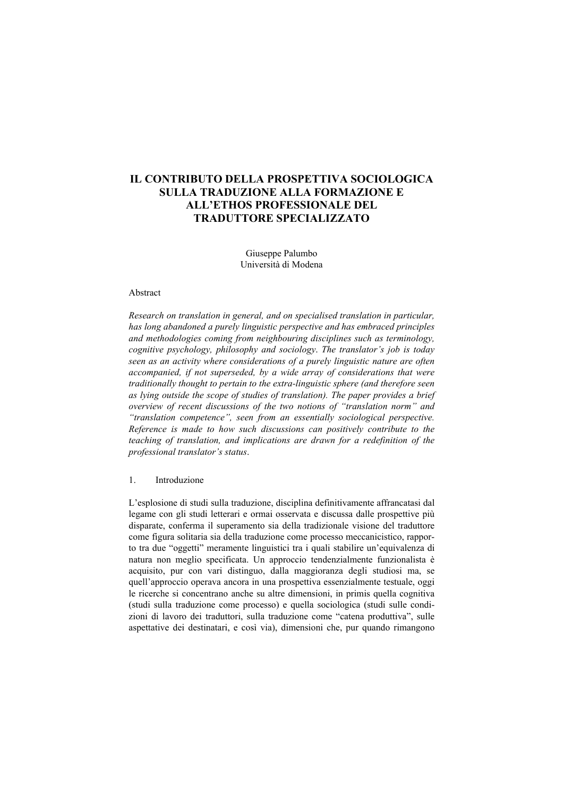# **IL CONTRIBUTO DELLA PROSPETTIVA SOCIOLOGICA SULLA TRADUZIONE ALLA FORMAZIONE E ALL'ETHOS PROFESSIONALE DEL TRADUTTORE SPECIALIZZATO**

Giuseppe Palumbo Università di Modena

#### Abstract

*Research on translation in general, and on specialised translation in particular, has long abandoned a purely linguistic perspective and has embraced principles and methodologies coming from neighbouring disciplines such as terminology, cognitive psychology, philosophy and sociology*. *The translator's job is today seen as an activity where considerations of a purely linguistic nature are often accompanied, if not superseded, by a wide array of considerations that were traditionally thought to pertain to the extra-linguistic sphere (and therefore seen as lying outside the scope of studies of translation). The paper provides a brief overview of recent discussions of the two notions of "translation norm" and "translation competence", seen from an essentially sociological perspective. Reference is made to how such discussions can positively contribute to the teaching of translation, and implications are drawn for a redefinition of the professional translator's status*.

1. Introduzione

L'esplosione di studi sulla traduzione, disciplina definitivamente affrancatasi dal legame con gli studi letterari e ormai osservata e discussa dalle prospettive più disparate, conferma il superamento sia della tradizionale visione del traduttore come figura solitaria sia della traduzione come processo meccanicistico, rapporto tra due "oggetti" meramente linguistici tra i quali stabilire un'equivalenza di natura non meglio specificata. Un approccio tendenzialmente funzionalista è acquisito, pur con vari distinguo, dalla maggioranza degli studiosi ma, se quell'approccio operava ancora in una prospettiva essenzialmente testuale, oggi le ricerche si concentrano anche su altre dimensioni, in primis quella cognitiva (studi sulla traduzione come processo) e quella sociologica (studi sulle condizioni di lavoro dei traduttori, sulla traduzione come "catena produttiva", sulle aspettative dei destinatari, e così via), dimensioni che, pur quando rimangono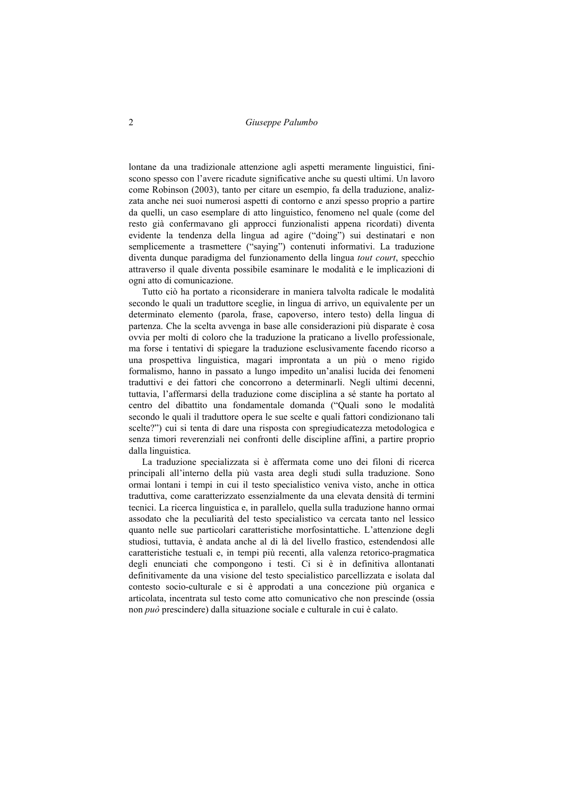lontane da una tradizionale attenzione agli aspetti meramente linguistici, finiscono spesso con l'avere ricadute significative anche su questi ultimi. Un lavoro come Robinson (2003), tanto per citare un esempio, fa della traduzione, analizzata anche nei suoi numerosi aspetti di contorno e anzi spesso proprio a partire da quelli, un caso esemplare di atto linguistico, fenomeno nel quale (come del resto già confermavano gli approcci funzionalisti appena ricordati) diventa evidente la tendenza della lingua ad agire ("doing") sui destinatari e non semplicemente a trasmettere ("saying") contenuti informativi. La traduzione diventa dunque paradigma del funzionamento della lingua *tout court*, specchio attraverso il quale diventa possibile esaminare le modalità e le implicazioni di ogni atto di comunicazione.

Tutto ciò ha portato a riconsiderare in maniera talvolta radicale le modalità secondo le quali un traduttore sceglie, in lingua di arrivo, un equivalente per un determinato elemento (parola, frase, capoverso, intero testo) della lingua di partenza. Che la scelta avvenga in base alle considerazioni più disparate è cosa ovvia per molti di coloro che la traduzione la praticano a livello professionale, ma forse i tentativi di spiegare la traduzione esclusivamente facendo ricorso a una prospettiva linguistica, magari improntata a un più o meno rigido formalismo, hanno in passato a lungo impedito un'analisi lucida dei fenomeni traduttivi e dei fattori che concorrono a determinarli. Negli ultimi decenni, tuttavia, l'affermarsi della traduzione come disciplina a sé stante ha portato al centro del dibattito una fondamentale domanda ("Quali sono le modalità secondo le quali il traduttore opera le sue scelte e quali fattori condizionano tali scelte?") cui si tenta di dare una risposta con spregiudicatezza metodologica e senza timori reverenziali nei confronti delle discipline affini, a partire proprio dalla linguistica.

La traduzione specializzata si è affermata come uno dei filoni di ricerca principali all'interno della più vasta area degli studi sulla traduzione. Sono ormai lontani i tempi in cui il testo specialistico veniva visto, anche in ottica traduttiva, come caratterizzato essenzialmente da una elevata densità di termini tecnici. La ricerca linguistica e, in parallelo, quella sulla traduzione hanno ormai assodato che la peculiarità del testo specialistico va cercata tanto nel lessico quanto nelle sue particolari caratteristiche morfosintattiche. L'attenzione degli studiosi, tuttavia, è andata anche al di là del livello frastico, estendendosi alle caratteristiche testuali e, in tempi più recenti, alla valenza retorico-pragmatica degli enunciati che compongono i testi. Ci si è in definitiva allontanati definitivamente da una visione del testo specialistico parcellizzata e isolata dal contesto socio-culturale e si è approdati a una concezione più organica e articolata, incentrata sul testo come atto comunicativo che non prescinde (ossia non *può* prescindere) dalla situazione sociale e culturale in cui è calato.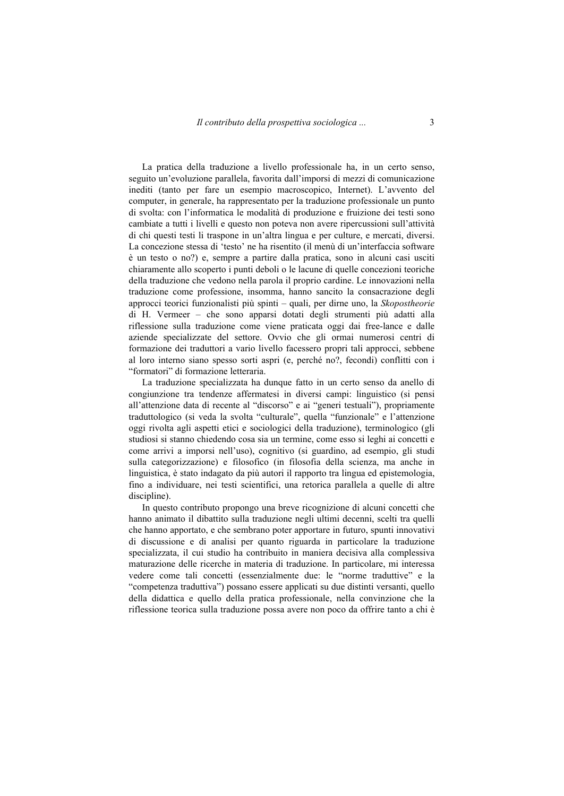La pratica della traduzione a livello professionale ha, in un certo senso, seguito un'evoluzione parallela, favorita dall'imporsi di mezzi di comunicazione inediti (tanto per fare un esempio macroscopico, Internet). L'avvento del computer, in generale, ha rappresentato per la traduzione professionale un punto di svolta: con l'informatica le modalità di produzione e fruizione dei testi sono cambiate a tutti i livelli e questo non poteva non avere ripercussioni sull'attività di chi questi testi li traspone in un'altra lingua e per culture, e mercati, diversi. La concezione stessa di 'testo' ne ha risentito (il menù di un'interfaccia software è un testo o no?) e, sempre a partire dalla pratica, sono in alcuni casi usciti chiaramente allo scoperto i punti deboli o le lacune di quelle concezioni teoriche della traduzione che vedono nella parola il proprio cardine. Le innovazioni nella traduzione come professione, insomma, hanno sancito la consacrazione degli approcci teorici funzionalisti più spinti – quali, per dirne uno, la *Skopostheorie* di H. Vermeer – che sono apparsi dotati degli strumenti più adatti alla riflessione sulla traduzione come viene praticata oggi dai free-lance e dalle aziende specializzate del settore. Ovvio che gli ormai numerosi centri di formazione dei traduttori a vario livello facessero propri tali approcci, sebbene al loro interno siano spesso sorti aspri (e, perché no?, fecondi) conflitti con i "formatori" di formazione letteraria.

La traduzione specializzata ha dunque fatto in un certo senso da anello di congiunzione tra tendenze affermatesi in diversi campi: linguistico (si pensi all'attenzione data di recente al "discorso" e ai "generi testuali"), propriamente traduttologico (si veda la svolta "culturale", quella "funzionale" e l'attenzione oggi rivolta agli aspetti etici e sociologici della traduzione), terminologico (gli studiosi si stanno chiedendo cosa sia un termine, come esso si leghi ai concetti e come arrivi a imporsi nell'uso), cognitivo (si guardino, ad esempio, gli studi sulla categorizzazione) e filosofico (in filosofia della scienza, ma anche in linguistica, è stato indagato da più autori il rapporto tra lingua ed epistemologia, fino a individuare, nei testi scientifici, una retorica parallela a quelle di altre discipline).

In questo contributo propongo una breve ricognizione di alcuni concetti che hanno animato il dibattito sulla traduzione negli ultimi decenni, scelti tra quelli che hanno apportato, e che sembrano poter apportare in futuro, spunti innovativi di discussione e di analisi per quanto riguarda in particolare la traduzione specializzata, il cui studio ha contribuito in maniera decisiva alla complessiva maturazione delle ricerche in materia di traduzione. In particolare, mi interessa vedere come tali concetti (essenzialmente due: le "norme traduttive" e la "competenza traduttiva") possano essere applicati su due distinti versanti, quello della didattica e quello della pratica professionale, nella convinzione che la riflessione teorica sulla traduzione possa avere non poco da offrire tanto a chi è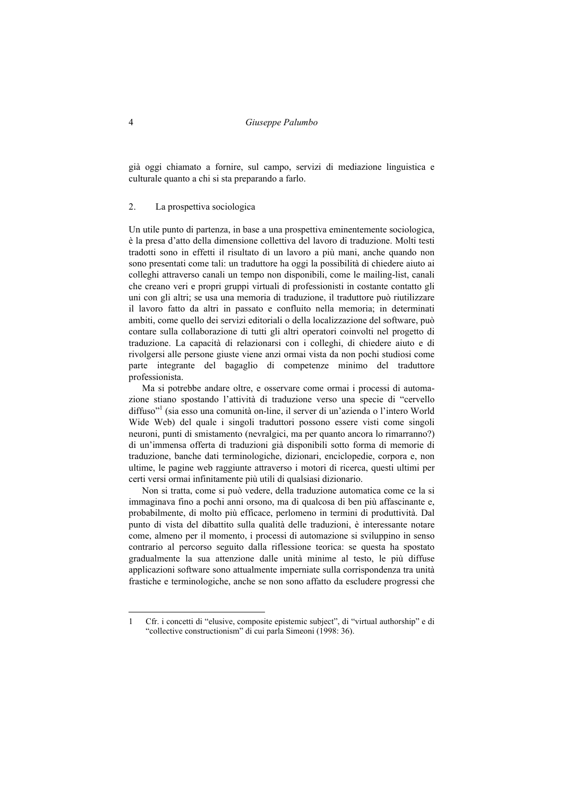già oggi chiamato a fornire, sul campo, servizi di mediazione linguistica e culturale quanto a chi si sta preparando a farlo.

#### 2. La prospettiva sociologica

Un utile punto di partenza, in base a una prospettiva eminentemente sociologica, è la presa d'atto della dimensione collettiva del lavoro di traduzione. Molti testi tradotti sono in effetti il risultato di un lavoro a più mani, anche quando non sono presentati come tali: un traduttore ha oggi la possibilità di chiedere aiuto ai colleghi attraverso canali un tempo non disponibili, come le mailing-list, canali che creano veri e propri gruppi virtuali di professionisti in costante contatto gli uni con gli altri; se usa una memoria di traduzione, il traduttore può riutilizzare il lavoro fatto da altri in passato e confluito nella memoria; in determinati ambiti, come quello dei servizi editoriali o della localizzazione del software, può contare sulla collaborazione di tutti gli altri operatori coinvolti nel progetto di traduzione. La capacità di relazionarsi con i colleghi, di chiedere aiuto e di rivolgersi alle persone giuste viene anzi ormai vista da non pochi studiosi come parte integrante del bagaglio di competenze minimo del traduttore professionista.

Ma si potrebbe andare oltre, e osservare come ormai i processi di automazione stiano spostando l'attività di traduzione verso una specie di "cervello diffuso"1 (sia esso una comunità on-line, il server di un'azienda o l'intero World Wide Web) del quale i singoli traduttori possono essere visti come singoli neuroni, punti di smistamento (nevralgici, ma per quanto ancora lo rimarranno?) di un'immensa offerta di traduzioni già disponibili sotto forma di memorie di traduzione, banche dati terminologiche, dizionari, enciclopedie, corpora e, non ultime, le pagine web raggiunte attraverso i motori di ricerca, questi ultimi per certi versi ormai infinitamente più utili di qualsiasi dizionario.

Non si tratta, come si può vedere, della traduzione automatica come ce la si immaginava fino a pochi anni orsono, ma di qualcosa di ben più affascinante e, probabilmente, di molto più efficace, perlomeno in termini di produttività. Dal punto di vista del dibattito sulla qualità delle traduzioni, è interessante notare come, almeno per il momento, i processi di automazione si sviluppino in senso contrario al percorso seguito dalla riflessione teorica: se questa ha spostato gradualmente la sua attenzione dalle unità minime al testo, le più diffuse applicazioni software sono attualmente imperniate sulla corrispondenza tra unità frastiche e terminologiche, anche se non sono affatto da escludere progressi che

 $\overline{a}$ 

<sup>1</sup> Cfr. i concetti di "elusive, composite epistemic subject", di "virtual authorship" e di "collective constructionism" di cui parla Simeoni (1998: 36).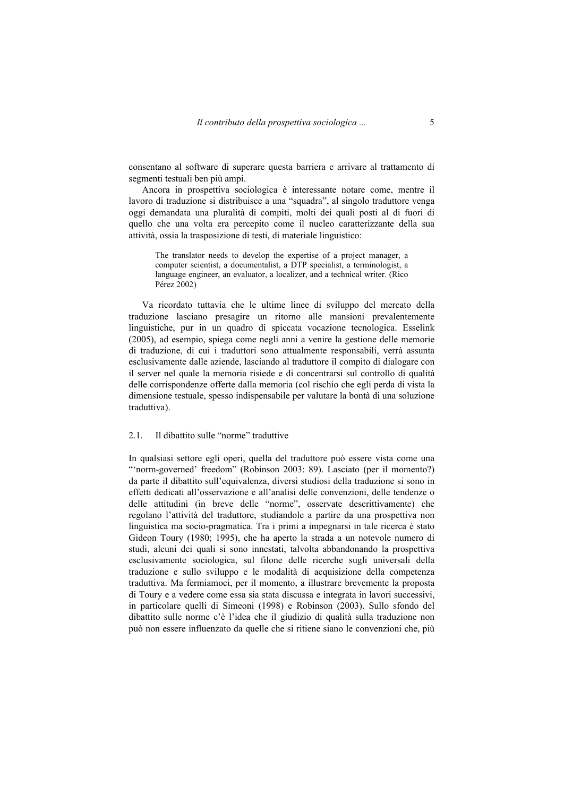consentano al software di superare questa barriera e arrivare al trattamento di segmenti testuali ben più ampi.

Ancora in prospettiva sociologica è interessante notare come, mentre il lavoro di traduzione si distribuisce a una "squadra", al singolo traduttore venga oggi demandata una pluralità di compiti, molti dei quali posti al di fuori di quello che una volta era percepito come il nucleo caratterizzante della sua attività, ossia la trasposizione di testi, di materiale linguistico:

The translator needs to develop the expertise of a project manager, a computer scientist, a documentalist, a DTP specialist, a terminologist, a language engineer, an evaluator, a localizer, and a technical writer. (Rico Pérez 2002)

Va ricordato tuttavia che le ultime linee di sviluppo del mercato della traduzione lasciano presagire un ritorno alle mansioni prevalentemente linguistiche, pur in un quadro di spiccata vocazione tecnologica. Esselink (2005), ad esempio, spiega come negli anni a venire la gestione delle memorie di traduzione, di cui i traduttori sono attualmente responsabili, verrà assunta esclusivamente dalle aziende, lasciando al traduttore il compito di dialogare con il server nel quale la memoria risiede e di concentrarsi sul controllo di qualità delle corrispondenze offerte dalla memoria (col rischio che egli perda di vista la dimensione testuale, spesso indispensabile per valutare la bontà di una soluzione traduttiva).

#### 2.1. Il dibattito sulle "norme" traduttive

In qualsiasi settore egli operi, quella del traduttore può essere vista come una "'norm-governed' freedom" (Robinson 2003: 89). Lasciato (per il momento?) da parte il dibattito sull'equivalenza, diversi studiosi della traduzione si sono in effetti dedicati all'osservazione e all'analisi delle convenzioni, delle tendenze o delle attitudini (in breve delle "norme", osservate descrittivamente) che regolano l'attività del traduttore, studiandole a partire da una prospettiva non linguistica ma socio-pragmatica. Tra i primi a impegnarsi in tale ricerca è stato Gideon Toury (1980; 1995), che ha aperto la strada a un notevole numero di studi, alcuni dei quali si sono innestati, talvolta abbandonando la prospettiva esclusivamente sociologica, sul filone delle ricerche sugli universali della traduzione e sullo sviluppo e le modalità di acquisizione della competenza traduttiva. Ma fermiamoci, per il momento, a illustrare brevemente la proposta di Toury e a vedere come essa sia stata discussa e integrata in lavori successivi, in particolare quelli di Simeoni (1998) e Robinson (2003). Sullo sfondo del dibattito sulle norme c'è l'idea che il giudizio di qualità sulla traduzione non può non essere influenzato da quelle che si ritiene siano le convenzioni che, più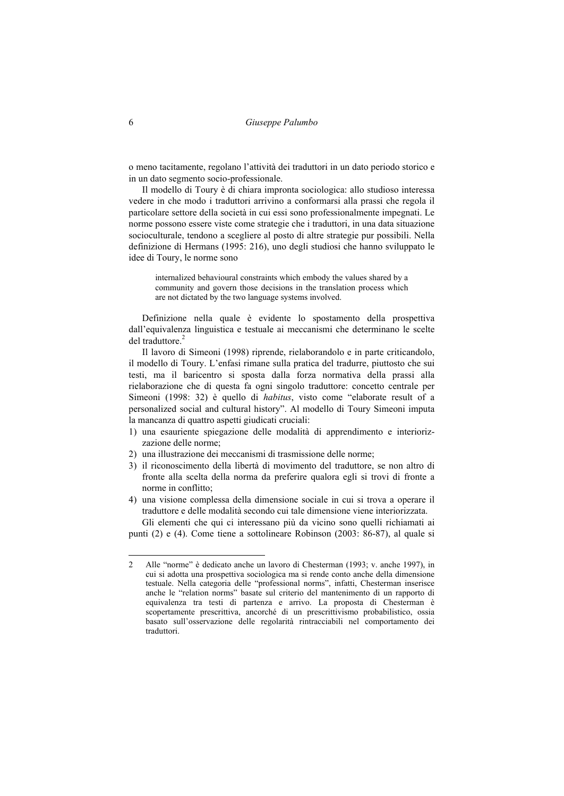o meno tacitamente, regolano l'attività dei traduttori in un dato periodo storico e in un dato segmento socio-professionale.

Il modello di Toury è di chiara impronta sociologica: allo studioso interessa vedere in che modo i traduttori arrivino a conformarsi alla prassi che regola il particolare settore della società in cui essi sono professionalmente impegnati. Le norme possono essere viste come strategie che i traduttori, in una data situazione socioculturale, tendono a scegliere al posto di altre strategie pur possibili. Nella definizione di Hermans (1995: 216), uno degli studiosi che hanno sviluppato le idee di Toury, le norme sono

internalized behavioural constraints which embody the values shared by a community and govern those decisions in the translation process which are not dictated by the two language systems involved.

Definizione nella quale è evidente lo spostamento della prospettiva dall'equivalenza linguistica e testuale ai meccanismi che determinano le scelte del traduttore.<sup>2</sup>

Il lavoro di Simeoni (1998) riprende, rielaborandolo e in parte criticandolo, il modello di Toury. L'enfasi rimane sulla pratica del tradurre, piuttosto che sui testi, ma il baricentro si sposta dalla forza normativa della prassi alla rielaborazione che di questa fa ogni singolo traduttore: concetto centrale per Simeoni (1998: 32) è quello di *habitus*, visto come "elaborate result of a personalized social and cultural history". Al modello di Toury Simeoni imputa la mancanza di quattro aspetti giudicati cruciali:

- 1) una esauriente spiegazione delle modalità di apprendimento e interiorizzazione delle norme;
- 2) una illustrazione dei meccanismi di trasmissione delle norme;
- 3) il riconoscimento della libertà di movimento del traduttore, se non altro di fronte alla scelta della norma da preferire qualora egli si trovi di fronte a norme in conflitto;
- 4) una visione complessa della dimensione sociale in cui si trova a operare il traduttore e delle modalità secondo cui tale dimensione viene interiorizzata. Gli elementi che qui ci interessano più da vicino sono quelli richiamati ai

punti (2) e (4). Come tiene a sottolineare Robinson (2003: 86-87), al quale si

 $\overline{a}$ 

<sup>2</sup> Alle "norme" è dedicato anche un lavoro di Chesterman (1993; v. anche 1997), in cui si adotta una prospettiva sociologica ma si rende conto anche della dimensione testuale. Nella categoria delle "professional norms", infatti, Chesterman inserisce anche le "relation norms" basate sul criterio del mantenimento di un rapporto di equivalenza tra testi di partenza e arrivo. La proposta di Chesterman è scopertamente prescrittiva, ancorché di un prescrittivismo probabilistico, ossia basato sull'osservazione delle regolarità rintracciabili nel comportamento dei traduttori.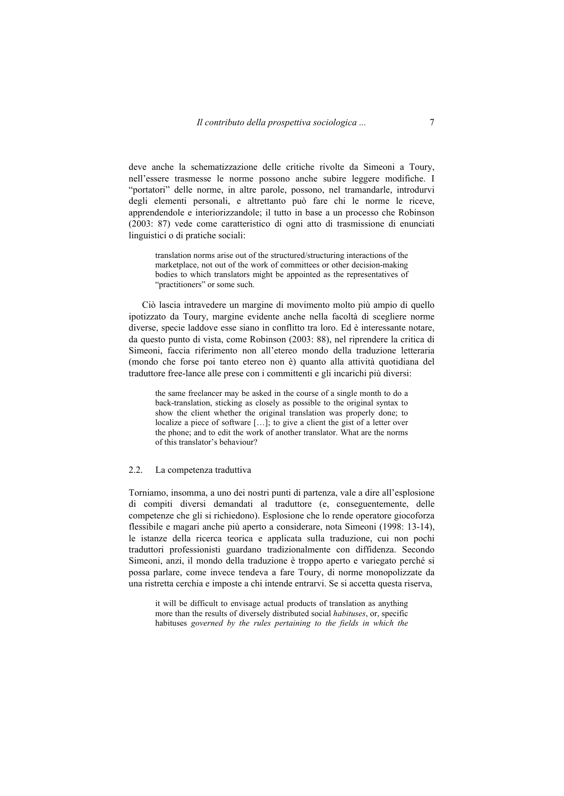deve anche la schematizzazione delle critiche rivolte da Simeoni a Toury, nell'essere trasmesse le norme possono anche subire leggere modifiche. I "portatori" delle norme, in altre parole, possono, nel tramandarle, introdurvi degli elementi personali, e altrettanto può fare chi le norme le riceve, apprendendole e interiorizzandole; il tutto in base a un processo che Robinson (2003: 87) vede come caratteristico di ogni atto di trasmissione di enunciati linguistici o di pratiche sociali:

translation norms arise out of the structured/structuring interactions of the marketplace, not out of the work of committees or other decision-making bodies to which translators might be appointed as the representatives of "practitioners" or some such.

Ciò lascia intravedere un margine di movimento molto più ampio di quello ipotizzato da Toury, margine evidente anche nella facoltà di scegliere norme diverse, specie laddove esse siano in conflitto tra loro. Ed è interessante notare, da questo punto di vista, come Robinson (2003: 88), nel riprendere la critica di Simeoni, faccia riferimento non all'etereo mondo della traduzione letteraria (mondo che forse poi tanto etereo non è) quanto alla attività quotidiana del traduttore free-lance alle prese con i committenti e gli incarichi più diversi:

the same freelancer may be asked in the course of a single month to do a back-translation, sticking as closely as possible to the original syntax to show the client whether the original translation was properly done; to localize a piece of software […]; to give a client the gist of a letter over the phone; and to edit the work of another translator. What are the norms of this translator's behaviour?

## 2.2. La competenza traduttiva

Torniamo, insomma, a uno dei nostri punti di partenza, vale a dire all'esplosione di compiti diversi demandati al traduttore (e, conseguentemente, delle competenze che gli si richiedono). Esplosione che lo rende operatore giocoforza flessibile e magari anche più aperto a considerare, nota Simeoni (1998: 13-14), le istanze della ricerca teorica e applicata sulla traduzione, cui non pochi traduttori professionisti guardano tradizionalmente con diffidenza. Secondo Simeoni, anzi, il mondo della traduzione è troppo aperto e variegato perché si possa parlare, come invece tendeva a fare Toury, di norme monopolizzate da una ristretta cerchia e imposte a chi intende entrarvi. Se si accetta questa riserva,

it will be difficult to envisage actual products of translation as anything more than the results of diversely distributed social *habituses*, or, specific habituses *governed by the rules pertaining to the fields in which the*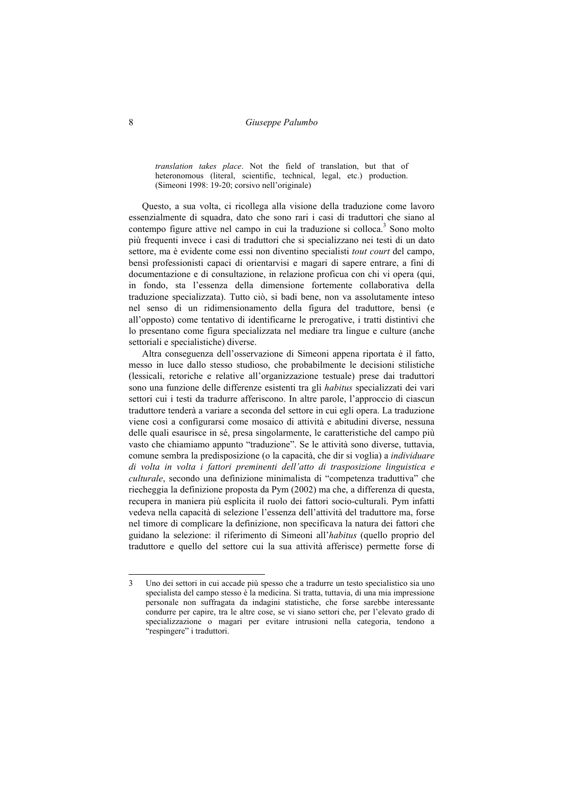8 *Giuseppe Palumbo* 

*translation takes place*. Not the field of translation, but that of heteronomous (literal, scientific, technical, legal, etc.) production. (Simeoni 1998: 19-20; corsivo nell'originale)

Questo, a sua volta, ci ricollega alla visione della traduzione come lavoro essenzialmente di squadra, dato che sono rari i casi di traduttori che siano al contempo figure attive nel campo in cui la traduzione si colloca.<sup>3</sup> Sono molto più frequenti invece i casi di traduttori che si specializzano nei testi di un dato settore, ma è evidente come essi non diventino specialisti *tout court* del campo, bensì professionisti capaci di orientarvisi e magari di sapere entrare, a fini di documentazione e di consultazione, in relazione proficua con chi vi opera (qui, in fondo, sta l'essenza della dimensione fortemente collaborativa della traduzione specializzata). Tutto ciò, si badi bene, non va assolutamente inteso nel senso di un ridimensionamento della figura del traduttore, bensì (e all'opposto) come tentativo di identificarne le prerogative, i tratti distintivi che lo presentano come figura specializzata nel mediare tra lingue e culture (anche settoriali e specialistiche) diverse.

Altra conseguenza dell'osservazione di Simeoni appena riportata è il fatto, messo in luce dallo stesso studioso, che probabilmente le decisioni stilistiche (lessicali, retoriche e relative all'organizzazione testuale) prese dai traduttori sono una funzione delle differenze esistenti tra gli *habitus* specializzati dei vari settori cui i testi da tradurre afferiscono. In altre parole, l'approccio di ciascun traduttore tenderà a variare a seconda del settore in cui egli opera. La traduzione viene così a configurarsi come mosaico di attività e abitudini diverse, nessuna delle quali esaurisce in sé, presa singolarmente, le caratteristiche del campo più vasto che chiamiamo appunto "traduzione". Se le attività sono diverse, tuttavia, comune sembra la predisposizione (o la capacità, che dir si voglia) a *individuare di volta in volta i fattori preminenti dell'atto di trasposizione linguistica e culturale*, secondo una definizione minimalista di "competenza traduttiva" che riecheggia la definizione proposta da Pym (2002) ma che, a differenza di questa, recupera in maniera più esplicita il ruolo dei fattori socio-culturali. Pym infatti vedeva nella capacità di selezione l'essenza dell'attività del traduttore ma, forse nel timore di complicare la definizione, non specificava la natura dei fattori che guidano la selezione: il riferimento di Simeoni all'*habitus* (quello proprio del traduttore e quello del settore cui la sua attività afferisce) permette forse di

 $\overline{a}$ 

<sup>3</sup> Uno dei settori in cui accade più spesso che a tradurre un testo specialistico sia uno specialista del campo stesso è la medicina. Si tratta, tuttavia, di una mia impressione personale non suffragata da indagini statistiche, che forse sarebbe interessante condurre per capire, tra le altre cose, se vi siano settori che, per l'elevato grado di specializzazione o magari per evitare intrusioni nella categoria, tendono a "respingere" i traduttori.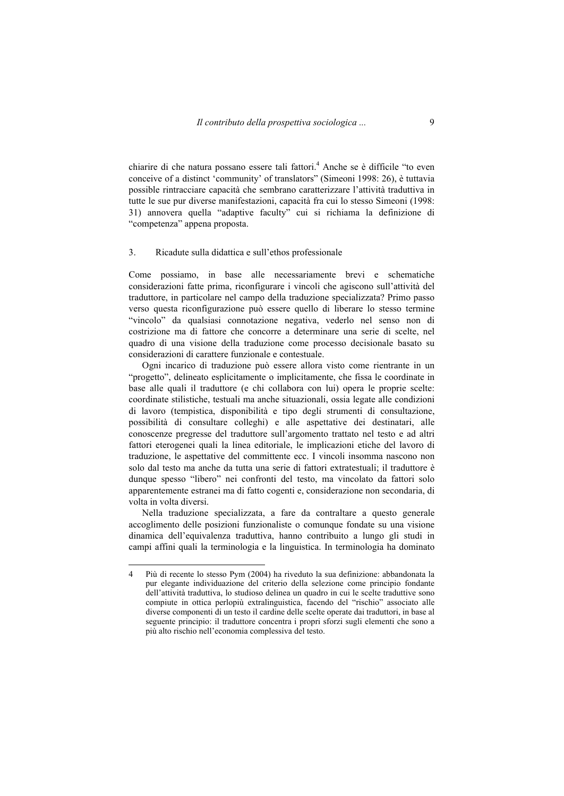chiarire di che natura possano essere tali fattori.<sup>4</sup> Anche se è difficile "to even conceive of a distinct 'community' of translators" (Simeoni 1998: 26), è tuttavia possible rintracciare capacità che sembrano caratterizzare l'attività traduttiva in tutte le sue pur diverse manifestazioni, capacità fra cui lo stesso Simeoni (1998: 31) annovera quella "adaptive faculty" cui si richiama la definizione di "competenza" appena proposta.

#### 3. Ricadute sulla didattica e sull'ethos professionale

Come possiamo, in base alle necessariamente brevi e schematiche considerazioni fatte prima, riconfigurare i vincoli che agiscono sull'attività del traduttore, in particolare nel campo della traduzione specializzata? Primo passo verso questa riconfigurazione può essere quello di liberare lo stesso termine "vincolo" da qualsiasi connotazione negativa, vederlo nel senso non di costrizione ma di fattore che concorre a determinare una serie di scelte, nel quadro di una visione della traduzione come processo decisionale basato su considerazioni di carattere funzionale e contestuale.

Ogni incarico di traduzione può essere allora visto come rientrante in un "progetto", delineato esplicitamente o implicitamente, che fissa le coordinate in base alle quali il traduttore (e chi collabora con lui) opera le proprie scelte: coordinate stilistiche, testuali ma anche situazionali, ossia legate alle condizioni di lavoro (tempistica, disponibilità e tipo degli strumenti di consultazione, possibilità di consultare colleghi) e alle aspettative dei destinatari, alle conoscenze pregresse del traduttore sull'argomento trattato nel testo e ad altri fattori eterogenei quali la linea editoriale, le implicazioni etiche del lavoro di traduzione, le aspettative del committente ecc. I vincoli insomma nascono non solo dal testo ma anche da tutta una serie di fattori extratestuali; il traduttore è dunque spesso "libero" nei confronti del testo, ma vincolato da fattori solo apparentemente estranei ma di fatto cogenti e, considerazione non secondaria, di volta in volta diversi.

Nella traduzione specializzata, a fare da contraltare a questo generale accoglimento delle posizioni funzionaliste o comunque fondate su una visione dinamica dell'equivalenza traduttiva, hanno contribuito a lungo gli studi in campi affini quali la terminologia e la linguistica. In terminologia ha dominato

 $\overline{a}$ 

<sup>4</sup> Più di recente lo stesso Pym (2004) ha riveduto la sua definizione: abbandonata la pur elegante individuazione del criterio della selezione come principio fondante dell'attività traduttiva, lo studioso delinea un quadro in cui le scelte traduttive sono compiute in ottica perlopiù extralinguistica, facendo del "rischio" associato alle diverse componenti di un testo il cardine delle scelte operate dai traduttori, in base al seguente principio: il traduttore concentra i propri sforzi sugli elementi che sono a più alto rischio nell'economia complessiva del testo.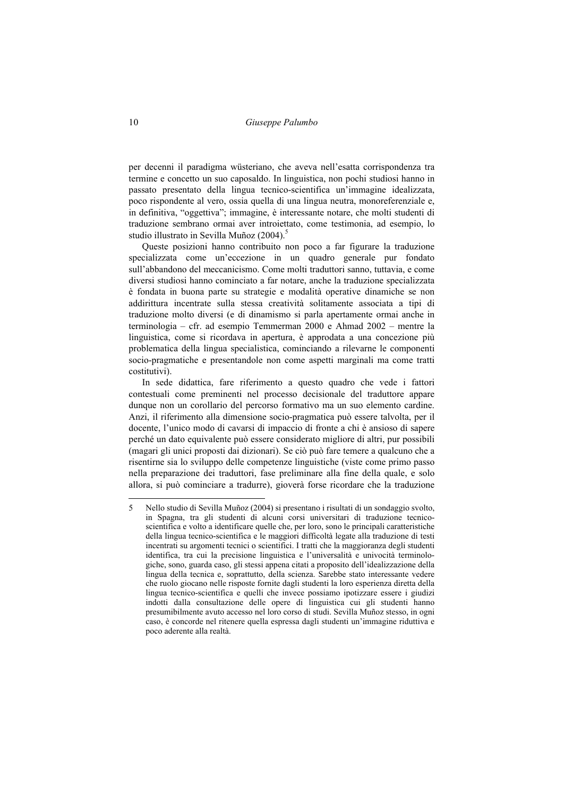per decenni il paradigma wüsteriano, che aveva nell'esatta corrispondenza tra termine e concetto un suo caposaldo. In linguistica, non pochi studiosi hanno in passato presentato della lingua tecnico-scientifica un'immagine idealizzata, poco rispondente al vero, ossia quella di una lingua neutra, monoreferenziale e, in definitiva, "oggettiva"; immagine, è interessante notare, che molti studenti di traduzione sembrano ormai aver introiettato, come testimonia, ad esempio, lo studio illustrato in Sevilla Muñoz (2004).<sup>5</sup>

Queste posizioni hanno contribuito non poco a far figurare la traduzione specializzata come un'eccezione in un quadro generale pur fondato sull'abbandono del meccanicismo. Come molti traduttori sanno, tuttavia, e come diversi studiosi hanno cominciato a far notare, anche la traduzione specializzata è fondata in buona parte su strategie e modalità operative dinamiche se non addirittura incentrate sulla stessa creatività solitamente associata a tipi di traduzione molto diversi (e di dinamismo si parla apertamente ormai anche in terminologia – cfr. ad esempio Temmerman 2000 e Ahmad 2002 – mentre la linguistica, come si ricordava in apertura, è approdata a una concezione più problematica della lingua specialistica, cominciando a rilevarne le componenti socio-pragmatiche e presentandole non come aspetti marginali ma come tratti costitutivi).

In sede didattica, fare riferimento a questo quadro che vede i fattori contestuali come preminenti nel processo decisionale del traduttore appare dunque non un corollario del percorso formativo ma un suo elemento cardine. Anzi, il riferimento alla dimensione socio-pragmatica può essere talvolta, per il docente, l'unico modo di cavarsi di impaccio di fronte a chi è ansioso di sapere perché un dato equivalente può essere considerato migliore di altri, pur possibili (magari gli unici proposti dai dizionari). Se ciò può fare temere a qualcuno che a risentirne sia lo sviluppo delle competenze linguistiche (viste come primo passo nella preparazione dei traduttori, fase preliminare alla fine della quale, e solo allora, si può cominciare a tradurre), gioverà forse ricordare che la traduzione

<sup>5</sup> Nello studio di Sevilla Muñoz (2004) si presentano i risultati di un sondaggio svolto, in Spagna, tra gli studenti di alcuni corsi universitari di traduzione tecnicoscientifica e volto a identificare quelle che, per loro, sono le principali caratteristiche della lingua tecnico-scientifica e le maggiori difficoltà legate alla traduzione di testi incentrati su argomenti tecnici o scientifici. I tratti che la maggioranza degli studenti identifica, tra cui la precisione linguistica e l'universalità e univocità terminologiche, sono, guarda caso, gli stessi appena citati a proposito dell'idealizzazione della lingua della tecnica e, soprattutto, della scienza. Sarebbe stato interessante vedere che ruolo giocano nelle risposte fornite dagli studenti la loro esperienza diretta della lingua tecnico-scientifica e quelli che invece possiamo ipotizzare essere i giudizi indotti dalla consultazione delle opere di linguistica cui gli studenti hanno presumibilmente avuto accesso nel loro corso di studi. Sevilla Muñoz stesso, in ogni caso, è concorde nel ritenere quella espressa dagli studenti un'immagine riduttiva e poco aderente alla realtà.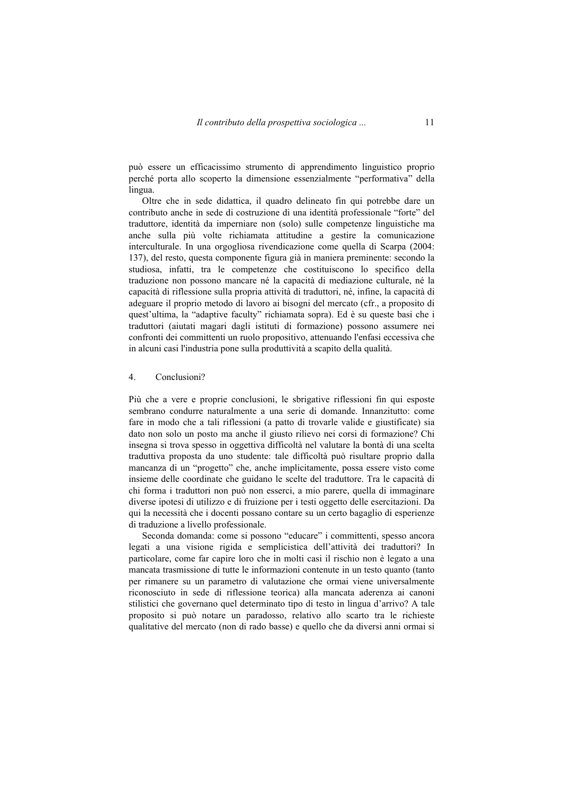può essere un efficacissimo strumento di apprendimento linguistico proprio perché porta allo scoperto la dimensione essenzialmente "performativa" della lingua.

Oltre che in sede didattica, il quadro delineato fin qui potrebbe dare un contributo anche in sede di costruzione di una identità professionale "forte" del traduttore, identità da imperniare non (solo) sulle competenze linguistiche ma anche sulla più volte richiamata attitudine a gestire la comunicazione interculturale. In una orgogliosa rivendicazione come quella di Scarpa (2004: 137), del resto, questa componente figura già in maniera preminente: secondo la studiosa, infatti, tra le competenze che costituiscono lo specifico della traduzione non possono mancare né la capacità di mediazione culturale, né la capacità di riflessione sulla propria attività di traduttori, né, infine, la capacità di adeguare il proprio metodo di lavoro ai bisogni del mercato (cfr., a proposito di quest'ultima, la "adaptive faculty" richiamata sopra). Ed è su queste basi che i traduttori (aiutati magari dagli istituti di formazione) possono assumere nei confronti dei committenti un ruolo propositivo, attenuando l'enfasi eccessiva che in alcuni casi l'industria pone sulla produttività a scapito della qualità.

#### 4. Conclusioni?

Più che a vere e proprie conclusioni, le sbrigative riflessioni fin qui esposte sembrano condurre naturalmente a una serie di domande. Innanzitutto: come fare in modo che a tali riflessioni (a patto di trovarle valide e giustificate) sia dato non solo un posto ma anche il giusto rilievo nei corsi di formazione? Chi insegna si trova spesso in oggettiva difficoltà nel valutare la bontà di una scelta traduttiva proposta da uno studente: tale difficoltà può risultare proprio dalla mancanza di un "progetto" che, anche implicitamente, possa essere visto come insieme delle coordinate che guidano le scelte del traduttore. Tra le capacità di chi forma i traduttori non può non esserci, a mio parere, quella di immaginare diverse ipotesi di utilizzo e di fruizione per i testi oggetto delle esercitazioni. Da qui la necessità che i docenti possano contare su un certo bagaglio di esperienze di traduzione a livello professionale.

Seconda domanda: come si possono "educare" i committenti, spesso ancora legati a una visione rigida e semplicistica dell'attività dei traduttori? In particolare, come far capire loro che in molti casi il rischio non è legato a una mancata trasmissione di tutte le informazioni contenute in un testo quanto (tanto per rimanere su un parametro di valutazione che ormai viene universalmente riconosciuto in sede di riflessione teorica) alla mancata aderenza ai canoni stilistici che governano quel determinato tipo di testo in lingua d'arrivo? A tale proposito si può notare un paradosso, relativo allo scarto tra le richieste qualitative del mercato (non di rado basse) e quello che da diversi anni ormai si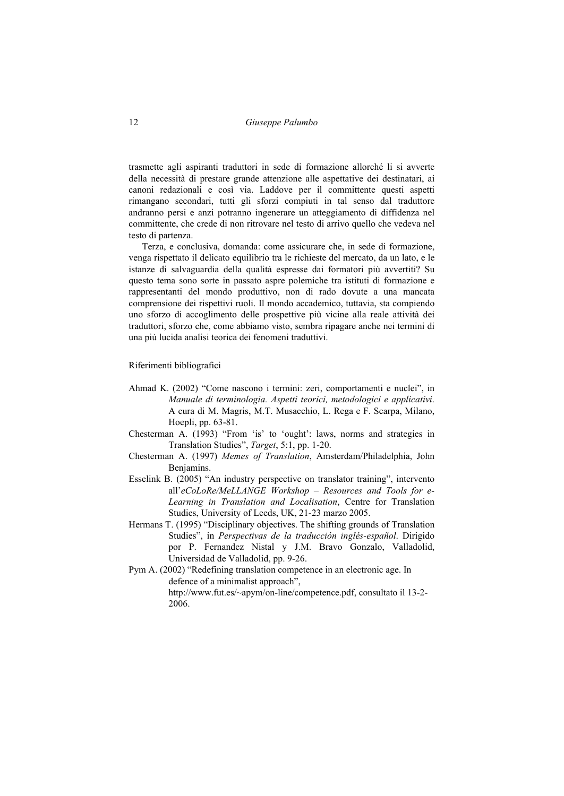trasmette agli aspiranti traduttori in sede di formazione allorché li si avverte della necessità di prestare grande attenzione alle aspettative dei destinatari, ai canoni redazionali e così via. Laddove per il committente questi aspetti rimangano secondari, tutti gli sforzi compiuti in tal senso dal traduttore andranno persi e anzi potranno ingenerare un atteggiamento di diffidenza nel committente, che crede di non ritrovare nel testo di arrivo quello che vedeva nel testo di partenza.

Terza, e conclusiva, domanda: come assicurare che, in sede di formazione, venga rispettato il delicato equilibrio tra le richieste del mercato, da un lato, e le istanze di salvaguardia della qualità espresse dai formatori più avvertiti? Su questo tema sono sorte in passato aspre polemiche tra istituti di formazione e rappresentanti del mondo produttivo, non di rado dovute a una mancata comprensione dei rispettivi ruoli. Il mondo accademico, tuttavia, sta compiendo uno sforzo di accoglimento delle prospettive più vicine alla reale attività dei traduttori, sforzo che, come abbiamo visto, sembra ripagare anche nei termini di una più lucida analisi teorica dei fenomeni traduttivi.

#### Riferimenti bibliografici

- Ahmad K. (2002) "Come nascono i termini: zeri, comportamenti e nuclei", in *Manuale di terminologia. Aspetti teorici, metodologici e applicativi*. A cura di M. Magris, M.T. Musacchio, L. Rega e F. Scarpa, Milano, Hoepli, pp. 63-81.
- Chesterman A. (1993) "From 'is' to 'ought': laws, norms and strategies in Translation Studies", *Target*, 5:1, pp. 1-20.
- Chesterman A. (1997) *Memes of Translation*, Amsterdam/Philadelphia, John Benjamins.
- Esselink B. (2005) "An industry perspective on translator training", intervento all'*eCoLoRe/MeLLANGE Workshop – Resources and Tools for e-Learning in Translation and Localisation*, Centre for Translation Studies, University of Leeds, UK, 21-23 marzo 2005.
- Hermans T. (1995) "Disciplinary objectives. The shifting grounds of Translation Studies", in *Perspectivas de la traducción inglés-español*. Dirigido por P. Fernandez Nistal y J.M. Bravo Gonzalo, Valladolid, Universidad de Valladolid, pp. 9-26.

Pym A. (2002) "Redefining translation competence in an electronic age. In defence of a minimalist approach",

http://www.fut.es/~apym/on-line/competence.pdf, consultato il 13-2- 2006.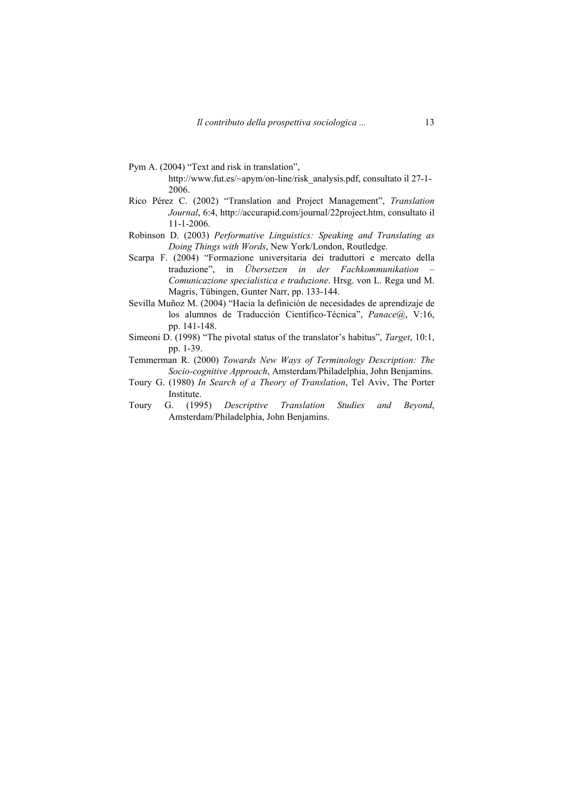- Pym A. (2004) "Text and risk in translation", http://www.fut.es/~apym/on-line/risk\_analysis.pdf, consultato il 27-1- 2006.
- Rico Pérez C. (2002) "Translation and Project Management", *Translation Journal*, 6:4, http://accurapid.com/journal/22project.htm, consultato il 11-1-2006.
- Robinson D. (2003) *Performative Linguistics: Speaking and Translating as Doing Things with Words*, New York/London, Routledge.
- Scarpa F. (2004) "Formazione universitaria dei traduttori e mercato della traduzione", in *Übersetzen in der Fachkommunikation Comunicazione specialistica e traduzione*. Hrsg. von L. Rega und M. Magris, Tübingen, Gunter Narr, pp. 133-144.
- Sevilla Muñoz M. (2004) "Hacia la definición de necesidades de aprendizaje de los alumnos de Traducción Científico-Técnica", *Panace@*, V:16, pp. 141-148.
- Simeoni D. (1998) "The pivotal status of the translator's habitus", *Target*, 10:1, pp. 1-39.
- Temmerman R. (2000) *Towards New Ways of Terminology Description: The Socio-cognitive Approach*, Amsterdam/Philadelphia, John Benjamins.
- Toury G. (1980) *In Search of a Theory of Translation*, Tel Aviv, The Porter Institute.
- Toury G. (1995) *Descriptive Translation Studies and Beyond*, Amsterdam/Philadelphia, John Benjamins.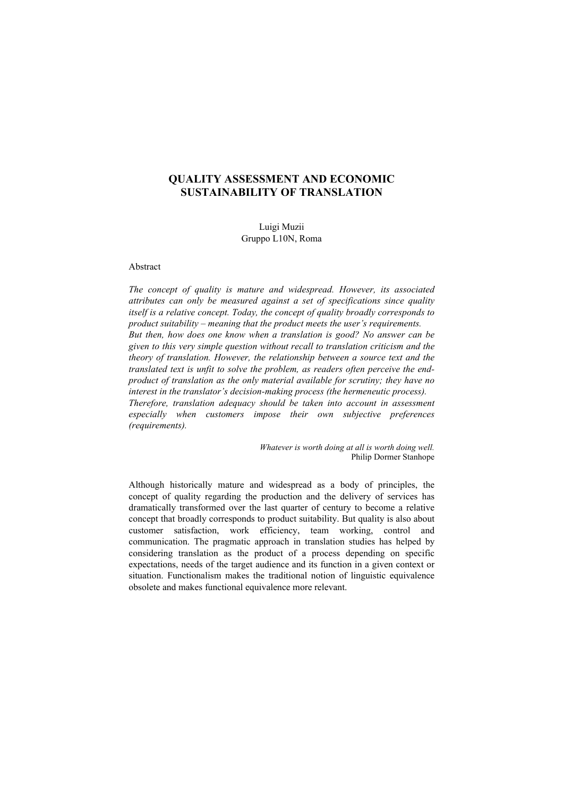## **QUALITY ASSESSMENT AND ECONOMIC SUSTAINABILITY OF TRANSLATION**

Luigi Muzii Gruppo L10N, Roma

## Abstract

*The concept of quality is mature and widespread. However, its associated attributes can only be measured against a set of specifications since quality itself is a relative concept. Today, the concept of quality broadly corresponds to product suitability – meaning that the product meets the user's requirements. But then, how does one know when a translation is good? No answer can be given to this very simple question without recall to translation criticism and the theory of translation. However, the relationship between a source text and the translated text is unfit to solve the problem, as readers often perceive the endproduct of translation as the only material available for scrutiny; they have no interest in the translator's decision-making process (the hermeneutic process). Therefore, translation adequacy should be taken into account in assessment especially when customers impose their own subjective preferences (requirements).* 

> *Whatever is worth doing at all is worth doing well.*  Philip Dormer Stanhope

Although historically mature and widespread as a body of principles, the concept of quality regarding the production and the delivery of services has dramatically transformed over the last quarter of century to become a relative concept that broadly corresponds to product suitability. But quality is also about customer satisfaction, work efficiency, team working, control and communication. The pragmatic approach in translation studies has helped by considering translation as the product of a process depending on specific expectations, needs of the target audience and its function in a given context or situation. Functionalism makes the traditional notion of linguistic equivalence obsolete and makes functional equivalence more relevant.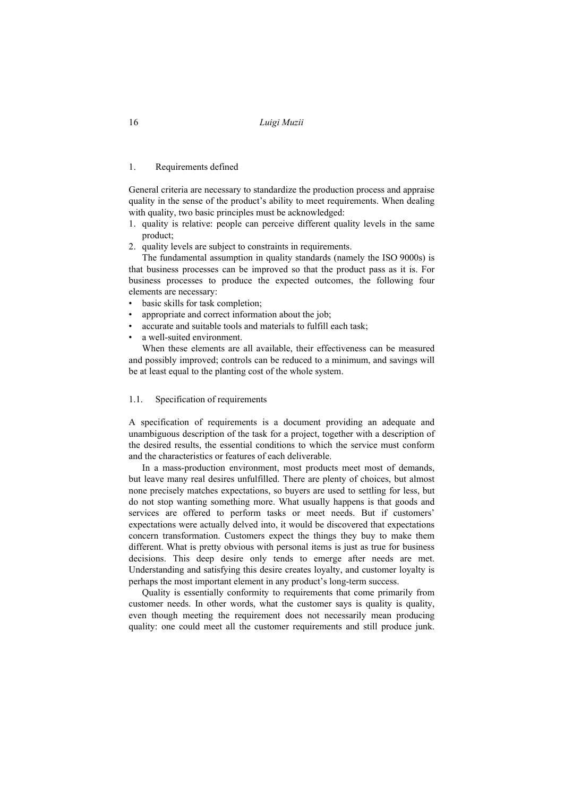#### 1. Requirements defined

General criteria are necessary to standardize the production process and appraise quality in the sense of the product's ability to meet requirements. When dealing with quality, two basic principles must be acknowledged:

- 1. quality is relative: people can perceive different quality levels in the same product;
- 2. quality levels are subject to constraints in requirements.

The fundamental assumption in quality standards (namely the ISO 9000s) is that business processes can be improved so that the product pass as it is. For business processes to produce the expected outcomes, the following four elements are necessary:

- basic skills for task completion;
- appropriate and correct information about the job;
- accurate and suitable tools and materials to fulfill each task;
- a well-suited environment.

When these elements are all available, their effectiveness can be measured and possibly improved; controls can be reduced to a minimum, and savings will be at least equal to the planting cost of the whole system.

#### 1.1. Specification of requirements

A specification of requirements is a document providing an adequate and unambiguous description of the task for a project, together with a description of the desired results, the essential conditions to which the service must conform and the characteristics or features of each deliverable.

In a mass-production environment, most products meet most of demands, but leave many real desires unfulfilled. There are plenty of choices, but almost none precisely matches expectations, so buyers are used to settling for less, but do not stop wanting something more. What usually happens is that goods and services are offered to perform tasks or meet needs. But if customers' expectations were actually delved into, it would be discovered that expectations concern transformation. Customers expect the things they buy to make them different. What is pretty obvious with personal items is just as true for business decisions. This deep desire only tends to emerge after needs are met. Understanding and satisfying this desire creates loyalty, and customer loyalty is perhaps the most important element in any product's long-term success.

Quality is essentially conformity to requirements that come primarily from customer needs. In other words, what the customer says is quality is quality, even though meeting the requirement does not necessarily mean producing quality: one could meet all the customer requirements and still produce junk.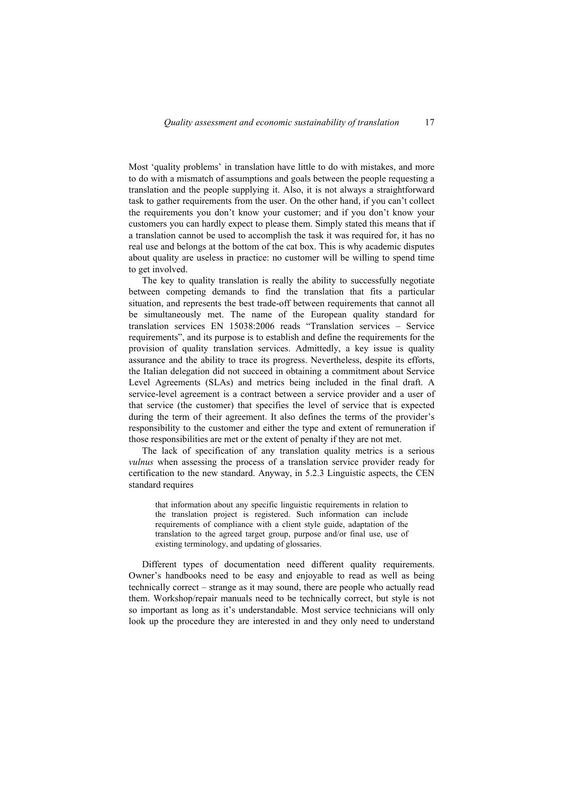Most 'quality problems' in translation have little to do with mistakes, and more to do with a mismatch of assumptions and goals between the people requesting a translation and the people supplying it. Also, it is not always a straightforward task to gather requirements from the user. On the other hand, if you can't collect the requirements you don't know your customer; and if you don't know your customers you can hardly expect to please them. Simply stated this means that if a translation cannot be used to accomplish the task it was required for, it has no real use and belongs at the bottom of the cat box. This is why academic disputes about quality are useless in practice: no customer will be willing to spend time to get involved.

The key to quality translation is really the ability to successfully negotiate between competing demands to find the translation that fits a particular situation, and represents the best trade-off between requirements that cannot all be simultaneously met. The name of the European quality standard for translation services EN 15038:2006 reads "Translation services – Service requirements", and its purpose is to establish and define the requirements for the provision of quality translation services. Admittedly, a key issue is quality assurance and the ability to trace its progress. Nevertheless, despite its efforts, the Italian delegation did not succeed in obtaining a commitment about Service Level Agreements (SLAs) and metrics being included in the final draft. A service-level agreement is a contract between a service provider and a user of that service (the customer) that specifies the level of service that is expected during the term of their agreement. It also defines the terms of the provider's responsibility to the customer and either the type and extent of remuneration if those responsibilities are met or the extent of penalty if they are not met.

The lack of specification of any translation quality metrics is a serious *vulnus* when assessing the process of a translation service provider ready for certification to the new standard. Anyway, in 5.2.3 Linguistic aspects, the CEN standard requires

that information about any specific linguistic requirements in relation to the translation project is registered. Such information can include requirements of compliance with a client style guide, adaptation of the translation to the agreed target group, purpose and/or final use, use of existing terminology, and updating of glossaries.

Different types of documentation need different quality requirements. Owner's handbooks need to be easy and enjoyable to read as well as being technically correct – strange as it may sound, there are people who actually read them. Workshop/repair manuals need to be technically correct, but style is not so important as long as it's understandable. Most service technicians will only look up the procedure they are interested in and they only need to understand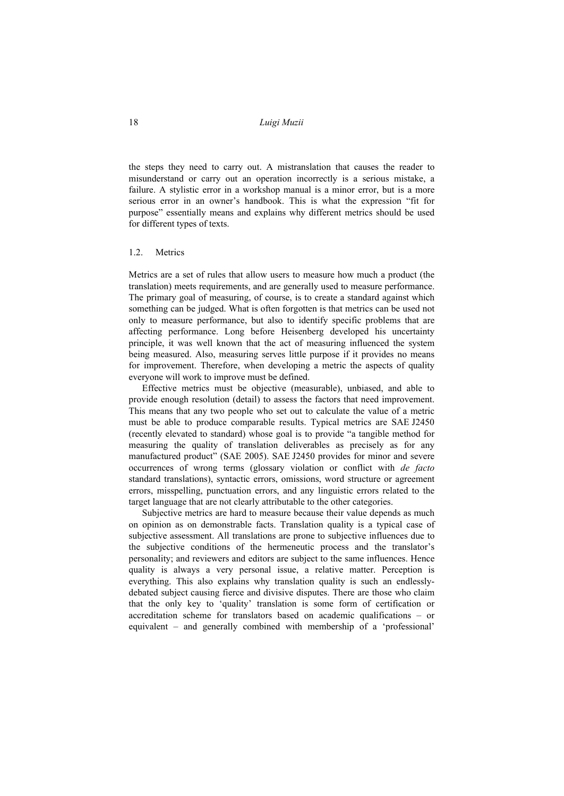the steps they need to carry out. A mistranslation that causes the reader to misunderstand or carry out an operation incorrectly is a serious mistake, a failure. A stylistic error in a workshop manual is a minor error, but is a more serious error in an owner's handbook. This is what the expression "fit for purpose" essentially means and explains why different metrics should be used for different types of texts.

#### 1.2. Metrics

Metrics are a set of rules that allow users to measure how much a product (the translation) meets requirements, and are generally used to measure performance. The primary goal of measuring, of course, is to create a standard against which something can be judged. What is often forgotten is that metrics can be used not only to measure performance, but also to identify specific problems that are affecting performance. Long before Heisenberg developed his uncertainty principle, it was well known that the act of measuring influenced the system being measured. Also, measuring serves little purpose if it provides no means for improvement. Therefore, when developing a metric the aspects of quality everyone will work to improve must be defined.

Effective metrics must be objective (measurable), unbiased, and able to provide enough resolution (detail) to assess the factors that need improvement. This means that any two people who set out to calculate the value of a metric must be able to produce comparable results. Typical metrics are SAE J2450 (recently elevated to standard) whose goal is to provide "a tangible method for measuring the quality of translation deliverables as precisely as for any manufactured product" (SAE 2005). SAE J2450 provides for minor and severe occurrences of wrong terms (glossary violation or conflict with *de facto* standard translations), syntactic errors, omissions, word structure or agreement errors, misspelling, punctuation errors, and any linguistic errors related to the target language that are not clearly attributable to the other categories.

Subjective metrics are hard to measure because their value depends as much on opinion as on demonstrable facts. Translation quality is a typical case of subjective assessment. All translations are prone to subjective influences due to the subjective conditions of the hermeneutic process and the translator's personality; and reviewers and editors are subject to the same influences. Hence quality is always a very personal issue, a relative matter. Perception is everything. This also explains why translation quality is such an endlesslydebated subject causing fierce and divisive disputes. There are those who claim that the only key to 'quality' translation is some form of certification or accreditation scheme for translators based on academic qualifications – or equivalent – and generally combined with membership of a 'professional'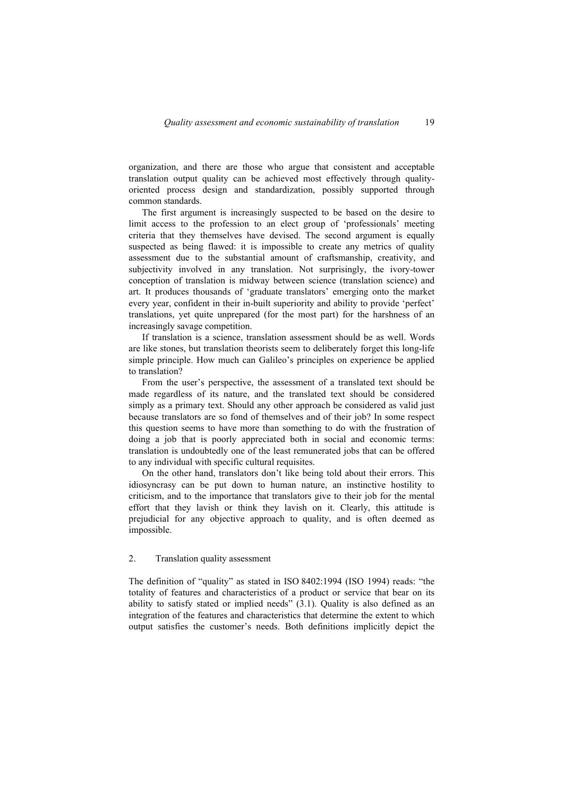organization, and there are those who argue that consistent and acceptable translation output quality can be achieved most effectively through qualityoriented process design and standardization, possibly supported through common standards.

The first argument is increasingly suspected to be based on the desire to limit access to the profession to an elect group of 'professionals' meeting criteria that they themselves have devised. The second argument is equally suspected as being flawed: it is impossible to create any metrics of quality assessment due to the substantial amount of craftsmanship, creativity, and subjectivity involved in any translation. Not surprisingly, the ivory-tower conception of translation is midway between science (translation science) and art. It produces thousands of 'graduate translators' emerging onto the market every year, confident in their in-built superiority and ability to provide 'perfect' translations, yet quite unprepared (for the most part) for the harshness of an increasingly savage competition.

If translation is a science, translation assessment should be as well. Words are like stones, but translation theorists seem to deliberately forget this long-life simple principle. How much can Galileo's principles on experience be applied to translation?

From the user's perspective, the assessment of a translated text should be made regardless of its nature, and the translated text should be considered simply as a primary text. Should any other approach be considered as valid just because translators are so fond of themselves and of their job? In some respect this question seems to have more than something to do with the frustration of doing a job that is poorly appreciated both in social and economic terms: translation is undoubtedly one of the least remunerated jobs that can be offered to any individual with specific cultural requisites.

On the other hand, translators don't like being told about their errors. This idiosyncrasy can be put down to human nature, an instinctive hostility to criticism, and to the importance that translators give to their job for the mental effort that they lavish or think they lavish on it. Clearly, this attitude is prejudicial for any objective approach to quality, and is often deemed as impossible.

## 2. Translation quality assessment

The definition of "quality" as stated in ISO 8402:1994 (ISO 1994) reads: "the totality of features and characteristics of a product or service that bear on its ability to satisfy stated or implied needs" (3.1). Quality is also defined as an integration of the features and characteristics that determine the extent to which output satisfies the customer's needs. Both definitions implicitly depict the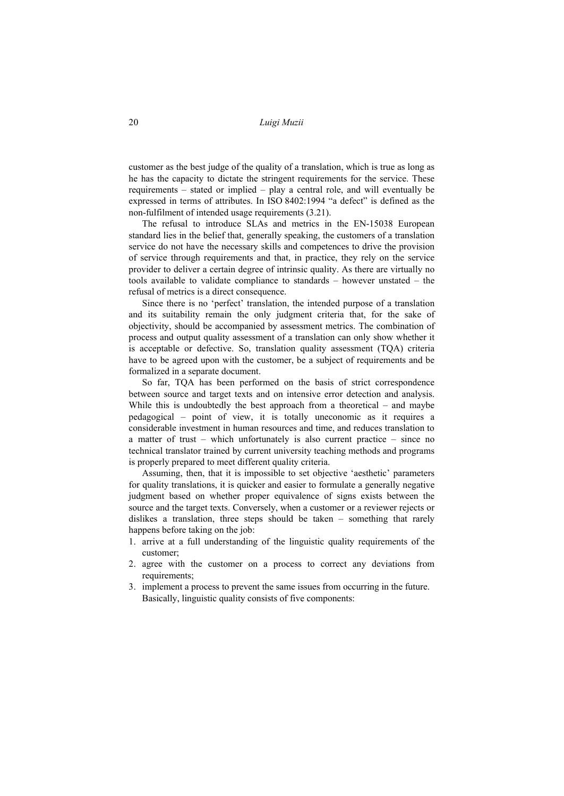customer as the best judge of the quality of a translation, which is true as long as he has the capacity to dictate the stringent requirements for the service. These requirements – stated or implied – play a central role, and will eventually be expressed in terms of attributes. In ISO 8402:1994 "a defect" is defined as the non-fulfilment of intended usage requirements (3.21).

The refusal to introduce SLAs and metrics in the EN-15038 European standard lies in the belief that, generally speaking, the customers of a translation service do not have the necessary skills and competences to drive the provision of service through requirements and that, in practice, they rely on the service provider to deliver a certain degree of intrinsic quality. As there are virtually no tools available to validate compliance to standards – however unstated – the refusal of metrics is a direct consequence.

Since there is no 'perfect' translation, the intended purpose of a translation and its suitability remain the only judgment criteria that, for the sake of objectivity, should be accompanied by assessment metrics. The combination of process and output quality assessment of a translation can only show whether it is acceptable or defective. So, translation quality assessment (TQA) criteria have to be agreed upon with the customer, be a subject of requirements and be formalized in a separate document.

So far, TQA has been performed on the basis of strict correspondence between source and target texts and on intensive error detection and analysis. While this is undoubtedly the best approach from a theoretical – and maybe pedagogical – point of view, it is totally uneconomic as it requires a considerable investment in human resources and time, and reduces translation to a matter of trust – which unfortunately is also current practice – since no technical translator trained by current university teaching methods and programs is properly prepared to meet different quality criteria.

Assuming, then, that it is impossible to set objective 'aesthetic' parameters for quality translations, it is quicker and easier to formulate a generally negative judgment based on whether proper equivalence of signs exists between the source and the target texts. Conversely, when a customer or a reviewer rejects or dislikes a translation, three steps should be taken – something that rarely happens before taking on the job:

- 1. arrive at a full understanding of the linguistic quality requirements of the customer;
- 2. agree with the customer on a process to correct any deviations from requirements:
- 3. implement a process to prevent the same issues from occurring in the future. Basically, linguistic quality consists of five components: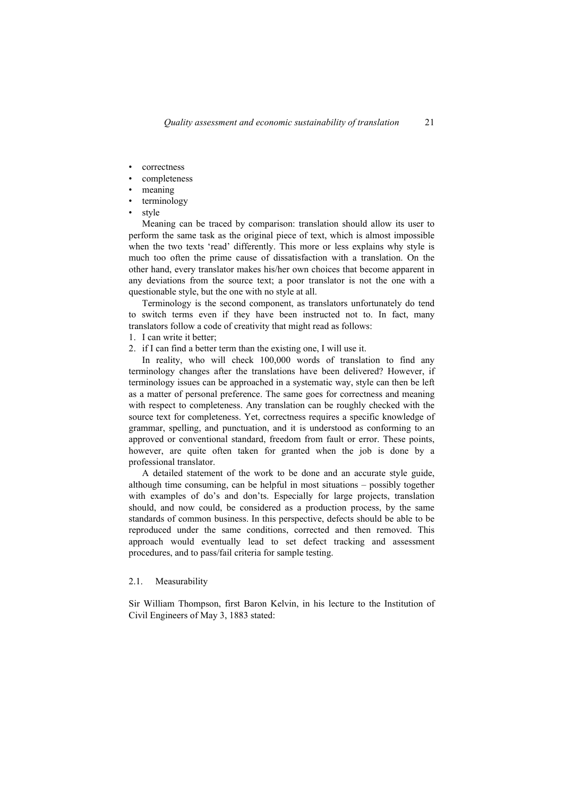- correctness
- completeness
- meaning
- terminology
- style

Meaning can be traced by comparison: translation should allow its user to perform the same task as the original piece of text, which is almost impossible when the two texts 'read' differently. This more or less explains why style is much too often the prime cause of dissatisfaction with a translation. On the other hand, every translator makes his/her own choices that become apparent in any deviations from the source text; a poor translator is not the one with a questionable style, but the one with no style at all.

Terminology is the second component, as translators unfortunately do tend to switch terms even if they have been instructed not to. In fact, many translators follow a code of creativity that might read as follows:

- 1. I can write it better;
- 2. if I can find a better term than the existing one, I will use it.

In reality, who will check 100,000 words of translation to find any terminology changes after the translations have been delivered? However, if terminology issues can be approached in a systematic way, style can then be left as a matter of personal preference. The same goes for correctness and meaning with respect to completeness. Any translation can be roughly checked with the source text for completeness. Yet, correctness requires a specific knowledge of grammar, spelling, and punctuation, and it is understood as conforming to an approved or conventional standard, freedom from fault or error. These points, however, are quite often taken for granted when the job is done by a professional translator.

A detailed statement of the work to be done and an accurate style guide, although time consuming, can be helpful in most situations – possibly together with examples of do's and don'ts. Especially for large projects, translation should, and now could, be considered as a production process, by the same standards of common business. In this perspective, defects should be able to be reproduced under the same conditions, corrected and then removed. This approach would eventually lead to set defect tracking and assessment procedures, and to pass/fail criteria for sample testing.

#### 2.1. Measurability

Sir William Thompson, first Baron Kelvin, in his lecture to the Institution of Civil Engineers of May 3, 1883 stated: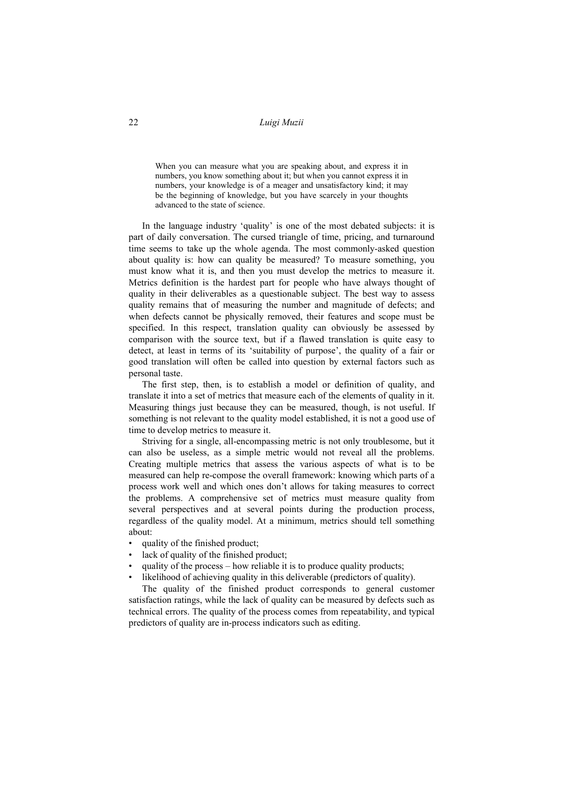When you can measure what you are speaking about, and express it in numbers, you know something about it; but when you cannot express it in numbers, your knowledge is of a meager and unsatisfactory kind; it may be the beginning of knowledge, but you have scarcely in your thoughts advanced to the state of science.

In the language industry 'quality' is one of the most debated subjects: it is part of daily conversation. The cursed triangle of time, pricing, and turnaround time seems to take up the whole agenda. The most commonly-asked question about quality is: how can quality be measured? To measure something, you must know what it is, and then you must develop the metrics to measure it. Metrics definition is the hardest part for people who have always thought of quality in their deliverables as a questionable subject. The best way to assess quality remains that of measuring the number and magnitude of defects; and when defects cannot be physically removed, their features and scope must be specified. In this respect, translation quality can obviously be assessed by comparison with the source text, but if a flawed translation is quite easy to detect, at least in terms of its 'suitability of purpose', the quality of a fair or good translation will often be called into question by external factors such as personal taste.

The first step, then, is to establish a model or definition of quality, and translate it into a set of metrics that measure each of the elements of quality in it. Measuring things just because they can be measured, though, is not useful. If something is not relevant to the quality model established, it is not a good use of time to develop metrics to measure it.

Striving for a single, all-encompassing metric is not only troublesome, but it can also be useless, as a simple metric would not reveal all the problems. Creating multiple metrics that assess the various aspects of what is to be measured can help re-compose the overall framework: knowing which parts of a process work well and which ones don't allows for taking measures to correct the problems. A comprehensive set of metrics must measure quality from several perspectives and at several points during the production process, regardless of the quality model. At a minimum, metrics should tell something about:

- quality of the finished product;
- lack of quality of the finished product:
- quality of the process how reliable it is to produce quality products;
- likelihood of achieving quality in this deliverable (predictors of quality).

The quality of the finished product corresponds to general customer satisfaction ratings, while the lack of quality can be measured by defects such as technical errors. The quality of the process comes from repeatability, and typical predictors of quality are in-process indicators such as editing.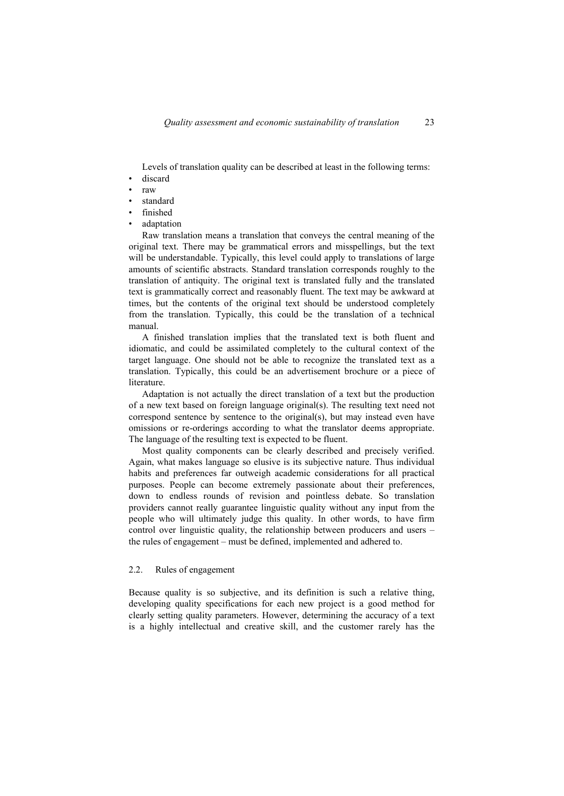Levels of translation quality can be described at least in the following terms: discard

- raw
- standard
- finished
- adaptation

Raw translation means a translation that conveys the central meaning of the original text. There may be grammatical errors and misspellings, but the text will be understandable. Typically, this level could apply to translations of large amounts of scientific abstracts. Standard translation corresponds roughly to the translation of antiquity. The original text is translated fully and the translated text is grammatically correct and reasonably fluent. The text may be awkward at times, but the contents of the original text should be understood completely from the translation. Typically, this could be the translation of a technical manual.

A finished translation implies that the translated text is both fluent and idiomatic, and could be assimilated completely to the cultural context of the target language. One should not be able to recognize the translated text as a translation. Typically, this could be an advertisement brochure or a piece of literature.

Adaptation is not actually the direct translation of a text but the production of a new text based on foreign language original(s). The resulting text need not correspond sentence by sentence to the original(s), but may instead even have omissions or re-orderings according to what the translator deems appropriate. The language of the resulting text is expected to be fluent.

Most quality components can be clearly described and precisely verified. Again, what makes language so elusive is its subjective nature. Thus individual habits and preferences far outweigh academic considerations for all practical purposes. People can become extremely passionate about their preferences, down to endless rounds of revision and pointless debate. So translation providers cannot really guarantee linguistic quality without any input from the people who will ultimately judge this quality. In other words, to have firm control over linguistic quality, the relationship between producers and users – the rules of engagement – must be defined, implemented and adhered to.

#### 2.2. Rules of engagement

Because quality is so subjective, and its definition is such a relative thing, developing quality specifications for each new project is a good method for clearly setting quality parameters. However, determining the accuracy of a text is a highly intellectual and creative skill, and the customer rarely has the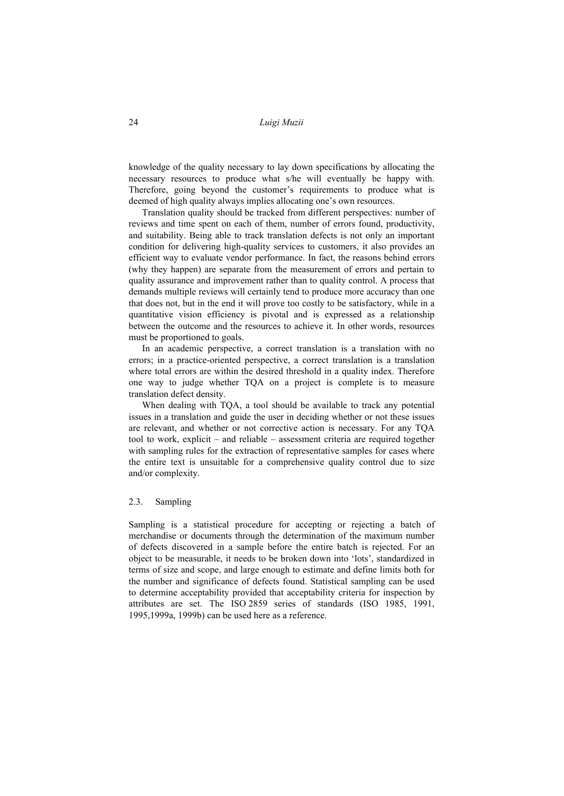knowledge of the quality necessary to lay down specifications by allocating the necessary resources to produce what s/he will eventually be happy with. Therefore, going beyond the customer's requirements to produce what is deemed of high quality always implies allocating one's own resources.

Translation quality should be tracked from different perspectives: number of reviews and time spent on each of them, number of errors found, productivity, and suitability. Being able to track translation defects is not only an important condition for delivering high-quality services to customers, it also provides an efficient way to evaluate vendor performance. In fact, the reasons behind errors (why they happen) are separate from the measurement of errors and pertain to quality assurance and improvement rather than to quality control. A process that demands multiple reviews will certainly tend to produce more accuracy than one that does not, but in the end it will prove too costly to be satisfactory, while in a quantitative vision efficiency is pivotal and is expressed as a relationship between the outcome and the resources to achieve it. In other words, resources must be proportioned to goals.

In an academic perspective, a correct translation is a translation with no errors; in a practice-oriented perspective, a correct translation is a translation where total errors are within the desired threshold in a quality index. Therefore one way to judge whether TQA on a project is complete is to measure translation defect density.

When dealing with TQA, a tool should be available to track any potential issues in a translation and guide the user in deciding whether or not these issues are relevant, and whether or not corrective action is necessary. For any TQA tool to work, explicit – and reliable – assessment criteria are required together with sampling rules for the extraction of representative samples for cases where the entire text is unsuitable for a comprehensive quality control due to size and/or complexity.

## 2.3. Sampling

Sampling is a statistical procedure for accepting or rejecting a batch of merchandise or documents through the determination of the maximum number of defects discovered in a sample before the entire batch is rejected. For an object to be measurable, it needs to be broken down into 'lots', standardized in terms of size and scope, and large enough to estimate and define limits both for the number and significance of defects found. Statistical sampling can be used to determine acceptability provided that acceptability criteria for inspection by attributes are set. The ISO 2859 series of standards (ISO 1985, 1991, 1995,1999a, 1999b) can be used here as a reference.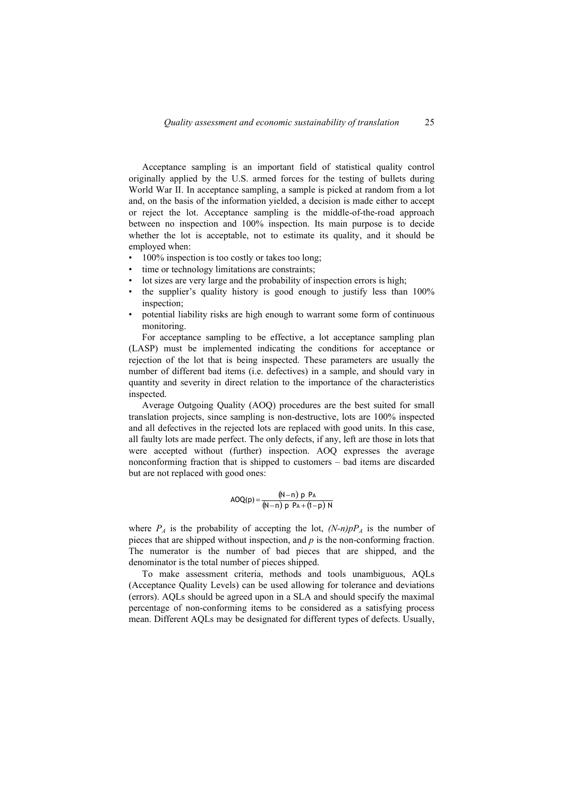Acceptance sampling is an important field of statistical quality control originally applied by the U.S. armed forces for the testing of bullets during World War II. In acceptance sampling, a sample is picked at random from a lot and, on the basis of the information yielded, a decision is made either to accept or reject the lot. Acceptance sampling is the middle-of-the-road approach between no inspection and 100% inspection. Its main purpose is to decide whether the lot is acceptable, not to estimate its quality, and it should be employed when:

- 100% inspection is too costly or takes too long;
- time or technology limitations are constraints;
- lot sizes are very large and the probability of inspection errors is high;
- the supplier's quality history is good enough to justify less than 100% inspection;
- potential liability risks are high enough to warrant some form of continuous monitoring.

For acceptance sampling to be effective, a lot acceptance sampling plan (LASP) must be implemented indicating the conditions for acceptance or rejection of the lot that is being inspected. These parameters are usually the number of different bad items (i.e. defectives) in a sample, and should vary in quantity and severity in direct relation to the importance of the characteristics inspected.

Average Outgoing Quality (AOQ) procedures are the best suited for small translation projects, since sampling is non-destructive, lots are 100% inspected and all defectives in the rejected lots are replaced with good units. In this case, all faulty lots are made perfect. The only defects, if any, left are those in lots that were accepted without (further) inspection. AOQ expresses the average nonconforming fraction that is shipped to customers – bad items are discarded but are not replaced with good ones:

$$
AOQ(p) = \frac{(N-n) p P_A}{(N-n) p P_A + (1-p) N}
$$

where  $P_A$  is the probability of accepting the lot,  $(N-n)pP_A$  is the number of pieces that are shipped without inspection, and *p* is the non-conforming fraction. The numerator is the number of bad pieces that are shipped, and the denominator is the total number of pieces shipped.

To make assessment criteria, methods and tools unambiguous, AQLs (Acceptance Quality Levels) can be used allowing for tolerance and deviations (errors). AQLs should be agreed upon in a SLA and should specify the maximal percentage of non-conforming items to be considered as a satisfying process mean. Different AQLs may be designated for different types of defects. Usually,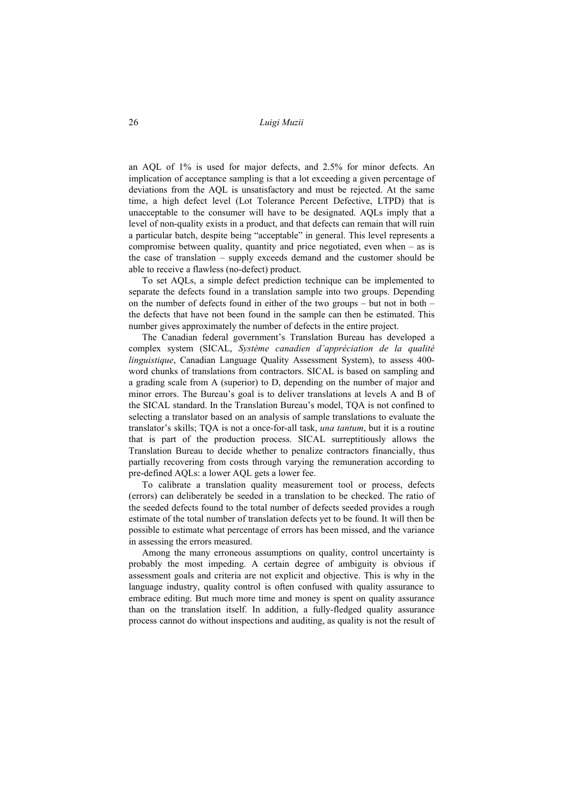an AQL of 1% is used for major defects, and 2.5% for minor defects. An implication of acceptance sampling is that a lot exceeding a given percentage of deviations from the AQL is unsatisfactory and must be rejected. At the same time, a high defect level (Lot Tolerance Percent Defective, LTPD) that is unacceptable to the consumer will have to be designated. AQLs imply that a level of non-quality exists in a product, and that defects can remain that will ruin a particular batch, despite being "acceptable" in general. This level represents a compromise between quality, quantity and price negotiated, even when – as is the case of translation – supply exceeds demand and the customer should be able to receive a flawless (no-defect) product.

To set AQLs, a simple defect prediction technique can be implemented to separate the defects found in a translation sample into two groups. Depending on the number of defects found in either of the two groups – but not in both – the defects that have not been found in the sample can then be estimated. This number gives approximately the number of defects in the entire project.

The Canadian federal government's Translation Bureau has developed a complex system (SICAL, *Système canadien d'appréciation de la qualité linguistique*, Canadian Language Quality Assessment System), to assess 400 word chunks of translations from contractors. SICAL is based on sampling and a grading scale from A (superior) to D, depending on the number of major and minor errors. The Bureau's goal is to deliver translations at levels A and B of the SICAL standard. In the Translation Bureau's model, TQA is not confined to selecting a translator based on an analysis of sample translations to evaluate the translator's skills; TQA is not a once-for-all task, *una tantum*, but it is a routine that is part of the production process. SICAL surreptitiously allows the Translation Bureau to decide whether to penalize contractors financially, thus partially recovering from costs through varying the remuneration according to pre-defined AQLs: a lower AQL gets a lower fee.

To calibrate a translation quality measurement tool or process, defects (errors) can deliberately be seeded in a translation to be checked. The ratio of the seeded defects found to the total number of defects seeded provides a rough estimate of the total number of translation defects yet to be found. It will then be possible to estimate what percentage of errors has been missed, and the variance in assessing the errors measured.

Among the many erroneous assumptions on quality, control uncertainty is probably the most impeding. A certain degree of ambiguity is obvious if assessment goals and criteria are not explicit and objective. This is why in the language industry, quality control is often confused with quality assurance to embrace editing. But much more time and money is spent on quality assurance than on the translation itself. In addition, a fully-fledged quality assurance process cannot do without inspections and auditing, as quality is not the result of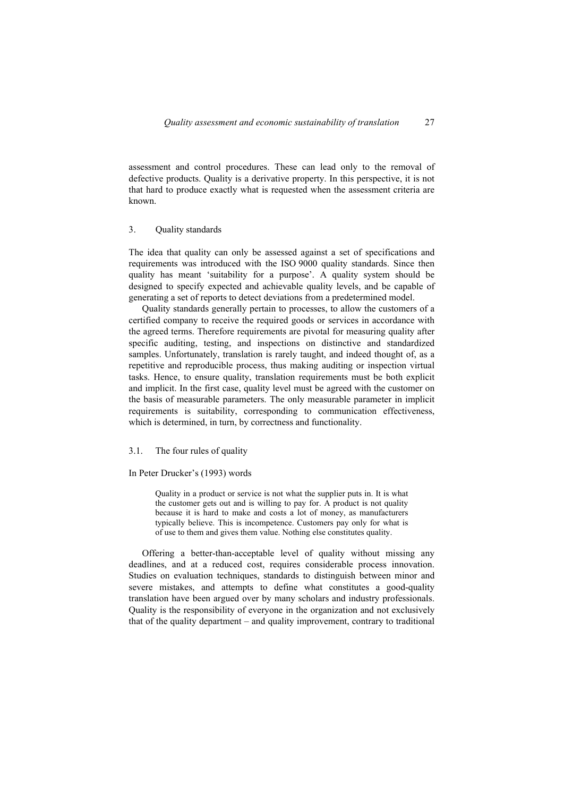assessment and control procedures. These can lead only to the removal of defective products. Quality is a derivative property. In this perspective, it is not that hard to produce exactly what is requested when the assessment criteria are known.

#### 3. Quality standards

The idea that quality can only be assessed against a set of specifications and requirements was introduced with the ISO 9000 quality standards. Since then quality has meant 'suitability for a purpose'. A quality system should be designed to specify expected and achievable quality levels, and be capable of generating a set of reports to detect deviations from a predetermined model.

Quality standards generally pertain to processes, to allow the customers of a certified company to receive the required goods or services in accordance with the agreed terms. Therefore requirements are pivotal for measuring quality after specific auditing, testing, and inspections on distinctive and standardized samples. Unfortunately, translation is rarely taught, and indeed thought of, as a repetitive and reproducible process, thus making auditing or inspection virtual tasks. Hence, to ensure quality, translation requirements must be both explicit and implicit. In the first case, quality level must be agreed with the customer on the basis of measurable parameters. The only measurable parameter in implicit requirements is suitability, corresponding to communication effectiveness, which is determined, in turn, by correctness and functionality.

## 3.1. The four rules of quality

#### In Peter Drucker's (1993) words

Quality in a product or service is not what the supplier puts in. It is what the customer gets out and is willing to pay for. A product is not quality because it is hard to make and costs a lot of money, as manufacturers typically believe. This is incompetence. Customers pay only for what is of use to them and gives them value. Nothing else constitutes quality.

Offering a better-than-acceptable level of quality without missing any deadlines, and at a reduced cost, requires considerable process innovation. Studies on evaluation techniques, standards to distinguish between minor and severe mistakes, and attempts to define what constitutes a good-quality translation have been argued over by many scholars and industry professionals. Quality is the responsibility of everyone in the organization and not exclusively that of the quality department – and quality improvement, contrary to traditional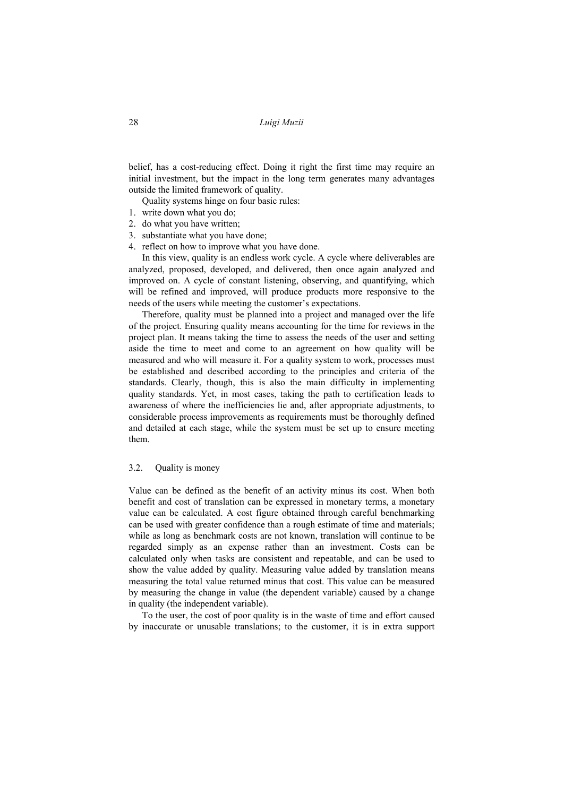belief, has a cost-reducing effect. Doing it right the first time may require an initial investment, but the impact in the long term generates many advantages outside the limited framework of quality.

Quality systems hinge on four basic rules:

- 1. write down what you do;
- 2. do what you have written;
- 3. substantiate what you have done;
- 4. reflect on how to improve what you have done.

In this view, quality is an endless work cycle. A cycle where deliverables are analyzed, proposed, developed, and delivered, then once again analyzed and improved on. A cycle of constant listening, observing, and quantifying, which will be refined and improved, will produce products more responsive to the needs of the users while meeting the customer's expectations.

Therefore, quality must be planned into a project and managed over the life of the project. Ensuring quality means accounting for the time for reviews in the project plan. It means taking the time to assess the needs of the user and setting aside the time to meet and come to an agreement on how quality will be measured and who will measure it. For a quality system to work, processes must be established and described according to the principles and criteria of the standards. Clearly, though, this is also the main difficulty in implementing quality standards. Yet, in most cases, taking the path to certification leads to awareness of where the inefficiencies lie and, after appropriate adjustments, to considerable process improvements as requirements must be thoroughly defined and detailed at each stage, while the system must be set up to ensure meeting them.

#### 3.2. Quality is money

Value can be defined as the benefit of an activity minus its cost. When both benefit and cost of translation can be expressed in monetary terms, a monetary value can be calculated. A cost figure obtained through careful benchmarking can be used with greater confidence than a rough estimate of time and materials; while as long as benchmark costs are not known, translation will continue to be regarded simply as an expense rather than an investment. Costs can be calculated only when tasks are consistent and repeatable, and can be used to show the value added by quality. Measuring value added by translation means measuring the total value returned minus that cost. This value can be measured by measuring the change in value (the dependent variable) caused by a change in quality (the independent variable).

To the user, the cost of poor quality is in the waste of time and effort caused by inaccurate or unusable translations; to the customer, it is in extra support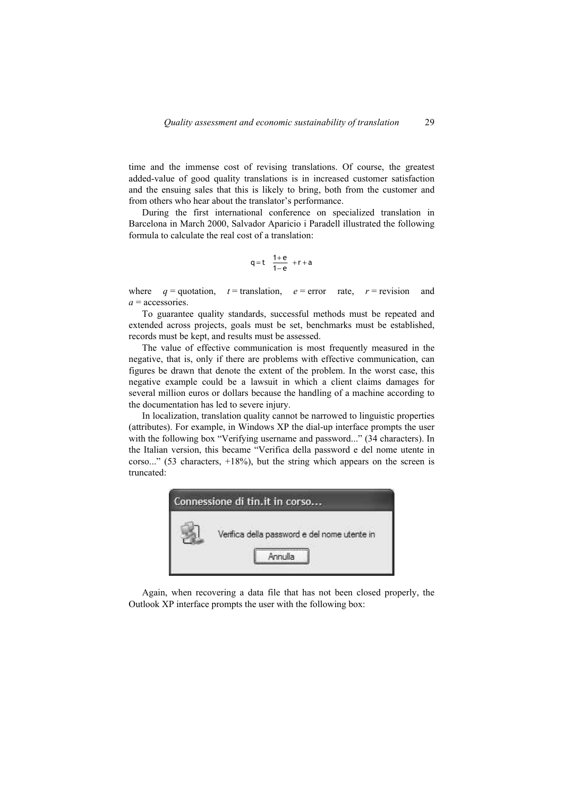time and the immense cost of revising translations. Of course, the greatest added-value of good quality translations is in increased customer satisfaction and the ensuing sales that this is likely to bring, both from the customer and from others who hear about the translator's performance.

During the first international conference on specialized translation in Barcelona in March 2000, Salvador Aparicio i Paradell illustrated the following formula to calculate the real cost of a translation:

$$
q=t \quad \frac{1+e}{1-e} \quad +r+a
$$

where  $q =$  quotation,  $t =$  translation,  $e =$  error rate,  $r =$  revision and *a* = accessories.

To guarantee quality standards, successful methods must be repeated and extended across projects, goals must be set, benchmarks must be established, records must be kept, and results must be assessed.

The value of effective communication is most frequently measured in the negative, that is, only if there are problems with effective communication, can figures be drawn that denote the extent of the problem. In the worst case, this negative example could be a lawsuit in which a client claims damages for several million euros or dollars because the handling of a machine according to the documentation has led to severe injury.

In localization, translation quality cannot be narrowed to linguistic properties (attributes). For example, in Windows XP the dial-up interface prompts the user with the following box "Verifying username and password..." (34 characters). In the Italian version, this became "Verifica della password e del nome utente in corso..." (53 characters,  $+18\%$ ), but the string which appears on the screen is truncated:



Again, when recovering a data file that has not been closed properly, the Outlook XP interface prompts the user with the following box: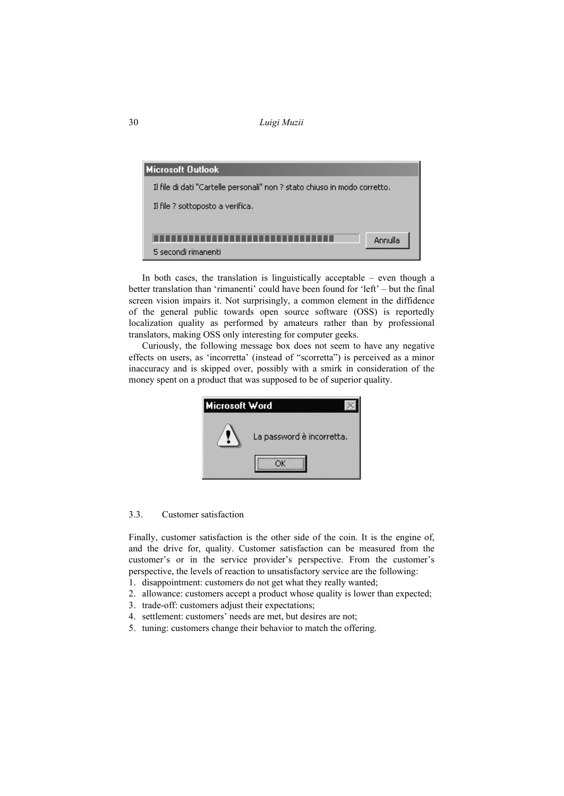

In both cases, the translation is linguistically acceptable – even though a better translation than 'rimanenti' could have been found for 'left' – but the final screen vision impairs it. Not surprisingly, a common element in the diffidence of the general public towards open source software (OSS) is reportedly localization quality as performed by amateurs rather than by professional translators, making OSS only interesting for computer geeks.

Curiously, the following message box does not seem to have any negative effects on users, as 'incorretta' (instead of "scorretta") is perceived as a minor inaccuracy and is skipped over, possibly with a smirk in consideration of the money spent on a product that was supposed to be of superior quality.



## 3.3. Customer satisfaction

Finally, customer satisfaction is the other side of the coin. It is the engine of, and the drive for, quality. Customer satisfaction can be measured from the customer's or in the service provider's perspective. From the customer's perspective, the levels of reaction to unsatisfactory service are the following:

- 1. disappointment: customers do not get what they really wanted;
- 2. allowance: customers accept a product whose quality is lower than expected;
- 3. trade-off: customers adjust their expectations;
- 4. settlement: customers' needs are met, but desires are not;
- 5. tuning: customers change their behavior to match the offering.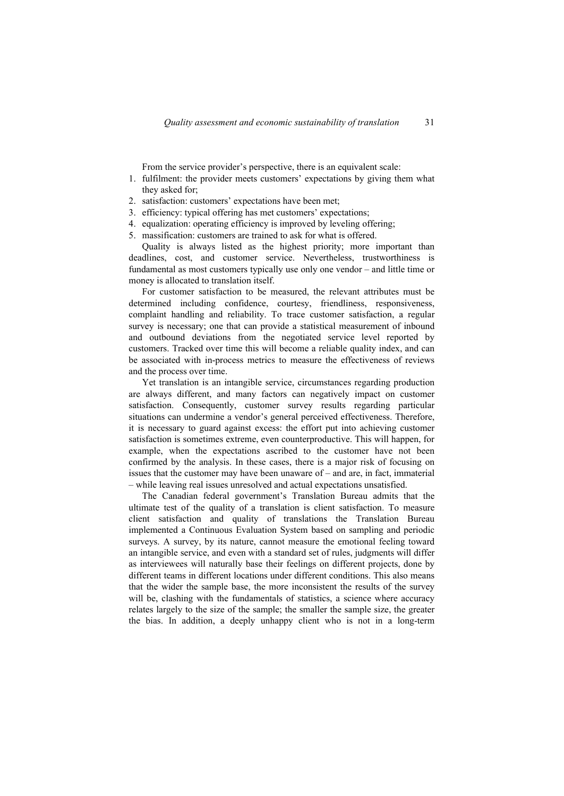From the service provider's perspective, there is an equivalent scale:

- 1. fulfilment: the provider meets customers' expectations by giving them what they asked for;
- 2. satisfaction: customers' expectations have been met;
- 3. efficiency: typical offering has met customers' expectations;
- 4. equalization: operating efficiency is improved by leveling offering;
- 5. massification: customers are trained to ask for what is offered.

Quality is always listed as the highest priority; more important than deadlines, cost, and customer service. Nevertheless, trustworthiness is fundamental as most customers typically use only one vendor – and little time or money is allocated to translation itself.

For customer satisfaction to be measured, the relevant attributes must be determined including confidence, courtesy, friendliness, responsiveness, complaint handling and reliability. To trace customer satisfaction, a regular survey is necessary; one that can provide a statistical measurement of inbound and outbound deviations from the negotiated service level reported by customers. Tracked over time this will become a reliable quality index, and can be associated with in-process metrics to measure the effectiveness of reviews and the process over time.

Yet translation is an intangible service, circumstances regarding production are always different, and many factors can negatively impact on customer satisfaction. Consequently, customer survey results regarding particular situations can undermine a vendor's general perceived effectiveness. Therefore, it is necessary to guard against excess: the effort put into achieving customer satisfaction is sometimes extreme, even counterproductive. This will happen, for example, when the expectations ascribed to the customer have not been confirmed by the analysis. In these cases, there is a major risk of focusing on issues that the customer may have been unaware of – and are, in fact, immaterial – while leaving real issues unresolved and actual expectations unsatisfied.

The Canadian federal government's Translation Bureau admits that the ultimate test of the quality of a translation is client satisfaction. To measure client satisfaction and quality of translations the Translation Bureau implemented a Continuous Evaluation System based on sampling and periodic surveys. A survey, by its nature, cannot measure the emotional feeling toward an intangible service, and even with a standard set of rules, judgments will differ as interviewees will naturally base their feelings on different projects, done by different teams in different locations under different conditions. This also means that the wider the sample base, the more inconsistent the results of the survey will be, clashing with the fundamentals of statistics, a science where accuracy relates largely to the size of the sample; the smaller the sample size, the greater the bias. In addition, a deeply unhappy client who is not in a long-term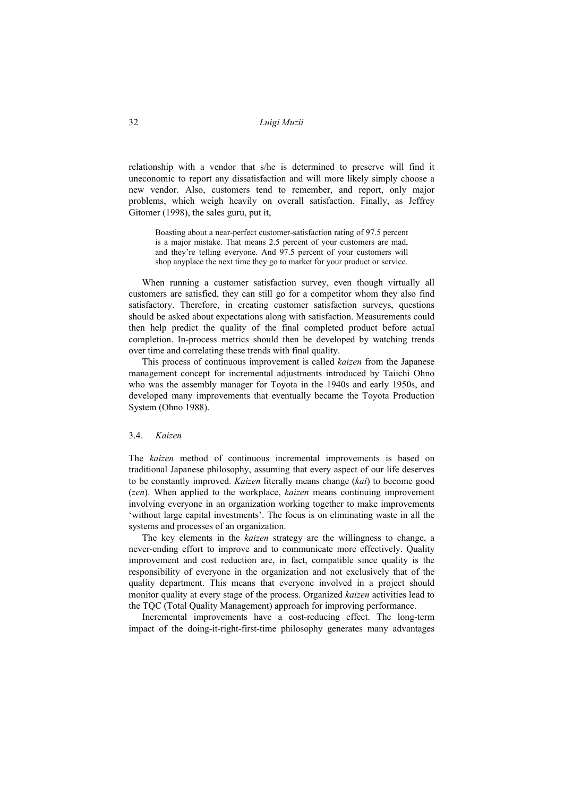relationship with a vendor that s/he is determined to preserve will find it uneconomic to report any dissatisfaction and will more likely simply choose a new vendor. Also, customers tend to remember, and report, only major problems, which weigh heavily on overall satisfaction. Finally, as Jeffrey Gitomer (1998), the sales guru, put it,

Boasting about a near-perfect customer-satisfaction rating of 97.5 percent is a major mistake. That means 2.5 percent of your customers are mad, and they're telling everyone. And 97.5 percent of your customers will shop anyplace the next time they go to market for your product or service.

When running a customer satisfaction survey, even though virtually all customers are satisfied, they can still go for a competitor whom they also find satisfactory. Therefore, in creating customer satisfaction surveys, questions should be asked about expectations along with satisfaction. Measurements could then help predict the quality of the final completed product before actual completion. In-process metrics should then be developed by watching trends over time and correlating these trends with final quality.

This process of continuous improvement is called *kaizen* from the Japanese management concept for incremental adjustments introduced by Taiichi Ohno who was the assembly manager for Toyota in the 1940s and early 1950s, and developed many improvements that eventually became the Toyota Production System (Ohno 1988).

#### 3.4. *Kaizen*

The *kaizen* method of continuous incremental improvements is based on traditional Japanese philosophy, assuming that every aspect of our life deserves to be constantly improved. *Kaizen* literally means change (*kai*) to become good (*zen*). When applied to the workplace, *kaizen* means continuing improvement involving everyone in an organization working together to make improvements 'without large capital investments'. The focus is on eliminating waste in all the systems and processes of an organization.

The key elements in the *kaizen* strategy are the willingness to change, a never-ending effort to improve and to communicate more effectively. Quality improvement and cost reduction are, in fact, compatible since quality is the responsibility of everyone in the organization and not exclusively that of the quality department. This means that everyone involved in a project should monitor quality at every stage of the process. Organized *kaizen* activities lead to the TQC (Total Quality Management) approach for improving performance.

Incremental improvements have a cost-reducing effect. The long-term impact of the doing-it-right-first-time philosophy generates many advantages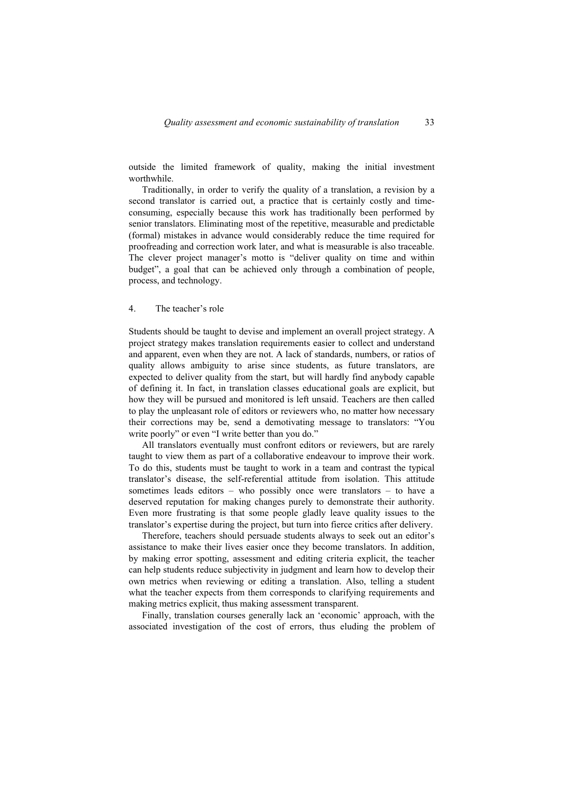outside the limited framework of quality, making the initial investment worthwhile.

Traditionally, in order to verify the quality of a translation, a revision by a second translator is carried out, a practice that is certainly costly and timeconsuming, especially because this work has traditionally been performed by senior translators. Eliminating most of the repetitive, measurable and predictable (formal) mistakes in advance would considerably reduce the time required for proofreading and correction work later, and what is measurable is also traceable. The clever project manager's motto is "deliver quality on time and within budget", a goal that can be achieved only through a combination of people, process, and technology.

## 4. The teacher's role

Students should be taught to devise and implement an overall project strategy. A project strategy makes translation requirements easier to collect and understand and apparent, even when they are not. A lack of standards, numbers, or ratios of quality allows ambiguity to arise since students, as future translators, are expected to deliver quality from the start, but will hardly find anybody capable of defining it. In fact, in translation classes educational goals are explicit, but how they will be pursued and monitored is left unsaid. Teachers are then called to play the unpleasant role of editors or reviewers who, no matter how necessary their corrections may be, send a demotivating message to translators: "You write poorly" or even "I write better than you do."

All translators eventually must confront editors or reviewers, but are rarely taught to view them as part of a collaborative endeavour to improve their work. To do this, students must be taught to work in a team and contrast the typical translator's disease, the self-referential attitude from isolation. This attitude sometimes leads editors – who possibly once were translators – to have a deserved reputation for making changes purely to demonstrate their authority. Even more frustrating is that some people gladly leave quality issues to the translator's expertise during the project, but turn into fierce critics after delivery.

Therefore, teachers should persuade students always to seek out an editor's assistance to make their lives easier once they become translators. In addition, by making error spotting, assessment and editing criteria explicit, the teacher can help students reduce subjectivity in judgment and learn how to develop their own metrics when reviewing or editing a translation. Also, telling a student what the teacher expects from them corresponds to clarifying requirements and making metrics explicit, thus making assessment transparent.

Finally, translation courses generally lack an 'economic' approach, with the associated investigation of the cost of errors, thus eluding the problem of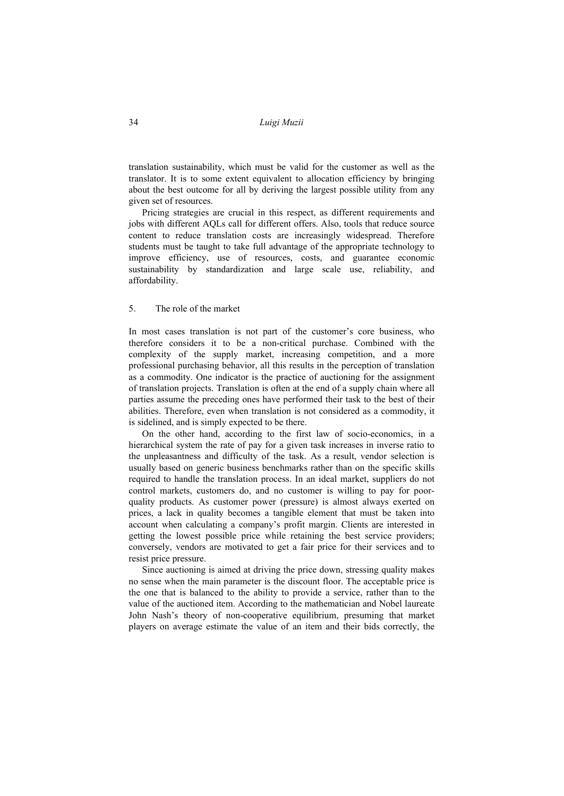translation sustainability, which must be valid for the customer as well as the translator. It is to some extent equivalent to allocation efficiency by bringing about the best outcome for all by deriving the largest possible utility from any given set of resources.

Pricing strategies are crucial in this respect, as different requirements and jobs with different AQLs call for different offers. Also, tools that reduce source content to reduce translation costs are increasingly widespread. Therefore students must be taught to take full advantage of the appropriate technology to improve efficiency, use of resources, costs, and guarantee economic sustainability by standardization and large scale use, reliability, and affordability.

## 5. The role of the market

In most cases translation is not part of the customer's core business, who therefore considers it to be a non-critical purchase. Combined with the complexity of the supply market, increasing competition, and a more professional purchasing behavior, all this results in the perception of translation as a commodity. One indicator is the practice of auctioning for the assignment of translation projects. Translation is often at the end of a supply chain where all parties assume the preceding ones have performed their task to the best of their abilities. Therefore, even when translation is not considered as a commodity, it is sidelined, and is simply expected to be there.

On the other hand, according to the first law of socio-economics, in a hierarchical system the rate of pay for a given task increases in inverse ratio to the unpleasantness and difficulty of the task. As a result, vendor selection is usually based on generic business benchmarks rather than on the specific skills required to handle the translation process. In an ideal market, suppliers do not control markets, customers do, and no customer is willing to pay for poorquality products. As customer power (pressure) is almost always exerted on prices, a lack in quality becomes a tangible element that must be taken into account when calculating a company's profit margin. Clients are interested in getting the lowest possible price while retaining the best service providers; conversely, vendors are motivated to get a fair price for their services and to resist price pressure.

Since auctioning is aimed at driving the price down, stressing quality makes no sense when the main parameter is the discount floor. The acceptable price is the one that is balanced to the ability to provide a service, rather than to the value of the auctioned item. According to the mathematician and Nobel laureate John Nash's theory of non-cooperative equilibrium, presuming that market players on average estimate the value of an item and their bids correctly, the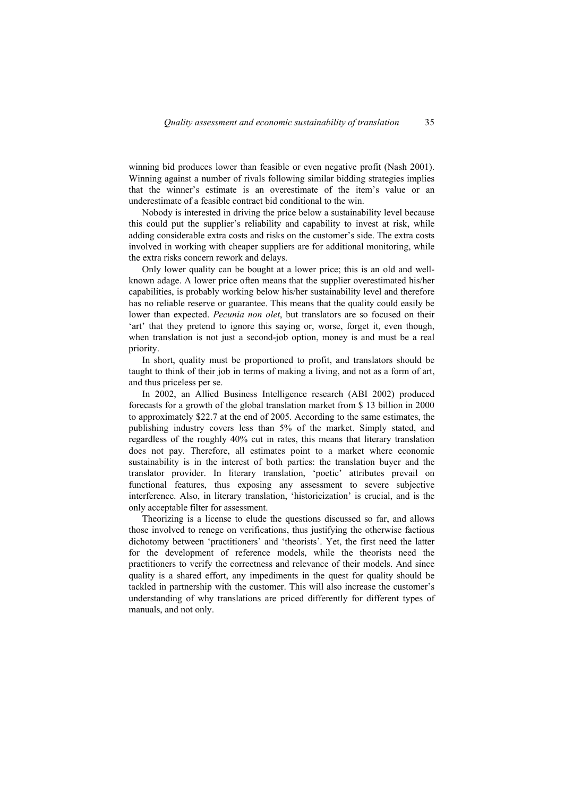winning bid produces lower than feasible or even negative profit (Nash 2001). Winning against a number of rivals following similar bidding strategies implies that the winner's estimate is an overestimate of the item's value or an underestimate of a feasible contract bid conditional to the win.

Nobody is interested in driving the price below a sustainability level because this could put the supplier's reliability and capability to invest at risk, while adding considerable extra costs and risks on the customer's side. The extra costs involved in working with cheaper suppliers are for additional monitoring, while the extra risks concern rework and delays.

Only lower quality can be bought at a lower price; this is an old and wellknown adage. A lower price often means that the supplier overestimated his/her capabilities, is probably working below his/her sustainability level and therefore has no reliable reserve or guarantee. This means that the quality could easily be lower than expected. *Pecunia non olet*, but translators are so focused on their 'art' that they pretend to ignore this saying or, worse, forget it, even though, when translation is not just a second-job option, money is and must be a real priority.

In short, quality must be proportioned to profit, and translators should be taught to think of their job in terms of making a living, and not as a form of art, and thus priceless per se.

In 2002, an Allied Business Intelligence research (ABI 2002) produced forecasts for a growth of the global translation market from \$ 13 billion in 2000 to approximately \$22.7 at the end of 2005. According to the same estimates, the publishing industry covers less than 5% of the market. Simply stated, and regardless of the roughly 40% cut in rates, this means that literary translation does not pay. Therefore, all estimates point to a market where economic sustainability is in the interest of both parties: the translation buyer and the translator provider. In literary translation, 'poetic' attributes prevail on functional features, thus exposing any assessment to severe subjective interference. Also, in literary translation, 'historicization' is crucial, and is the only acceptable filter for assessment.

Theorizing is a license to elude the questions discussed so far, and allows those involved to renege on verifications, thus justifying the otherwise factious dichotomy between 'practitioners' and 'theorists'. Yet, the first need the latter for the development of reference models, while the theorists need the practitioners to verify the correctness and relevance of their models. And since quality is a shared effort, any impediments in the quest for quality should be tackled in partnership with the customer. This will also increase the customer's understanding of why translations are priced differently for different types of manuals, and not only.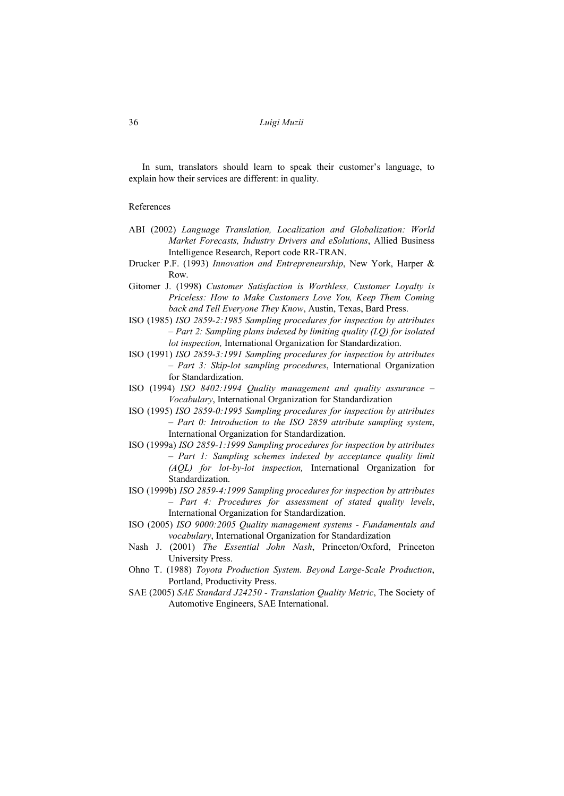In sum, translators should learn to speak their customer's language, to explain how their services are different: in quality.

#### References

- ABI (2002) *Language Translation, Localization and Globalization: World Market Forecasts, Industry Drivers and eSolutions*, Allied Business Intelligence Research, Report code RR-TRAN.
- Drucker P.F. (1993) *Innovation and Entrepreneurship*, New York, Harper & Row.
- Gitomer J. (1998) *Customer Satisfaction is Worthless, Customer Loyalty is Priceless: How to Make Customers Love You, Keep Them Coming back and Tell Everyone They Know*, Austin, Texas, Bard Press.
- ISO (1985) *ISO 2859-2:1985 Sampling procedures for inspection by attributes – Part 2: Sampling plans indexed by limiting quality (LQ) for isolated lot inspection,* International Organization for Standardization.
- ISO (1991) *ISO 2859-3:1991 Sampling procedures for inspection by attributes – Part 3: Skip-lot sampling procedures*, International Organization for Standardization.
- ISO (1994) *ISO 8402:1994 Quality management and quality assurance Vocabulary*, International Organization for Standardization
- ISO (1995) *ISO 2859-0:1995 Sampling procedures for inspection by attributes – Part 0: Introduction to the ISO 2859 attribute sampling system*, International Organization for Standardization.
- ISO (1999a) *ISO 2859-1:1999 Sampling procedures for inspection by attributes – Part 1: Sampling schemes indexed by acceptance quality limit (AQL) for lot-by-lot inspection,* International Organization for Standardization.
- ISO (1999b) *ISO 2859-4:1999 Sampling procedures for inspection by attributes – Part 4: Procedures for assessment of stated quality levels*, International Organization for Standardization.
- ISO (2005) *ISO 9000:2005 Quality management systems Fundamentals and vocabulary*, International Organization for Standardization
- Nash J. (2001) *The Essential John Nash*, Princeton/Oxford, Princeton University Press.
- Ohno T. (1988) *Toyota Production System. Beyond Large-Scale Production*, Portland, Productivity Press.
- SAE (2005) *SAE Standard J24250 Translation Quality Metric*, The Society of Automotive Engineers, SAE International.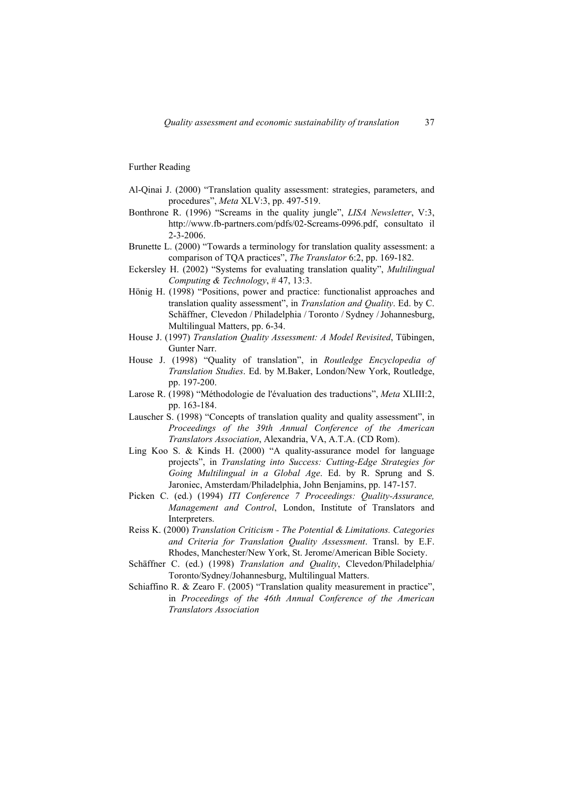Further Reading

- Al-Qinai J. (2000) "Translation quality assessment: strategies, parameters, and procedures", *Meta* XLV:3, pp. 497-519.
- Bonthrone R. (1996) "Screams in the quality jungle", *LISA Newsletter*, V:3, http://www.fb-partners.com/pdfs/02-Screams-0996.pdf, consultato il 2-3-2006.
- Brunette L. (2000) "Towards a terminology for translation quality assessment: a comparison of TQA practices", *The Translator* 6:2, pp. 169-182.
- Eckersley H. (2002) "Systems for evaluating translation quality", *Multilingual Computing & Technology*, # 47, 13:3.
- Hönig H. (1998) "Positions, power and practice: functionalist approaches and translation quality assessment", in *Translation and Quality*. Ed. by C. Schäffner, Clevedon / Philadelphia / Toronto / Sydney / Johannesburg, Multilingual Matters, pp. 6-34.
- House J. (1997) *Translation Quality Assessment: A Model Revisited*, Tübingen, Gunter Narr.
- House J. (1998) "Quality of translation", in *Routledge Encyclopedia of Translation Studies*. Ed. by M.Baker, London/New York, Routledge, pp. 197-200.
- Larose R. (1998) "Méthodologie de l'évaluation des traductions", *Meta* XLIII:2, pp. 163-184.
- Lauscher S. (1998) "Concepts of translation quality and quality assessment", in *Proceedings of the 39th Annual Conference of the American Translators Association*, Alexandria, VA, A.T.A. (CD Rom).
- Ling Koo S. & Kinds H. (2000) "A quality-assurance model for language projects", in *Translating into Success: Cutting-Edge Strategies for Going Multilingual in a Global Age*. Ed. by R. Sprung and S. Jaroniec, Amsterdam/Philadelphia, John Benjamins, pp. 147-157.
- Picken C. (ed.) (1994) *ITI Conference 7 Proceedings: Quality-Assurance, Management and Control*, London, Institute of Translators and Interpreters.
- Reiss K. (2000) *Translation Criticism The Potential & Limitations. Categories and Criteria for Translation Quality Assessment*. Transl. by E.F. Rhodes, Manchester/New York, St. Jerome/American Bible Society.
- Schäffner C. (ed.) (1998) *Translation and Quality*, Clevedon/Philadelphia/ Toronto/Sydney/Johannesburg, Multilingual Matters.
- Schiaffino R. & Zearo F. (2005) "Translation quality measurement in practice", in *Proceedings of the 46th Annual Conference of the American Translators Association*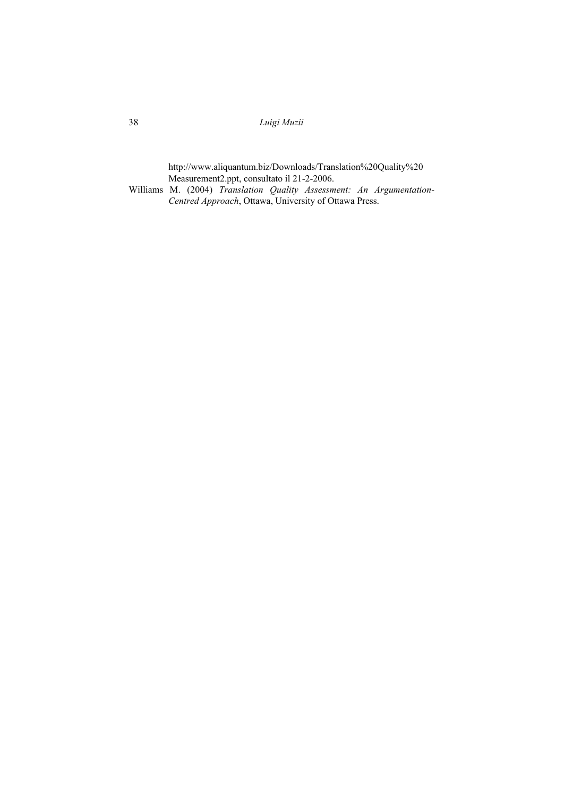38 *Luigi Muzii* 

 http://www.aliquantum.biz/Downloads/Translation%20Quality%20 Measurement2.ppt, consultato il 21-2-2006.

Williams M. (2004) *Translation Quality Assessment: An Argumentation-Centred Approach*, Ottawa, University of Ottawa Press.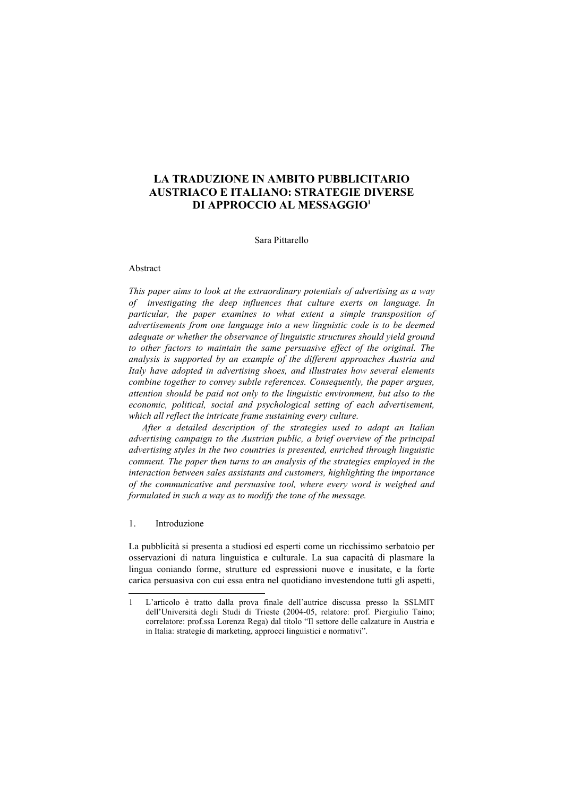# **LA TRADUZIONE IN AMBITO PUBBLICITARIO AUSTRIACO E ITALIANO: STRATEGIE DIVERSE DI APPROCCIO AL MESSAGGIO1**

## Sara Pittarello

#### Abstract

*This paper aims to look at the extraordinary potentials of advertising as a way of investigating the deep influences that culture exerts on language. In particular, the paper examines to what extent a simple transposition of advertisements from one language into a new linguistic code is to be deemed adequate or whether the observance of linguistic structures should yield ground to other factors to maintain the same persuasive effect of the original. The analysis is supported by an example of the different approaches Austria and Italy have adopted in advertising shoes, and illustrates how several elements combine together to convey subtle references. Consequently, the paper argues, attention should be paid not only to the linguistic environment, but also to the economic, political, social and psychological setting of each advertisement, which all reflect the intricate frame sustaining every culture.* 

*After a detailed description of the strategies used to adapt an Italian advertising campaign to the Austrian public, a brief overview of the principal advertising styles in the two countries is presented, enriched through linguistic comment. The paper then turns to an analysis of the strategies employed in the interaction between sales assistants and customers, highlighting the importance of the communicative and persuasive tool, where every word is weighed and formulated in such a way as to modify the tone of the message.* 

## 1. Introduzione

 $\overline{a}$ 

La pubblicità si presenta a studiosi ed esperti come un ricchissimo serbatoio per osservazioni di natura linguistica e culturale. La sua capacità di plasmare la lingua coniando forme, strutture ed espressioni nuove e inusitate, e la forte carica persuasiva con cui essa entra nel quotidiano investendone tutti gli aspetti,

<sup>1</sup> L'articolo è tratto dalla prova finale dell'autrice discussa presso la SSLMIT dell'Università degli Studi di Trieste (2004-05, relatore: prof. Piergiulio Taino; correlatore: prof.ssa Lorenza Rega) dal titolo "Il settore delle calzature in Austria e in Italia: strategie di marketing, approcci linguistici e normativi".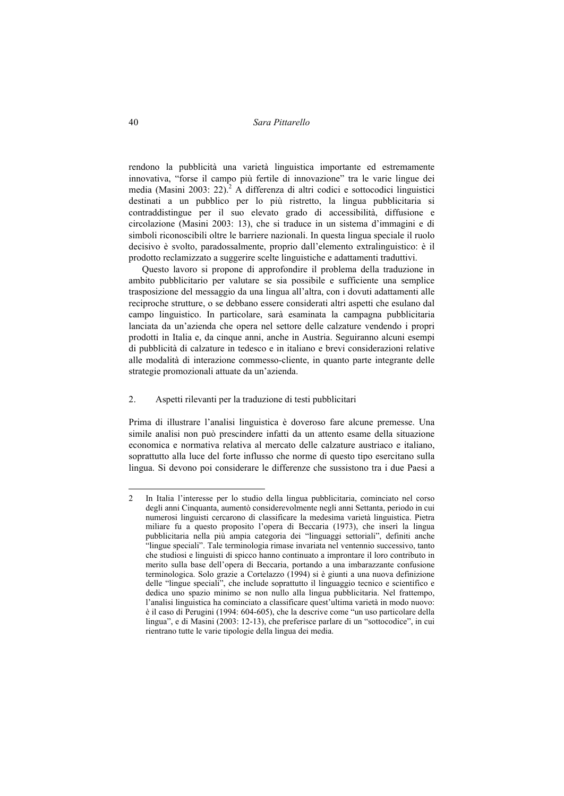rendono la pubblicità una varietà linguistica importante ed estremamente innovativa, "forse il campo più fertile di innovazione" tra le varie lingue dei media (Masini 2003: 22).<sup>2</sup> A differenza di altri codici e sottocodici linguistici destinati a un pubblico per lo più ristretto, la lingua pubblicitaria si contraddistingue per il suo elevato grado di accessibilità, diffusione e circolazione (Masini 2003: 13), che si traduce in un sistema d'immagini e di simboli riconoscibili oltre le barriere nazionali. In questa lingua speciale il ruolo decisivo è svolto, paradossalmente, proprio dall'elemento extralinguistico: è il prodotto reclamizzato a suggerire scelte linguistiche e adattamenti traduttivi.

Questo lavoro si propone di approfondire il problema della traduzione in ambito pubblicitario per valutare se sia possibile e sufficiente una semplice trasposizione del messaggio da una lingua all'altra, con i dovuti adattamenti alle reciproche strutture, o se debbano essere considerati altri aspetti che esulano dal campo linguistico. In particolare, sarà esaminata la campagna pubblicitaria lanciata da un'azienda che opera nel settore delle calzature vendendo i propri prodotti in Italia e, da cinque anni, anche in Austria. Seguiranno alcuni esempi di pubblicità di calzature in tedesco e in italiano e brevi considerazioni relative alle modalità di interazione commesso-cliente, in quanto parte integrante delle strategie promozionali attuate da un'azienda.

## 2. Aspetti rilevanti per la traduzione di testi pubblicitari

Prima di illustrare l'analisi linguistica è doveroso fare alcune premesse. Una simile analisi non può prescindere infatti da un attento esame della situazione economica e normativa relativa al mercato delle calzature austriaco e italiano, soprattutto alla luce del forte influsso che norme di questo tipo esercitano sulla lingua. Si devono poi considerare le differenze che sussistono tra i due Paesi a

<sup>2</sup> In Italia l'interesse per lo studio della lingua pubblicitaria, cominciato nel corso degli anni Cinquanta, aumentò considerevolmente negli anni Settanta, periodo in cui numerosi linguisti cercarono di classificare la medesima varietà linguistica. Pietra miliare fu a questo proposito l'opera di Beccaria (1973), che inserì la lingua pubblicitaria nella più ampia categoria dei "linguaggi settoriali", definiti anche "lingue speciali". Tale terminologia rimase invariata nel ventennio successivo, tanto che studiosi e linguisti di spicco hanno continuato a improntare il loro contributo in merito sulla base dell'opera di Beccaria, portando a una imbarazzante confusione terminologica. Solo grazie a Cortelazzo (1994) si è giunti a una nuova definizione delle "lingue speciali", che include soprattutto il linguaggio tecnico e scientifico e dedica uno spazio minimo se non nullo alla lingua pubblicitaria. Nel frattempo, l'analisi linguistica ha cominciato a classificare quest'ultima varietà in modo nuovo: è il caso di Perugini (1994: 604-605), che la descrive come "un uso particolare della lingua", e di Masini (2003: 12-13), che preferisce parlare di un "sottocodice", in cui rientrano tutte le varie tipologie della lingua dei media.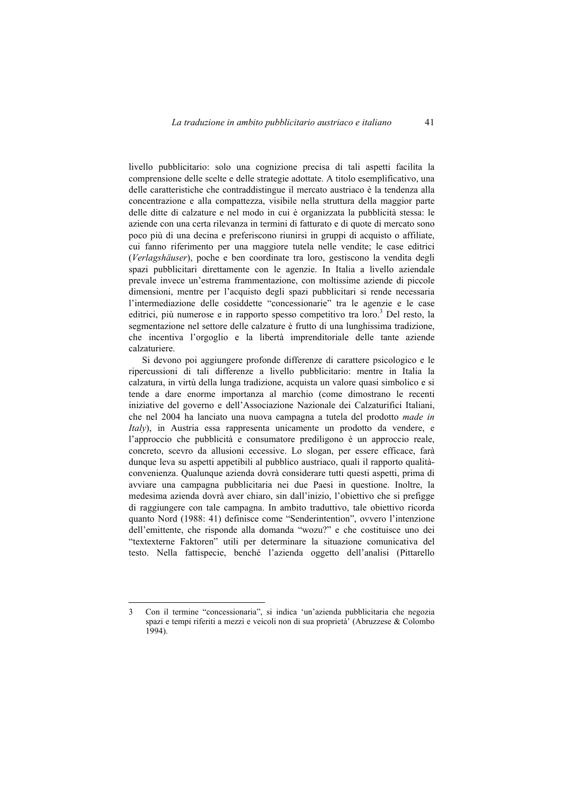livello pubblicitario: solo una cognizione precisa di tali aspetti facilita la comprensione delle scelte e delle strategie adottate. A titolo esemplificativo, una delle caratteristiche che contraddistingue il mercato austriaco è la tendenza alla concentrazione e alla compattezza, visibile nella struttura della maggior parte delle ditte di calzature e nel modo in cui è organizzata la pubblicità stessa: le aziende con una certa rilevanza in termini di fatturato e di quote di mercato sono poco più di una decina e preferiscono riunirsi in gruppi di acquisto o affiliate, cui fanno riferimento per una maggiore tutela nelle vendite; le case editrici (*Verlagshäuser*), poche e ben coordinate tra loro, gestiscono la vendita degli spazi pubblicitari direttamente con le agenzie. In Italia a livello aziendale prevale invece un'estrema frammentazione, con moltissime aziende di piccole dimensioni, mentre per l'acquisto degli spazi pubblicitari si rende necessaria l'intermediazione delle cosiddette "concessionarie" tra le agenzie e le case editrici, più numerose e in rapporto spesso competitivo tra loro.<sup>3</sup> Del resto, la segmentazione nel settore delle calzature è frutto di una lunghissima tradizione, che incentiva l'orgoglio e la libertà imprenditoriale delle tante aziende calzaturiere.

Si devono poi aggiungere profonde differenze di carattere psicologico e le ripercussioni di tali differenze a livello pubblicitario: mentre in Italia la calzatura, in virtù della lunga tradizione, acquista un valore quasi simbolico e si tende a dare enorme importanza al marchio (come dimostrano le recenti iniziative del governo e dell'Associazione Nazionale dei Calzaturifici Italiani, che nel 2004 ha lanciato una nuova campagna a tutela del prodotto *made in Italy*), in Austria essa rappresenta unicamente un prodotto da vendere, e l'approccio che pubblicità e consumatore prediligono è un approccio reale, concreto, scevro da allusioni eccessive. Lo slogan, per essere efficace, farà dunque leva su aspetti appetibili al pubblico austriaco, quali il rapporto qualitàconvenienza. Qualunque azienda dovrà considerare tutti questi aspetti, prima di avviare una campagna pubblicitaria nei due Paesi in questione. Inoltre, la medesima azienda dovrà aver chiaro, sin dall'inizio, l'obiettivo che si prefigge di raggiungere con tale campagna. In ambito traduttivo, tale obiettivo ricorda quanto Nord (1988: 41) definisce come "Senderintention", ovvero l'intenzione dell'emittente, che risponde alla domanda "wozu?" e che costituisce uno dei "textexterne Faktoren" utili per determinare la situazione comunicativa del testo. Nella fattispecie, benché l'azienda oggetto dell'analisi (Pittarello

<sup>3</sup> Con il termine "concessionaria", si indica 'un'azienda pubblicitaria che negozia spazi e tempi riferiti a mezzi e veicoli non di sua proprietà' (Abruzzese & Colombo 1994).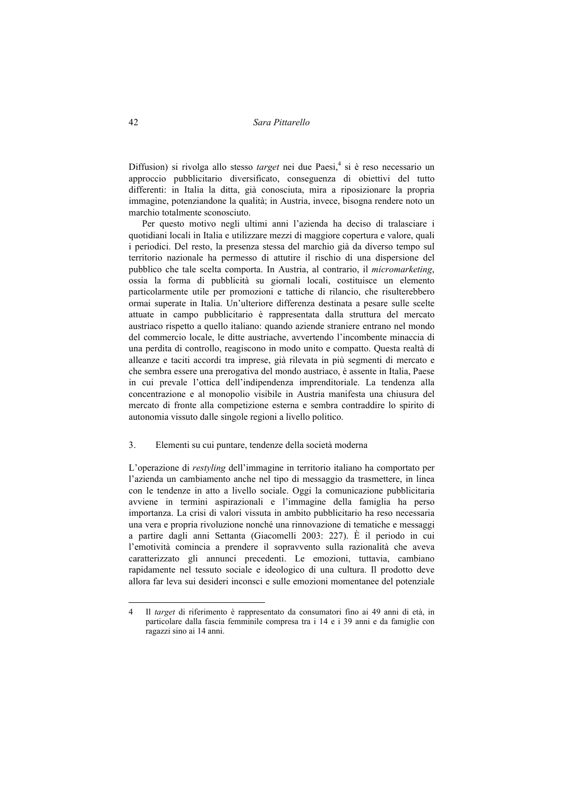Diffusion) si rivolga allo stesso *target* nei due Paesi,<sup>4</sup> si è reso necessario un approccio pubblicitario diversificato, conseguenza di obiettivi del tutto differenti: in Italia la ditta, già conosciuta, mira a riposizionare la propria immagine, potenziandone la qualità; in Austria, invece, bisogna rendere noto un marchio totalmente sconosciuto.

Per questo motivo negli ultimi anni l'azienda ha deciso di tralasciare i quotidiani locali in Italia e utilizzare mezzi di maggiore copertura e valore, quali i periodici. Del resto, la presenza stessa del marchio già da diverso tempo sul territorio nazionale ha permesso di attutire il rischio di una dispersione del pubblico che tale scelta comporta. In Austria, al contrario, il *micromarketing*, ossia la forma di pubblicità su giornali locali, costituisce un elemento particolarmente utile per promozioni e tattiche di rilancio, che risulterebbero ormai superate in Italia. Un'ulteriore differenza destinata a pesare sulle scelte attuate in campo pubblicitario è rappresentata dalla struttura del mercato austriaco rispetto a quello italiano: quando aziende straniere entrano nel mondo del commercio locale, le ditte austriache, avvertendo l'incombente minaccia di una perdita di controllo, reagiscono in modo unito e compatto. Questa realtà di alleanze e taciti accordi tra imprese, già rilevata in più segmenti di mercato e che sembra essere una prerogativa del mondo austriaco, è assente in Italia, Paese in cui prevale l'ottica dell'indipendenza imprenditoriale. La tendenza alla concentrazione e al monopolio visibile in Austria manifesta una chiusura del mercato di fronte alla competizione esterna e sembra contraddire lo spirito di autonomia vissuto dalle singole regioni a livello politico.

#### 3. Elementi su cui puntare, tendenze della società moderna

L'operazione di *restyling* dell'immagine in territorio italiano ha comportato per l'azienda un cambiamento anche nel tipo di messaggio da trasmettere, in linea con le tendenze in atto a livello sociale. Oggi la comunicazione pubblicitaria avviene in termini aspirazionali e l'immagine della famiglia ha perso importanza. La crisi di valori vissuta in ambito pubblicitario ha reso necessaria una vera e propria rivoluzione nonché una rinnovazione di tematiche e messaggi a partire dagli anni Settanta (Giacomelli 2003: 227). È il periodo in cui l'emotività comincia a prendere il sopravvento sulla razionalità che aveva caratterizzato gli annunci precedenti. Le emozioni, tuttavia, cambiano rapidamente nel tessuto sociale e ideologico di una cultura. Il prodotto deve allora far leva sui desideri inconsci e sulle emozioni momentanee del potenziale

<sup>4</sup> Il *target* di riferimento è rappresentato da consumatori fino ai 49 anni di età, in particolare dalla fascia femminile compresa tra i 14 e i 39 anni e da famiglie con ragazzi sino ai 14 anni.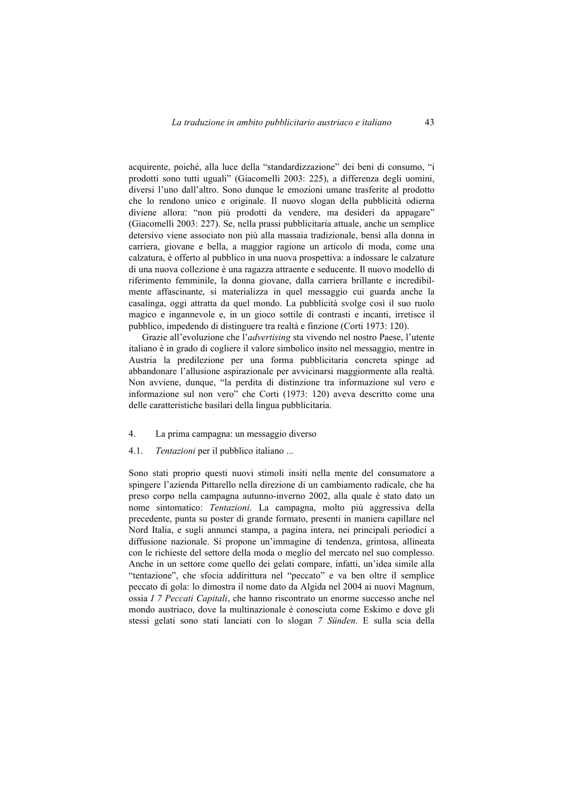acquirente, poiché, alla luce della "standardizzazione" dei beni di consumo, "i prodotti sono tutti uguali" (Giacomelli 2003: 225), a differenza degli uomini, diversi l'uno dall'altro. Sono dunque le emozioni umane trasferite al prodotto che lo rendono unico e originale. Il nuovo slogan della pubblicità odierna diviene allora: "non più prodotti da vendere, ma desideri da appagare" (Giacomelli 2003: 227). Se, nella prassi pubblicitaria attuale, anche un semplice detersivo viene associato non più alla massaia tradizionale, bensì alla donna in carriera, giovane e bella, a maggior ragione un articolo di moda, come una calzatura, è offerto al pubblico in una nuova prospettiva: a indossare le calzature di una nuova collezione è una ragazza attraente e seducente. Il nuovo modello di riferimento femminile, la donna giovane, dalla carriera brillante e incredibilmente affascinante, si materializza in quel messaggio cui guarda anche la casalinga, oggi attratta da quel mondo. La pubblicità svolge così il suo ruolo magico e ingannevole e, in un gioco sottile di contrasti e incanti, irretisce il pubblico, impedendo di distinguere tra realtà e finzione (Corti 1973: 120).

Grazie all'evoluzione che l'*advertising* sta vivendo nel nostro Paese, l'utente italiano è in grado di cogliere il valore simbolico insito nel messaggio, mentre in Austria la predilezione per una forma pubblicitaria concreta spinge ad abbandonare l'allusione aspirazionale per avvicinarsi maggiormente alla realtà. Non avviene, dunque, "la perdita di distinzione tra informazione sul vero e informazione sul non vero" che Corti (1973: 120) aveva descritto come una delle caratteristiche basilari della lingua pubblicitaria.

- 4. La prima campagna: un messaggio diverso
- 4.1. *Tentazioni* per il pubblico italiano ...

Sono stati proprio questi nuovi stimoli insiti nella mente del consumatore a spingere l'azienda Pittarello nella direzione di un cambiamento radicale, che ha preso corpo nella campagna autunno-inverno 2002, alla quale è stato dato un nome sintomatico: *Tentazioni*. La campagna, molto più aggressiva della precedente, punta su poster di grande formato, presenti in maniera capillare nel Nord Italia, e sugli annunci stampa, a pagina intera, nei principali periodici a diffusione nazionale. Si propone un'immagine di tendenza, grintosa, allineata con le richieste del settore della moda o meglio del mercato nel suo complesso. Anche in un settore come quello dei gelati compare, infatti, un'idea simile alla "tentazione", che sfocia addirittura nel "peccato" e va ben oltre il semplice peccato di gola: lo dimostra il nome dato da Algida nel 2004 ai nuovi Magnum, ossia *I 7 Peccati Capitali*, che hanno riscontrato un enorme successo anche nel mondo austriaco, dove la multinazionale è conosciuta come Eskimo e dove gli stessi gelati sono stati lanciati con lo slogan *7 Sünden*. E sulla scia della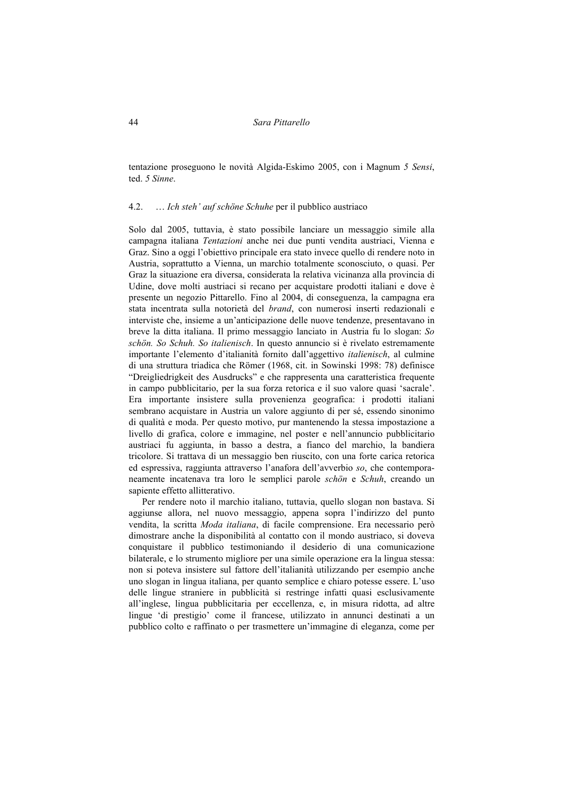tentazione proseguono le novità Algida-Eskimo 2005, con i Magnum *5 Sensi*, ted. *5 Sinne*.

#### 4.2. … *Ich steh' auf schöne Schuhe* per il pubblico austriaco

Solo dal 2005, tuttavia, è stato possibile lanciare un messaggio simile alla campagna italiana *Tentazioni* anche nei due punti vendita austriaci, Vienna e Graz. Sino a oggi l'obiettivo principale era stato invece quello di rendere noto in Austria, soprattutto a Vienna, un marchio totalmente sconosciuto, o quasi. Per Graz la situazione era diversa, considerata la relativa vicinanza alla provincia di Udine, dove molti austriaci si recano per acquistare prodotti italiani e dove è presente un negozio Pittarello. Fino al 2004, di conseguenza, la campagna era stata incentrata sulla notorietà del *brand*, con numerosi inserti redazionali e interviste che, insieme a un'anticipazione delle nuove tendenze, presentavano in breve la ditta italiana. Il primo messaggio lanciato in Austria fu lo slogan: *So schön. So Schuh. So italienisch*. In questo annuncio si è rivelato estremamente importante l'elemento d'italianità fornito dall'aggettivo *italienisch*, al culmine di una struttura triadica che Römer (1968, cit. in Sowinski 1998: 78) definisce "Dreigliedrigkeit des Ausdrucks" e che rappresenta una caratteristica frequente in campo pubblicitario, per la sua forza retorica e il suo valore quasi 'sacrale'. Era importante insistere sulla provenienza geografica: i prodotti italiani sembrano acquistare in Austria un valore aggiunto di per sé, essendo sinonimo di qualità e moda. Per questo motivo, pur mantenendo la stessa impostazione a livello di grafica, colore e immagine, nel poster e nell'annuncio pubblicitario austriaci fu aggiunta, in basso a destra, a fianco del marchio, la bandiera tricolore. Si trattava di un messaggio ben riuscito, con una forte carica retorica ed espressiva, raggiunta attraverso l'anafora dell'avverbio *so*, che contemporaneamente incatenava tra loro le semplici parole *schön* e *Schuh*, creando un sapiente effetto allitterativo.

Per rendere noto il marchio italiano, tuttavia, quello slogan non bastava. Si aggiunse allora, nel nuovo messaggio, appena sopra l'indirizzo del punto vendita, la scritta *Moda italiana*, di facile comprensione. Era necessario però dimostrare anche la disponibilità al contatto con il mondo austriaco, si doveva conquistare il pubblico testimoniando il desiderio di una comunicazione bilaterale, e lo strumento migliore per una simile operazione era la lingua stessa: non si poteva insistere sul fattore dell'italianità utilizzando per esempio anche uno slogan in lingua italiana, per quanto semplice e chiaro potesse essere. L'uso delle lingue straniere in pubblicità si restringe infatti quasi esclusivamente all'inglese, lingua pubblicitaria per eccellenza, e, in misura ridotta, ad altre lingue 'di prestigio' come il francese, utilizzato in annunci destinati a un pubblico colto e raffinato o per trasmettere un'immagine di eleganza, come per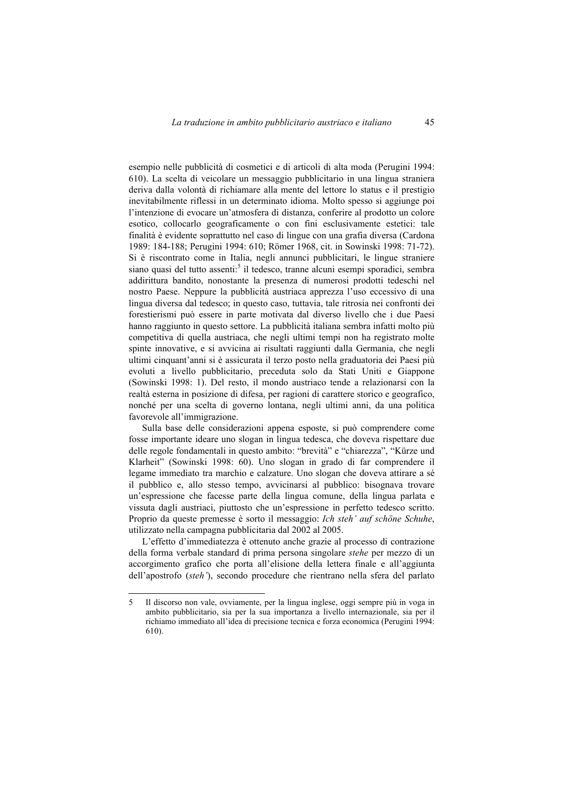esempio nelle pubblicità di cosmetici e di articoli di alta moda (Perugini 1994: 610). La scelta di veicolare un messaggio pubblicitario in una lingua straniera deriva dalla volontà di richiamare alla mente del lettore lo status e il prestigio inevitabilmente riflessi in un determinato idioma. Molto spesso si aggiunge poi l'intenzione di evocare un'atmosfera di distanza, conferire al prodotto un colore esotico, collocarlo geograficamente o con fini esclusivamente estetici: tale finalità è evidente soprattutto nel caso di lingue con una grafia diversa (Cardona 1989: 184-188; Perugini 1994: 610; Römer 1968, cit. in Sowinski 1998: 71-72). Si è riscontrato come in Italia, negli annunci pubblicitari, le lingue straniere siano quasi del tutto assenti:<sup>5</sup> il tedesco, tranne alcuni esempi sporadici, sembra addirittura bandito, nonostante la presenza di numerosi prodotti tedeschi nel nostro Paese. Neppure la pubblicità austriaca apprezza l'uso eccessivo di una lingua diversa dal tedesco; in questo caso, tuttavia, tale ritrosia nei confronti dei forestierismi può essere in parte motivata dal diverso livello che i due Paesi hanno raggiunto in questo settore. La pubblicità italiana sembra infatti molto più competitiva di quella austriaca, che negli ultimi tempi non ha registrato molte spinte innovative, e si avvicina ai risultati raggiunti dalla Germania, che negli ultimi cinquant'anni si è assicurata il terzo posto nella graduatoria dei Paesi più evoluti a livello pubblicitario, preceduta solo da Stati Uniti e Giappone (Sowinski 1998: 1). Del resto, il mondo austriaco tende a relazionarsi con la realtà esterna in posizione di difesa, per ragioni di carattere storico e geografico, nonché per una scelta di governo lontana, negli ultimi anni, da una politica favorevole all'immigrazione.

Sulla base delle considerazioni appena esposte, si può comprendere come fosse importante ideare uno slogan in lingua tedesca, che doveva rispettare due delle regole fondamentali in questo ambito: "brevità" e "chiarezza", "Kürze und Klarheit" (Sowinski 1998: 60). Uno slogan in grado di far comprendere il legame immediato tra marchio e calzature. Uno slogan che doveva attirare a sé il pubblico e, allo stesso tempo, avvicinarsi al pubblico: bisognava trovare un'espressione che facesse parte della lingua comune, della lingua parlata e vissuta dagli austriaci, piuttosto che un'espressione in perfetto tedesco scritto. Proprio da queste premesse è sorto il messaggio: *Ich steh' auf schöne Schuhe*, utilizzato nella campagna pubblicitaria dal 2002 al 2005.

L'effetto d'immediatezza è ottenuto anche grazie al processo di contrazione della forma verbale standard di prima persona singolare *stehe* per mezzo di un accorgimento grafico che porta all'elisione della lettera finale e all'aggiunta dell'apostrofo (*steh'*), secondo procedure che rientrano nella sfera del parlato

<sup>5</sup> Il discorso non vale, ovviamente, per la lingua inglese, oggi sempre più in voga in ambito pubblicitario, sia per la sua importanza a livello internazionale, sia per il richiamo immediato all'idea di precisione tecnica e forza economica (Perugini 1994: 610).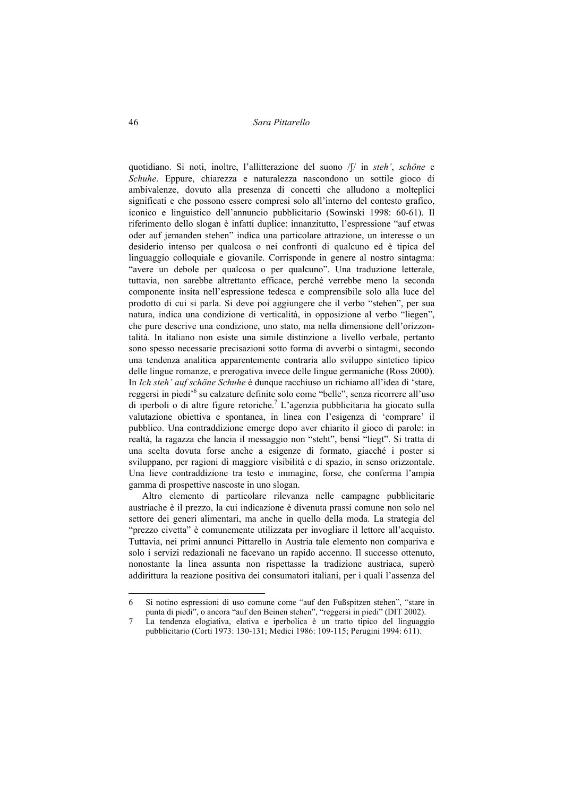quotidiano. Si noti, inoltre, l'allitterazione del suono /S/ in *steh'*, *schöne* e *Schuhe*. Eppure, chiarezza e naturalezza nascondono un sottile gioco di ambivalenze, dovuto alla presenza di concetti che alludono a molteplici significati e che possono essere compresi solo all'interno del contesto grafico, iconico e linguistico dell'annuncio pubblicitario (Sowinski 1998: 60-61). Il riferimento dello slogan è infatti duplice: innanzitutto, l'espressione "auf etwas oder auf jemanden stehen" indica una particolare attrazione, un interesse o un desiderio intenso per qualcosa o nei confronti di qualcuno ed è tipica del linguaggio colloquiale e giovanile. Corrisponde in genere al nostro sintagma: "avere un debole per qualcosa o per qualcuno". Una traduzione letterale, tuttavia, non sarebbe altrettanto efficace, perché verrebbe meno la seconda componente insita nell'espressione tedesca e comprensibile solo alla luce del prodotto di cui si parla. Si deve poi aggiungere che il verbo "stehen", per sua natura, indica una condizione di verticalità, in opposizione al verbo "liegen", che pure descrive una condizione, uno stato, ma nella dimensione dell'orizzontalità. In italiano non esiste una simile distinzione a livello verbale, pertanto sono spesso necessarie precisazioni sotto forma di avverbi o sintagmi, secondo una tendenza analitica apparentemente contraria allo sviluppo sintetico tipico delle lingue romanze, e prerogativa invece delle lingue germaniche (Ross 2000). In *Ich steh' auf schöne Schuhe* è dunque racchiuso un richiamo all'idea di 'stare, reggersi in piedi<sup>,6</sup> su calzature definite solo come "belle", senza ricorrere all'uso di iperboli o di altre figure retoriche.<sup>7</sup> L'agenzia pubblicitaria ha giocato sulla valutazione obiettiva e spontanea, in linea con l'esigenza di 'comprare' il pubblico. Una contraddizione emerge dopo aver chiarito il gioco di parole: in realtà, la ragazza che lancia il messaggio non "steht", bensì "liegt". Si tratta di una scelta dovuta forse anche a esigenze di formato, giacché i poster si sviluppano, per ragioni di maggiore visibilità e di spazio, in senso orizzontale. Una lieve contraddizione tra testo e immagine, forse, che conferma l'ampia gamma di prospettive nascoste in uno slogan.

Altro elemento di particolare rilevanza nelle campagne pubblicitarie austriache è il prezzo, la cui indicazione è divenuta prassi comune non solo nel settore dei generi alimentari, ma anche in quello della moda. La strategia del "prezzo civetta" è comunemente utilizzata per invogliare il lettore all'acquisto. Tuttavia, nei primi annunci Pittarello in Austria tale elemento non compariva e solo i servizi redazionali ne facevano un rapido accenno. Il successo ottenuto, nonostante la linea assunta non rispettasse la tradizione austriaca, superò addirittura la reazione positiva dei consumatori italiani, per i quali l'assenza del

<sup>6</sup> Si notino espressioni di uso comune come "auf den Fußspitzen stehen", "stare in punta di piedi", o ancora "auf den Beinen stehen", "reggersi in piedi" (DIT 2002).

<sup>7</sup> La tendenza elogiativa, elativa e iperbolica è un tratto tipico del linguaggio pubblicitario (Corti 1973: 130-131; Medici 1986: 109-115; Perugini 1994: 611).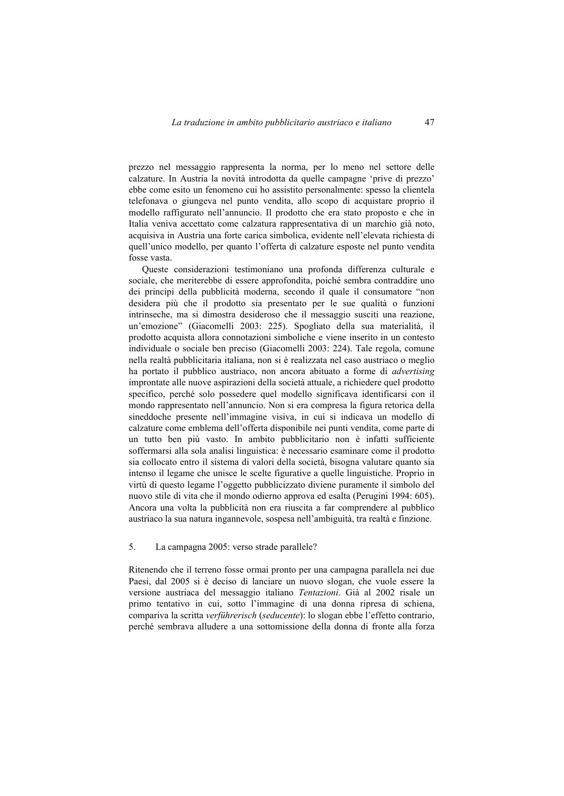prezzo nel messaggio rappresenta la norma, per lo meno nel settore delle calzature. In Austria la novità introdotta da quelle campagne 'prive di prezzo' ebbe come esito un fenomeno cui ho assistito personalmente: spesso la clientela telefonava o giungeva nel punto vendita, allo scopo di acquistare proprio il modello raffigurato nell'annuncio. Il prodotto che era stato proposto e che in Italia veniva accettato come calzatura rappresentativa di un marchio già noto, acquisiva in Austria una forte carica simbolica, evidente nell'elevata richiesta di quell'unico modello, per quanto l'offerta di calzature esposte nel punto vendita fosse vasta.

Queste considerazioni testimoniano una profonda differenza culturale e sociale, che meriterebbe di essere approfondita, poiché sembra contraddire uno dei principi della pubblicità moderna, secondo il quale il consumatore "non desidera più che il prodotto sia presentato per le sue qualità o funzioni intrinseche, ma si dimostra desideroso che il messaggio susciti una reazione, un'emozione" (Giacomelli 2003: 225). Spogliato della sua materialità, il prodotto acquista allora connotazioni simboliche e viene inserito in un contesto individuale o sociale ben preciso (Giacomelli 2003: 224). Tale regola, comune nella realtà pubblicitaria italiana, non si è realizzata nel caso austriaco o meglio ha portato il pubblico austriaco, non ancora abituato a forme di *advertising* improntate alle nuove aspirazioni della società attuale, a richiedere quel prodotto specifico, perché solo possedere quel modello significava identificarsi con il mondo rappresentato nell'annuncio. Non si era compresa la figura retorica della sineddoche presente nell'immagine visiva, in cui si indicava un modello di calzature come emblema dell'offerta disponibile nei punti vendita, come parte di un tutto ben più vasto. In ambito pubblicitario non è infatti sufficiente soffermarsi alla sola analisi linguistica: è necessario esaminare come il prodotto sia collocato entro il sistema di valori della società, bisogna valutare quanto sia intenso il legame che unisce le scelte figurative a quelle linguistiche. Proprio in virtù di questo legame l'oggetto pubblicizzato diviene puramente il simbolo del nuovo stile di vita che il mondo odierno approva ed esalta (Perugini 1994: 605). Ancora una volta la pubblicità non era riuscita a far comprendere al pubblico austriaco la sua natura ingannevole, sospesa nell'ambiguità, tra realtà e finzione.

## 5. La campagna 2005: verso strade parallele?

Ritenendo che il terreno fosse ormai pronto per una campagna parallela nei due Paesi, dal 2005 si è deciso di lanciare un nuovo slogan, che vuole essere la versione austriaca del messaggio italiano *Tentazioni*. Già al 2002 risale un primo tentativo in cui, sotto l'immagine di una donna ripresa di schiena, compariva la scritta *verführerisch* (*seducente*): lo slogan ebbe l'effetto contrario, perché sembrava alludere a una sottomissione della donna di fronte alla forza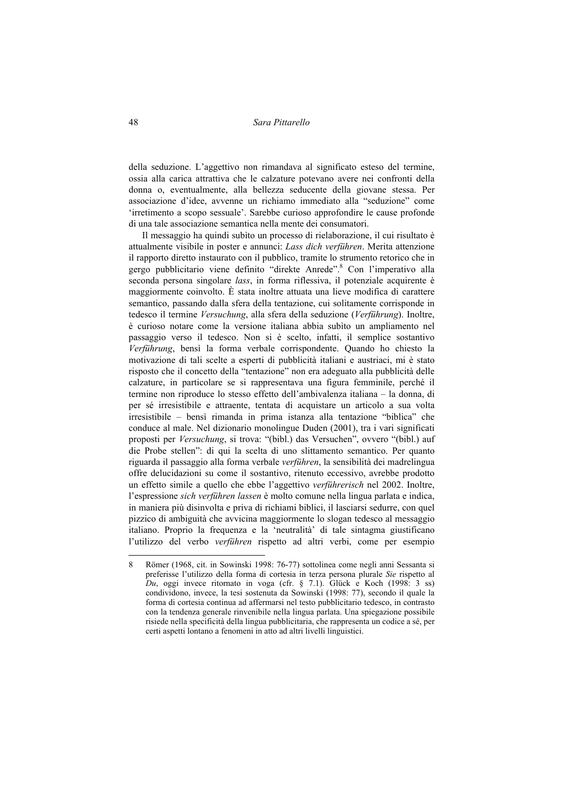della seduzione. L'aggettivo non rimandava al significato esteso del termine, ossia alla carica attrattiva che le calzature potevano avere nei confronti della donna o, eventualmente, alla bellezza seducente della giovane stessa. Per associazione d'idee, avvenne un richiamo immediato alla "seduzione" come 'irretimento a scopo sessuale'. Sarebbe curioso approfondire le cause profonde di una tale associazione semantica nella mente dei consumatori.

Il messaggio ha quindi subìto un processo di rielaborazione, il cui risultato è attualmente visibile in poster e annunci: *Lass dich verführen*. Merita attenzione il rapporto diretto instaurato con il pubblico, tramite lo strumento retorico che in gergo pubblicitario viene definito "direkte Anrede".<sup>8</sup> Con l'imperativo alla seconda persona singolare *lass*, in forma riflessiva, il potenziale acquirente è maggiormente coinvolto. È stata inoltre attuata una lieve modifica di carattere semantico, passando dalla sfera della tentazione, cui solitamente corrisponde in tedesco il termine *Versuchung*, alla sfera della seduzione (*Verführung*). Inoltre, è curioso notare come la versione italiana abbia subìto un ampliamento nel passaggio verso il tedesco. Non si è scelto, infatti, il semplice sostantivo *Verführung*, bensì la forma verbale corrispondente. Quando ho chiesto la motivazione di tali scelte a esperti di pubblicità italiani e austriaci, mi è stato risposto che il concetto della "tentazione" non era adeguato alla pubblicità delle calzature, in particolare se si rappresentava una figura femminile, perché il termine non riproduce lo stesso effetto dell'ambivalenza italiana – la donna, di per sé irresistibile e attraente, tentata di acquistare un articolo a sua volta irresistibile – bensì rimanda in prima istanza alla tentazione "biblica" che conduce al male. Nel dizionario monolingue Duden (2001), tra i vari significati proposti per *Versuchung*, si trova: "(bibl.) das Versuchen", ovvero "(bibl.) auf die Probe stellen": di qui la scelta di uno slittamento semantico. Per quanto riguarda il passaggio alla forma verbale *verführen*, la sensibilità dei madrelingua offre delucidazioni su come il sostantivo, ritenuto eccessivo, avrebbe prodotto un effetto simile a quello che ebbe l'aggettivo *verführerisch* nel 2002. Inoltre, l'espressione *sich verführen lassen* è molto comune nella lingua parlata e indica, in maniera più disinvolta e priva di richiami biblici, il lasciarsi sedurre, con quel pizzico di ambiguità che avvicina maggiormente lo slogan tedesco al messaggio italiano. Proprio la frequenza e la 'neutralità' di tale sintagma giustificano l'utilizzo del verbo *verführen* rispetto ad altri verbi, come per esempio

<sup>8</sup> Römer (1968, cit. in Sowinski 1998: 76-77) sottolinea come negli anni Sessanta si preferisse l'utilizzo della forma di cortesia in terza persona plurale *Sie* rispetto al *Du*, oggi invece ritornato in voga (cfr. § 7.1). Glück e Koch (1998: 3 ss) condividono, invece, la tesi sostenuta da Sowinski (1998: 77), secondo il quale la forma di cortesia continua ad affermarsi nel testo pubblicitario tedesco, in contrasto con la tendenza generale rinvenibile nella lingua parlata. Una spiegazione possibile risiede nella specificità della lingua pubblicitaria, che rappresenta un codice a sé, per certi aspetti lontano a fenomeni in atto ad altri livelli linguistici.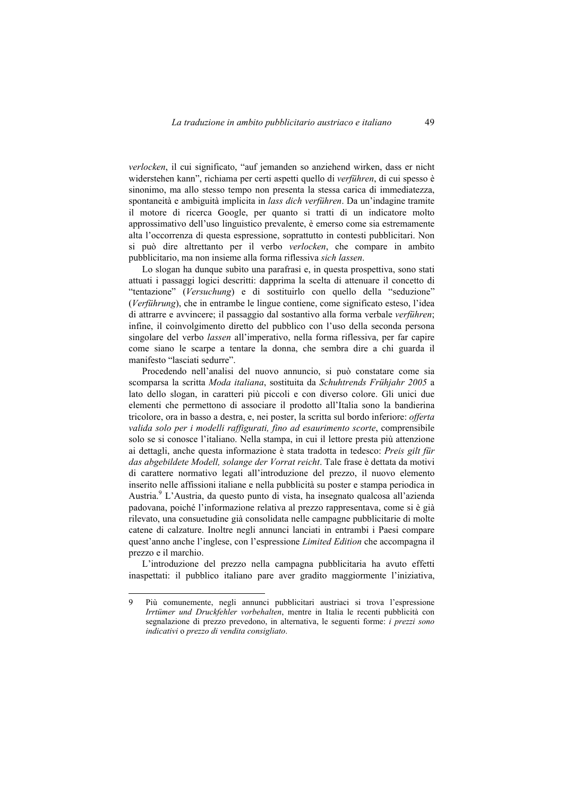*verlocken*, il cui significato, "auf jemanden so anziehend wirken, dass er nicht widerstehen kann", richiama per certi aspetti quello di *verführen*, di cui spesso è sinonimo, ma allo stesso tempo non presenta la stessa carica di immediatezza, spontaneità e ambiguità implicita in *lass dich verführen*. Da un'indagine tramite il motore di ricerca Google, per quanto si tratti di un indicatore molto approssimativo dell'uso linguistico prevalente, è emerso come sia estremamente alta l'occorrenza di questa espressione, soprattutto in contesti pubblicitari. Non si può dire altrettanto per il verbo *verlocken*, che compare in ambito pubblicitario, ma non insieme alla forma riflessiva *sich lassen*.

Lo slogan ha dunque subìto una parafrasi e, in questa prospettiva, sono stati attuati i passaggi logici descritti: dapprima la scelta di attenuare il concetto di "tentazione" (*Versuchung*) e di sostituirlo con quello della "seduzione" (*Verführung*), che in entrambe le lingue contiene, come significato esteso, l'idea di attrarre e avvincere; il passaggio dal sostantivo alla forma verbale *verführen*; infine, il coinvolgimento diretto del pubblico con l'uso della seconda persona singolare del verbo *lassen* all'imperativo, nella forma riflessiva, per far capire come siano le scarpe a tentare la donna, che sembra dire a chi guarda il manifesto "lasciati sedurre".

Procedendo nell'analisi del nuovo annuncio, si può constatare come sia scomparsa la scritta *Moda italiana*, sostituita da *Schuhtrends Frühjahr 2005* a lato dello slogan, in caratteri più piccoli e con diverso colore. Gli unici due elementi che permettono di associare il prodotto all'Italia sono la bandierina tricolore, ora in basso a destra, e, nei poster, la scritta sul bordo inferiore: *offerta valida solo per i modelli raffigurati, fino ad esaurimento scorte*, comprensibile solo se si conosce l'italiano. Nella stampa, in cui il lettore presta più attenzione ai dettagli, anche questa informazione è stata tradotta in tedesco: *Preis gilt für das abgebildete Modell, solange der Vorrat reicht*. Tale frase è dettata da motivi di carattere normativo legati all'introduzione del prezzo, il nuovo elemento inserito nelle affissioni italiane e nella pubblicità su poster e stampa periodica in Austria.<sup>9</sup> L'Austria, da questo punto di vista, ha insegnato qualcosa all'azienda padovana, poiché l'informazione relativa al prezzo rappresentava, come si è già rilevato, una consuetudine già consolidata nelle campagne pubblicitarie di molte catene di calzature. Inoltre negli annunci lanciati in entrambi i Paesi compare quest'anno anche l'inglese, con l'espressione *Limited Edition* che accompagna il prezzo e il marchio.

L'introduzione del prezzo nella campagna pubblicitaria ha avuto effetti inaspettati: il pubblico italiano pare aver gradito maggiormente l'iniziativa,

<sup>9</sup> Più comunemente, negli annunci pubblicitari austriaci si trova l'espressione *Irrtümer und Druckfehler vorbehalten*, mentre in Italia le recenti pubblicità con segnalazione di prezzo prevedono, in alternativa, le seguenti forme: *i prezzi sono indicativi* o *prezzo di vendita consigliato*.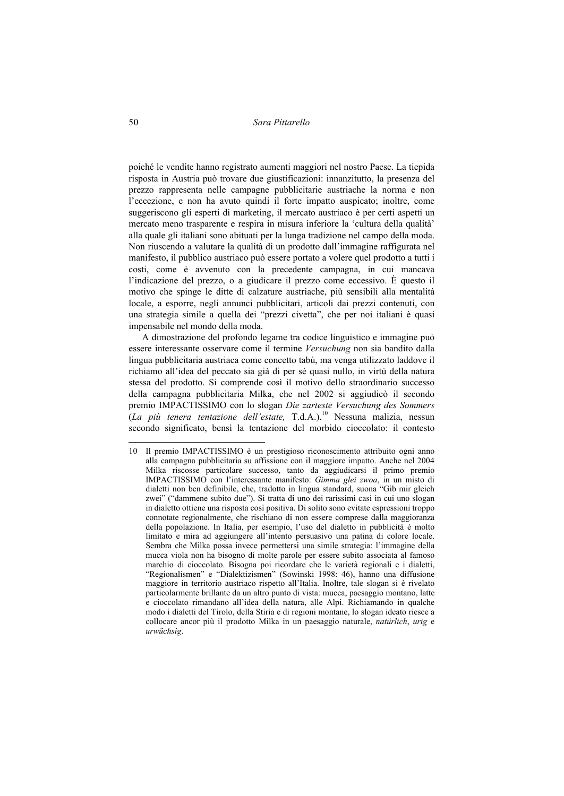poiché le vendite hanno registrato aumenti maggiori nel nostro Paese. La tiepida risposta in Austria può trovare due giustificazioni: innanzitutto, la presenza del prezzo rappresenta nelle campagne pubblicitarie austriache la norma e non l'eccezione, e non ha avuto quindi il forte impatto auspicato; inoltre, come suggeriscono gli esperti di marketing, il mercato austriaco è per certi aspetti un mercato meno trasparente e respira in misura inferiore la 'cultura della qualità' alla quale gli italiani sono abituati per la lunga tradizione nel campo della moda. Non riuscendo a valutare la qualità di un prodotto dall'immagine raffigurata nel manifesto, il pubblico austriaco può essere portato a volere quel prodotto a tutti i costi, come è avvenuto con la precedente campagna, in cui mancava l'indicazione del prezzo, o a giudicare il prezzo come eccessivo. È questo il motivo che spinge le ditte di calzature austriache, più sensibili alla mentalità locale, a esporre, negli annunci pubblicitari, articoli dai prezzi contenuti, con una strategia simile a quella dei "prezzi civetta", che per noi italiani è quasi impensabile nel mondo della moda.

A dimostrazione del profondo legame tra codice linguistico e immagine può essere interessante osservare come il termine *Versuchung* non sia bandito dalla lingua pubblicitaria austriaca come concetto tabù, ma venga utilizzato laddove il richiamo all'idea del peccato sia già di per sé quasi nullo, in virtù della natura stessa del prodotto. Si comprende così il motivo dello straordinario successo della campagna pubblicitaria Milka, che nel 2002 si aggiudicò il secondo premio IMPACTISSIMO con lo slogan *Die zarteste Versuchung des Sommers*  (*La più tenera tentazione dell'estate,* T.d.A.).10 Nessuna malizia, nessun secondo significato, bensì la tentazione del morbido cioccolato: il contesto

<sup>10</sup> Il premio IMPACTISSIMO è un prestigioso riconoscimento attribuito ogni anno alla campagna pubblicitaria su affissione con il maggiore impatto. Anche nel 2004 Milka riscosse particolare successo, tanto da aggiudicarsi il primo premio IMPACTISSIMO con l'interessante manifesto: *Gimma glei zwoa*, in un misto di dialetti non ben definibile, che, tradotto in lingua standard, suona "Gib mir gleich zwei" ("dammene subito due"). Si tratta di uno dei rarissimi casi in cui uno slogan in dialetto ottiene una risposta così positiva. Di solito sono evitate espressioni troppo connotate regionalmente, che rischiano di non essere comprese dalla maggioranza della popolazione. In Italia, per esempio, l'uso del dialetto in pubblicità è molto limitato e mira ad aggiungere all'intento persuasivo una patina di colore locale. Sembra che Milka possa invece permettersi una simile strategia: l'immagine della mucca viola non ha bisogno di molte parole per essere subito associata al famoso marchio di cioccolato. Bisogna poi ricordare che le varietà regionali e i dialetti, "Regionalismen" e "Dialektizismen" (Sowinski 1998: 46), hanno una diffusione maggiore in territorio austriaco rispetto all'Italia. Inoltre, tale slogan si è rivelato particolarmente brillante da un altro punto di vista: mucca, paesaggio montano, latte e cioccolato rimandano all'idea della natura, alle Alpi. Richiamando in qualche modo i dialetti del Tirolo, della Stiria e di regioni montane, lo slogan ideato riesce a collocare ancor più il prodotto Milka in un paesaggio naturale, *natürlich*, *urig* e *urwüchsig*.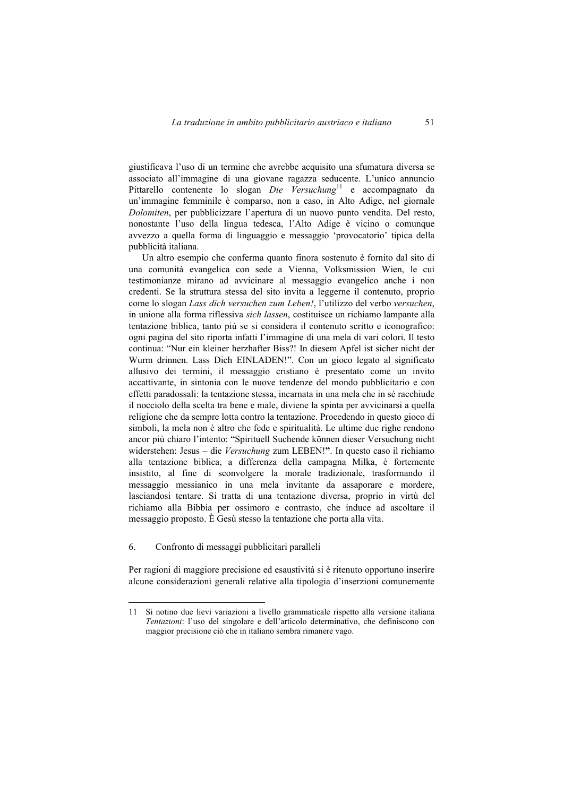giustificava l'uso di un termine che avrebbe acquisito una sfumatura diversa se associato all'immagine di una giovane ragazza seducente. L'unico annuncio Pittarello contenente lo slogan *Die Versuchung*<sup>11</sup> e accompagnato da un'immagine femminile è comparso, non a caso, in Alto Adige, nel giornale *Dolomiten*, per pubblicizzare l'apertura di un nuovo punto vendita. Del resto, nonostante l'uso della lingua tedesca, l'Alto Adige è vicino o comunque avvezzo a quella forma di linguaggio e messaggio 'provocatorio' tipica della pubblicità italiana.

Un altro esempio che conferma quanto finora sostenuto è fornito dal sito di una comunità evangelica con sede a Vienna, Volksmission Wien, le cui testimonianze mirano ad avvicinare al messaggio evangelico anche i non credenti. Se la struttura stessa del sito invita a leggerne il contenuto, proprio come lo slogan *Lass dich versuchen zum Leben!*, l'utilizzo del verbo *versuchen*, in unione alla forma riflessiva *sich lassen*, costituisce un richiamo lampante alla tentazione biblica, tanto più se si considera il contenuto scritto e iconografico: ogni pagina del sito riporta infatti l'immagine di una mela di vari colori. Il testo continua: "Nur ein kleiner herzhafter Biss?! In diesem Apfel ist sicher nicht der Wurm drinnen. Lass Dich EINLADEN!". Con un gioco legato al significato allusivo dei termini, il messaggio cristiano è presentato come un invito accattivante, in sintonia con le nuove tendenze del mondo pubblicitario e con effetti paradossali: la tentazione stessa, incarnata in una mela che in sé racchiude il nocciolo della scelta tra bene e male, diviene la spinta per avvicinarsi a quella religione che da sempre lotta contro la tentazione. Procedendo in questo gioco di simboli, la mela non è altro che fede e spiritualità. Le ultime due righe rendono ancor più chiaro l'intento: "Spirituell Suchende können dieser Versuchung nicht widerstehen: Jesus – die *Versuchung* zum LEBEN!**"**. In questo caso il richiamo alla tentazione biblica, a differenza della campagna Milka, è fortemente insistito, al fine di sconvolgere la morale tradizionale, trasformando il messaggio messianico in una mela invitante da assaporare e mordere, lasciandosi tentare. Si tratta di una tentazione diversa, proprio in virtù del richiamo alla Bibbia per ossimoro e contrasto, che induce ad ascoltare il messaggio proposto. È Gesù stesso la tentazione che porta alla vita.

## 6. Confronto di messaggi pubblicitari paralleli

 $\overline{a}$ 

Per ragioni di maggiore precisione ed esaustività si è ritenuto opportuno inserire alcune considerazioni generali relative alla tipologia d'inserzioni comunemente

<sup>11</sup> Si notino due lievi variazioni a livello grammaticale rispetto alla versione italiana *Tentazioni*: l'uso del singolare e dell'articolo determinativo, che definiscono con maggior precisione ciò che in italiano sembra rimanere vago.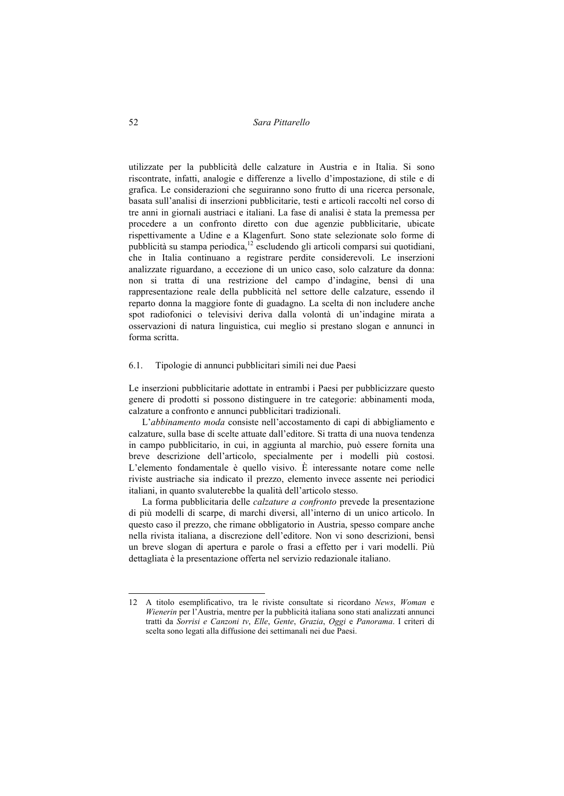utilizzate per la pubblicità delle calzature in Austria e in Italia. Si sono riscontrate, infatti, analogie e differenze a livello d'impostazione, di stile e di grafica. Le considerazioni che seguiranno sono frutto di una ricerca personale, basata sull'analisi di inserzioni pubblicitarie, testi e articoli raccolti nel corso di tre anni in giornali austriaci e italiani. La fase di analisi è stata la premessa per procedere a un confronto diretto con due agenzie pubblicitarie, ubicate rispettivamente a Udine e a Klagenfurt. Sono state selezionate solo forme di pubblicità su stampa periodica,12 escludendo gli articoli comparsi sui quotidiani, che in Italia continuano a registrare perdite considerevoli. Le inserzioni analizzate riguardano, a eccezione di un unico caso, solo calzature da donna: non si tratta di una restrizione del campo d'indagine, bensì di una rappresentazione reale della pubblicità nel settore delle calzature, essendo il reparto donna la maggiore fonte di guadagno. La scelta di non includere anche spot radiofonici o televisivi deriva dalla volontà di un'indagine mirata a osservazioni di natura linguistica, cui meglio si prestano slogan e annunci in forma scritta.

#### 6.1. Tipologie di annunci pubblicitari simili nei due Paesi

Le inserzioni pubblicitarie adottate in entrambi i Paesi per pubblicizzare questo genere di prodotti si possono distinguere in tre categorie: abbinamenti moda, calzature a confronto e annunci pubblicitari tradizionali.

L'*abbinamento moda* consiste nell'accostamento di capi di abbigliamento e calzature, sulla base di scelte attuate dall'editore. Si tratta di una nuova tendenza in campo pubblicitario, in cui, in aggiunta al marchio, può essere fornita una breve descrizione dell'articolo, specialmente per i modelli più costosi. L'elemento fondamentale è quello visivo. È interessante notare come nelle riviste austriache sia indicato il prezzo, elemento invece assente nei periodici italiani, in quanto svaluterebbe la qualità dell'articolo stesso.

La forma pubblicitaria delle *calzature a confronto* prevede la presentazione di più modelli di scarpe, di marchi diversi, all'interno di un unico articolo. In questo caso il prezzo, che rimane obbligatorio in Austria, spesso compare anche nella rivista italiana, a discrezione dell'editore. Non vi sono descrizioni, bensì un breve slogan di apertura e parole o frasi a effetto per i vari modelli. Più dettagliata è la presentazione offerta nel servizio redazionale italiano.

<sup>12</sup> A titolo esemplificativo, tra le riviste consultate si ricordano *News*, *Woman* e *Wienerin* per l'Austria, mentre per la pubblicità italiana sono stati analizzati annunci tratti da *Sorrisi e Canzoni tv*, *Elle*, *Gente*, *Grazia*, *Oggi* e *Panorama*. I criteri di scelta sono legati alla diffusione dei settimanali nei due Paesi.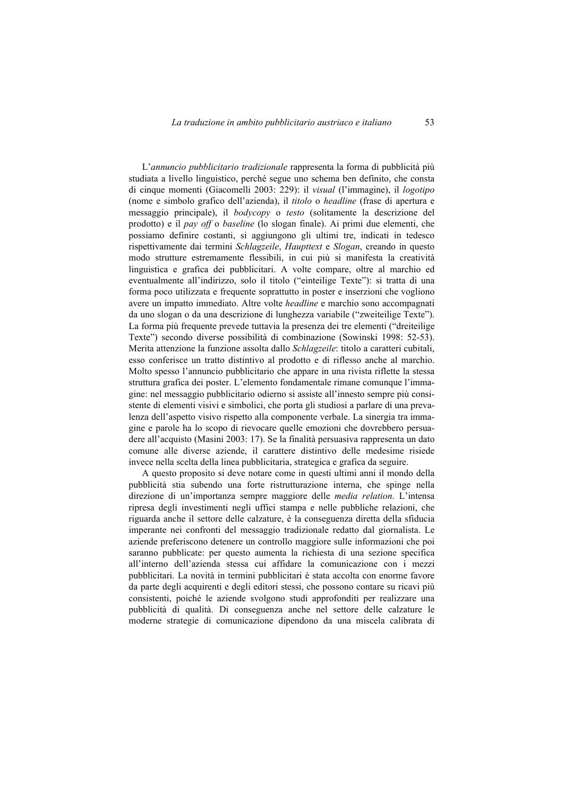L'*annuncio pubblicitario tradizionale* rappresenta la forma di pubblicità più studiata a livello linguistico, perché segue uno schema ben definito, che consta di cinque momenti (Giacomelli 2003: 229): il *visual* (l'immagine), il *logotipo* (nome e simbolo grafico dell'azienda), il *titolo* o *headline* (frase di apertura e messaggio principale), il *bodycopy* o *testo* (solitamente la descrizione del prodotto) e il *pay off* o *baseline* (lo slogan finale). Ai primi due elementi, che possiamo definire costanti, si aggiungono gli ultimi tre, indicati in tedesco rispettivamente dai termini *Schlagzeile*, *Haupttext* e *Slogan*, creando in questo modo strutture estremamente flessibili, in cui più si manifesta la creatività linguistica e grafica dei pubblicitari. A volte compare, oltre al marchio ed eventualmente all'indirizzo, solo il titolo ("einteilige Texte"): si tratta di una forma poco utilizzata e frequente soprattutto in poster e inserzioni che vogliono avere un impatto immediato. Altre volte *headline* e marchio sono accompagnati da uno slogan o da una descrizione di lunghezza variabile ("zweiteilige Texte"). La forma più frequente prevede tuttavia la presenza dei tre elementi ("dreiteilige Texte") secondo diverse possibilità di combinazione (Sowinski 1998: 52-53). Merita attenzione la funzione assolta dallo *Schlagzeile*: titolo a caratteri cubitali, esso conferisce un tratto distintivo al prodotto e di riflesso anche al marchio. Molto spesso l'annuncio pubblicitario che appare in una rivista riflette la stessa struttura grafica dei poster. L'elemento fondamentale rimane comunque l'immagine: nel messaggio pubblicitario odierno si assiste all'innesto sempre più consistente di elementi visivi e simbolici, che porta gli studiosi a parlare di una prevalenza dell'aspetto visivo rispetto alla componente verbale. La sinergia tra immagine e parole ha lo scopo di rievocare quelle emozioni che dovrebbero persuadere all'acquisto (Masini 2003: 17). Se la finalità persuasiva rappresenta un dato comune alle diverse aziende, il carattere distintivo delle medesime risiede invece nella scelta della linea pubblicitaria, strategica e grafica da seguire.

A questo proposito si deve notare come in questi ultimi anni il mondo della pubblicità stia subendo una forte ristrutturazione interna, che spinge nella direzione di un'importanza sempre maggiore delle *media relation*. L'intensa ripresa degli investimenti negli uffici stampa e nelle pubbliche relazioni, che riguarda anche il settore delle calzature, è la conseguenza diretta della sfiducia imperante nei confronti del messaggio tradizionale redatto dal giornalista. Le aziende preferiscono detenere un controllo maggiore sulle informazioni che poi saranno pubblicate: per questo aumenta la richiesta di una sezione specifica all'interno dell'azienda stessa cui affidare la comunicazione con i mezzi pubblicitari. La novità in termini pubblicitari è stata accolta con enorme favore da parte degli acquirenti e degli editori stessi, che possono contare su ricavi più consistenti, poiché le aziende svolgono studi approfonditi per realizzare una pubblicità di qualità. Di conseguenza anche nel settore delle calzature le moderne strategie di comunicazione dipendono da una miscela calibrata di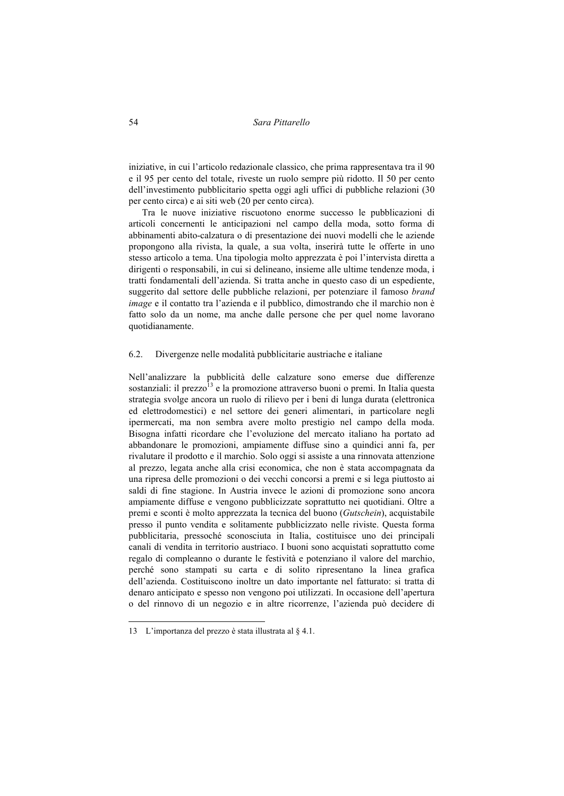iniziative, in cui l'articolo redazionale classico, che prima rappresentava tra il 90 e il 95 per cento del totale, riveste un ruolo sempre più ridotto. Il 50 per cento dell'investimento pubblicitario spetta oggi agli uffici di pubbliche relazioni (30 per cento circa) e ai siti web (20 per cento circa).

Tra le nuove iniziative riscuotono enorme successo le pubblicazioni di articoli concernenti le anticipazioni nel campo della moda, sotto forma di abbinamenti abito-calzatura o di presentazione dei nuovi modelli che le aziende propongono alla rivista, la quale, a sua volta, inserirà tutte le offerte in uno stesso articolo a tema. Una tipologia molto apprezzata è poi l'intervista diretta a dirigenti o responsabili, in cui si delineano, insieme alle ultime tendenze moda, i tratti fondamentali dell'azienda. Si tratta anche in questo caso di un espediente, suggerito dal settore delle pubbliche relazioni, per potenziare il famoso *brand image* e il contatto tra l'azienda e il pubblico, dimostrando che il marchio non è fatto solo da un nome, ma anche dalle persone che per quel nome lavorano quotidianamente.

#### 6.2. Divergenze nelle modalità pubblicitarie austriache e italiane

Nell'analizzare la pubblicità delle calzature sono emerse due differenze sostanziali: il prezzo $^{13}$  e la promozione attraverso buoni o premi. In Italia questa strategia svolge ancora un ruolo di rilievo per i beni di lunga durata (elettronica ed elettrodomestici) e nel settore dei generi alimentari, in particolare negli ipermercati, ma non sembra avere molto prestigio nel campo della moda. Bisogna infatti ricordare che l'evoluzione del mercato italiano ha portato ad abbandonare le promozioni, ampiamente diffuse sino a quindici anni fa, per rivalutare il prodotto e il marchio. Solo oggi si assiste a una rinnovata attenzione al prezzo, legata anche alla crisi economica, che non è stata accompagnata da una ripresa delle promozioni o dei vecchi concorsi a premi e si lega piuttosto ai saldi di fine stagione. In Austria invece le azioni di promozione sono ancora ampiamente diffuse e vengono pubblicizzate soprattutto nei quotidiani. Oltre a premi e sconti è molto apprezzata la tecnica del buono (*Gutschein*), acquistabile presso il punto vendita e solitamente pubblicizzato nelle riviste. Questa forma pubblicitaria, pressoché sconosciuta in Italia, costituisce uno dei principali canali di vendita in territorio austriaco. I buoni sono acquistati soprattutto come regalo di compleanno o durante le festività e potenziano il valore del marchio, perché sono stampati su carta e di solito ripresentano la linea grafica dell'azienda. Costituiscono inoltre un dato importante nel fatturato: si tratta di denaro anticipato e spesso non vengono poi utilizzati. In occasione dell'apertura o del rinnovo di un negozio e in altre ricorrenze, l'azienda può decidere di

<sup>13</sup> L'importanza del prezzo è stata illustrata al § 4.1.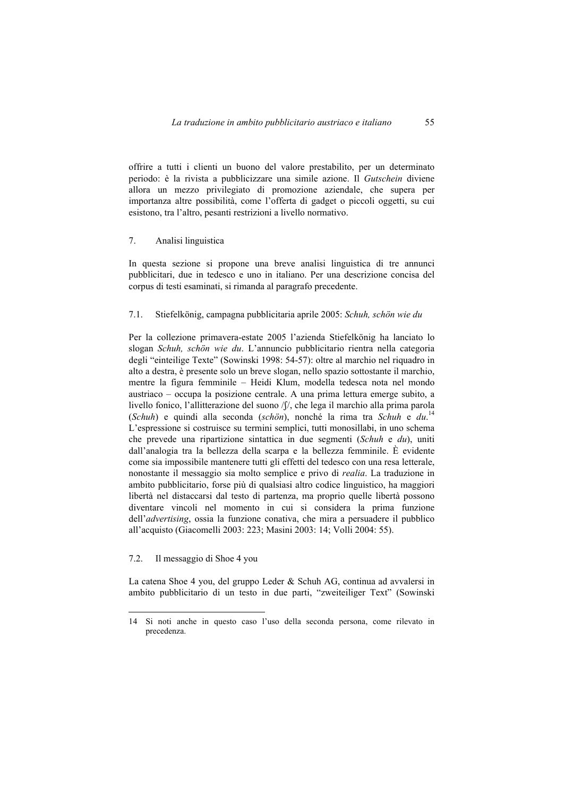offrire a tutti i clienti un buono del valore prestabilito, per un determinato periodo: è la rivista a pubblicizzare una simile azione. Il *Gutschein* diviene allora un mezzo privilegiato di promozione aziendale, che supera per importanza altre possibilità, come l'offerta di gadget o piccoli oggetti, su cui esistono, tra l'altro, pesanti restrizioni a livello normativo.

#### 7. Analisi linguistica

In questa sezione si propone una breve analisi linguistica di tre annunci pubblicitari, due in tedesco e uno in italiano. Per una descrizione concisa del corpus di testi esaminati, si rimanda al paragrafo precedente.

## 7.1. Stiefelkönig, campagna pubblicitaria aprile 2005: *Schuh, schön wie du*

Per la collezione primavera-estate 2005 l'azienda Stiefelkönig ha lanciato lo slogan *Schuh, schön wie du*. L'annuncio pubblicitario rientra nella categoria degli "einteilige Texte" (Sowinski 1998: 54-57): oltre al marchio nel riquadro in alto a destra, è presente solo un breve slogan, nello spazio sottostante il marchio, mentre la figura femminile – Heidi Klum, modella tedesca nota nel mondo austriaco – occupa la posizione centrale. A una prima lettura emerge subito, a livello fonico, l'allitterazione del suono /ʃ/, che lega il marchio alla prima parola (*Schuh*) e quindi alla seconda (*schön*), nonché la rima tra *Schuh* e *du*. 14 L'espressione si costruisce su termini semplici, tutti monosillabi, in uno schema che prevede una ripartizione sintattica in due segmenti (*Schuh* e *du*), uniti dall'analogia tra la bellezza della scarpa e la bellezza femminile. È evidente come sia impossibile mantenere tutti gli effetti del tedesco con una resa letterale, nonostante il messaggio sia molto semplice e privo di *realia*. La traduzione in ambito pubblicitario, forse più di qualsiasi altro codice linguistico, ha maggiori libertà nel distaccarsi dal testo di partenza, ma proprio quelle libertà possono diventare vincoli nel momento in cui si considera la prima funzione dell'*advertising*, ossia la funzione conativa, che mira a persuadere il pubblico all'acquisto (Giacomelli 2003: 223; Masini 2003: 14; Volli 2004: 55).

## 7.2. Il messaggio di Shoe 4 you

 $\overline{a}$ 

La catena Shoe 4 you, del gruppo Leder & Schuh AG, continua ad avvalersi in ambito pubblicitario di un testo in due parti, "zweiteiliger Text" (Sowinski

<sup>14</sup> Si noti anche in questo caso l'uso della seconda persona, come rilevato in precedenza.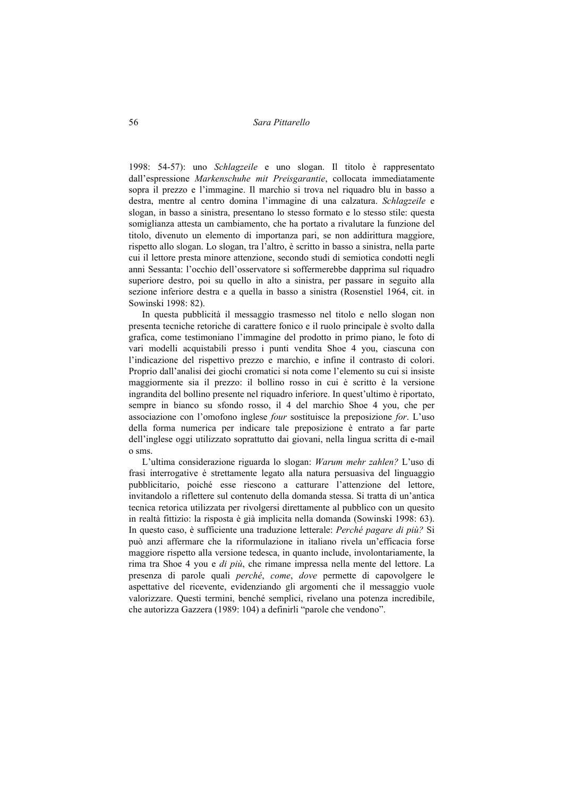1998: 54-57): uno *Schlagzeile* e uno slogan. Il titolo è rappresentato dall'espressione *Markenschuhe mit Preisgarantie*, collocata immediatamente sopra il prezzo e l'immagine. Il marchio si trova nel riquadro blu in basso a destra, mentre al centro domina l'immagine di una calzatura. *Schlagzeile* e slogan, in basso a sinistra, presentano lo stesso formato e lo stesso stile: questa somiglianza attesta un cambiamento, che ha portato a rivalutare la funzione del titolo, divenuto un elemento di importanza pari, se non addirittura maggiore, rispetto allo slogan. Lo slogan, tra l'altro, è scritto in basso a sinistra, nella parte cui il lettore presta minore attenzione, secondo studi di semiotica condotti negli anni Sessanta: l'occhio dell'osservatore si soffermerebbe dapprima sul riquadro superiore destro, poi su quello in alto a sinistra, per passare in seguito alla sezione inferiore destra e a quella in basso a sinistra (Rosenstiel 1964, cit. in Sowinski 1998: 82).

In questa pubblicità il messaggio trasmesso nel titolo e nello slogan non presenta tecniche retoriche di carattere fonico e il ruolo principale è svolto dalla grafica, come testimoniano l'immagine del prodotto in primo piano, le foto di vari modelli acquistabili presso i punti vendita Shoe 4 you, ciascuna con l'indicazione del rispettivo prezzo e marchio, e infine il contrasto di colori. Proprio dall'analisi dei giochi cromatici si nota come l'elemento su cui si insiste maggiormente sia il prezzo: il bollino rosso in cui è scritto è la versione ingrandita del bollino presente nel riquadro inferiore. In quest'ultimo è riportato, sempre in bianco su sfondo rosso, il 4 del marchio Shoe 4 you, che per associazione con l'omofono inglese *four* sostituisce la preposizione *for*. L'uso della forma numerica per indicare tale preposizione è entrato a far parte dell'inglese oggi utilizzato soprattutto dai giovani, nella lingua scritta di e-mail o sms.

L'ultima considerazione riguarda lo slogan: *Warum mehr zahlen?* L'uso di frasi interrogative è strettamente legato alla natura persuasiva del linguaggio pubblicitario, poiché esse riescono a catturare l'attenzione del lettore, invitandolo a riflettere sul contenuto della domanda stessa. Si tratta di un'antica tecnica retorica utilizzata per rivolgersi direttamente al pubblico con un quesito in realtà fittizio: la risposta è già implicita nella domanda (Sowinski 1998: 63). In questo caso, è sufficiente una traduzione letterale: *Perché pagare di più?* Si può anzi affermare che la riformulazione in italiano rivela un'efficacia forse maggiore rispetto alla versione tedesca, in quanto include, involontariamente, la rima tra Shoe 4 you e *di più*, che rimane impressa nella mente del lettore. La presenza di parole quali *perché*, *come*, *dove* permette di capovolgere le aspettative del ricevente, evidenziando gli argomenti che il messaggio vuole valorizzare. Questi termini, benché semplici, rivelano una potenza incredibile, che autorizza Gazzera (1989: 104) a definirli "parole che vendono".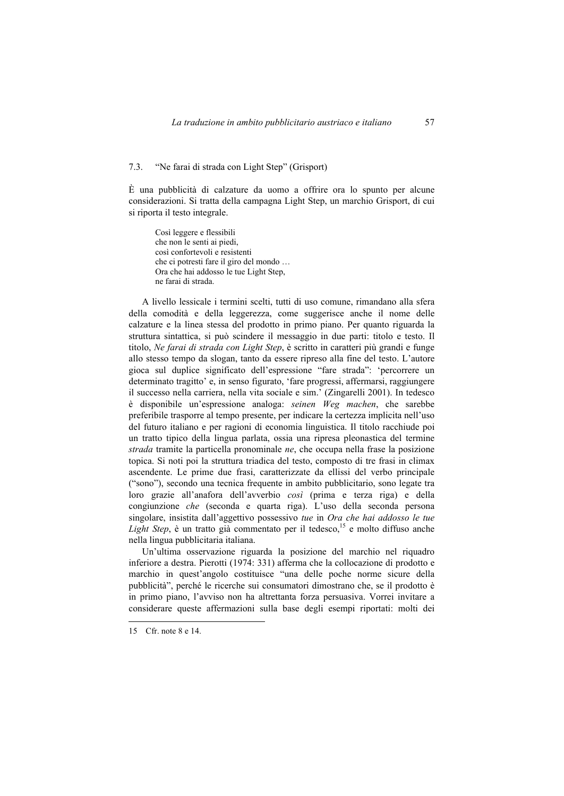#### 7.3. "Ne farai di strada con Light Step" (Grisport)

È una pubblicità di calzature da uomo a offrire ora lo spunto per alcune considerazioni. Si tratta della campagna Light Step, un marchio Grisport, di cui si riporta il testo integrale.

Così leggere e flessibili che non le senti ai piedi, così confortevoli e resistenti che ci potresti fare il giro del mondo … Ora che hai addosso le tue Light Step, ne farai di strada.

A livello lessicale i termini scelti, tutti di uso comune, rimandano alla sfera della comodità e della leggerezza, come suggerisce anche il nome delle calzature e la linea stessa del prodotto in primo piano. Per quanto riguarda la struttura sintattica, si può scindere il messaggio in due parti: titolo e testo. Il titolo, *Ne farai di strada con Light Step*, è scritto in caratteri più grandi e funge allo stesso tempo da slogan, tanto da essere ripreso alla fine del testo. L'autore gioca sul duplice significato dell'espressione "fare strada": 'percorrere un determinato tragitto' e, in senso figurato, 'fare progressi, affermarsi, raggiungere il successo nella carriera, nella vita sociale e sim.' (Zingarelli 2001). In tedesco è disponibile un'espressione analoga: *seinen Weg machen*, che sarebbe preferibile trasporre al tempo presente, per indicare la certezza implicita nell'uso del futuro italiano e per ragioni di economia linguistica. Il titolo racchiude poi un tratto tipico della lingua parlata, ossia una ripresa pleonastica del termine *strada* tramite la particella pronominale *ne*, che occupa nella frase la posizione topica. Si noti poi la struttura triadica del testo, composto di tre frasi in climax ascendente. Le prime due frasi, caratterizzate da ellissi del verbo principale ("sono"), secondo una tecnica frequente in ambito pubblicitario, sono legate tra loro grazie all'anafora dell'avverbio *così* (prima e terza riga) e della congiunzione *che* (seconda e quarta riga). L'uso della seconda persona singolare, insistita dall'aggettivo possessivo *tue* in *Ora che hai addosso le tue Light Step*, è un tratto già commentato per il tedesco,<sup>15</sup> e molto diffuso anche nella lingua pubblicitaria italiana.

Un'ultima osservazione riguarda la posizione del marchio nel riquadro inferiore a destra. Pierotti (1974: 331) afferma che la collocazione di prodotto e marchio in quest'angolo costituisce "una delle poche norme sicure della pubblicità", perché le ricerche sui consumatori dimostrano che, se il prodotto è in primo piano, l'avviso non ha altrettanta forza persuasiva. Vorrei invitare a considerare queste affermazioni sulla base degli esempi riportati: molti dei

<sup>15</sup> Cfr. note 8 e 14.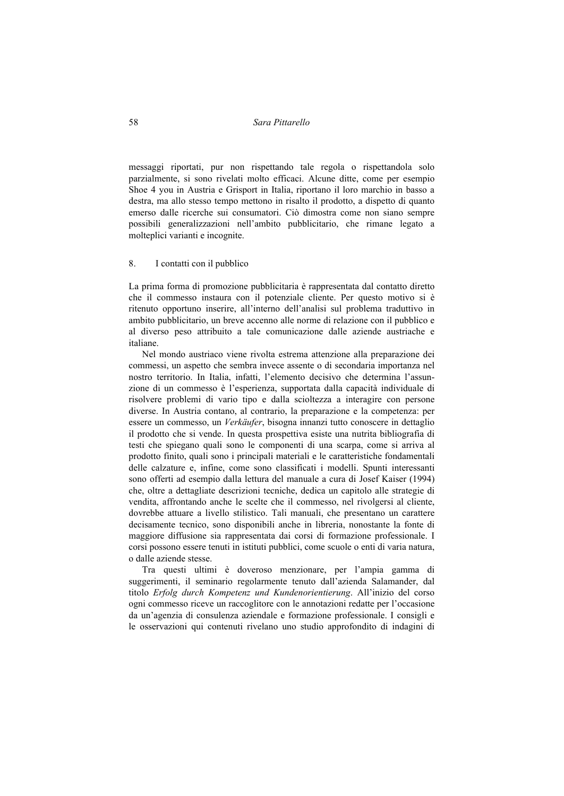messaggi riportati, pur non rispettando tale regola o rispettandola solo parzialmente, si sono rivelati molto efficaci. Alcune ditte, come per esempio Shoe 4 you in Austria e Grisport in Italia, riportano il loro marchio in basso a destra, ma allo stesso tempo mettono in risalto il prodotto, a dispetto di quanto emerso dalle ricerche sui consumatori. Ciò dimostra come non siano sempre possibili generalizzazioni nell'ambito pubblicitario, che rimane legato a molteplici varianti e incognite.

### 8. I contatti con il pubblico

La prima forma di promozione pubblicitaria è rappresentata dal contatto diretto che il commesso instaura con il potenziale cliente. Per questo motivo si è ritenuto opportuno inserire, all'interno dell'analisi sul problema traduttivo in ambito pubblicitario, un breve accenno alle norme di relazione con il pubblico e al diverso peso attribuito a tale comunicazione dalle aziende austriache e italiane.

Nel mondo austriaco viene rivolta estrema attenzione alla preparazione dei commessi, un aspetto che sembra invece assente o di secondaria importanza nel nostro territorio. In Italia, infatti, l'elemento decisivo che determina l'assunzione di un commesso è l'esperienza, supportata dalla capacità individuale di risolvere problemi di vario tipo e dalla scioltezza a interagire con persone diverse. In Austria contano, al contrario, la preparazione e la competenza: per essere un commesso, un *Verkäufer*, bisogna innanzi tutto conoscere in dettaglio il prodotto che si vende. In questa prospettiva esiste una nutrita bibliografia di testi che spiegano quali sono le componenti di una scarpa, come si arriva al prodotto finito, quali sono i principali materiali e le caratteristiche fondamentali delle calzature e, infine, come sono classificati i modelli. Spunti interessanti sono offerti ad esempio dalla lettura del manuale a cura di Josef Kaiser (1994) che, oltre a dettagliate descrizioni tecniche, dedica un capitolo alle strategie di vendita, affrontando anche le scelte che il commesso, nel rivolgersi al cliente, dovrebbe attuare a livello stilistico. Tali manuali, che presentano un carattere decisamente tecnico, sono disponibili anche in libreria, nonostante la fonte di maggiore diffusione sia rappresentata dai corsi di formazione professionale. I corsi possono essere tenuti in istituti pubblici, come scuole o enti di varia natura, o dalle aziende stesse.

Tra questi ultimi è doveroso menzionare, per l'ampia gamma di suggerimenti, il seminario regolarmente tenuto dall'azienda Salamander, dal titolo *Erfolg durch Kompetenz und Kundenorientierung*. All'inizio del corso ogni commesso riceve un raccoglitore con le annotazioni redatte per l'occasione da un'agenzia di consulenza aziendale e formazione professionale. I consigli e le osservazioni qui contenuti rivelano uno studio approfondito di indagini di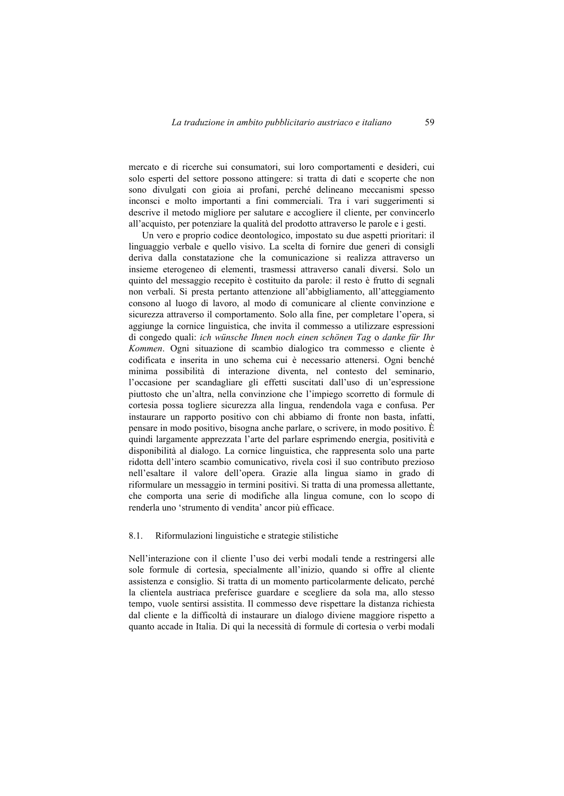mercato e di ricerche sui consumatori, sui loro comportamenti e desideri, cui solo esperti del settore possono attingere: si tratta di dati e scoperte che non sono divulgati con gioia ai profani, perché delineano meccanismi spesso inconsci e molto importanti a fini commerciali. Tra i vari suggerimenti si descrive il metodo migliore per salutare e accogliere il cliente, per convincerlo all'acquisto, per potenziare la qualità del prodotto attraverso le parole e i gesti.

Un vero e proprio codice deontologico, impostato su due aspetti prioritari: il linguaggio verbale e quello visivo. La scelta di fornire due generi di consigli deriva dalla constatazione che la comunicazione si realizza attraverso un insieme eterogeneo di elementi, trasmessi attraverso canali diversi. Solo un quinto del messaggio recepito è costituito da parole: il resto è frutto di segnali non verbali. Si presta pertanto attenzione all'abbigliamento, all'atteggiamento consono al luogo di lavoro, al modo di comunicare al cliente convinzione e sicurezza attraverso il comportamento. Solo alla fine, per completare l'opera, si aggiunge la cornice linguistica, che invita il commesso a utilizzare espressioni di congedo quali: *ich wünsche Ihnen noch einen schönen Tag* o *danke für Ihr Kommen*. Ogni situazione di scambio dialogico tra commesso e cliente è codificata e inserita in uno schema cui è necessario attenersi. Ogni benché minima possibilità di interazione diventa, nel contesto del seminario, l'occasione per scandagliare gli effetti suscitati dall'uso di un'espressione piuttosto che un'altra, nella convinzione che l'impiego scorretto di formule di cortesia possa togliere sicurezza alla lingua, rendendola vaga e confusa. Per instaurare un rapporto positivo con chi abbiamo di fronte non basta, infatti, pensare in modo positivo, bisogna anche parlare, o scrivere, in modo positivo. È quindi largamente apprezzata l'arte del parlare esprimendo energia, positività e disponibilità al dialogo. La cornice linguistica, che rappresenta solo una parte ridotta dell'intero scambio comunicativo, rivela così il suo contributo prezioso nell'esaltare il valore dell'opera. Grazie alla lingua siamo in grado di riformulare un messaggio in termini positivi. Si tratta di una promessa allettante, che comporta una serie di modifiche alla lingua comune, con lo scopo di renderla uno 'strumento di vendita' ancor più efficace.

#### 8.1. Riformulazioni linguistiche e strategie stilistiche

Nell'interazione con il cliente l'uso dei verbi modali tende a restringersi alle sole formule di cortesia, specialmente all'inizio, quando si offre al cliente assistenza e consiglio. Si tratta di un momento particolarmente delicato, perché la clientela austriaca preferisce guardare e scegliere da sola ma, allo stesso tempo, vuole sentirsi assistita. Il commesso deve rispettare la distanza richiesta dal cliente e la difficoltà di instaurare un dialogo diviene maggiore rispetto a quanto accade in Italia. Di qui la necessità di formule di cortesia o verbi modali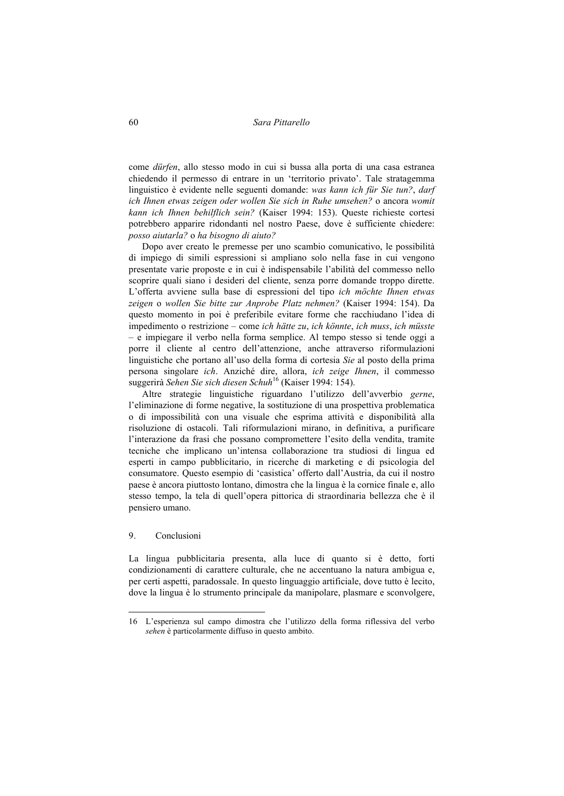come *dürfen*, allo stesso modo in cui si bussa alla porta di una casa estranea chiedendo il permesso di entrare in un 'territorio privato'. Tale stratagemma linguistico è evidente nelle seguenti domande: *was kann ich für Sie tun?*, *darf ich Ihnen etwas zeigen oder wollen Sie sich in Ruhe umsehen?* o ancora *womit kann ich Ihnen behilflich sein?* (Kaiser 1994: 153). Queste richieste cortesi potrebbero apparire ridondanti nel nostro Paese, dove è sufficiente chiedere: *posso aiutarla?* o *ha bisogno di aiuto?*

Dopo aver creato le premesse per uno scambio comunicativo, le possibilità di impiego di simili espressioni si ampliano solo nella fase in cui vengono presentate varie proposte e in cui è indispensabile l'abilità del commesso nello scoprire quali siano i desideri del cliente, senza porre domande troppo dirette. L'offerta avviene sulla base di espressioni del tipo *ich möchte Ihnen etwas zeigen* o *wollen Sie bitte zur Anprobe Platz nehmen?* (Kaiser 1994: 154). Da questo momento in poi è preferibile evitare forme che racchiudano l'idea di impedimento o restrizione – come *ich hätte zu*, *ich könnte*, *ich muss*, *ich müsste* – e impiegare il verbo nella forma semplice. Al tempo stesso si tende oggi a porre il cliente al centro dell'attenzione, anche attraverso riformulazioni linguistiche che portano all'uso della forma di cortesia *Sie* al posto della prima persona singolare *ich*. Anziché dire, allora, *ich zeige Ihnen*, il commesso suggerirà *Sehen Sie sich diesen Schuh*16 (Kaiser 1994: 154).

Altre strategie linguistiche riguardano l'utilizzo dell'avverbio *gerne*, l'eliminazione di forme negative, la sostituzione di una prospettiva problematica o di impossibilità con una visuale che esprima attività e disponibilità alla risoluzione di ostacoli. Tali riformulazioni mirano, in definitiva, a purificare l'interazione da frasi che possano compromettere l'esito della vendita, tramite tecniche che implicano un'intensa collaborazione tra studiosi di lingua ed esperti in campo pubblicitario, in ricerche di marketing e di psicologia del consumatore. Questo esempio di 'casistica' offerto dall'Austria, da cui il nostro paese è ancora piuttosto lontano, dimostra che la lingua è la cornice finale e, allo stesso tempo, la tela di quell'opera pittorica di straordinaria bellezza che è il pensiero umano.

#### 9. Conclusioni

 $\overline{a}$ 

La lingua pubblicitaria presenta, alla luce di quanto si è detto, forti condizionamenti di carattere culturale, che ne accentuano la natura ambigua e, per certi aspetti, paradossale. In questo linguaggio artificiale, dove tutto è lecito, dove la lingua è lo strumento principale da manipolare, plasmare e sconvolgere,

<sup>16</sup> L'esperienza sul campo dimostra che l'utilizzo della forma riflessiva del verbo *sehen* è particolarmente diffuso in questo ambito.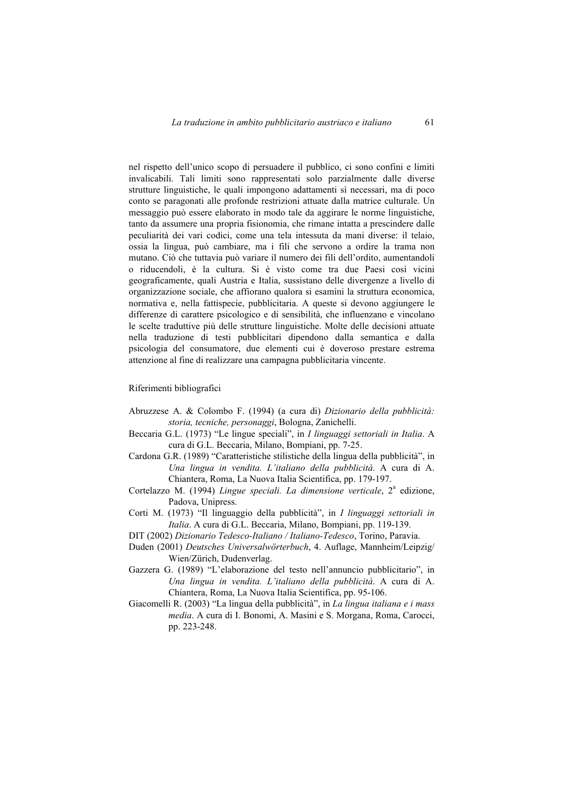nel rispetto dell'unico scopo di persuadere il pubblico, ci sono confini e limiti invalicabili. Tali limiti sono rappresentati solo parzialmente dalle diverse strutture linguistiche, le quali impongono adattamenti sì necessari, ma di poco conto se paragonati alle profonde restrizioni attuate dalla matrice culturale. Un messaggio può essere elaborato in modo tale da aggirare le norme linguistiche, tanto da assumere una propria fisionomia, che rimane intatta a prescindere dalle peculiarità dei vari codici, come una tela intessuta da mani diverse: il telaio, ossia la lingua, può cambiare, ma i fili che servono a ordire la trama non mutano. Ciò che tuttavia può variare il numero dei fili dell'ordito, aumentandoli o riducendoli, è la cultura. Si è visto come tra due Paesi così vicini geograficamente, quali Austria e Italia, sussistano delle divergenze a livello di organizzazione sociale, che affiorano qualora si esamini la struttura economica, normativa e, nella fattispecie, pubblicitaria. A queste si devono aggiungere le differenze di carattere psicologico e di sensibilità, che influenzano e vincolano le scelte traduttive più delle strutture linguistiche. Molte delle decisioni attuate nella traduzione di testi pubblicitari dipendono dalla semantica e dalla psicologia del consumatore, due elementi cui è doveroso prestare estrema attenzione al fine di realizzare una campagna pubblicitaria vincente.

## Riferimenti bibliografici

- Abruzzese A. & Colombo F. (1994) (a cura di) *Dizionario della pubblicità: storia, tecniche, personaggi*, Bologna, Zanichelli.
- Beccaria G.L. (1973) "Le lingue speciali", in *I linguaggi settoriali in Italia*. A cura di G.L. Beccaria, Milano, Bompiani, pp. 7-25.
- Cardona G.R. (1989) "Caratteristiche stilistiche della lingua della pubblicità", in *Una lingua in vendita. L'italiano della pubblicità*. A cura di A. Chiantera, Roma, La Nuova Italia Scientifica, pp. 179-197.
- Cortelazzo M. (1994) *Lingue speciali. La dimensione verticale*, 2<sup>ª</sup> edizione, Padova, Unipress.
- Corti M. (1973) "Il linguaggio della pubblicità", in *I linguaggi settoriali in Italia*. A cura di G.L. Beccaria, Milano, Bompiani, pp. 119-139.
- DIT (2002) *Dizionario Tedesco-Italiano / Italiano-Tedesco*, Torino, Paravia.
- Duden (2001) *Deutsches Universalwörterbuch*, 4. Auflage, Mannheim/Leipzig/ Wien/Zürich, Dudenverlag.
- Gazzera G. (1989) "L'elaborazione del testo nell'annuncio pubblicitario", in *Una lingua in vendita. L'italiano della pubblicità*. A cura di A. Chiantera, Roma, La Nuova Italia Scientifica, pp. 95-106.
- Giacomelli R. (2003) "La lingua della pubblicità", in *La lingua italiana e i mass media*. A cura di I. Bonomi, A. Masini e S. Morgana, Roma, Carocci, pp. 223-248.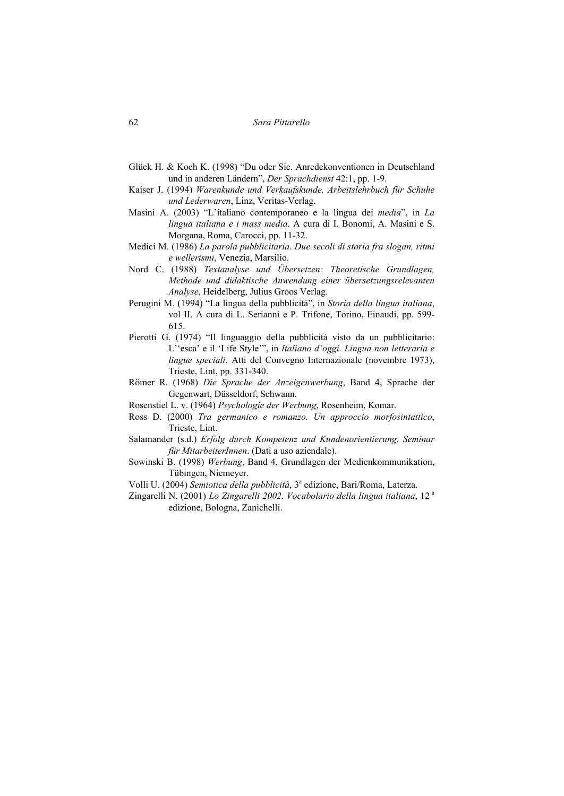- Glück H. & Koch K. (1998) "Du oder Sie. Anredekonventionen in Deutschland und in anderen Ländern", *Der Sprachdienst* 42:1, pp. 1-9.
- Kaiser J. (1994) *Warenkunde und Verkaufskunde. Arbeitslehrbuch für Schuhe und Lederwaren*, Linz, Veritas-Verlag.
- Masini A. (2003) "L'italiano contemporaneo e la lingua dei *media*", in *La lingua italiana e i mass media*. A cura di I. Bonomi, A. Masini e S. Morgana, Roma, Carocci, pp. 11-32.
- Medici M. (1986) *La parola pubblicitaria. Due secoli di storia fra slogan, ritmi e wellerismi*, Venezia, Marsilio.
- Nord C. (1988) *Textanalyse und Übersetzen: Theoretische Grundlagen, Methode und didaktische Anwendung einer übersetzungsrelevanten Analyse*, Heidelberg, Julius Groos Verlag.
- Perugini M. (1994) "La lingua della pubblicità", in *Storia della lingua italiana*, vol II. A cura di L. Serianni e P. Trifone, Torino, Einaudi, pp. 599- 615.
- Pierotti G. (1974) "Il linguaggio della pubblicità visto da un pubblicitario: L''esca' e il 'Life Style'", in *Italiano d'oggi. Lingua non letteraria e lingue speciali*. Atti del Convegno Internazionale (novembre 1973), Trieste, Lint, pp. 331-340.
- Römer R. (1968) *Die Sprache der Anzeigenwerbung*, Band 4, Sprache der Gegenwart, Düsseldorf, Schwann.
- Rosenstiel L. v. (1964) *Psychologie der Werbung*, Rosenheim, Komar.
- Ross D. (2000) *Tra germanico e romanzo. Un approccio morfosintattico*, Trieste, Lint.
- Salamander (s.d.) *Erfolg durch Kompetenz und Kundenorientierung. Seminar für MitarbeiterInnen*. (Dati a uso aziendale).
- Sowinski B. (1998) *Werbung*, Band 4, Grundlagen der Medienkommunikation, Tübingen, Niemeyer.
- Volli U. (2004) *Semiotica della pubblicità*, 3<sup>ª</sup> edizione, Bari/Roma, Laterza.
- Zingarelli N. (2001) *Lo Zingarelli 2002*. *Vocabolario della lingua italiana*, 12<sup>a</sup> edizione, Bologna, Zanichelli.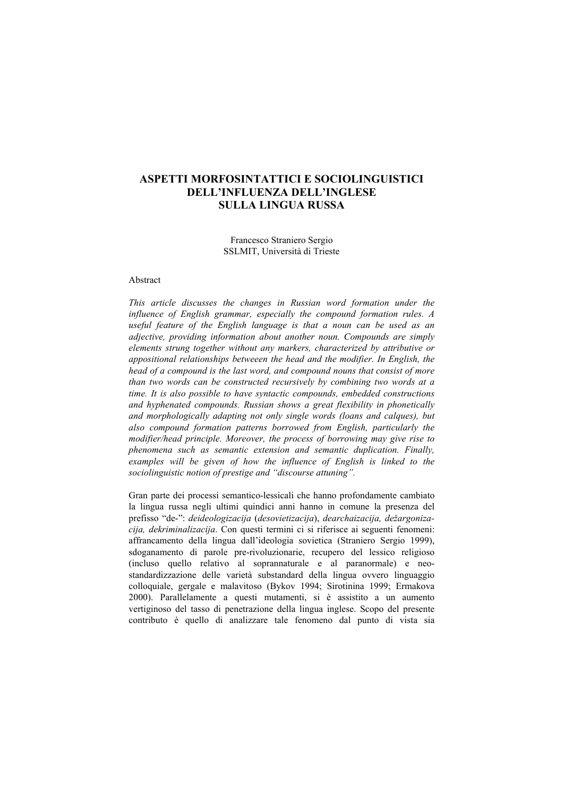# **ASPETTI MORFOSINTATTICI E SOCIOLINGUISTICI DELL'INFLUENZA DELL'INGLESE SULLA LINGUA RUSSA**

Francesco Straniero Sergio SSLMIT, Università di Trieste

## Abstract

*This article discusses the changes in Russian word formation under the influence of English grammar, especially the compound formation rules. A useful feature of the English language is that a noun can be used as an adjective, providing information about another noun. Compounds are simply elements strung together without any markers, characterized by attributive or appositional relationships betweeen the head and the modifier. In English, the head of a compound is the last word, and compound nouns that consist of more than two words can be constructed recursively by combining two words at a time. It is also possible to have syntactic compounds, embedded constructions and hyphenated compounds. Russian shows a great flexibility in phonetically and morphologically adapting not only single words (loans and calques), but also compound formation patterns borrowed from English, particularly the modifier/head principle. Moreover, the process of borrowing may give rise to phenomena such as semantic extension and semantic duplication. Finally,*  examples will be given of how the influence of English is linked to the *sociolinguistic notion of prestige and "discourse attuning".* 

Gran parte dei processi semantico-lessicali che hanno profondamente cambiato la lingua russa negli ultimi quindici anni hanno in comune la presenza del prefisso "de-": *deideologizacija* (*desovietizacija*), *dearchaizacija, dežargonizacija, dekriminalizacija*. Con questi termini ci si riferisce ai seguenti fenomeni: affrancamento della lingua dall'ideologia sovietica (Straniero Sergio 1999), sdoganamento di parole pre-rivoluzionarie, recupero del lessico religioso (incluso quello relativo al soprannaturale e al paranormale) e neostandardizzazione delle varietà substandard della lingua ovvero linguaggio colloquiale, gergale e malavitoso (Bykov 1994; Sirotinina 1999; Ermakova 2000). Parallelamente a questi mutamenti, si è assistito a un aumento vertiginoso del tasso di penetrazione della lingua inglese. Scopo del presente contributo è quello di analizzare tale fenomeno dal punto di vista sia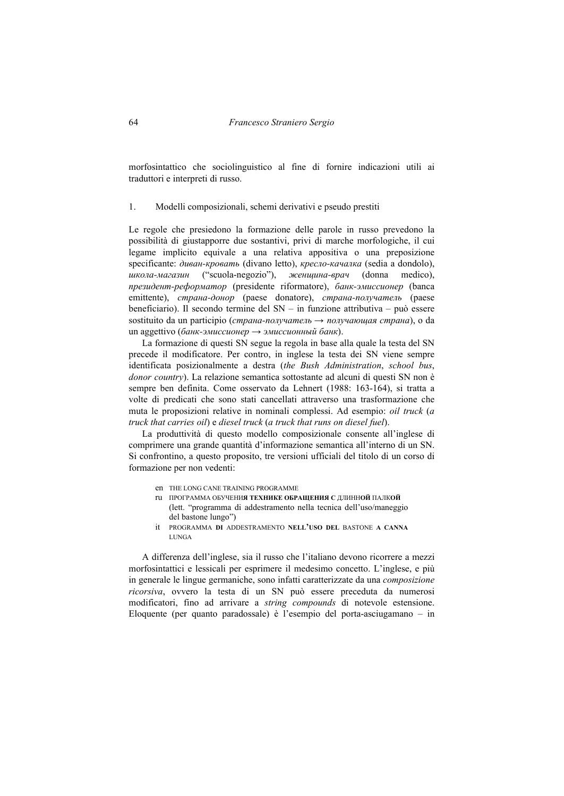morfosintattico che sociolinguistico al fine di fornire indicazioni utili ai traduttori e interpreti di russo.

1. Modelli composizionali, schemi derivativi e pseudo prestiti

Le regole che presiedono la formazione delle parole in russo prevedono la possibilità di giustapporre due sostantivi, privi di marche morfologiche, il cui legame implicito equivale a una relativa appositiva o una preposizione specificante: *диван-кровать* (divano letto), *кресло-качалка* (sedia a dondolo), *школа-магазин* ("scuola-negozio"), *женщина-врач* (donna medico), *президент-реформатор* (presidente riformatore), *банк-эмиссионер* (banca emittente), *страна-донор* (paese donatore), *страна-получатель* (paese beneficiario). Il secondo termine del SN – in funzione attributiva – può essere sostituito da un participio (*страна-получатель* → *получающая страна*), o da un aggettivo (*банк-эмиссионер* → *эмиссионный банк*).

La formazione di questi SN segue la regola in base alla quale la testa del SN precede il modificatore. Per contro, in inglese la testa dei SN viene sempre identificata posizionalmente a destra (*the Bush Administration*, *school bus*, *donor country*). La relazione semantica sottostante ad alcuni di questi SN non è sempre ben definita. Come osservato da Lehnert (1988: 163-164), si tratta a volte di predicati che sono stati cancellati attraverso una trasformazione che muta le proposizioni relative in nominali complessi. Ad esempio: *oil truck* (*a truck that carries oil*) e *diesel truck* (*a truck that runs on diesel fuel*).

La produttività di questo modello composizionale consente all'inglese di comprimere una grande quantità d'informazione semantica all'interno di un SN. Si confrontino, a questo proposito, tre versioni ufficiali del titolo di un corso di formazione per non vedenti:

- en THE LONG CANE TRAINING PROGRAMME
- ru ПРОГРАММА ОБУЧЕНИ**Я ТЕХНИКЕ ОБРАЩЕНИЯ С** ДЛИНН**ОЙ** ПАЛК**ОЙ** (lett. "programma di addestramento nella tecnica dell'uso/maneggio del bastone lungo")
- it PROGRAMMA **DI** ADDESTRAMENTO **NELL'USO DEL** BASTONE **A CANNA** LUNGA

A differenza dell'inglese, sia il russo che l'italiano devono ricorrere a mezzi morfosintattici e lessicali per esprimere il medesimo concetto. L'inglese, e più in generale le lingue germaniche, sono infatti caratterizzate da una *composizione ricorsiva*, ovvero la testa di un SN può essere preceduta da numerosi modificatori, fino ad arrivare a *string compounds* di notevole estensione. Eloquente (per quanto paradossale) è l'esempio del porta-asciugamano – in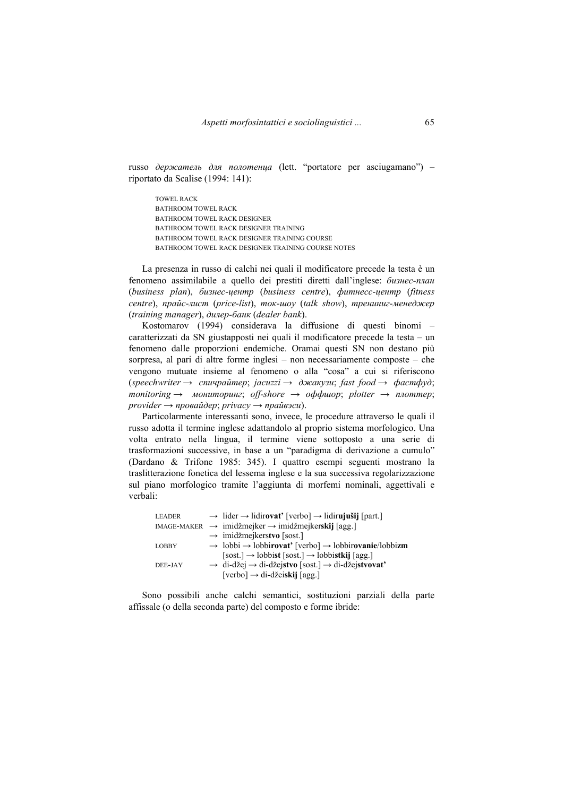russo *держатель для полотенца* (lett. "portatore per asciugamano") – riportato da Scalise (1994: 141):

TOWEL RACK BATHROOM TOWEL RACK BATHROOM TOWEL RACK DESIGNER BATHROOM TOWEL RACK DESIGNER TRAINING BATHROOM TOWEL RACK DESIGNER TRAINING COURSE BATHROOM TOWEL RACK DESIGNER TRAINING COURSE NOTES

La presenza in russo di calchi nei quali il modificatore precede la testa è un fenomeno assimilabile a quello dei prestiti diretti dall'inglese: *бизнес-план* (*business plan*), *бизнес-центр* (*business centre*), *фитнесс-центр* (*fitness centre*), *прайс-лист* (*price-list*), *ток-шоу* (*talk show*), *трениниг-менеджер* (*training manager*), *дилер-банк* (*dealer bank*).

Kostomarov (1994) considerava la diffusione di questi binomi – caratterizzati da SN giustapposti nei quali il modificatore precede la testa – un fenomeno dalle proporzioni endemiche. Oramai questi SN non destano più sorpresa, al pari di altre forme inglesi – non necessariamente composte – che vengono mutuate insieme al fenomeno o alla "cosa" a cui si riferiscono (*speechwriter* → *спичрайтер*; *jacuzzi* → *джакузи*; *fast food* → *фастфуд*; *monitoring* → *мониторинг*; *off-shore* → *oффшор*; *plotter* → *плоттер*; *provider → провайдер*; *privacy* → *прайвэси*).

Particolarmente interessanti sono, invece, le procedure attraverso le quali il russo adotta il termine inglese adattandolo al proprio sistema morfologico. Una volta entrato nella lingua, il termine viene sottoposto a una serie di trasformazioni successive, in base a un "paradigma di derivazione a cumulo" (Dardano & Trifone 1985: 345). I quattro esempi seguenti mostrano la traslitterazione fonetica del lessema inglese e la sua successiva regolarizzazione sul piano morfologico tramite l'aggiunta di morfemi nominali, aggettivali e verbali:

| <b>LEADER</b> | $\rightarrow$ lider $\rightarrow$ lidirovat' [verbo] $\rightarrow$ lidirujušij [part.]    |
|---------------|-------------------------------------------------------------------------------------------|
|               | $MAGE-MAKER \rightarrow imidžmejker \rightarrow imidžmejkerskij [agg.]$                   |
|               | $\rightarrow$ imidžmejkerstvo [sost.]                                                     |
| <b>LOBBY</b>  | $\rightarrow$ lobbi $\rightarrow$ lobbirovat' [verbo] $\rightarrow$ lobbirovanie/lobbizm  |
|               | $[{\rm sost.}] \rightarrow$ lobbist $[{\rm sost.}] \rightarrow$ lobbistkij $[{\rm agg.}]$ |
| DEE-JAY       | $\rightarrow$ di-džej $\rightarrow$ di-džejstvo [sost.] $\rightarrow$ di-džejstvovat'     |
|               | $[verbo] \rightarrow di-džeiskij [agg.]$                                                  |

Sono possibili anche calchi semantici, sostituzioni parziali della parte affissale (o della seconda parte) del composto e forme ibride: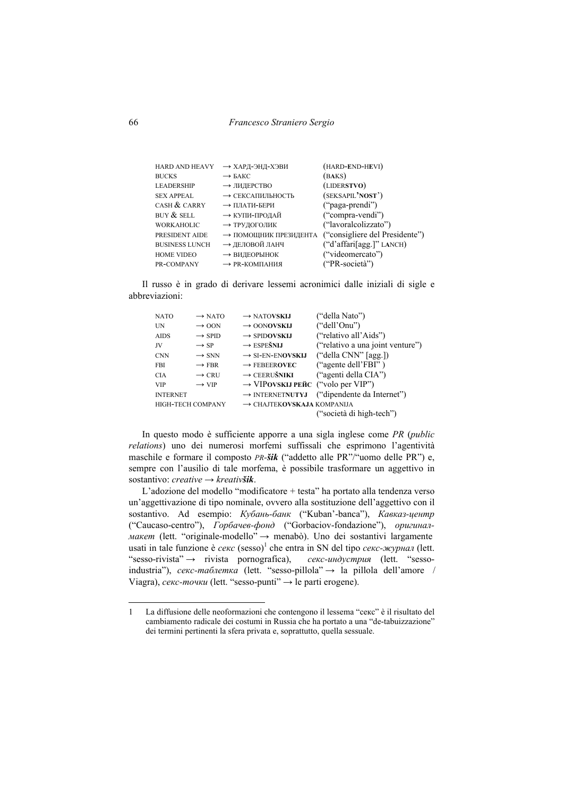66 *Francesco Straniero Sergio* 

| <b>HARD AND HEAVY</b> | → ХАРД-ЭНД-ХЭВИ       | (HARD-END-HEVI)                |
|-----------------------|-----------------------|--------------------------------|
| <b>BUCKS</b>          | $\rightarrow$ БАКС    | (BAKS)                         |
| <b>LEADERSHIP</b>     | → ЛИДЕРСТВО           | (LIDERSTVO)                    |
| <b>SEX APPEAL</b>     | → СЕКСАПИЛЬНОСТЬ      | (SEKSAPIL'NOST')               |
| CASH $&$ CARRY        | → ПЛАТИ-БЕРИ          | ("paga-prendi")                |
| BUY $&$ SELL          | → КУПИ-ПРОДАЙ         | ("compra-vendi")               |
| <b>WORKAHOLIC</b>     | → ТРУДОГОЛИК          | ("lavoralcolizzato")           |
| PRESIDENT AIDE        | → ПОМОЩНИК ПРЕЗИДЕНТА | ("consigliere del Presidente") |
| <b>BUSINESS LUNCH</b> | → ДЕЛОВОЙ ЛАНЧ        | ("d'affari[agg.]" LANCH)       |
| <b>HOME VIDEO</b>     | → ВИДЕОРЫНОК          | ("videomercato")               |
| PR-COMPANY            | → PR-КОМПАНИЯ         | ("PR-società")                 |

Il russo è in grado di derivare lessemi acronimici dalle iniziali di sigle e abbreviazioni:

| <b>NATO</b>              | $\rightarrow$ NATO | $\rightarrow$ NATOVSKIJ                       | ("della Nato")                   |
|--------------------------|--------------------|-----------------------------------------------|----------------------------------|
| <b>IN</b>                | $\rightarrow$ OON  | $\rightarrow$ OONOVSKIJ                       | ("dell'Onu")                     |
| <b>AIDS</b>              | $\rightarrow$ SPID | $\rightarrow$ SPIDOVSKIJ                      | ("relativo all'Aids")            |
| JV                       | $\rightarrow$ SP   | $\rightarrow$ ESPEŠNIJ                        | ("relativo a una joint venture") |
| <b>CNN</b>               | $\rightarrow$ SNN  | $\rightarrow$ SI-EN-ENOVSKIJ                  | ("della CNN" [agg.])             |
| <b>FBI</b>               | $\rightarrow$ FBR  | $\rightarrow$ FEBEEROVEC                      | ("agente dell'FBI")              |
| <b>CIA</b>               | $\rightarrow$ CRU  | $\rightarrow$ CEERUŠNIKI                      | ("agenti della CIA")             |
| <b>VIP</b>               | $\rightarrow$ VIP  | $\rightarrow$ VIPOVSKIJ PEЙC ("volo per VIP") |                                  |
| <b>INTERNET</b>          |                    | $\rightarrow$ INTERNETNUTYJ                   | ("dipendente da Internet")       |
| <b>HIGH-TECH COMPANY</b> |                    | $\rightarrow$ CHAJTEKOVSKAJA KOMPANIJA        |                                  |
|                          |                    |                                               | ("società di high-tech")         |
|                          |                    |                                               |                                  |

In questo modo è sufficiente apporre a una sigla inglese come *PR* (*public relations*) uno dei numerosi morfemi suffissali che esprimono l'agentività maschile e formare il composto *PR-šik* ("addetto alle PR"/"uomo delle PR") e, sempre con l'ausilio di tale morfema, è possibile trasformare un aggettivo in sostantivo: *creative* → *kreativšik*.

L'adozione del modello "modificatore + testa" ha portato alla tendenza verso un'aggettivazione di tipo nominale, ovvero alla sostituzione dell'aggettivo con il sostantivo. Ad esempio: *Кубань-банк* ("Kuban'-banca"), *Кавказ-центр* ("Caucaso-centro"), *Горбачев-фонд* ("Gorbaciov-fondazione"), *оригиналмакет* (lett. "originale-modello" → menabò). Uno dei sostantivi largamente usati in tale funzione è *секс* (sesso)<sup>1</sup> che entra in SN del tipo *секс-журнал* (lett. "sesso-rivista" → rivista pornografica), *секс-индустрия* (lett. "sessoindustria"), *секс-таблетка* (lett. "sesso-pillola" → la pillola dell'amore / Viagra), *секс-точки* (lett. "sesso-punti" → le parti erogene).

<sup>1</sup> La diffusione delle neoformazioni che contengono il lessema "секс" è il risultato del cambiamento radicale dei costumi in Russia che ha portato a una "de-tabuizzazione" dei termini pertinenti la sfera privata e, soprattutto, quella sessuale.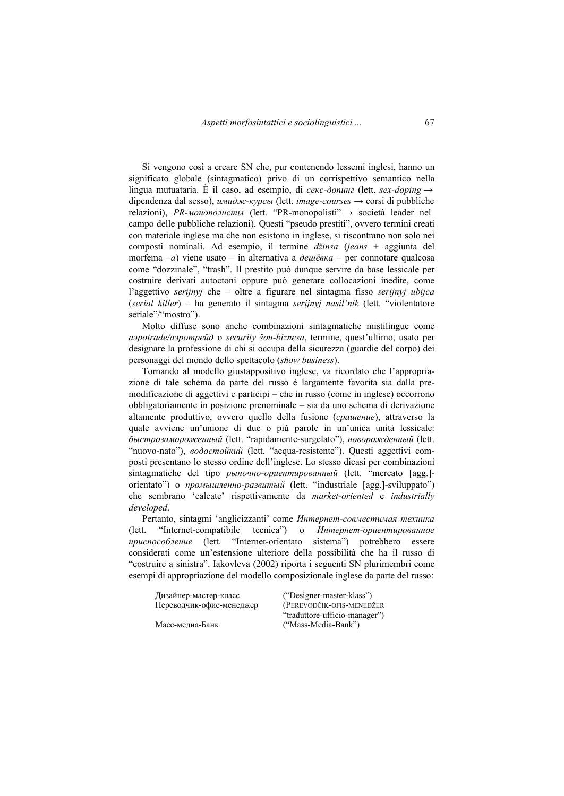Si vengono così a creare SN che, pur contenendo lessemi inglesi, hanno un significato globale (sintagmatico) privo di un corrispettivo semantico nella lingua mutuataria. È il caso, ad esempio, di *секс-допинг* (lett. *sex-doping* → dipendenza dal sesso), *имидж-курсы* (lett. *image-courses* → corsi di pubbliche relazioni), *PR-монополисты* (lett. "PR-monopolisti" → società leader nel campo delle pubbliche relazioni). Questi "pseudo prestiti", ovvero termini creati con materiale inglese ma che non esistono in inglese, si riscontrano non solo nei composti nominali. Ad esempio, il termine *džinsa* (*jeans* + aggiunta del morfema –*a*) viene usato – in alternativa a *дешëвка* – per connotare qualcosa come "dozzinale", "trash". Il prestito può dunque servire da base lessicale per costruire derivati autoctoni oppure può generare collocazioni inedite, come l'aggettivo *serijnyj* che – oltre a figurare nel sintagma fisso *serijnyj ubijca* (*serial killer*) – ha generato il sintagma *serijnyj nasil'nik* (lett. "violentatore seriale"/"mostro").

Molto diffuse sono anche combinazioni sintagmatiche mistilingue come *аэроtrade/аэротрейд* o *security šou-biznesa*, termine, quest'ultimo, usato per designare la professione di chi si occupa della sicurezza (guardie del corpo) dei personaggi del mondo dello spettacolo (*show business*).

Tornando al modello giustappositivo inglese, va ricordato che l'appropriazione di tale schema da parte del russo è largamente favorita sia dalla premodificazione di aggettivi e participi – che in russo (come in inglese) occorrono obbligatoriamente in posizione prenominale – sia da uno schema di derivazione altamente produttivo, ovvero quello della fusione (*срашение*), attraverso la quale avviene un'unione di due o più parole in un'unica unità lessicale: *быстрозамороженный* (lett. "rapidamente-surgelato"), *новорожденный* (lett. "nuovo-nato"), *водостойкий* (lett. "acqua-resistente"). Questi aggettivi composti presentano lo stesso ordine dell'inglese. Lo stesso dicasi per combinazioni sintagmatiche del tipo *рыночно-ориентированный* (lett. "mercato [agg.] orientato") o *промышленно-развитый* (lett. "industriale [agg.]-sviluppato") che sembrano 'calcate' rispettivamente da *market-oriented* e *industrially developed*.

Pertanto, sintagmi 'anglicizzanti' come *Интернет-совместимая техника* (lett. "Internet-compatibile tecnica") o *Интернет-ориентированное приспособление* (lett. "Internet-orientato sistema") potrebbero essere considerati come un'estensione ulteriore della possibilità che ha il russo di "costruire a sinistra". Iakovleva (2002) riporta i seguenti SN plurimembri come esempi di appropriazione del modello composizionale inglese da parte del russo:

Дизайнер-мастер-класс ("Designer-master-klass") Переводчик-офис-менеджер (PEREVODČIK-OFIS-MENEDŽER

"traduttore-ufficio-manager") Масс-медиа-Банк ("Mass-Media-Bank")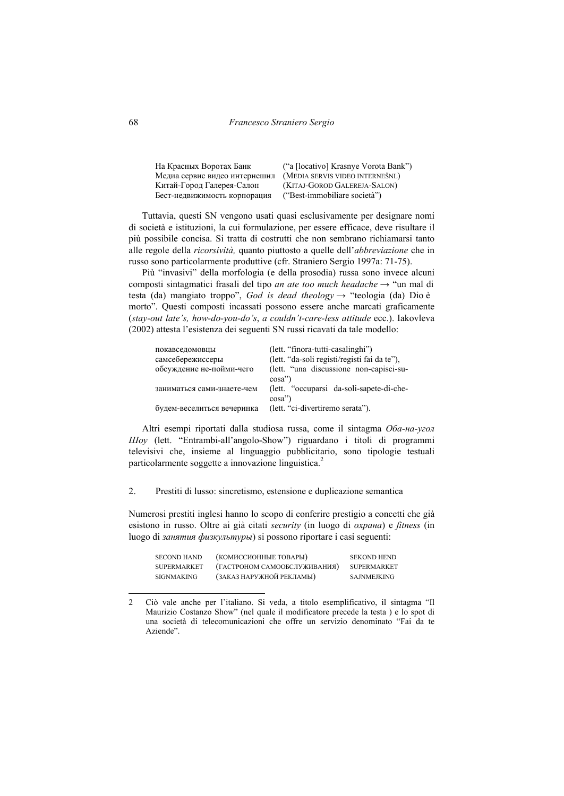68 *Francesco Straniero Sergio* 

| На Красных Воротах Банк       | ("a [locativo] Krasnye Vorota Bank") |
|-------------------------------|--------------------------------------|
| Медиа сервис видео интернешнл | (MEDIA SERVIS VIDEO INTERNEŠNL)      |
| Китай-Город Галерея-Салон     | (KITAJ-GOROD GALEREJA-SALON)         |
| Бест-недвижимость корпорация  | ("Best-immobiliare società")         |

Tuttavia, questi SN vengono usati quasi esclusivamente per designare nomi di società e istituzioni, la cui formulazione, per essere efficace, deve risultare il più possibile concisa. Si tratta di costrutti che non sembrano richiamarsi tanto alle regole della *ricorsività,* quanto piuttosto a quelle dell'*abbreviazione* che in russo sono particolarmente produttive (cfr. Straniero Sergio 1997a: 71-75).

Più "invasivi" della morfologia (e della prosodia) russa sono invece alcuni composti sintagmatici frasali del tipo *an ate too much headache* → "un mal di testa (da) mangiato troppo", *God is dead theology* → "teologia (da) Dio è morto". Questi composti incassati possono essere anche marcati graficamente (*stay-out late's, how-do-you-do's*, *a couldn't-care-less attitude* ecc.). Iakovleva (2002) attesta l'esistenza dei seguenti SN russi ricavati da tale modello:

| покавседомовцы             | (lett. "finora-tutti-casalinghi")            |
|----------------------------|----------------------------------------------|
| самсебережиссеры           | (lett. "da-soli registi/registi fai da te"), |
| обсуждение не-пойми-чего   | (lett. "una discussione non-capisci-su-      |
|                            | $cosa$ "                                     |
| заниматься сами-знаете-чем | (lett. "occuparsi da-soli-sapete-di-che-     |
|                            | $cosa$ "                                     |
| будем-веселиться вечеринка | (lett. "ci-divertiremo serata").             |

Altri esempi riportati dalla studiosa russa, come il sintagma *Оба-на-угол Шоу* (lett. "Entrambi-all'angolo-Show") riguardano i titoli di programmi televisivi che, insieme al linguaggio pubblicitario, sono tipologie testuali particolarmente soggette a innovazione linguistica.<sup>2</sup>

2. Prestiti di lusso: sincretismo, estensione e duplicazione semantica

Numerosi prestiti inglesi hanno lo scopo di conferire prestigio a concetti che già esistono in russo. Oltre ai già citati *security* (in luogo di *охрана*) e *fitness* (in luogo di *занятия физкультуры*) si possono riportare i casi seguenti:

| <b>SECOND HAND</b> | (КОМИССИОННЫЕ ТОВАРЫ)        | <b>SEKOND HEND</b> |
|--------------------|------------------------------|--------------------|
| <b>SUPERMARKET</b> | (ГАСТРОНОМ САМООБСЛУЖИВАНИЯ) | <b>SUPERMARKET</b> |
| <b>SIGNMAKING</b>  | (ЗАКАЗ НАРУЖНОЙ РЕКЛАМЫ)     | <b>SAJNMEJKING</b> |

<sup>2</sup> Ciò vale anche per l'italiano. Si veda, a titolo esemplificativo, il sintagma "Il Maurizio Costanzo Show" (nel quale il modificatore precede la testa ) e lo spot di una società di telecomunicazioni che offre un servizio denominato "Fai da te Aziende".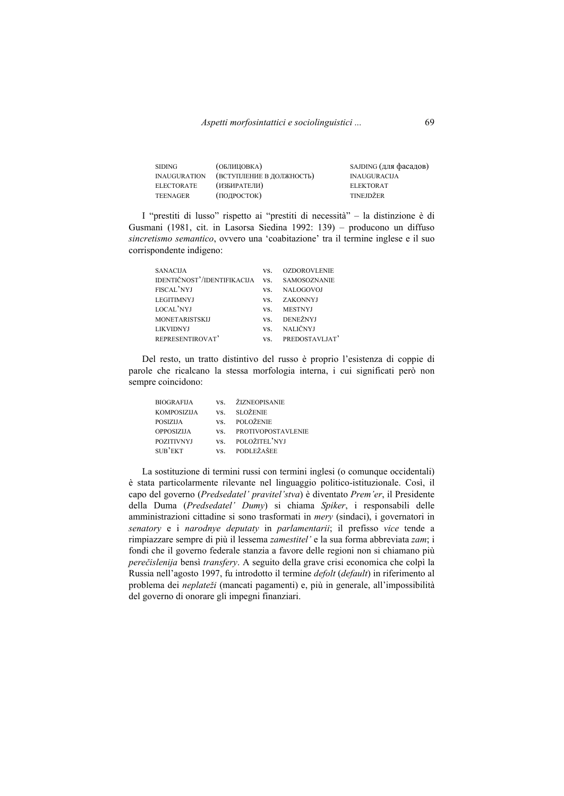| <b>SIDING</b>       | (ОБЛИЦОВКА)              | SAJDING (для фасадов) |
|---------------------|--------------------------|-----------------------|
| <b>INAUGURATION</b> | (ВСТУПЛЕНИЕ В ДОЛЖНОСТЬ) | <b>INAUGURACIJA</b>   |
| <b>ELECTORATE</b>   | (ИЗБИРАТЕЛИ)             | <b>ELEKTORAT</b>      |
| <b>TEENAGER</b>     | (ПОДРОСТОК)              | TINEJDŽER             |

I "prestiti di lusso" rispetto ai "prestiti di necessità" – la distinzione è di Gusmani (1981, cit. in Lasorsa Siedina 1992: 139) – producono un diffuso *sincretismo semantico*, ovvero una 'coabitazione' tra il termine inglese e il suo corrispondente indigeno:

| <b>SANACIJA</b>             | VS. | <b>OZDOROVLENIE</b> |
|-----------------------------|-----|---------------------|
| IDENTIČNOST'/IDENTIFIKACIJA | VS. | <b>SAMOSOZNANIE</b> |
| FISCAL'NYJ                  | VS. | NALOGOVOJ           |
| <b>LEGITIMNYJ</b>           | VS. | ZAKONNYJ            |
| LOCAL'NYJ                   | VS. | <b>MESTNYJ</b>      |
| <b>MONETARISTSKIJ</b>       | VS. | DENEŽNYJ            |
| <b>LIKVIDNYJ</b>            | VS. | NALIČNYJ            |
| REPRESENTIROVAT'            | VS. | PREDOSTAVLJAT'      |

Del resto, un tratto distintivo del russo è proprio l'esistenza di coppie di parole che ricalcano la stessa morfologia interna, i cui significati però non sempre coincidono:

| VS. ŽIZNEOPISANIE      |
|------------------------|
| VS. SLOŽENIE           |
| VS. POLOŽENIE          |
| VS. PROTIVOPOSTAVLENIE |
| VS. POLOŽITEL'NYJ      |
| VS. PODLEŽAŠEE         |
|                        |

La sostituzione di termini russi con termini inglesi (o comunque occidentali) è stata particolarmente rilevante nel linguaggio politico-istituzionale. Così, il capo del governo (*Predsedatel' pravitel'stva*) è diventato *Prem'er*, il Presidente della Duma (*Predsedatel' Dumy*) si chiama *Spiker*, i responsabili delle amministrazioni cittadine si sono trasformati in *mery* (sindaci), i governatori in *senatory* e i *narodnye deputaty* in *parlamentarii*; il prefisso *vice* tende a rimpiazzare sempre di più il lessema *zamestitel'* e la sua forma abbreviata *zam*; i fondi che il governo federale stanzia a favore delle regioni non si chiamano più *perečislenija* bensì *transfery*. A seguito della grave crisi economica che colpì la Russia nell'agosto 1997, fu introdotto il termine *defolt* (*default*) in riferimento al problema dei *neplateži* (mancati pagamenti) e, più in generale, all'impossibilità del governo di onorare gli impegni finanziari.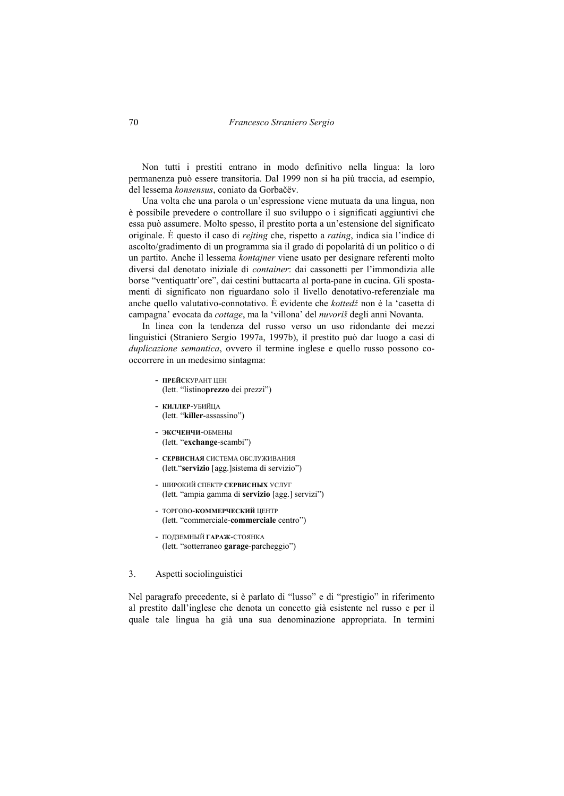Non tutti i prestiti entrano in modo definitivo nella lingua: la loro permanenza può essere transitoria. Dal 1999 non si ha più traccia, ad esempio, del lessema *konsensus*, coniato da Gorbačëv.

Una volta che una parola o un'espressione viene mutuata da una lingua, non è possibile prevedere o controllare il suo sviluppo o i significati aggiuntivi che essa può assumere. Molto spesso, il prestito porta a un'estensione del significato originale. È questo il caso di *rejting* che, rispetto a *rating*, indica sia l'indice di ascolto/gradimento di un programma sia il grado di popolarità di un politico o di un partito. Anche il lessema *kontajner* viene usato per designare referenti molto diversi dal denotato iniziale di *container*: dai cassonetti per l'immondizia alle borse "ventiquattr'ore", dai cestini buttacarta al porta-pane in cucina. Gli spostamenti di significato non riguardano solo il livello denotativo-referenziale ma anche quello valutativo-connotativo. È evidente che *kottedž* non è la 'casetta di campagna' evocata da *cottage*, ma la 'villona' del *nuvoriš* degli anni Novanta.

In linea con la tendenza del russo verso un uso ridondante dei mezzi linguistici (Straniero Sergio 1997a, 1997b), il prestito può dar luogo a casi di *duplicazione semantica*, ovvero il termine inglese e quello russo possono cooccorrere in un medesimo sintagma:

- **ПРЕЙС**КУРАНТ ЦЕН (lett. "listino**prezzo** dei prezzi")
- **КИЛЛЕР**-УБИЙЦА (lett. "**killer**-assassino")
- **ЭКСЧЕНЧИ**-ОБМЕНЫ (lett. "**exchange**-scambi")
- **СЕРВИСНАЯ** СИСТЕМА ОБСЛУЖИВАНИЯ (lett."**servizio** [agg.]sistema di servizio")
- ШИРОКИЙ СПЕКТР **СЕРВИСНЫХ** УСЛУГ (lett. "ampia gamma di **servizio** [agg.] servizi")
- ТОРГОВО-**КОММЕРЧЕСКИЙ** ЦЕНТР (lett. "commerciale-**commerciale** centro")
- ПОДЗЕМНЫЙ **ГАРАЖ**-СТОЯНКА (lett. "sotterraneo **garage**-parcheggio")

## 3. Aspetti sociolinguistici

Nel paragrafo precedente, si è parlato di "lusso" e di "prestigio" in riferimento al prestito dall'inglese che denota un concetto già esistente nel russo e per il quale tale lingua ha già una sua denominazione appropriata. In termini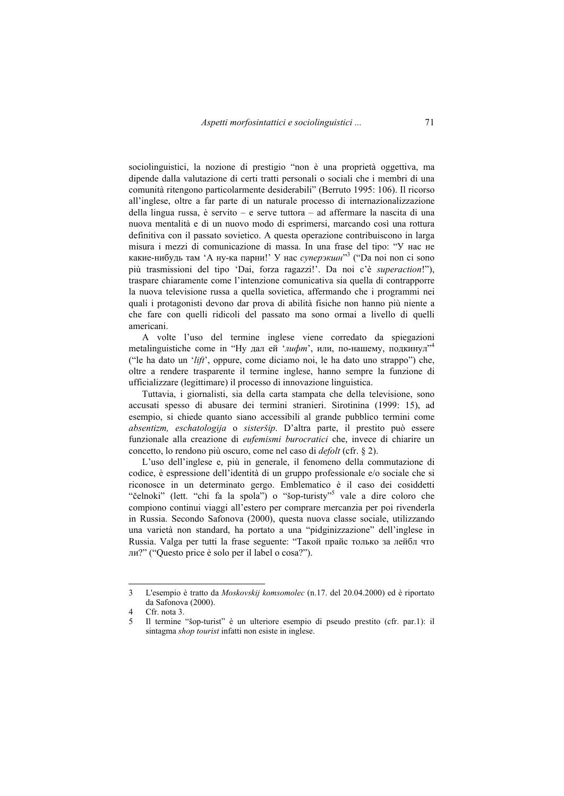sociolinguistici, la nozione di prestigio "non è una proprietà oggettiva, ma dipende dalla valutazione di certi tratti personali o sociali che i membri di una comunità ritengono particolarmente desiderabili" (Berruto 1995: 106). Il ricorso all'inglese, oltre a far parte di un naturale processo di internazionalizzazione della lingua russa, è servito – e serve tuttora – ad affermare la nascita di una nuova mentalità e di un nuovo modo di esprimersi, marcando così una rottura definitiva con il passato sovietico. A questa operazione contribuiscono in larga misura i mezzi di comunicazione di massa. In una frase del tipo: "У нас не какие-нибудь там 'А ну-ка парни!' У нас *суперэкшн*" 3 ("Da noi non ci sono più trasmissioni del tipo 'Dai, forza ragazzi!'. Da noi c'è *superaction*!"), traspare chiaramente come l'intenzione comunicativa sia quella di contrapporre la nuova televisione russa a quella sovietica, affermando che i programmi nei quali i protagonisti devono dar prova di abilità fisiche non hanno più niente a che fare con quelli ridicoli del passato ma sono ormai a livello di quelli americani.

A volte l'uso del termine inglese viene corredato da spiegazioni metalinguistiche come in "Ну дал ей 'лифт', или, по-нашему, подкинул"<sup>4</sup> ("le ha dato un '*lift*', oppure, come diciamo noi, le ha dato uno strappo") che, oltre a rendere trasparente il termine inglese, hanno sempre la funzione di ufficializzare (legittimare) il processo di innovazione linguistica.

Tuttavia, i giornalisti, sia della carta stampata che della televisione, sono accusati spesso di abusare dei termini stranieri. Sirotinina (1999: 15), ad esempio, si chiede quanto siano accessibili al grande pubblico termini come *absentizm, eschatologija* o *sisteršip*. D'altra parte, il prestito può essere funzionale alla creazione di *eufemismi burocratici* che, invece di chiarire un concetto, lo rendono più oscuro, come nel caso di *defolt* (cfr. § 2).

L'uso dell'inglese e, più in generale, il fenomeno della commutazione di codice, è espressione dell'identità di un gruppo professionale e/o sociale che si riconosce in un determinato gergo. Emblematico è il caso dei cosiddetti "čelnoki" (lett. "chi fa la spola") o "šop-turisty"<sup>5</sup> vale a dire coloro che compiono continui viaggi all'estero per comprare mercanzia per poi rivenderla in Russia. Secondo Safonova (2000), questa nuova classe sociale, utilizzando una varietà non standard, ha portato a una "pidginizzazione" dell'inglese in Russia. Valga per tutti la frase seguente: "Такой прайс только за лейбл что ли?" ("Questo price è solo per il label o cosa?").

<sup>3</sup> L'esempio è tratto da *Moskovskij komsomolec* (n.17. del 20.04.2000) ed è riportato da Safonova (2000).

<sup>4</sup> Cfr. nota 3.

<sup>5</sup> Il termine "šop-turist" è un ulteriore esempio di pseudo prestito (cfr. par.1): il sintagma *shop tourist* infatti non esiste in inglese.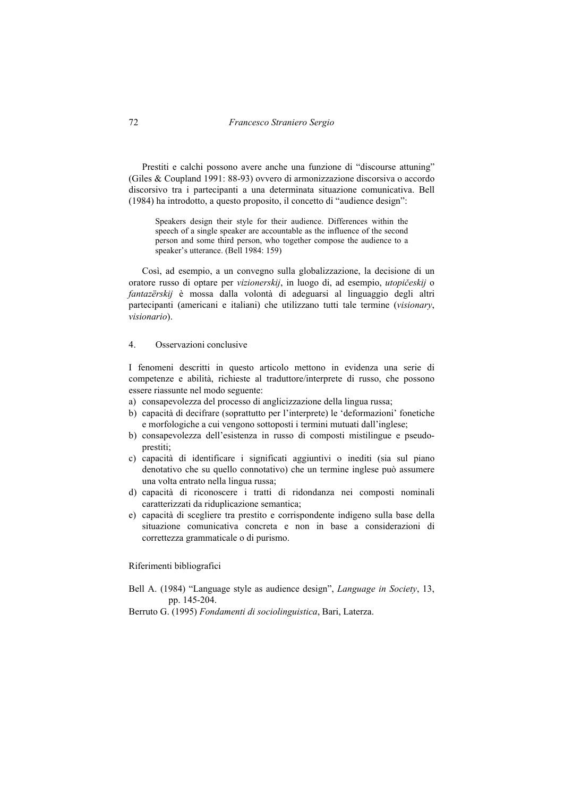Prestiti e calchi possono avere anche una funzione di "discourse attuning" (Giles & Coupland 1991: 88-93) ovvero di armonizzazione discorsiva o accordo discorsivo tra i partecipanti a una determinata situazione comunicativa. Bell (1984) ha introdotto, a questo proposito, il concetto di "audience design":

Speakers design their style for their audience. Differences within the speech of a single speaker are accountable as the influence of the second person and some third person, who together compose the audience to a speaker's utterance. (Bell 1984: 159)

Così, ad esempio, a un convegno sulla globalizzazione, la decisione di un oratore russo di optare per *vizionerskij*, in luogo di, ad esempio, *utopičeskij* o *fantazërskij* è mossa dalla volontà di adeguarsi al linguaggio degli altri partecipanti (americani e italiani) che utilizzano tutti tale termine (*visionary*, *visionario*).

## 4. Osservazioni conclusive

I fenomeni descritti in questo articolo mettono in evidenza una serie di competenze e abilità, richieste al traduttore/interprete di russo, che possono essere riassunte nel modo seguente:

- a) consapevolezza del processo di anglicizzazione della lingua russa;
- b) capacità di decifrare (soprattutto per l'interprete) le 'deformazioni' fonetiche e morfologiche a cui vengono sottoposti i termini mutuati dall'inglese;
- b) consapevolezza dell'esistenza in russo di composti mistilingue e pseudoprestiti;
- c) capacità di identificare i significati aggiuntivi o inediti (sia sul piano denotativo che su quello connotativo) che un termine inglese può assumere una volta entrato nella lingua russa;
- d) capacità di riconoscere i tratti di ridondanza nei composti nominali caratterizzati da riduplicazione semantica;
- e) capacità di scegliere tra prestito e corrispondente indigeno sulla base della situazione comunicativa concreta e non in base a considerazioni di correttezza grammaticale o di purismo.

Riferimenti bibliografici

Bell A. (1984) "Language style as audience design", *Language in Society*, 13, pp. 145-204.

Berruto G. (1995) *Fondamenti di sociolinguistica*, Bari, Laterza.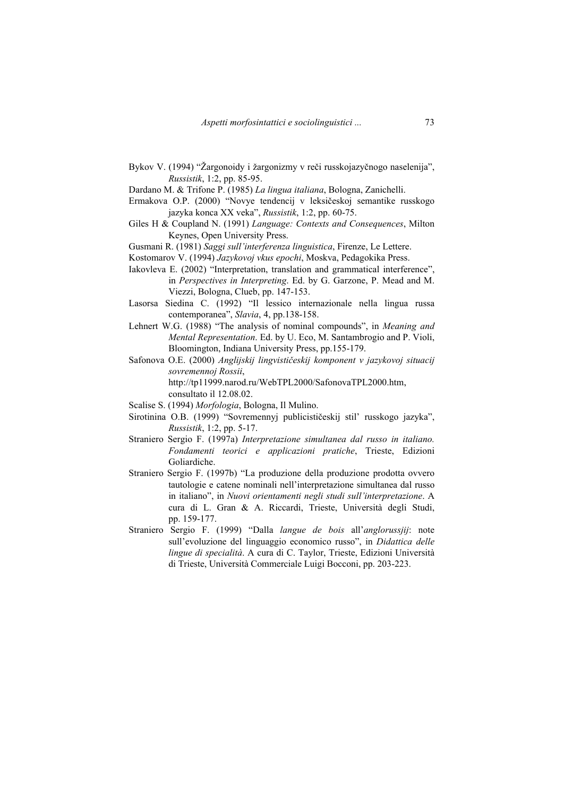- Bykov V. (1994) "Žargonoidy i žargonizmy v reči russkojazyčnogo naselenija", *Russistik*, 1:2, pp. 85-95.
- Dardano M. & Trifone P. (1985) *La lingua italiana*, Bologna, Zanichelli.
- Ermakova O.P. (2000) "Novye tendencij v leksičeskoj semantike russkogo jazyka konca XX veka", *Russistik*, 1:2, pp. 60-75.
- Giles H & Coupland N. (1991) *Language: Contexts and Consequences*, Milton Keynes, Open University Press.
- Gusmani R. (1981) *Saggi sull'interferenza linguistica*, Firenze, Le Lettere.
- Kostomarov V. (1994) *Jazykovoj vkus epochi*, Moskva, Pedagokika Press.
- Iakovleva E. (2002) "Interpretation, translation and grammatical interference", in *Perspectives in Interpreting*. Ed. by G. Garzone, P. Mead and M. Viezzi, Bologna, Clueb, pp. 147-153.
- Lasorsa Siedina C. (1992) "Il lessico internazionale nella lingua russa contemporanea", *Slavia*, 4, pp.138-158.
- Lehnert W.G. (1988) "The analysis of nominal compounds", in *Meaning and Mental Representation*. Ed. by U. Eco, M. Santambrogio and P. Violi, Bloomington, Indiana University Press, pp.155-179.
- Safonova O.E. (2000) *Anglijskij lingvističeskij komponent v jazykovoj situacij sovremennoj Rossii*, http://tp11999.narod.ru/WebTPL2000/SafonovaTPL2000.htm, consultato il 12.08.02.
- Scalise S. (1994) *Morfologia*, Bologna, Il Mulino.
- Sirotinina O.B. (1999) "Sovremennyj publicističeskij stil' russkogo jazyka", *Russistik*, 1:2, pp. 5-17.
- Straniero Sergio F. (1997a) *Interpretazione simultanea dal russo in italiano. Fondamenti teorici e applicazioni pratiche*, Trieste, Edizioni Goliardiche.
- Straniero Sergio F. (1997b) "La produzione della produzione prodotta ovvero tautologie e catene nominali nell'interpretazione simultanea dal russo in italiano", in *Nuovi orientamenti negli studi sull'interpretazione*. A cura di L. Gran & A. Riccardi, Trieste, Università degli Studi, pp. 159-177.
- Straniero Sergio F. (1999) "Dalla *langue de bois* all'*anglorussjij*: note sull'evoluzione del linguaggio economico russo", in *Didattica delle lingue di specialità*. A cura di C. Taylor, Trieste, Edizioni Università di Trieste, Università Commerciale Luigi Bocconi, pp. 203-223.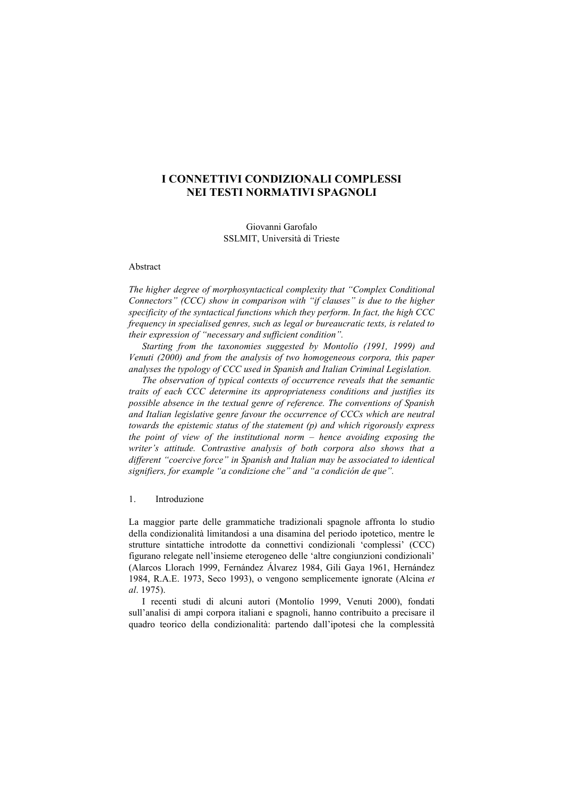# **I CONNETTIVI CONDIZIONALI COMPLESSI NEI TESTI NORMATIVI SPAGNOLI**

Giovanni Garofalo SSLMIT, Università di Trieste

## Abstract

*The higher degree of morphosyntactical complexity that "Complex Conditional Connectors" (CCC) show in comparison with "if clauses" is due to the higher specificity of the syntactical functions which they perform. In fact, the high CCC frequency in specialised genres, such as legal or bureaucratic texts, is related to their expression of "necessary and sufficient condition".* 

*Starting from the taxonomies suggested by Montolío (1991, 1999) and Venuti (2000) and from the analysis of two homogeneous corpora, this paper analyses the typology of CCC used in Spanish and Italian Criminal Legislation.* 

*The observation of typical contexts of occurrence reveals that the semantic traits of each CCC determine its appropriateness conditions and justifies its possible absence in the textual genre of reference. The conventions of Spanish and Italian legislative genre favour the occurrence of CCCs which are neutral towards the epistemic status of the statement (p) and which rigorously express the point of view of the institutional norm – hence avoiding exposing the writer's attitude. Contrastive analysis of both corpora also shows that a different "coercive force" in Spanish and Italian may be associated to identical signifiers, for example "a condizione che" and "a condición de que".* 

1. Introduzione

La maggior parte delle grammatiche tradizionali spagnole affronta lo studio della condizionalità limitandosi a una disamina del periodo ipotetico, mentre le strutture sintattiche introdotte da connettivi condizionali 'complessi' (CCC) figurano relegate nell'insieme eterogeneo delle 'altre congiunzioni condizionali' (Alarcos Llorach 1999, Fernández Álvarez 1984, Gili Gaya 1961, Hernández 1984, R.A.E. 1973, Seco 1993), o vengono semplicemente ignorate (Alcina *et al*. 1975).

I recenti studi di alcuni autori (Montolío 1999, Venuti 2000), fondati sull'analisi di ampi corpora italiani e spagnoli, hanno contribuito a precisare il quadro teorico della condizionalità: partendo dall'ipotesi che la complessità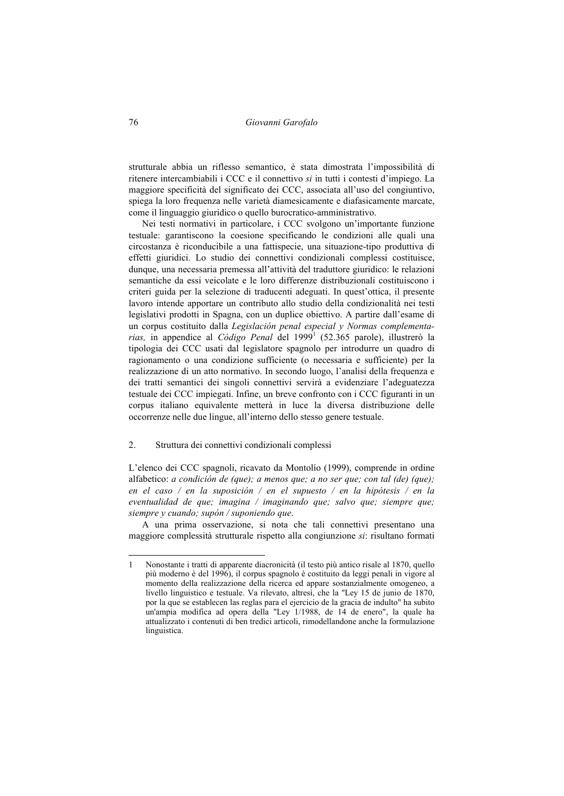strutturale abbia un riflesso semantico, è stata dimostrata l'impossibilità di ritenere intercambiabili i CCC e il connettivo *si* in tutti i contesti d'impiego. La maggiore specificità del significato dei CCC, associata all'uso del congiuntivo, spiega la loro frequenza nelle varietà diamesicamente e diafasicamente marcate, come il linguaggio giuridico o quello burocratico-amministrativo.

Nei testi normativi in particolare, i CCC svolgono un'importante funzione testuale: garantiscono la coesione specificando le condizioni alle quali una circostanza è riconducibile a una fattispecie, una situazione-tipo produttiva di effetti giuridici. Lo studio dei connettivi condizionali complessi costituisce, dunque, una necessaria premessa all'attività del traduttore giuridico: le relazioni semantiche da essi veicolate e le loro differenze distribuzionali costituiscono i criteri guida per la selezione di traducenti adeguati. In quest'ottica, il presente lavoro intende apportare un contributo allo studio della condizionalità nei testi legislativi prodotti in Spagna, con un duplice obiettivo. A partire dall'esame di un corpus costituito dalla *Legislación penal especial y Normas complementa*rias, in appendice al *Código Penal* del 1999<sup>1</sup> (52.365 parole), illustrerò la tipologia dei CCC usati dal legislatore spagnolo per introdurre un quadro di ragionamento o una condizione sufficiente (o necessaria e sufficiente) per la realizzazione di un atto normativo. In secondo luogo, l'analisi della frequenza e dei tratti semantici dei singoli connettivi servirà a evidenziare l'adeguatezza testuale dei CCC impiegati. Infine, un breve confronto con i CCC figuranti in un corpus italiano equivalente metterà in luce la diversa distribuzione delle occorrenze nelle due lingue, all'interno dello stesso genere testuale.

### 2. Struttura dei connettivi condizionali complessi

L'elenco dei CCC spagnoli, ricavato da Montolío (1999), comprende in ordine alfabetico: *a condición de (que); a menos que; a no ser que; con tal (de) (que); en el caso / en la suposición / en el supuesto / en la hipótesis / en la eventualidad de que; imagina / imaginando que; salvo que; siempre que; siempre y cuando; supón / suponiendo que*.

A una prima osservazione, si nota che tali connettivi presentano una maggiore complessità strutturale rispetto alla congiunzione *si*: risultano formati

<sup>1</sup> Nonostante i tratti di apparente diacronicità (il testo più antico risale al 1870, quello più moderno è del 1996), il corpus spagnolo è costituito da leggi penali in vigore al momento della realizzazione della ricerca ed appare sostanzialmente omogeneo, a livello linguistico e testuale. Va rilevato, altresì, che la "Ley 15 de junio de 1870, por la que se establecen las reglas para el ejercicio de la gracia de indulto" ha subito un'ampia modifica ad opera della "Ley 1/1988, de 14 de enero", la quale ha attualizzato i contenuti di ben tredici articoli, rimodellandone anche la formulazione linguistica.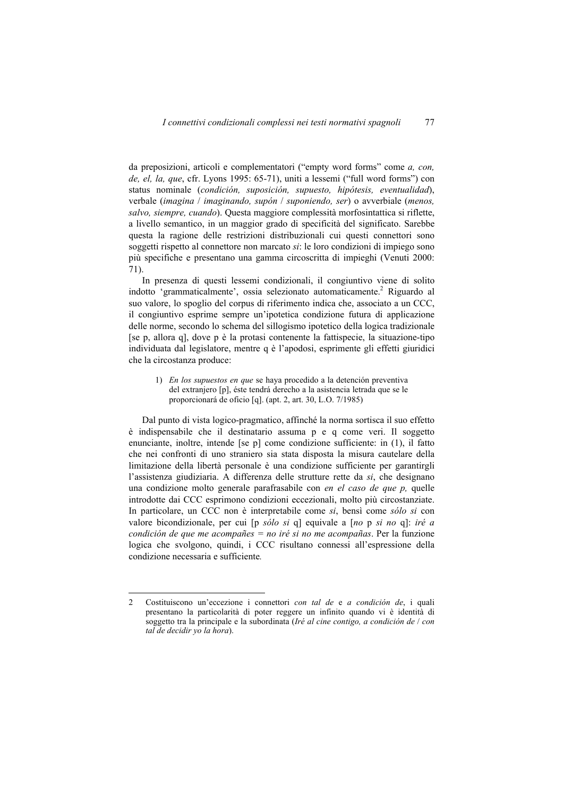da preposizioni, articoli e complementatori ("empty word forms" come *a, con, de, el, la, que*, cfr. Lyons 1995: 65-71), uniti a lessemi ("full word forms") con status nominale (*condición, suposición, supuesto, hipótesis, eventualidad*), verbale (*imagina* / *imaginando, supón* / *suponiendo, ser*) o avverbiale (*menos, salvo, siempre, cuando*). Questa maggiore complessità morfosintattica si riflette, a livello semantico, in un maggior grado di specificità del significato. Sarebbe questa la ragione delle restrizioni distribuzionali cui questi connettori sono soggetti rispetto al connettore non marcato *si*: le loro condizioni di impiego sono più specifiche e presentano una gamma circoscritta di impieghi (Venuti 2000: 71).

In presenza di questi lessemi condizionali, il congiuntivo viene di solito indotto 'grammaticalmente', ossia selezionato automaticamente.<sup>2</sup> Riguardo al suo valore, lo spoglio del corpus di riferimento indica che, associato a un CCC, il congiuntivo esprime sempre un'ipotetica condizione futura di applicazione delle norme, secondo lo schema del sillogismo ipotetico della logica tradizionale [se p, allora q], dove p è la protasi contenente la fattispecie, la situazione-tipo individuata dal legislatore, mentre q è l'apodosi, esprimente gli effetti giuridici che la circostanza produce:

1) *En los supuestos en que* se haya procedido a la detención preventiva del extranjero [p], éste tendrá derecho a la asistencia letrada que se le proporcionará de oficio [q]. (apt. 2, art. 30, L.O. 7/1985)

Dal punto di vista logico-pragmatico, affinché la norma sortisca il suo effetto è indispensabile che il destinatario assuma p e q come veri. Il soggetto enunciante, inoltre, intende [se p] come condizione sufficiente: in (1), il fatto che nei confronti di uno straniero sia stata disposta la misura cautelare della limitazione della libertà personale è una condizione sufficiente per garantirgli l'assistenza giudiziaria. A differenza delle strutture rette da *si*, che designano una condizione molto generale parafrasabile con *en el caso de que p,* quelle introdotte dai CCC esprimono condizioni eccezionali, molto più circostanziate. In particolare, un CCC non è interpretabile come *si*, bensì come *sólo si* con valore bicondizionale, per cui [p *sólo si* q] equivale a [*no* p *si no* q]: *iré a condición de que me acompañes = no iré si no me acompañas*. Per la funzione logica che svolgono, quindi, i CCC risultano connessi all'espressione della condizione necessaria e sufficiente*.* 

<sup>2</sup> Costituiscono un'eccezione i connettori *con tal de* e *a condición de*, i quali presentano la particolarità di poter reggere un infinito quando vi è identità di soggetto tra la principale e la subordinata (*Iré al cine contigo, a condición de* / *con tal de decidir yo la hora*).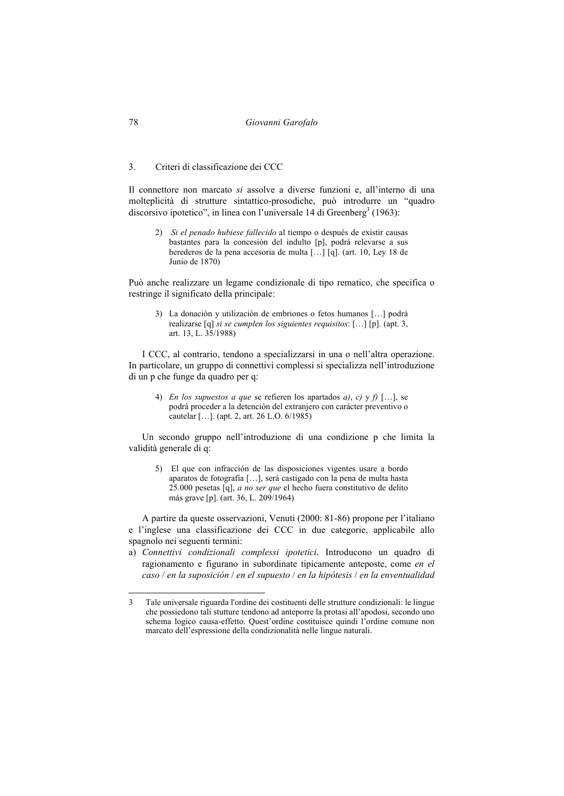78 *Giovanni Garofalo* 

### 3. Criteri di classificazione dei CCC

Il connettore non marcato *si* assolve a diverse funzioni e, all'interno di una molteplicità di strutture sintattico-prosodiche, può introdurre un "quadro discorsivo ipotetico", in linea con l'universale 14 di Greenberg<sup>3</sup> (1963):

2) *Si el penado hubiese fallecido* al tiempo o después de existir causas bastantes para la concesión del indulto [p], podrá relevarse a sus herederos de la pena accesoria de multa […] [q]. (art. 10, Ley 18 de Junio de 1870)

Può anche realizzare un legame condizionale di tipo rematico, che specifica o restringe il significato della principale:

3) La donación y utilización de embriones o fetos humanos […] podrá realizarse [q] *si se cumplen los siguientes requisitos*: […] [p]. (apt. 3, art. 13, L. 35/1988)

I CCC, al contrario, tendono a specializzarsi in una o nell'altra operazione. In particolare, un gruppo di connettivi complessi si specializza nell'introduzione di un p che funge da quadro per q:

4) *En los supuestos a que* se refieren los apartados *a)*, *c)* y *f)* […], se podrá proceder a la detención del extranjero con carácter preventivo o cautelar […]. (apt. 2, art. 26 L.O. 6/1985)

Un secondo gruppo nell'introduzione di una condizione p che limita la validità generale di q:

5) El que con infracción de las disposiciones vigentes usare a bordo aparatos de fotografía […], será castigado con la pena de multa hasta 25.000 pesetas [q], *a no ser que* el hecho fuera constitutivo de delito más grave [p]. (art. 36, L. 209/1964)

A partire da queste osservazioni, Venuti (2000: 81-86) propone per l'italiano e l'inglese una classificazione dei CCC in due categorie, applicabile allo spagnolo nei seguenti termini:

a) *Connettivi condizionali complessi ipotetici*. Introducono un quadro di ragionamento e figurano in subordinate tipicamente anteposte, come *en el caso* / *en la suposición* / *en el supuesto* / *en la hipótesis* / *en la enventualidad* 

<sup>3</sup> Tale universale riguarda l'ordine dei costituenti delle strutture condizionali: le lingue che possiedono tali stutture tendono ad anteporre la protasi all'apodosi, secondo uno schema logico causa-effetto. Quest'ordine costituisce quindi l'ordine comune non marcato dell'espressione della condizionalità nelle lingue naturali.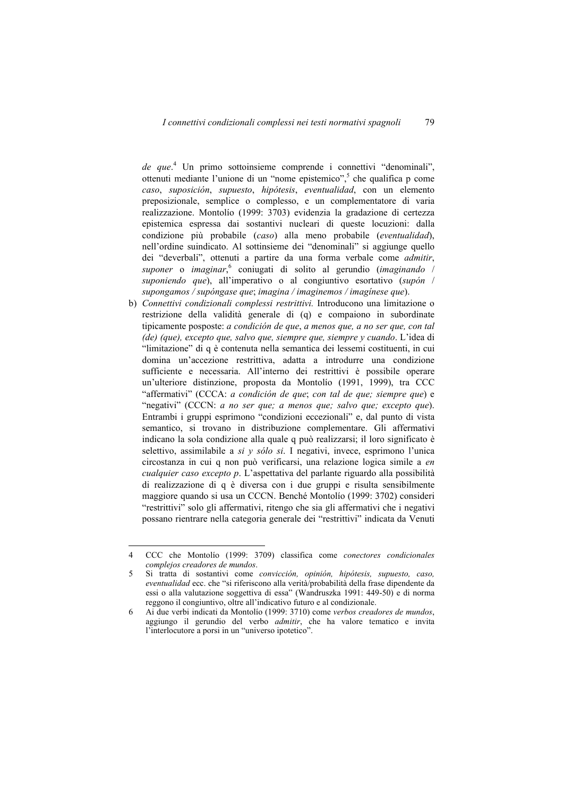de que.<sup>4</sup> Un primo sottoinsieme comprende i connettivi "denominali", ottenuti mediante l'unione di un "nome epistemico",<sup>5</sup> che qualifica p come *caso*, *suposición*, *supuesto*, *hipótesis*, *eventualidad*, con un elemento preposizionale, semplice o complesso, e un complementatore di varia realizzazione. Montolío (1999: 3703) evidenzia la gradazione di certezza epistemica espressa dai sostantivi nucleari di queste locuzioni: dalla condizione più probabile (*caso*) alla meno probabile (*eventualidad*), nell'ordine suindicato. Al sottinsieme dei "denominali" si aggiunge quello dei "deverbali", ottenuti a partire da una forma verbale come *admitir*, *suponer* o *imaginar*, 6 coniugati di solito al gerundio (*imaginando* / *suponiendo que*), all'imperativo o al congiuntivo esortativo (*supón* / *supongamos / supóngase que*; *imagina / imaginemos / imagínese que*).

b) *Connettivi condizionali complessi restrittivi.* Introducono una limitazione o restrizione della validità generale di (q) e compaiono in subordinate tipicamente posposte: *a condición de que*, *a menos que, a no ser que, con tal (de) (que), excepto que, salvo que, siempre que, siempre y cuando*. L'idea di "limitazione" di q è contenuta nella semantica dei lessemi costituenti, in cui domina un'accezione restrittiva, adatta a introdurre una condizione sufficiente e necessaria. All'interno dei restrittivi è possibile operare un'ulteriore distinzione, proposta da Montolío (1991, 1999), tra CCC "affermativi" (CCCA: *a condición de que*; *con tal de que; siempre que*) e "negativi" (CCCN: *a no ser que; a menos que; salvo que; excepto que*). Entrambi i gruppi esprimono "condizioni eccezionali" e, dal punto di vista semantico, si trovano in distribuzione complementare. Gli affermativi indicano la sola condizione alla quale q può realizzarsi; il loro significato è selettivo, assimilabile a *si y sólo si*. I negativi, invece, esprimono l'unica circostanza in cui q non può verificarsi, una relazione logica simile a *en cualquier caso excepto p*. L'aspettativa del parlante riguardo alla possibilità di realizzazione di q è diversa con i due gruppi e risulta sensibilmente maggiore quando si usa un CCCN. Benché Montolío (1999: 3702) consideri "restrittivi" solo gli affermativi, ritengo che sia gli affermativi che i negativi possano rientrare nella categoria generale dei "restrittivi" indicata da Venuti

<sup>4</sup> CCC che Montolío (1999: 3709) classifica come *conectores condicionales complejos creadores de mundos*.

<sup>5</sup> Si tratta di sostantivi come *convicción, opinión, hipótesis, supuesto, caso, eventualidad* ecc. che "si riferiscono alla verità/probabilità della frase dipendente da essi o alla valutazione soggettiva di essa" (Wandruszka 1991: 449-50) e di norma reggono il congiuntivo, oltre all'indicativo futuro e al condizionale.

<sup>6</sup> Ai due verbi indicati da Montolío (1999: 3710) come *verbos creadores de mundos*, aggiungo il gerundio del verbo *admitir*, che ha valore tematico e invita l'interlocutore a porsi in un "universo ipotetico".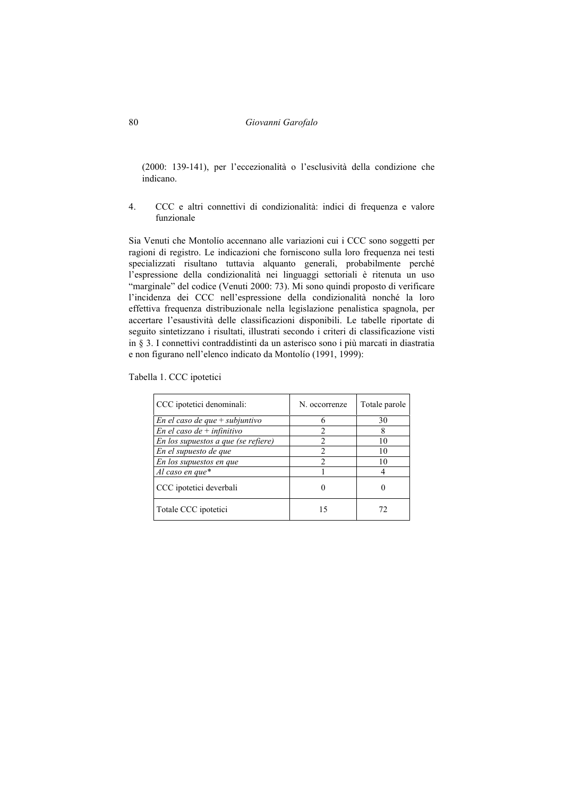(2000: 139-141), per l'eccezionalità o l'esclusività della condizione che indicano.

4. CCC e altri connettivi di condizionalità: indici di frequenza e valore funzionale

Sia Venuti che Montolío accennano alle variazioni cui i CCC sono soggetti per ragioni di registro. Le indicazioni che forniscono sulla loro frequenza nei testi specializzati risultano tuttavia alquanto generali, probabilmente perché l'espressione della condizionalità nei linguaggi settoriali è ritenuta un uso "marginale" del codice (Venuti 2000: 73). Mi sono quindi proposto di verificare l'incidenza dei CCC nell'espressione della condizionalità nonché la loro effettiva frequenza distribuzionale nella legislazione penalistica spagnola, per accertare l'esaustività delle classificazioni disponibili. Le tabelle riportate di seguito sintetizzano i risultati, illustrati secondo i criteri di classificazione visti in § 3. I connettivi contraddistinti da un asterisco sono i più marcati in diastratia e non figurano nell'elenco indicato da Montolío (1991, 1999):

Tabella 1. CCC ipotetici

| CCC ipotetici denominali:           | N. occorrenze  | Totale parole |
|-------------------------------------|----------------|---------------|
| En el caso de que $+$ subjuntivo    | h              | 30            |
| En el caso de + infinitivo          | $\mathcal{D}$  |               |
| En los supuestos a que (se refiere) | $\mathfrak{D}$ | 10            |
| En el supuesto de que               | $\mathfrak{D}$ | 10            |
| En los supuestos en que             | $\mathcal{D}$  | 10            |
| Al caso en que $*$                  |                |               |
| CCC ipotetici deverbali             |                |               |
| Totale CCC ipotetici                | 15             | 12            |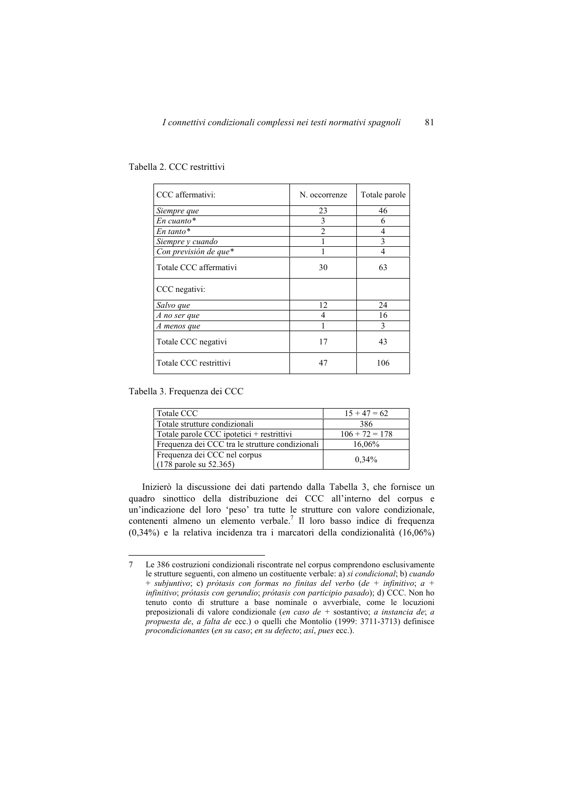| CCC affermativi:       | N. occorrenze  | Totale parole |
|------------------------|----------------|---------------|
| Siempre que            | 23             | 46            |
| $En$ cuanto*           | 3              | 6             |
| $En \t tanto*$         | $\mathfrak{D}$ | 4             |
| Siempre y cuando       |                | 3             |
| Con previsión de que*  |                | 4             |
| Totale CCC affermativi | 30             | 63            |
| CCC negativi:          |                |               |
| Salvo que              | 12             | 24            |
| A no ser que           | 4              | 16            |
| A menos que            |                | 3             |
| Totale CCC negativi    | 17             | 43            |
| Totale CCC restrittivi | 47             | 106           |

Tabella 2. CCC restrittivi

Tabella 3. Frequenza dei CCC

 $\overline{a}$ 

| Totale CCC                                      | $15 + 47 = 62$   |
|-------------------------------------------------|------------------|
| Totale strutture condizionali                   | 386              |
| Totale parole CCC ipotetici + restrittivi       | $106 + 72 = 178$ |
| Frequenza dei CCC tra le strutture condizionali | 16,06%           |
| Frequenza dei CCC nel corpus                    |                  |
| $(178 \text{ parole su } 52.365)$               | 0.34%            |

Inizierò la discussione dei dati partendo dalla Tabella 3, che fornisce un quadro sinottico della distribuzione dei CCC all'interno del corpus e un'indicazione del loro 'peso' tra tutte le strutture con valore condizionale, contenenti almeno un elemento verbale.<sup>7</sup> Il loro basso indice di frequenza (0,34%) e la relativa incidenza tra i marcatori della condizionalità (16,06%)

<sup>7</sup> Le 386 costruzioni condizionali riscontrate nel corpus comprendono esclusivamente le strutture seguenti, con almeno un costituente verbale: a) *si condicional*; b) *cuando* + *subjuntivo*; c) *prótasis con formas no finitas del verbo* (*de + infinitivo*; *a + infinitivo*; *prótasis con gerundio*; *prótasis con participio pasado*); d) CCC. Non ho tenuto conto di strutture a base nominale o avverbiale, come le locuzioni preposizionali di valore condizionale (*en caso de +* sostantivo; *a instancia de*; *a propuesta de*, *a falta de* ecc.) o quelli che Montolío (1999: 3711-3713) definisce *procondicionantes* (*en su caso*; *en su defecto*; *así*, *pues* ecc.).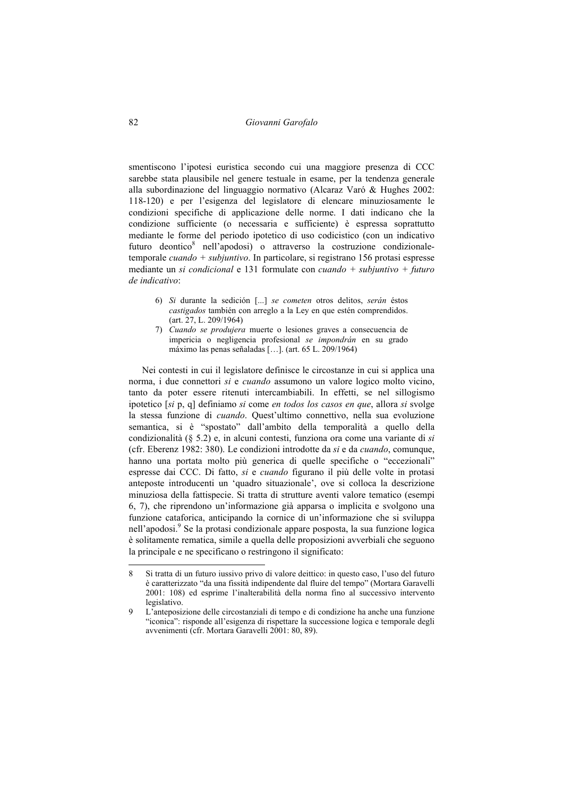smentiscono l'ipotesi euristica secondo cui una maggiore presenza di CCC sarebbe stata plausibile nel genere testuale in esame, per la tendenza generale alla subordinazione del linguaggio normativo (Alcaraz Varó & Hughes 2002: 118-120) e per l'esigenza del legislatore di elencare minuziosamente le condizioni specifiche di applicazione delle norme. I dati indicano che la condizione sufficiente (o necessaria e sufficiente) è espressa soprattutto mediante le forme del periodo ipotetico di uso codicistico (con un indicativo futuro deontico<sup>8</sup> nell'apodosi) o attraverso la costruzione condizionaletemporale *cuando + subjuntivo*. In particolare, si registrano 156 protasi espresse mediante un *si condicional* e 131 formulate con *cuando + subjuntivo + futuro de indicativo*:

- 6) *Si* durante la sedición [...] *se cometen* otros delitos, *serán* éstos *castigados* también con arreglo a la Ley en que estén comprendidos. (art. 27, L. 209/1964)
- 7) *Cuando se produjera* muerte o lesiones graves a consecuencia de impericia o negligencia profesional *se impondrán* en su grado máximo las penas señaladas […]. (art. 65 L. 209/1964)

Nei contesti in cui il legislatore definisce le circostanze in cui si applica una norma, i due connettori *si* e *cuando* assumono un valore logico molto vicino, tanto da poter essere ritenuti intercambiabili. In effetti, se nel sillogismo ipotetico [*si* p, q] definiamo *si* come *en todos los casos en que*, allora *si* svolge la stessa funzione di *cuando*. Quest'ultimo connettivo, nella sua evoluzione semantica, si è "spostato" dall'ambito della temporalità a quello della condizionalità (§ 5.2) e, in alcuni contesti, funziona ora come una variante di *si* (cfr. Eberenz 1982: 380). Le condizioni introdotte da *si* e da *cuando*, comunque, hanno una portata molto più generica di quelle specifiche o "eccezionali" espresse dai CCC. Di fatto, *si* e *cuando* figurano il più delle volte in protasi anteposte introducenti un 'quadro situazionale', ove si colloca la descrizione minuziosa della fattispecie. Si tratta di strutture aventi valore tematico (esempi 6, 7), che riprendono un'informazione già apparsa o implicita e svolgono una funzione cataforica, anticipando la cornice di un'informazione che si sviluppa nell'apodosi.<sup>9</sup> Se la protasi condizionale appare posposta, la sua funzione logica è solitamente rematica, simile a quella delle proposizioni avverbiali che seguono la principale e ne specificano o restringono il significato:

<sup>8</sup> Si tratta di un futuro iussivo privo di valore deittico: in questo caso, l'uso del futuro è caratterizzato "da una fissità indipendente dal fluire del tempo" (Mortara Garavelli 2001: 108) ed esprime l'inalterabilità della norma fino al successivo intervento legislativo.

<sup>9</sup> L'anteposizione delle circostanziali di tempo e di condizione ha anche una funzione "iconica": risponde all'esigenza di rispettare la successione logica e temporale degli avvenimenti (cfr. Mortara Garavelli 2001: 80, 89).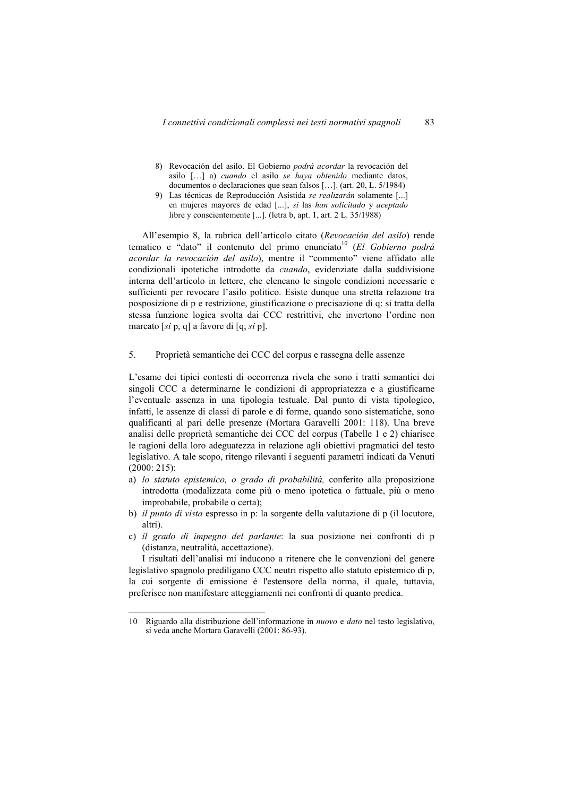- 8) Revocación del asilo. El Gobierno *podrá acordar* la revocación del asilo […] a) *cuando* el asilo *se haya obtenido* mediante datos, documentos o declaraciones que sean falsos […]. (art. 20, L. 5/1984)
- 9) Las técnicas de Reproducción Asistida *se realizarán* solamente [...] en mujeres mayores de edad [...], *si* las *han solicitado* y *aceptado*  libre y conscientemente [...]. (letra b, apt. 1, art. 2 L. 35/1988)

All'esempio 8, la rubrica dell'articolo citato (*Revocación del asilo*) rende tematico e "dato" il contenuto del primo enunciato<sup>10</sup> (El Gobierno podrá *acordar la revocación del asilo*), mentre il "commento" viene affidato alle condizionali ipotetiche introdotte da *cuando*, evidenziate dalla suddivisione interna dell'articolo in lettere, che elencano le singole condizioni necessarie e sufficienti per revocare l'asilo politico. Esiste dunque una stretta relazione tra posposizione di p e restrizione, giustificazione o precisazione di q: si tratta della stessa funzione logica svolta dai CCC restrittivi, che invertono l'ordine non marcato [*si* p, q] a favore di [q, *si* p].

5. Proprietà semantiche dei CCC del corpus e rassegna delle assenze

L'esame dei tipici contesti di occorrenza rivela che sono i tratti semantici dei singoli CCC a determinarne le condizioni di appropriatezza e a giustificarne l'eventuale assenza in una tipologia testuale. Dal punto di vista tipologico, infatti, le assenze di classi di parole e di forme, quando sono sistematiche, sono qualificanti al pari delle presenze (Mortara Garavelli 2001: 118). Una breve analisi delle proprietà semantiche dei CCC del corpus (Tabelle 1 e 2) chiarisce le ragioni della loro adeguatezza in relazione agli obiettivi pragmatici del testo legislativo. A tale scopo, ritengo rilevanti i seguenti parametri indicati da Venuti (2000: 215):

- a) *lo statuto epistemico, o grado di probabilità,* conferito alla proposizione introdotta (modalizzata come più o meno ipotetica o fattuale, più o meno improbabile, probabile o certa);
- b) *il punto di vista* espresso in p: la sorgente della valutazione di p (il locutore, altri).
- c) *il grado di impegno del parlante*: la sua posizione nei confronti di p (distanza, neutralità, accettazione).

I risultati dell'analisi mi inducono a ritenere che le convenzioni del genere legislativo spagnolo prediligano CCC neutri rispetto allo statuto epistemico di p, la cui sorgente di emissione è l'estensore della norma, il quale, tuttavia, preferisce non manifestare atteggiamenti nei confronti di quanto predica.

<sup>10</sup> Riguardo alla distribuzione dell'informazione in *nuovo* e *dato* nel testo legislativo, si veda anche Mortara Garavelli (2001: 86-93).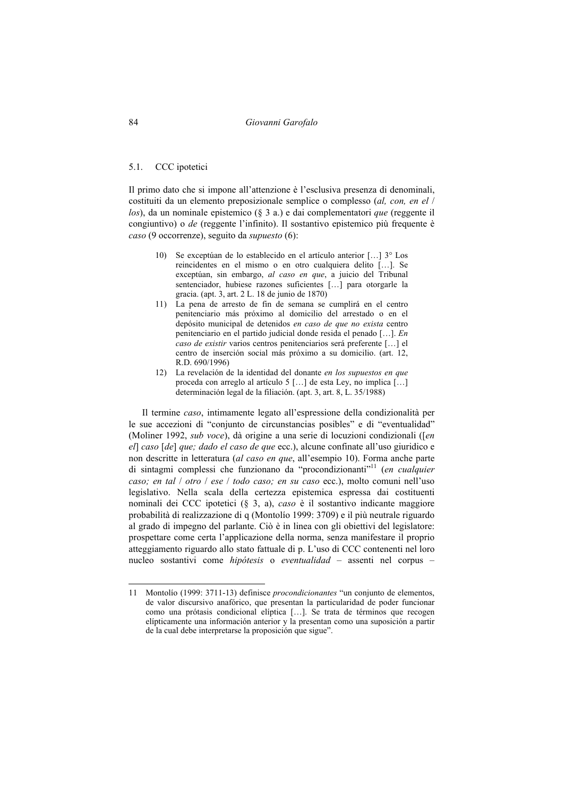#### 5.1. CCC ipotetici

Il primo dato che si impone all'attenzione è l'esclusiva presenza di denominali, costituiti da un elemento preposizionale semplice o complesso (*al, con, en el* / *los*), da un nominale epistemico (§ 3 a.) e dai complementatori *que* (reggente il congiuntivo) o *de* (reggente l'infinito). Il sostantivo epistemico più frequente è *caso* (9 occorrenze), seguito da *supuesto* (6):

- 10) Se exceptúan de lo establecido en el artículo anterior […] 3° Los reincidentes en el mismo o en otro cualquiera delito […]. Se exceptúan, sin embargo, *al caso en que*, a juicio del Tribunal sentenciador, hubiese razones suficientes [...] para otorgarle la gracia. (apt. 3, art. 2 L. 18 de junio de 1870)
- 11) La pena de arresto de fin de semana se cumplirá en el centro penitenciario más próximo al domicilio del arrestado o en el depósito municipal de detenidos *en caso de que no exista* centro penitenciario en el partido judicial donde resida el penado […]. *En caso de existir* varios centros penitenciarios será preferente […] el centro de inserción social más próximo a su domicilio. (art. 12, R.D. 690/1996)
- 12) La revelación de la identidad del donante *en los supuestos en que*  proceda con arreglo al artículo 5 […] de esta Ley, no implica […] determinación legal de la filiación. (apt. 3, art. 8, L. 35/1988)

Il termine *caso*, intimamente legato all'espressione della condizionalità per le sue accezioni di "conjunto de circunstancias posibles" e di "eventualidad" (Moliner 1992, *sub voce*), dà origine a una serie di locuzioni condizionali ([*en el*] *caso* [*de*] *que; dado el caso de que* ecc.), alcune confinate all'uso giuridico e non descritte in letteratura (*al caso en que*, all'esempio 10). Forma anche parte di sintagmi complessi che funzionano da "procondizionanti"11 (*en cualquier caso; en tal* / *otro* / *ese* / *todo caso; en su caso* ecc.), molto comuni nell'uso legislativo. Nella scala della certezza epistemica espressa dai costituenti nominali dei CCC ipotetici (§ 3, a), *caso* è il sostantivo indicante maggiore probabilità di realizzazione di q (Montolío 1999: 3709) e il più neutrale riguardo al grado di impegno del parlante. Ciò è in linea con gli obiettivi del legislatore: prospettare come certa l'applicazione della norma, senza manifestare il proprio atteggiamento riguardo allo stato fattuale di p. L'uso di CCC contenenti nel loro nucleo sostantivi come *hipótesis* o *eventualidad* – assenti nel corpus –

<sup>11</sup> Montolío (1999: 3711-13) definisce *procondicionantes* "un conjunto de elementos, de valor discursivo anafórico, que presentan la particularidad de poder funcionar como una prótasis condicional elíptica […]. Se trata de términos que recogen elípticamente una información anterior y la presentan como una suposición a partir de la cual debe interpretarse la proposición que sigue".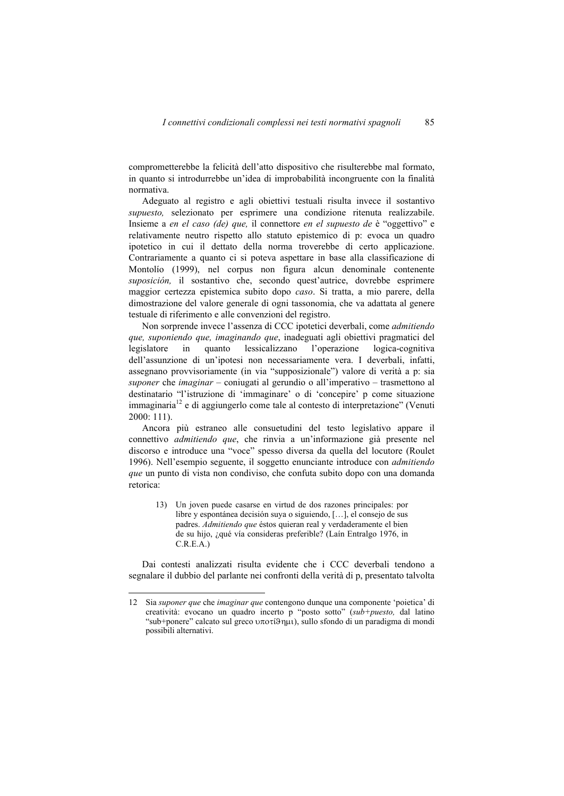comprometterebbe la felicità dell'atto dispositivo che risulterebbe mal formato, in quanto si introdurrebbe un'idea di improbabilità incongruente con la finalità normativa.

Adeguato al registro e agli obiettivi testuali risulta invece il sostantivo *supuesto,* selezionato per esprimere una condizione ritenuta realizzabile. Insieme a *en el caso (de) que,* il connettore *en el supuesto de* è "oggettivo" e relativamente neutro rispetto allo statuto epistemico di p: evoca un quadro ipotetico in cui il dettato della norma troverebbe di certo applicazione. Contrariamente a quanto ci si poteva aspettare in base alla classificazione di Montolío (1999), nel corpus non figura alcun denominale contenente *suposición,* il sostantivo che, secondo quest'autrice, dovrebbe esprimere maggior certezza epistemica subito dopo *caso*. Si tratta, a mio parere, della dimostrazione del valore generale di ogni tassonomia, che va adattata al genere testuale di riferimento e alle convenzioni del registro.

Non sorprende invece l'assenza di CCC ipotetici deverbali, come *admitiendo que, suponiendo que, imaginando que*, inadeguati agli obiettivi pragmatici del legislatore in quanto lessicalizzano l'operazione logica-cognitiva dell'assunzione di un'ipotesi non necessariamente vera. I deverbali, infatti, assegnano provvisoriamente (in via "supposizionale") valore di verità a p: sia *suponer* che *imaginar* – coniugati al gerundio o all'imperativo – trasmettono al destinatario "l'istruzione di 'immaginare' o di 'concepire' p come situazione immaginaria12 e di aggiungerlo come tale al contesto di interpretazione" (Venuti 2000: 111).

Ancora più estraneo alle consuetudini del testo legislativo appare il connettivo *admitiendo que*, che rinvia a un'informazione già presente nel discorso e introduce una "voce" spesso diversa da quella del locutore (Roulet 1996). Nell'esempio seguente, il soggetto enunciante introduce con *admitiendo que* un punto di vista non condiviso, che confuta subito dopo con una domanda retorica:

13) Un joven puede casarse en virtud de dos razones principales: por libre y espontánea decisión suya o siguiendo, […], el consejo de sus padres. *Admitiendo que* éstos quieran real y verdaderamente el bien de su hijo, ¿qué vía consideras preferible? (Laín Entralgo 1976, in C.R.E.A.)

Dai contesti analizzati risulta evidente che i CCC deverbali tendono a segnalare il dubbio del parlante nei confronti della verità di p, presentato talvolta

<sup>12</sup> Sia *suponer que* che *imaginar que* contengono dunque una componente 'poietica' di creatività: evocano un quadro incerto p "posto sotto" (*sub+puesto,* dal latino "sub+ponere" calcato sul greco  $\upsilon \pi$ o $\tau$ (9 nui), sullo sfondo di un paradigma di mondi possibili alternativi.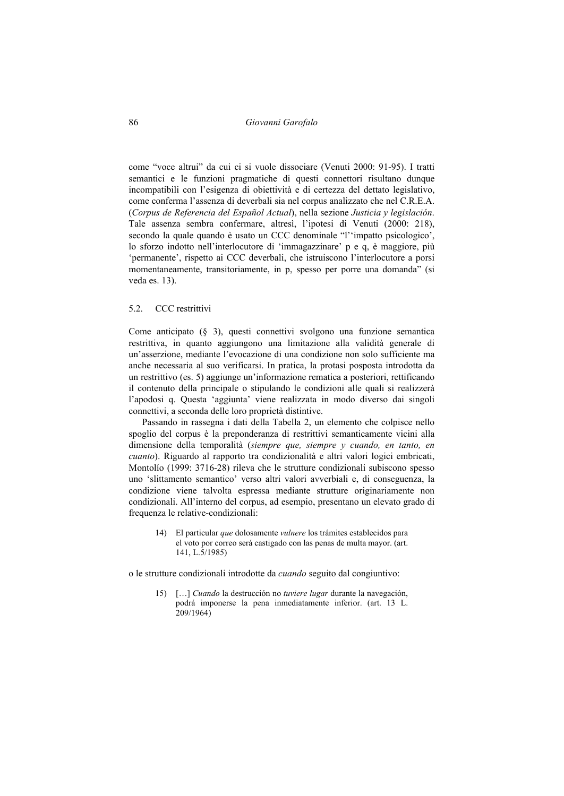come "voce altrui" da cui ci si vuole dissociare (Venuti 2000: 91-95). I tratti semantici e le funzioni pragmatiche di questi connettori risultano dunque incompatibili con l'esigenza di obiettività e di certezza del dettato legislativo, come conferma l'assenza di deverbali sia nel corpus analizzato che nel C.R.E.A. (*Corpus de Referencia del Español Actual*), nella sezione *Justicia y legislación*. Tale assenza sembra confermare, altresì, l'ipotesi di Venuti (2000: 218), secondo la quale quando è usato un CCC denominale "l''impatto psicologico', lo sforzo indotto nell'interlocutore di 'immagazzinare' p e q, è maggiore, più 'permanente', rispetto ai CCC deverbali, che istruiscono l'interlocutore a porsi momentaneamente, transitoriamente, in p, spesso per porre una domanda" (si veda es. 13).

# 5.2. CCC restrittivi

Come anticipato (§ 3), questi connettivi svolgono una funzione semantica restrittiva, in quanto aggiungono una limitazione alla validità generale di un'asserzione, mediante l'evocazione di una condizione non solo sufficiente ma anche necessaria al suo verificarsi. In pratica, la protasi posposta introdotta da un restrittivo (es. 5) aggiunge un'informazione rematica a posteriori, rettificando il contenuto della principale o stipulando le condizioni alle quali si realizzerà l'apodosi q. Questa 'aggiunta' viene realizzata in modo diverso dai singoli connettivi, a seconda delle loro proprietà distintive.

Passando in rassegna i dati della Tabella 2, un elemento che colpisce nello spoglio del corpus è la preponderanza di restrittivi semanticamente vicini alla dimensione della temporalità (*siempre que, siempre y cuando, en tanto, en cuanto*). Riguardo al rapporto tra condizionalità e altri valori logici embricati, Montolío (1999: 3716-28) rileva che le strutture condizionali subiscono spesso uno 'slittamento semantico' verso altri valori avverbiali e, di conseguenza, la condizione viene talvolta espressa mediante strutture originariamente non condizionali. All'interno del corpus, ad esempio, presentano un elevato grado di frequenza le relative-condizionali:

14) El particular *que* dolosamente *vulnere* los trámites establecidos para el voto por correo será castigado con las penas de multa mayor. (art. 141, L.5/1985)

o le strutture condizionali introdotte da *cuando* seguito dal congiuntivo:

15) […] *Cuando* la destrucción no *tuviere lugar* durante la navegación, podrá imponerse la pena inmediatamente inferior. (art. 13 L. 209/1964)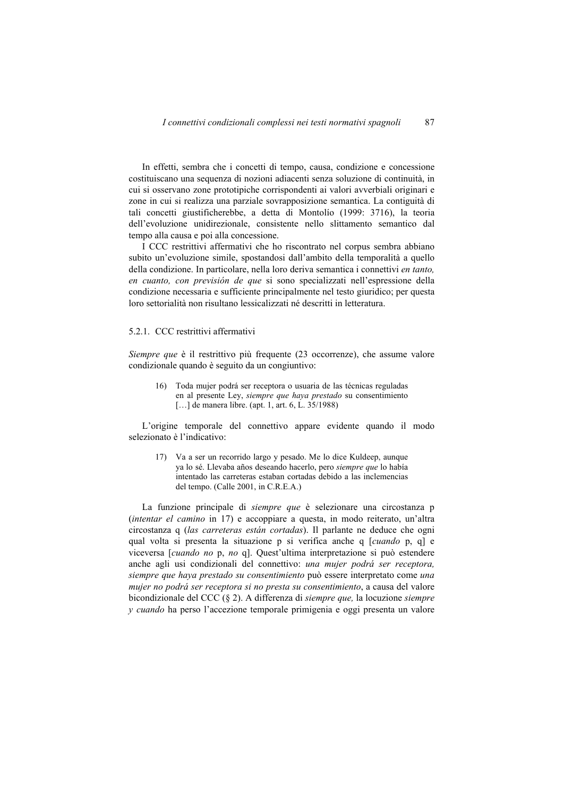In effetti, sembra che i concetti di tempo, causa, condizione e concessione costituiscano una sequenza di nozioni adiacenti senza soluzione di continuità, in cui si osservano zone prototipiche corrispondenti ai valori avverbiali originari e zone in cui si realizza una parziale sovrapposizione semantica. La contiguità di tali concetti giustificherebbe, a detta di Montolío (1999: 3716), la teoria dell'evoluzione unidirezionale, consistente nello slittamento semantico dal tempo alla causa e poi alla concessione.

I CCC restrittivi affermativi che ho riscontrato nel corpus sembra abbiano subito un'evoluzione simile, spostandosi dall'ambito della temporalità a quello della condizione. In particolare, nella loro deriva semantica i connettivi *en tanto, en cuanto, con previsión de que* si sono specializzati nell'espressione della condizione necessaria e sufficiente principalmente nel testo giuridico; per questa loro settorialità non risultano lessicalizzati né descritti in letteratura.

### 5.2.1. CCC restrittivi affermativi

*Siempre que* è il restrittivo più frequente (23 occorrenze), che assume valore condizionale quando è seguito da un congiuntivo:

16) Toda mujer podrá ser receptora o usuaria de las técnicas reguladas en al presente Ley, *siempre que haya prestado* su consentimiento [...] de manera libre. (apt. 1, art. 6, L. 35/1988)

L'origine temporale del connettivo appare evidente quando il modo selezionato è l'indicativo:

17) Va a ser un recorrido largo y pesado. Me lo dice Kuldeep, aunque ya lo sé. Llevaba años deseando hacerlo, pero *siempre que* lo había intentado las carreteras estaban cortadas debido a las inclemencias del tempo. (Calle 2001, in C.R.E.A.)

La funzione principale di *siempre que* è selezionare una circostanza p (*intentar el camino* in 17) e accoppiare a questa, in modo reiterato, un'altra circostanza q (*las carreteras están cortadas*). Il parlante ne deduce che ogni qual volta si presenta la situazione p si verifica anche q [*cuando* p, q] e viceversa [*cuando no* p, *no* q]. Quest'ultima interpretazione si può estendere anche agli usi condizionali del connettivo: *una mujer podrá ser receptora, siempre que haya prestado su consentimiento* può essere interpretato come *una mujer no podrá ser receptora si no presta su consentimiento*, a causa del valore bicondizionale del CCC (§ 2). A differenza di *siempre que,* la locuzione *siempre y cuando* ha perso l'accezione temporale primigenia e oggi presenta un valore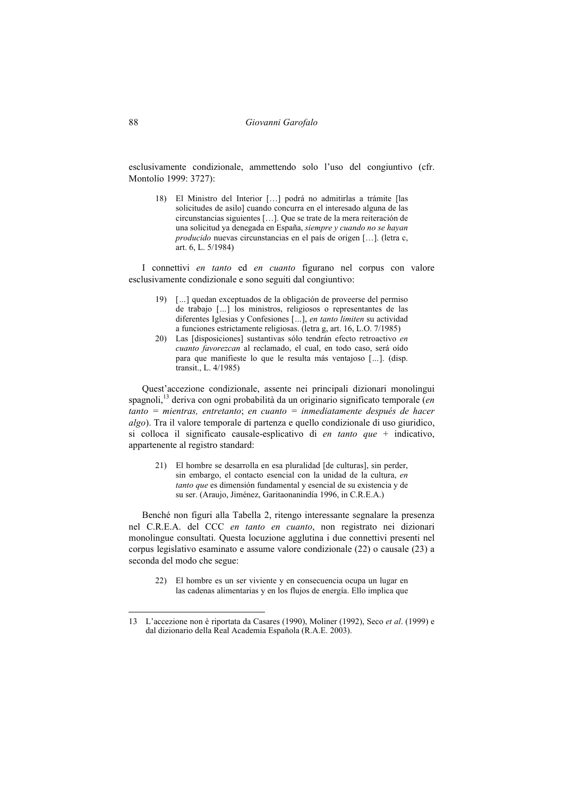esclusivamente condizionale, ammettendo solo l'uso del congiuntivo (cfr. Montolío 1999: 3727):

18) El Ministro del Interior […] podrá no admitirlas a trámite [las solicitudes de asilo] cuando concurra en el interesado alguna de las circunstancias siguientes […]. Que se trate de la mera reiteración de una solicitud ya denegada en España, *siempre y cuando no se hayan producido* nuevas circunstancias en el país de origen […]. (letra c, art. 6, L. 5/1984)

I connettivi *en tanto* ed *en cuanto* figurano nel corpus con valore esclusivamente condizionale e sono seguiti dal congiuntivo:

- 19) [*…*] quedan exceptuados de la obligación de proveerse del permiso de trabajo [*…*] los ministros, religiosos o representantes de las diferentes Iglesias y Confesiones [*…*], *en tanto limiten* su actividad a funciones estrictamente religiosas. (letra g, art. 16, L.O. 7/1985)
- 20) Las [disposiciones] sustantivas sólo tendrán efecto retroactivo *en cuanto favorezcan* al reclamado, el cual, en todo caso, será oído para que manifieste lo que le resulta más ventajoso [*…*]. (disp. transit., L. 4/1985)

Quest'accezione condizionale, assente nei principali dizionari monolingui spagnoli,<sup>13</sup> deriva con ogni probabilità da un originario significato temporale (*en tanto = mientras, entretanto*; *en cuanto = inmediatamente después de hacer algo*). Tra il valore temporale di partenza e quello condizionale di uso giuridico, si colloca il significato causale-esplicativo di *en tanto que* + indicativo, appartenente al registro standard:

21) El hombre se desarrolla en esa pluralidad [de culturas], sin perder, sin embargo, el contacto esencial con la unidad de la cultura, *en tanto que* es dimensión fundamental y esencial de su existencia y de su ser. (Araujo, Jiménez, Garitaonanindía 1996, in C.R.E.A.)

Benché non figuri alla Tabella 2, ritengo interessante segnalare la presenza nel C.R.E.A. del CCC *en tanto en cuanto*, non registrato nei dizionari monolingue consultati. Questa locuzione agglutina i due connettivi presenti nel corpus legislativo esaminato e assume valore condizionale (22) o causale (23) a seconda del modo che segue:

22) El hombre es un ser viviente y en consecuencia ocupa un lugar en las cadenas alimentarias y en los flujos de energía. Ello implica que

<sup>13</sup> L'accezione non è riportata da Casares (1990), Moliner (1992), Seco *et al*. (1999) e dal dizionario della Real Academia Española (R.A.E. 2003).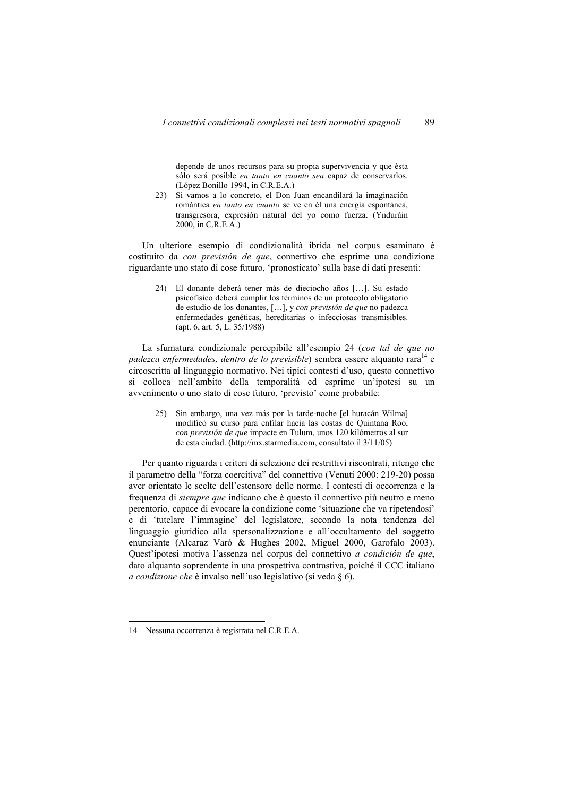depende de unos recursos para su propia supervivencia y que ésta sólo será posible *en tanto en cuanto sea* capaz de conservarlos. (López Bonillo 1994, in C.R.E.A.)

23) Si vamos a lo concreto, el Don Juan encandilará la imaginación romántica *en tanto en cuanto* se ve en él una energía espontánea, transgresora, expresión natural del yo como fuerza. (Ynduráin 2000, in C.R.E.A.)

Un ulteriore esempio di condizionalità ibrida nel corpus esaminato è costituito da *con previsión de que*, connettivo che esprime una condizione riguardante uno stato di cose futuro, 'pronosticato' sulla base di dati presenti:

24) El donante deberá tener más de dieciocho años […]. Su estado psicofísico deberá cumplir los términos de un protocolo obligatorio de estudio de los donantes, […], y *con previsión de que* no padezca enfermedades genéticas, hereditarias o infecciosas transmisibles. (apt. 6, art. 5, L. 35/1988)

La sfumatura condizionale percepibile all'esempio 24 (*con tal de que no padezca enfermedades, dentro de lo previsible*) sembra essere alquanto rara<sup>14</sup> e circoscritta al linguaggio normativo. Nei tipici contesti d'uso, questo connettivo si colloca nell'ambito della temporalità ed esprime un'ipotesi su un avvenimento o uno stato di cose futuro, 'previsto' come probabile:

25) Sin embargo, una vez más por la tarde-noche [el huracán Wilma] modificó su curso para enfilar hacia las costas de Quintana Roo, *con previsión de que* impacte en Tulum, unos 120 kilómetros al sur de esta ciudad. (http://mx.starmedia.com, consultato il 3/11/05)

Per quanto riguarda i criteri di selezione dei restrittivi riscontrati, ritengo che il parametro della "forza coercitiva" del connettivo (Venuti 2000: 219-20) possa aver orientato le scelte dell'estensore delle norme. I contesti di occorrenza e la frequenza di *siempre que* indicano che è questo il connettivo più neutro e meno perentorio, capace di evocare la condizione come 'situazione che va ripetendosi' e di 'tutelare l'immagine' del legislatore, secondo la nota tendenza del linguaggio giuridico alla spersonalizzazione e all'occultamento del soggetto enunciante (Alcaraz Varó & Hughes 2002, Miguel 2000, Garofalo 2003). Quest'ipotesi motiva l'assenza nel corpus del connettivo *a condición de que*, dato alquanto soprendente in una prospettiva contrastiva, poiché il CCC italiano *a condizione che* è invalso nell'uso legislativo (si veda § 6).

<sup>14</sup> Nessuna occorrenza è registrata nel C.R.E.A.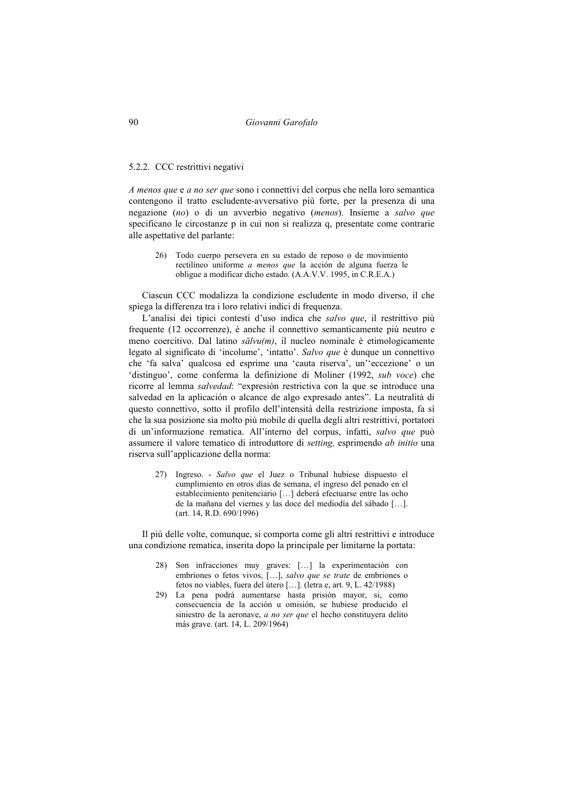### 5.2.2. CCC restrittivi negativi

*A menos que* e *a no ser que* sono i connettivi del corpus che nella loro semantica contengono il tratto escludente-avversativo più forte, per la presenza di una negazione (*no*) o di un avverbio negativo (*menos*). Insieme a *salvo que*  specificano le circostanze p in cui non si realizza q, presentate come contrarie alle aspettative del parlante:

26) Todo cuerpo persevera en su estado de reposo o de movimiento rectilíneo uniforme *a menos que* la acción de alguna fuerza le obligue a modificar dicho estado. (A.A.V.V. 1995, in C.R.E.A.)

Ciascun CCC modalizza la condizione escludente in modo diverso, il che spiega la differenza tra i loro relativi indici di frequenza.

L'analisi dei tipici contesti d'uso indica che *salvo que*, il restrittivo più frequente (12 occorrenze), è anche il connettivo semanticamente più neutro e meno coercitivo. Dal latino *sălvu(m)*, il nucleo nominale è etimologicamente legato al significato di 'incolume', 'intatto'. *Salvo que* è dunque un connettivo che 'fa salva' qualcosa ed esprime una 'cauta riserva', un''eccezione' o un 'distinguo', come conferma la definizione di Moliner (1992, *sub voce*) che ricorre al lemma *salvedad*: "expresión restrictiva con la que se introduce una salvedad en la aplicación o alcance de algo expresado antes". La neutralità di questo connettivo, sotto il profilo dell'intensità della restrizione imposta, fa sì che la sua posizione sia molto più mobile di quella degli altri restrittivi, portatori di un'informazione rematica. All'interno del corpus, infatti, *salvo que* può assumere il valore tematico di introduttore di *setting,* esprimendo *ab initio* una riserva sull'applicazione della norma:

27) Ingreso. - *Salvo que* el Juez o Tribunal hubiese dispuesto el cumplimiento en otros días de semana, el ingreso del penado en el establecimiento penitenciario […] deberá efectuarse entre las ocho de la mañana del viernes y las doce del mediodía del sábado […]. (art. 14, R.D. 690/1996)

Il più delle volte, comunque, si comporta come gli altri restrittivi e introduce una condizione rematica, inserita dopo la principale per limitarne la portata:

- 28) Son infracciones muy graves: […] la experimentación con embriones o fetos vivos, […], *salvo que se trate* de embriones o fetos no viables, fuera del útero […]. (letra e, art. 9, L. 42/1988)
- 29) La pena podrá aumentarse hasta prisión mayor, si, como consecuencia de la acción u omisión, se hubiese producido el siniestro de la aeronave, *a no ser que* el hecho constituyera delito más grave. (art. 14, L. 209/1964)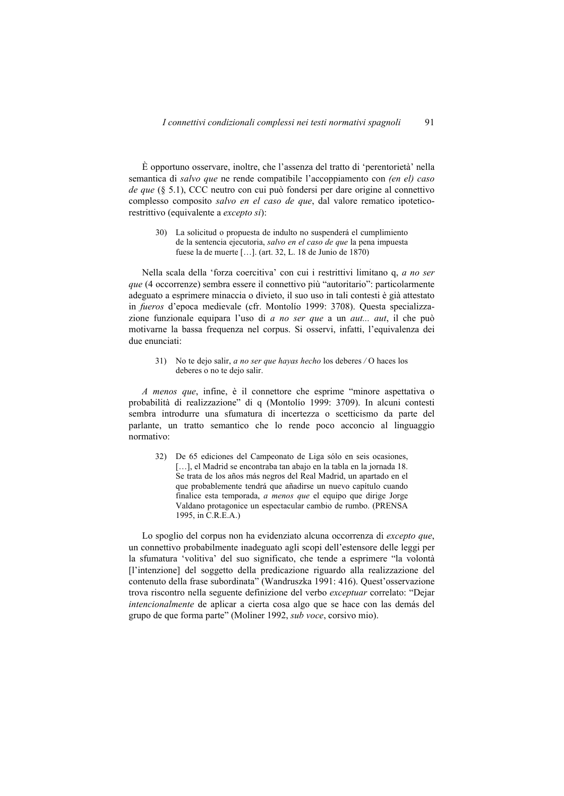È opportuno osservare, inoltre, che l'assenza del tratto di 'perentorietà' nella semantica di *salvo que* ne rende compatibile l'accoppiamento con *(en el) caso de que* (§ 5.1), CCC neutro con cui può fondersi per dare origine al connettivo complesso composito *salvo en el caso de que*, dal valore rematico ipoteticorestrittivo (equivalente a *excepto si*):

30) La solicitud o propuesta de indulto no suspenderá el cumplimiento de la sentencia ejecutoria, *salvo en el caso de que* la pena impuesta fuese la de muerte […]. (art. 32, L. 18 de Junio de 1870)

Nella scala della 'forza coercitiva' con cui i restrittivi limitano q, *a no ser que* (4 occorrenze) sembra essere il connettivo più "autoritario": particolarmente adeguato a esprimere minaccia o divieto, il suo uso in tali contesti è già attestato in *fueros* d'epoca medievale (cfr. Montolío 1999: 3708). Questa specializzazione funzionale equipara l'uso di *a no ser que* a un *aut... aut*, il che può motivarne la bassa frequenza nel corpus. Si osservi, infatti, l'equivalenza dei due enunciati:

31) No te dejo salir, *a no ser que hayas hecho* los deberes */* O haces los deberes o no te dejo salir.

*A menos que*, infine, è il connettore che esprime "minore aspettativa o probabilità di realizzazione" di q (Montolío 1999: 3709). In alcuni contesti sembra introdurre una sfumatura di incertezza o scetticismo da parte del parlante, un tratto semantico che lo rende poco acconcio al linguaggio normativo:

32) De 65 ediciones del Campeonato de Liga sólo en seis ocasiones, [...], el Madrid se encontraba tan abajo en la tabla en la jornada 18. Se trata de los años más negros del Real Madrid, un apartado en el que probablemente tendrá que añadirse un nuevo capítulo cuando finalice esta temporada, *a menos que* el equipo que dirige Jorge Valdano protagonice un espectacular cambio de rumbo. (PRENSA 1995, in C.R.E.A.)

Lo spoglio del corpus non ha evidenziato alcuna occorrenza di *excepto que*, un connettivo probabilmente inadeguato agli scopi dell'estensore delle leggi per la sfumatura 'volitiva' del suo significato, che tende a esprimere "la volontà [l'intenzione] del soggetto della predicazione riguardo alla realizzazione del contenuto della frase subordinata" (Wandruszka 1991: 416). Quest'osservazione trova riscontro nella seguente definizione del verbo *exceptuar* correlato: "Dejar *intencionalmente* de aplicar a cierta cosa algo que se hace con las demás del grupo de que forma parte" (Moliner 1992, *sub voce*, corsivo mio).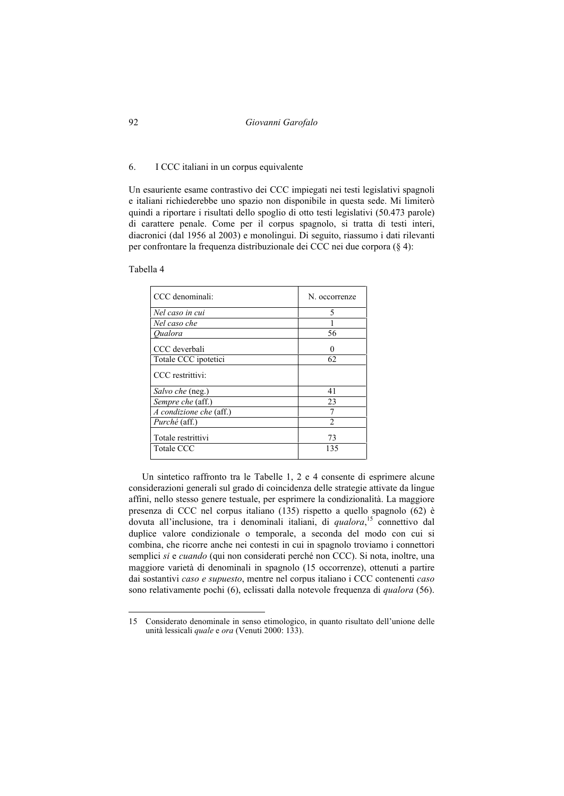92 *Giovanni Garofalo* 

## 6. I CCC italiani in un corpus equivalente

Un esauriente esame contrastivo dei CCC impiegati nei testi legislativi spagnoli e italiani richiederebbe uno spazio non disponibile in questa sede. Mi limiterò quindi a riportare i risultati dello spoglio di otto testi legislativi (50.473 parole) di carattere penale. Come per il corpus spagnolo, si tratta di testi interi, diacronici (dal 1956 al 2003) e monolingui. Di seguito, riassumo i dati rilevanti per confrontare la frequenza distribuzionale dei CCC nei due corpora (§ 4):

Tabella 4

 $\overline{a}$ 

| CCC denominali:         | N. occorrenze |
|-------------------------|---------------|
| Nel caso in cui         | 5             |
| Nel caso che            |               |
| Oualora                 | 56            |
| CCC deverbali           | 0             |
| Totale CCC ipotetici    | 62            |
| CCC restrittivi:        |               |
| Salvo che (neg.)        | 41            |
| Sempre che (aff.)       | 23            |
| A condizione che (aff.) | 7             |
| <i>Purché</i> (aff.)    | $\mathcal{D}$ |
| Totale restrittivi      | 73            |
| Totale CCC              | 135           |
|                         |               |

Un sintetico raffronto tra le Tabelle 1, 2 e 4 consente di esprimere alcune considerazioni generali sul grado di coincidenza delle strategie attivate da lingue affini, nello stesso genere testuale, per esprimere la condizionalità. La maggiore presenza di CCC nel corpus italiano (135) rispetto a quello spagnolo (62) è dovuta all'inclusione, tra i denominali italiani, di *qualora*, 15 connettivo dal duplice valore condizionale o temporale, a seconda del modo con cui si combina, che ricorre anche nei contesti in cui in spagnolo troviamo i connettori semplici *si* e *cuando* (qui non considerati perché non CCC). Si nota, inoltre, una maggiore varietà di denominali in spagnolo (15 occorrenze), ottenuti a partire dai sostantivi *caso e supuesto*, mentre nel corpus italiano i CCC contenenti *caso*  sono relativamente pochi (6), eclissati dalla notevole frequenza di *qualora* (56).

<sup>15</sup> Considerato denominale in senso etimologico, in quanto risultato dell'unione delle unità lessicali *quale* e *ora* (Venuti 2000: 133).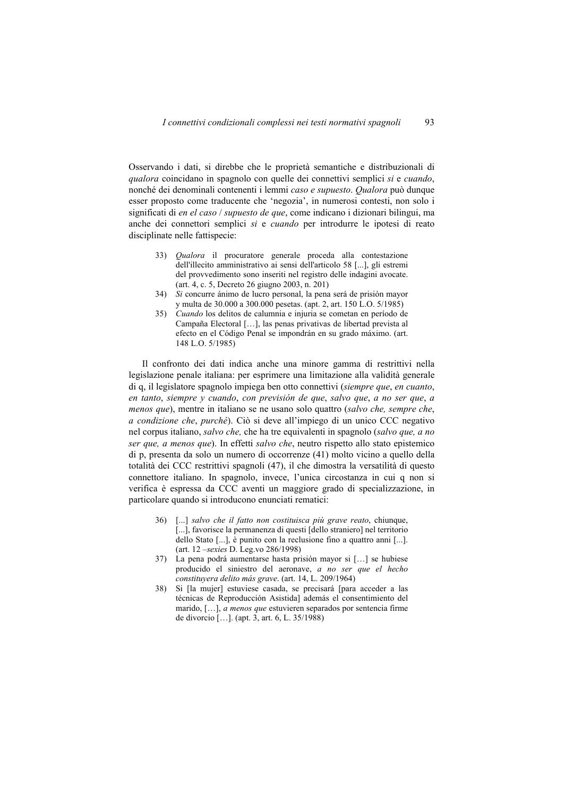Osservando i dati, si direbbe che le proprietà semantiche e distribuzionali di *qualora* coincidano in spagnolo con quelle dei connettivi semplici *si* e *cuando*, nonché dei denominali contenenti i lemmi *caso e supuesto*. *Qualora* può dunque esser proposto come traducente che 'negozia', in numerosi contesti, non solo i significati di *en el caso* / *supuesto de que*, come indicano i dizionari bilingui, ma anche dei connettori semplici *si* e *cuando* per introdurre le ipotesi di reato disciplinate nelle fattispecie:

- 33) *Qualora* il procuratore generale proceda alla contestazione dell'illecito amministrativo ai sensi dell'articolo 58 [...], gli estremi del provvedimento sono inseriti nel registro delle indagini avocate. (art. 4, c. 5, Decreto 26 giugno 2003, n. 201)
- 34) *Si* concurre ánimo de lucro personal, la pena será de prisión mayor y multa de 30.000 a 300.000 pesetas. (apt. 2, art. 150 L.O. 5/1985)
- 35) *Cuando* los delitos de calumnia e injuria se cometan en período de Campaña Electoral […], las penas privativas de libertad prevista al efecto en el Código Penal se impondrán en su grado máximo. (art. 148 L.O. 5/1985)

Il confronto dei dati indica anche una minore gamma di restrittivi nella legislazione penale italiana: per esprimere una limitazione alla validità generale di q, il legislatore spagnolo impiega ben otto connettivi (*siempre que*, *en cuanto*, *en tanto*, *siempre y cuando*, *con previsión de que*, *salvo que*, *a no ser que*, *a menos que*), mentre in italiano se ne usano solo quattro (*salvo che, sempre che*, *a condizione che*, *purché*). Ciò si deve all'impiego di un unico CCC negativo nel corpus italiano, *salvo che,* che ha tre equivalenti in spagnolo (*salvo que, a no ser que, a menos que*). In effetti *salvo che*, neutro rispetto allo stato epistemico di p, presenta da solo un numero di occorrenze (41) molto vicino a quello della totalità dei CCC restrittivi spagnoli (47), il che dimostra la versatilità di questo connettore italiano. In spagnolo, invece, l'unica circostanza in cui q non si verifica è espressa da CCC aventi un maggiore grado di specializzazione, in particolare quando si introducono enunciati rematici:

- 36) [...] *salvo che il fatto non costituisca più grave reato*, chiunque, [...], favorisce la permanenza di questi [dello straniero] nel territorio dello Stato [...], è punito con la reclusione fino a quattro anni [...]. (art. 12 –*sexies* D. Leg.vo 286/1998)
- 37) La pena podrá aumentarse hasta prisión mayor si […] se hubiese producido el siniestro del aeronave, *a no ser que el hecho constituyera delito más grave*. (art. 14, L. 209/1964)
- 38) Si [la mujer] estuviese casada, se precisará [para acceder a las técnicas de Reproducción Asistida] además el consentimiento del marido, […], *a menos que* estuvieren separados por sentencia firme de divorcio […]. (apt. 3, art. 6, L. 35/1988)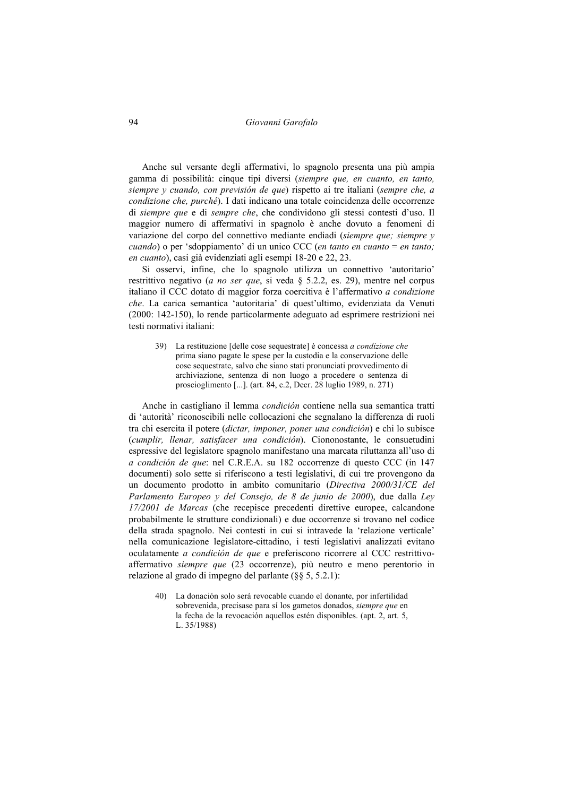# 94 *Giovanni Garofalo*

Anche sul versante degli affermativi, lo spagnolo presenta una più ampia gamma di possibilità: cinque tipi diversi (*siempre que, en cuanto, en tanto, siempre y cuando, con previsión de que*) rispetto ai tre italiani (*sempre che, a condizione che, purché*). I dati indicano una totale coincidenza delle occorrenze di *siempre que* e di *sempre che*, che condividono gli stessi contesti d'uso. Il maggior numero di affermativi in spagnolo è anche dovuto a fenomeni di variazione del corpo del connettivo mediante endiadi (*siempre que; siempre y cuando*) o per 'sdoppiamento' di un unico CCC (*en tanto en cuanto* = *en tanto; en cuanto*), casi già evidenziati agli esempi 18-20 e 22, 23.

Si osservi, infine, che lo spagnolo utilizza un connettivo 'autoritario' restrittivo negativo (*a no ser que*, si veda § 5.2.2, es. 29), mentre nel corpus italiano il CCC dotato di maggior forza coercitiva è l'affermativo *a condizione che*. La carica semantica 'autoritaria' di quest'ultimo, evidenziata da Venuti (2000: 142-150), lo rende particolarmente adeguato ad esprimere restrizioni nei testi normativi italiani:

39) La restituzione [delle cose sequestrate] è concessa *a condizione che* prima siano pagate le spese per la custodia e la conservazione delle cose sequestrate, salvo che siano stati pronunciati provvedimento di archiviazione, sentenza di non luogo a procedere o sentenza di proscioglimento [...]. (art. 84, c.2, Decr. 28 luglio 1989, n. 271)

Anche in castigliano il lemma *condición* contiene nella sua semantica tratti di 'autorità' riconoscibili nelle collocazioni che segnalano la differenza di ruoli tra chi esercita il potere (*dictar, imponer, poner una condición*) e chi lo subisce (*cumplir, llenar, satisfacer una condición*). Ciononostante, le consuetudini espressive del legislatore spagnolo manifestano una marcata riluttanza all'uso di *a condición de que*: nel C.R.E.A. su 182 occorrenze di questo CCC (in 147 documenti) solo sette si riferiscono a testi legislativi, di cui tre provengono da un documento prodotto in ambito comunitario (*Directiva 2000/31/CE del Parlamento Europeo y del Consejo, de 8 de junio de 2000*), due dalla *Ley 17/2001 de Marcas* (che recepisce precedenti direttive europee, calcandone probabilmente le strutture condizionali) e due occorrenze si trovano nel codice della strada spagnolo. Nei contesti in cui si intravede la 'relazione verticale' nella comunicazione legislatore-cittadino, i testi legislativi analizzati evitano oculatamente *a condición de que* e preferiscono ricorrere al CCC restrittivoaffermativo *siempre que* (23 occorrenze), più neutro e meno perentorio in relazione al grado di impegno del parlante (§§ 5, 5.2.1):

40) La donación solo será revocable cuando el donante, por infertilidad sobrevenida, precisase para sí los gametos donados, *siempre que* en la fecha de la revocación aquellos estén disponibles. (apt. 2, art. 5, L. 35/1988)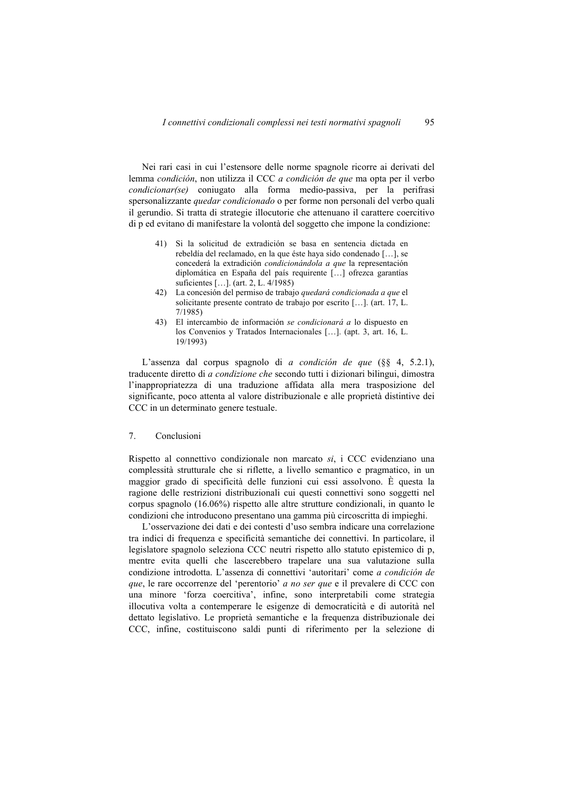Nei rari casi in cui l'estensore delle norme spagnole ricorre ai derivati del lemma *condición*, non utilizza il CCC *a condición de que* ma opta per il verbo *condicionar(se)* coniugato alla forma medio-passiva, per la perifrasi spersonalizzante *quedar condicionado* o per forme non personali del verbo quali il gerundio. Si tratta di strategie illocutorie che attenuano il carattere coercitivo di p ed evitano di manifestare la volontà del soggetto che impone la condizione:

- 41) Si la solicitud de extradición se basa en sentencia dictada en rebeldía del reclamado, en la que éste haya sido condenado […], se concederá la extradición *condicionándola a que* la representación diplomática en España del país requirente […] ofrezca garantías suficientes […]. (art. 2, L. 4/1985)
- 42) La concesión del permiso de trabajo *quedará condicionada a que* el solicitante presente contrato de trabajo por escrito […]. (art. 17, L. 7/1985)
- 43) El intercambio de información *se condicionará a* lo dispuesto en los Convenios y Tratados Internacionales […]. (apt. 3, art. 16, L. 19/1993)

L'assenza dal corpus spagnolo di *a condición de que* (§§ 4, 5.2.1), traducente diretto di *a condizione che* secondo tutti i dizionari bilingui, dimostra l'inappropriatezza di una traduzione affidata alla mera trasposizione del significante, poco attenta al valore distribuzionale e alle proprietà distintive dei CCC in un determinato genere testuale.

# 7. Conclusioni

Rispetto al connettivo condizionale non marcato *si*, i CCC evidenziano una complessità strutturale che si riflette, a livello semantico e pragmatico, in un maggior grado di specificità delle funzioni cui essi assolvono. È questa la ragione delle restrizioni distribuzionali cui questi connettivi sono soggetti nel corpus spagnolo (16.06%) rispetto alle altre strutture condizionali, in quanto le condizioni che introducono presentano una gamma più circoscritta di impieghi.

L'osservazione dei dati e dei contesti d'uso sembra indicare una correlazione tra indici di frequenza e specificità semantiche dei connettivi. In particolare, il legislatore spagnolo seleziona CCC neutri rispetto allo statuto epistemico di p, mentre evita quelli che lascerebbero trapelare una sua valutazione sulla condizione introdotta. L'assenza di connettivi 'autoritari' come *a condición de que*, le rare occorrenze del 'perentorio' *a no ser que* e il prevalere di CCC con una minore 'forza coercitiva', infine, sono interpretabili come strategia illocutiva volta a contemperare le esigenze di democraticità e di autorità nel dettato legislativo. Le proprietà semantiche e la frequenza distribuzionale dei CCC, infine, costituiscono saldi punti di riferimento per la selezione di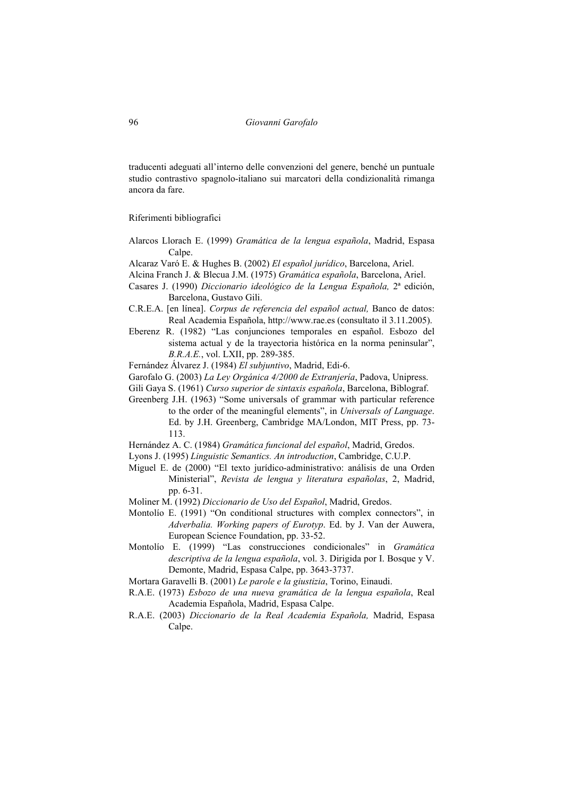traducenti adeguati all'interno delle convenzioni del genere, benché un puntuale studio contrastivo spagnolo-italiano sui marcatori della condizionalità rimanga ancora da fare.

Riferimenti bibliografici

- Alarcos Llorach E. (1999) *Gramática de la lengua española*, Madrid, Espasa Calpe.
- Alcaraz Varó E. & Hughes B. (2002) *El español jurídico*, Barcelona, Ariel.

Alcina Franch J. & Blecua J.M. (1975) *Gramática española*, Barcelona, Ariel.

- Casares J. (1990) *Diccionario ideológico de la Lengua Española,* 2ª edición, Barcelona, Gustavo Gili.
- C.R.E.A. [en línea]. *Corpus de referencia del español actual,* Banco de datos: Real Academia Española, http://www.rae.es (consultato il 3.11.2005).
- Eberenz R. (1982) "Las conjunciones temporales en español. Esbozo del sistema actual y de la trayectoria histórica en la norma peninsular", *B.R.A.E.*, vol. LXII, pp. 289-385.
- Fernández Álvarez J. (1984) *El subjuntivo*, Madrid, Edi-6.
- Garofalo G. (2003) *La Ley Orgánica 4/2000 de Extranjería*, Padova, Unipress.
- Gili Gaya S. (1961) *Curso superior de sintaxis española*, Barcelona, Biblograf.
- Greenberg J.H. (1963) "Some universals of grammar with particular reference to the order of the meaningful elements", in *Universals of Language*. Ed. by J.H. Greenberg, Cambridge MA/London, MIT Press, pp. 73- 113.
- Hernández A. C. (1984) *Gramática funcional del español*, Madrid, Gredos.
- Lyons J. (1995) *Linguistic Semantics. An introduction*, Cambridge, C.U.P.
- Miguel E. de (2000) "El texto jurídico-administrativo: análisis de una Orden Ministerial", *Revista de lengua y literatura españolas*, 2, Madrid, pp. 6-31.
- Moliner M. (1992) *Diccionario de Uso del Español*, Madrid, Gredos.
- Montolío E. (1991) "On conditional structures with complex connectors", in *Adverbalia. Working papers of Eurotyp*. Ed. by J. Van der Auwera, European Science Foundation, pp. 33-52.
- Montolío E. (1999) "Las construcciones condicionales" in *Gramática descriptiva de la lengua española*, vol. 3. Dirigida por I. Bosque y V. Demonte, Madrid, Espasa Calpe, pp. 3643-3737.
- Mortara Garavelli B. (2001) *Le parole e la giustizia*, Torino, Einaudi.
- R.A.E. (1973) *Esbozo de una nueva gramática de la lengua española*, Real Academia Española, Madrid, Espasa Calpe.
- R.A.E. (2003) *Diccionario de la Real Academia Española,* Madrid, Espasa Calpe.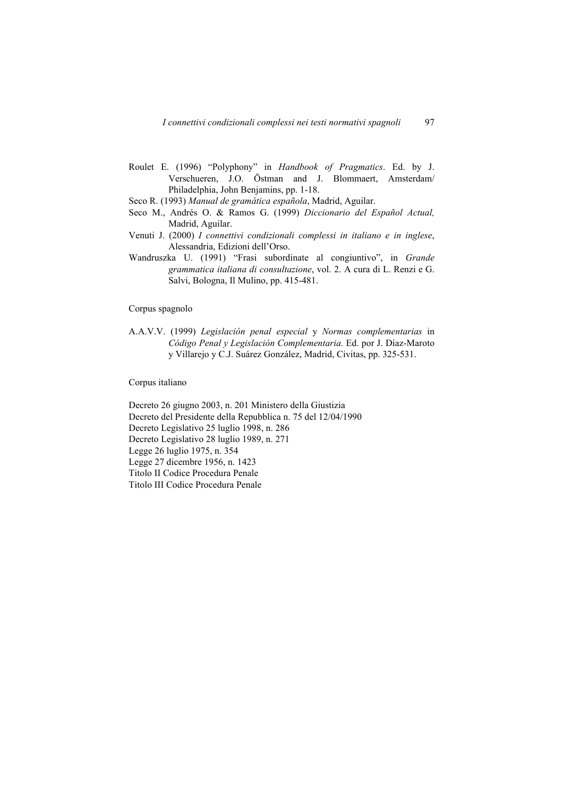- Roulet E. (1996) "Polyphony" in *Handbook of Pragmatics*. Ed. by J. Verschueren, J.O. Östman and J. Blommaert, Amsterdam/ Philadelphia, John Benjamins, pp. 1-18.
- Seco R. (1993) *Manual de gramática española*, Madrid, Aguilar.
- Seco M., Andrés O. & Ramos G. (1999) *Diccionario del Español Actual,* Madrid, Aguilar.
- Venuti J. (2000) *I connettivi condizionali complessi in italiano e in inglese*, Alessandria, Edizioni dell'Orso.
- Wandruszka U. (1991) "Frasi subordinate al congiuntivo", in *Grande grammatica italiana di consultazione*, vol. 2. A cura di L. Renzi e G. Salvi, Bologna, Il Mulino, pp. 415-481.

# Corpus spagnolo

A.A.V.V. (1999) *Legislación penal especial* y *Normas complementarias* in *Código Penal y Legislación Complementaria.* Ed. por J. Díaz-Maroto y Villarejo y C.J. Suárez González, Madrid, Civitas, pp. 325-531.

# Corpus italiano

Decreto 26 giugno 2003, n. 201 Ministero della Giustizia Decreto del Presidente della Repubblica n. 75 del 12/04/1990 Decreto Legislativo 25 luglio 1998, n. 286 Decreto Legislativo 28 luglio 1989, n. 271 Legge 26 luglio 1975, n. 354 Legge 27 dicembre 1956, n. 1423 Titolo II Codice Procedura Penale Titolo III Codice Procedura Penale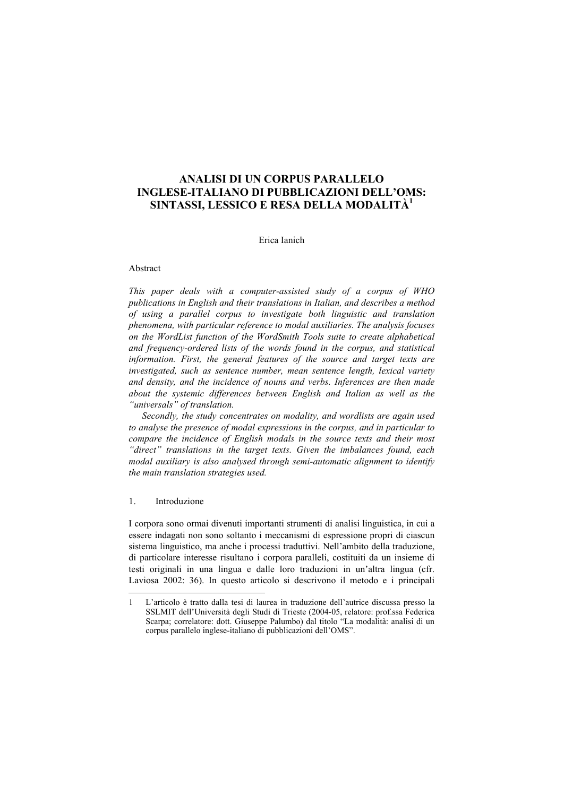# **ANALISI DI UN CORPUS PARALLELO INGLESE-ITALIANO DI PUBBLICAZIONI DELL'OMS: SINTASSI, LESSICO E RESA DELLA MODALITÀ<sup>1</sup>**

# Erica Ianich

### Abstract

*This paper deals with a computer-assisted study of a corpus of WHO publications in English and their translations in Italian, and describes a method of using a parallel corpus to investigate both linguistic and translation phenomena, with particular reference to modal auxiliaries. The analysis focuses on the WordList function of the WordSmith Tools suite to create alphabetical and frequency-ordered lists of the words found in the corpus, and statistical information. First, the general features of the source and target texts are investigated, such as sentence number, mean sentence length, lexical variety and density, and the incidence of nouns and verbs. Inferences are then made about the systemic differences between English and Italian as well as the "universals" of translation.* 

*Secondly, the study concentrates on modality, and wordlists are again used to analyse the presence of modal expressions in the corpus, and in particular to compare the incidence of English modals in the source texts and their most "direct" translations in the target texts. Given the imbalances found, each modal auxiliary is also analysed through semi-automatic alignment to identify the main translation strategies used.* 

# 1. Introduzione

 $\overline{a}$ 

I corpora sono ormai divenuti importanti strumenti di analisi linguistica, in cui a essere indagati non sono soltanto i meccanismi di espressione propri di ciascun sistema linguistico, ma anche i processi traduttivi. Nell'ambito della traduzione, di particolare interesse risultano i corpora paralleli, costituiti da un insieme di testi originali in una lingua e dalle loro traduzioni in un'altra lingua (cfr. Laviosa 2002: 36). In questo articolo si descrivono il metodo e i principali

<sup>1</sup> L'articolo è tratto dalla tesi di laurea in traduzione dell'autrice discussa presso la SSLMIT dell'Università degli Studi di Trieste (2004-05, relatore: prof.ssa Federica Scarpa; correlatore: dott. Giuseppe Palumbo) dal titolo "La modalità: analisi di un corpus parallelo inglese-italiano di pubblicazioni dell'OMS".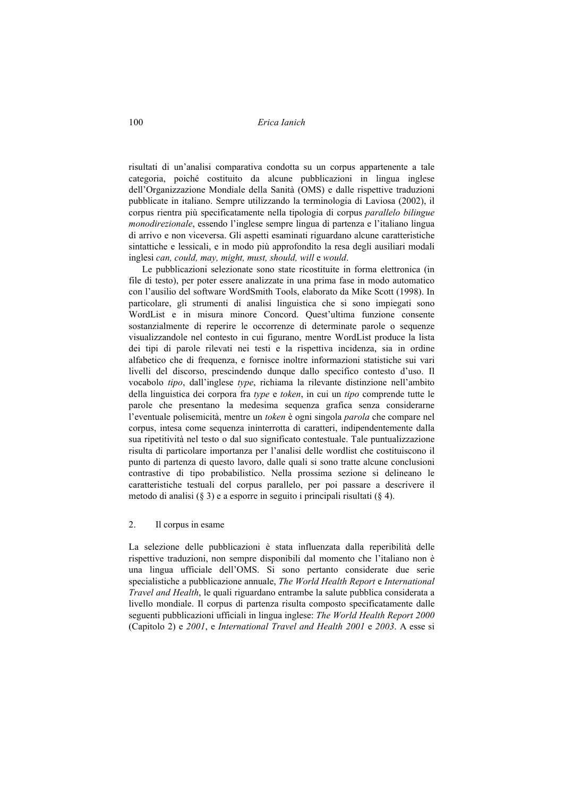100 *Erica Ianich* 

risultati di un'analisi comparativa condotta su un corpus appartenente a tale categoria, poiché costituito da alcune pubblicazioni in lingua inglese dell'Organizzazione Mondiale della Sanità (OMS) e dalle rispettive traduzioni pubblicate in italiano. Sempre utilizzando la terminologia di Laviosa (2002), il corpus rientra più specificatamente nella tipologia di corpus *parallelo bilingue monodirezionale*, essendo l'inglese sempre lingua di partenza e l'italiano lingua di arrivo e non viceversa. Gli aspetti esaminati riguardano alcune caratteristiche sintattiche e lessicali, e in modo più approfondito la resa degli ausiliari modali inglesi *can, could, may, might, must, should, will* e *would*.

Le pubblicazioni selezionate sono state ricostituite in forma elettronica (in file di testo), per poter essere analizzate in una prima fase in modo automatico con l'ausilio del software WordSmith Tools, elaborato da Mike Scott (1998). In particolare, gli strumenti di analisi linguistica che si sono impiegati sono WordList e in misura minore Concord. Quest'ultima funzione consente sostanzialmente di reperire le occorrenze di determinate parole o sequenze visualizzandole nel contesto in cui figurano, mentre WordList produce la lista dei tipi di parole rilevati nei testi e la rispettiva incidenza, sia in ordine alfabetico che di frequenza, e fornisce inoltre informazioni statistiche sui vari livelli del discorso, prescindendo dunque dallo specifico contesto d'uso. Il vocabolo *tipo*, dall'inglese *type*, richiama la rilevante distinzione nell'ambito della linguistica dei corpora fra *type* e *token*, in cui un *tipo* comprende tutte le parole che presentano la medesima sequenza grafica senza considerarne l'eventuale polisemicità, mentre un *token* è ogni singola *parola* che compare nel corpus, intesa come sequenza ininterrotta di caratteri, indipendentemente dalla sua ripetitività nel testo o dal suo significato contestuale. Tale puntualizzazione risulta di particolare importanza per l'analisi delle wordlist che costituiscono il punto di partenza di questo lavoro, dalle quali si sono tratte alcune conclusioni contrastive di tipo probabilistico. Nella prossima sezione si delineano le caratteristiche testuali del corpus parallelo, per poi passare a descrivere il metodo di analisi (§ 3) e a esporre in seguito i principali risultati (§ 4).

2. Il corpus in esame

La selezione delle pubblicazioni è stata influenzata dalla reperibilità delle rispettive traduzioni, non sempre disponibili dal momento che l'italiano non è una lingua ufficiale dell'OMS. Si sono pertanto considerate due serie specialistiche a pubblicazione annuale, *The World Health Report* e *International Travel and Health*, le quali riguardano entrambe la salute pubblica considerata a livello mondiale. Il corpus di partenza risulta composto specificatamente dalle seguenti pubblicazioni ufficiali in lingua inglese: *The World Health Report 2000*  (Capitolo 2) e *2001*, e *International Travel and Health 2001* e *2003*. A esse si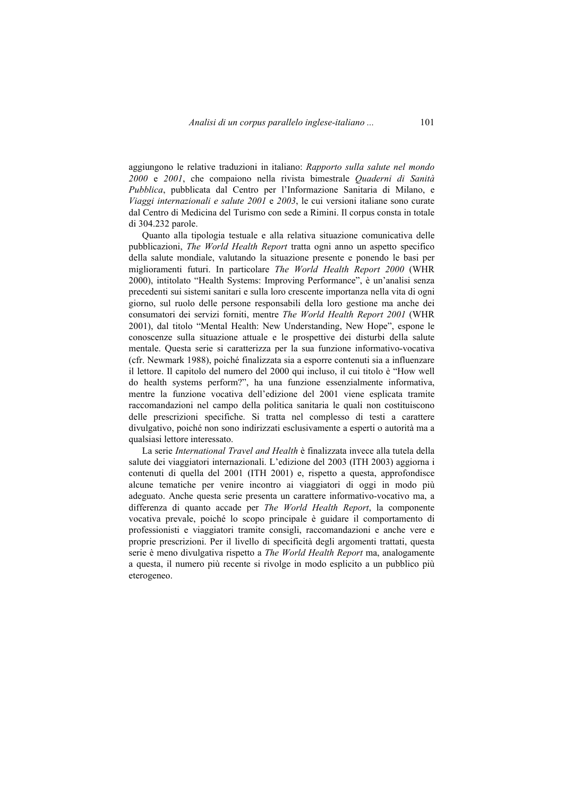aggiungono le relative traduzioni in italiano: *Rapporto sulla salute nel mondo 2000* e *2001*, che compaiono nella rivista bimestrale *Quaderni di Sanità Pubblica*, pubblicata dal Centro per l'Informazione Sanitaria di Milano, e *Viaggi internazionali e salute 2001* e *2003*, le cui versioni italiane sono curate dal Centro di Medicina del Turismo con sede a Rimini. Il corpus consta in totale di 304.232 parole.

Quanto alla tipologia testuale e alla relativa situazione comunicativa delle pubblicazioni, *The World Health Report* tratta ogni anno un aspetto specifico della salute mondiale, valutando la situazione presente e ponendo le basi per miglioramenti futuri. In particolare *The World Health Report 2000* (WHR 2000), intitolato "Health Systems: Improving Performance", è un'analisi senza precedenti sui sistemi sanitari e sulla loro crescente importanza nella vita di ogni giorno, sul ruolo delle persone responsabili della loro gestione ma anche dei consumatori dei servizi forniti, mentre *The World Health Report 2001* (WHR 2001), dal titolo "Mental Health: New Understanding, New Hope", espone le conoscenze sulla situazione attuale e le prospettive dei disturbi della salute mentale. Questa serie si caratterizza per la sua funzione informativo-vocativa (cfr. Newmark 1988), poiché finalizzata sia a esporre contenuti sia a influenzare il lettore. Il capitolo del numero del 2000 qui incluso, il cui titolo è "How well do health systems perform?", ha una funzione essenzialmente informativa, mentre la funzione vocativa dell'edizione del 2001 viene esplicata tramite raccomandazioni nel campo della politica sanitaria le quali non costituiscono delle prescrizioni specifiche. Si tratta nel complesso di testi a carattere divulgativo, poiché non sono indirizzati esclusivamente a esperti o autorità ma a qualsiasi lettore interessato.

La serie *International Travel and Health* è finalizzata invece alla tutela della salute dei viaggiatori internazionali. L'edizione del 2003 (ITH 2003) aggiorna i contenuti di quella del 2001 (ITH 2001) e, rispetto a questa, approfondisce alcune tematiche per venire incontro ai viaggiatori di oggi in modo più adeguato. Anche questa serie presenta un carattere informativo-vocativo ma, a differenza di quanto accade per *The World Health Report*, la componente vocativa prevale, poiché lo scopo principale è guidare il comportamento di professionisti e viaggiatori tramite consigli, raccomandazioni e anche vere e proprie prescrizioni. Per il livello di specificità degli argomenti trattati, questa serie è meno divulgativa rispetto a *The World Health Report* ma, analogamente a questa, il numero più recente si rivolge in modo esplicito a un pubblico più eterogeneo.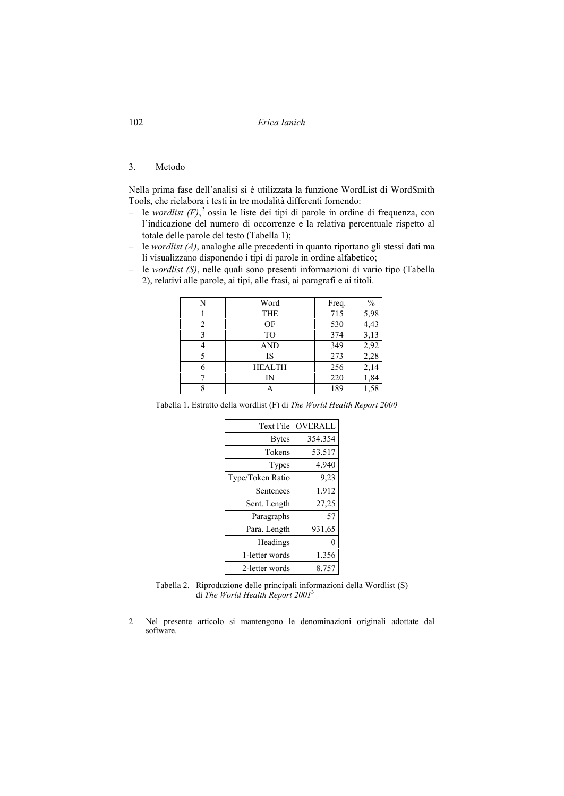102 *Erica Ianich* 

### 3. Metodo

Nella prima fase dell'analisi si è utilizzata la funzione WordList di WordSmith Tools, che rielabora i testi in tre modalità differenti fornendo:

- le *wordlist (F)*, *2* ossia le liste dei tipi di parole in ordine di frequenza, con l'indicazione del numero di occorrenze e la relativa percentuale rispetto al totale delle parole del testo (Tabella 1);
- le *wordlist (A)*, analoghe alle precedenti in quanto riportano gli stessi dati ma li visualizzano disponendo i tipi di parole in ordine alfabetico;
- le *wordlist (S)*, nelle quali sono presenti informazioni di vario tipo (Tabella 2), relativi alle parole, ai tipi, alle frasi, ai paragrafi e ai titoli.

| N | Word           | Freq. | $\frac{0}{0}$ |
|---|----------------|-------|---------------|
|   | <b>THE</b>     | 715   | 5,98          |
| 2 | OF             | 530   | 4,43          |
| 3 | T <sub>O</sub> | 374   | 3,13          |
|   | <b>AND</b>     | 349   | 2,92          |
| 5 | IS             | 273   | 2,28          |
|   | <b>HEALTH</b>  | 256   | 2,14          |
|   | IN             | 220   | 1,84          |
|   |                | 189   | 1,58          |

Tabella 1. Estratto della wordlist (F) di *The World Health Report 2000* 

| <b>Text File</b> | <b>OVERALL</b> |
|------------------|----------------|
| <b>Bytes</b>     | 354.354        |
| Tokens           | 53.517         |
| Types            | 4.940          |
| Type/Token Ratio | 9,23           |
| Sentences        | 1.912          |
| Sent. Length     | 27,25          |
| Paragraphs       | 57             |
| Para. Length     | 931,65         |
| Headings         | 0              |
| 1-letter words   | 1.356          |
| 2-letter words   | 8.757          |

Tabella 2. Riproduzione delle principali informazioni della Wordlist (S) di *The World Health Report 2001*<sup>3</sup>

<sup>2</sup> Nel presente articolo si mantengono le denominazioni originali adottate dal software.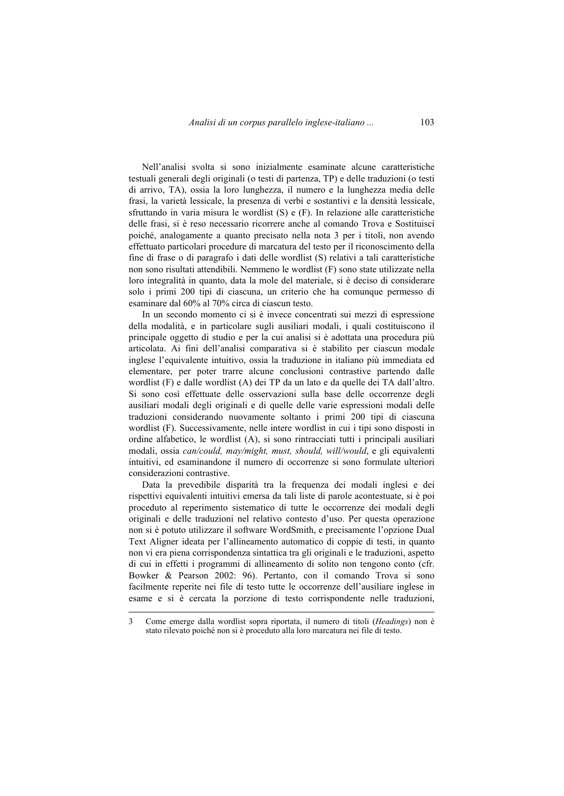Nell'analisi svolta si sono inizialmente esaminate alcune caratteristiche testuali generali degli originali (o testi di partenza, TP) e delle traduzioni (o testi di arrivo, TA), ossia la loro lunghezza, il numero e la lunghezza media delle frasi, la varietà lessicale, la presenza di verbi e sostantivi e la densità lessicale, sfruttando in varia misura le wordlist (S) e (F). In relazione alle caratteristiche delle frasi, si è reso necessario ricorrere anche al comando Trova e Sostituisci poiché, analogamente a quanto precisato nella nota 3 per i titoli, non avendo effettuato particolari procedure di marcatura del testo per il riconoscimento della fine di frase o di paragrafo i dati delle wordlist (S) relativi a tali caratteristiche non sono risultati attendibili. Nemmeno le wordlist (F) sono state utilizzate nella loro integralità in quanto, data la mole del materiale, si è deciso di considerare solo i primi 200 tipi di ciascuna, un criterio che ha comunque permesso di esaminare dal 60% al 70% circa di ciascun testo.

In un secondo momento ci si è invece concentrati sui mezzi di espressione della modalità, e in particolare sugli ausiliari modali, i quali costituiscono il principale oggetto di studio e per la cui analisi si è adottata una procedura più articolata. Ai fini dell'analisi comparativa si è stabilito per ciascun modale inglese l'equivalente intuitivo, ossia la traduzione in italiano più immediata ed elementare, per poter trarre alcune conclusioni contrastive partendo dalle wordlist (F) e dalle wordlist (A) dei TP da un lato e da quelle dei TA dall'altro. Si sono così effettuate delle osservazioni sulla base delle occorrenze degli ausiliari modali degli originali e di quelle delle varie espressioni modali delle traduzioni considerando nuovamente soltanto i primi 200 tipi di ciascuna wordlist (F). Successivamente, nelle intere wordlist in cui i tipi sono disposti in ordine alfabetico, le wordlist (A), si sono rintracciati tutti i principali ausiliari modali, ossia *can/could, may/might, must, should, will/would*, e gli equivalenti intuitivi, ed esaminandone il numero di occorrenze si sono formulate ulteriori considerazioni contrastive.

Data la prevedibile disparità tra la frequenza dei modali inglesi e dei rispettivi equivalenti intuitivi emersa da tali liste di parole acontestuate, si è poi proceduto al reperimento sistematico di tutte le occorrenze dei modali degli originali e delle traduzioni nel relativo contesto d'uso. Per questa operazione non si è potuto utilizzare il software WordSmith, e precisamente l'opzione Dual Text Aligner ideata per l'allineamento automatico di coppie di testi, in quanto non vi era piena corrispondenza sintattica tra gli originali e le traduzioni, aspetto di cui in effetti i programmi di allineamento di solito non tengono conto (cfr. Bowker & Pearson 2002: 96). Pertanto, con il comando Trova si sono facilmente reperite nei file di testo tutte le occorrenze dell'ausiliare inglese in esame e si è cercata la porzione di testo corrispondente nelle traduzioni,

<sup>3</sup> Come emerge dalla wordlist sopra riportata, il numero di titoli (*Headings*) non è stato rilevato poiché non si è proceduto alla loro marcatura nei file di testo.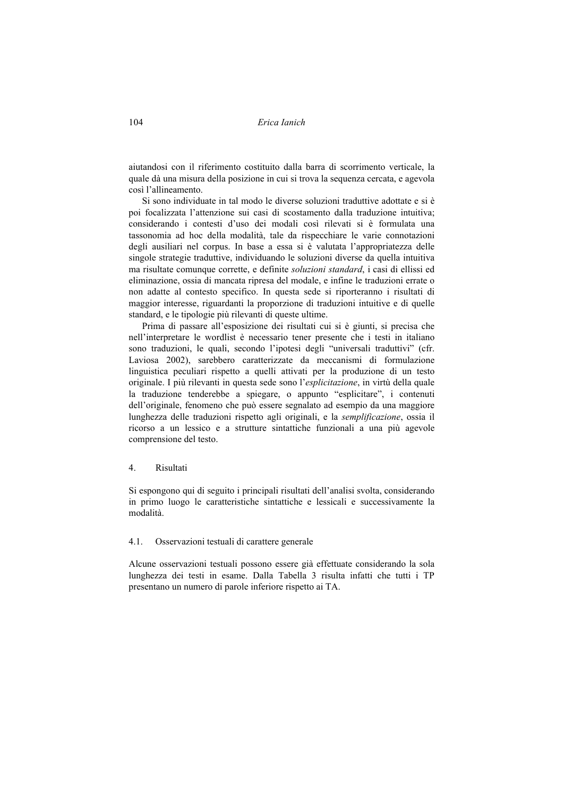104 *Erica Ianich* 

aiutandosi con il riferimento costituito dalla barra di scorrimento verticale, la quale dà una misura della posizione in cui si trova la sequenza cercata, e agevola così l'allineamento.

Si sono individuate in tal modo le diverse soluzioni traduttive adottate e si è poi focalizzata l'attenzione sui casi di scostamento dalla traduzione intuitiva; considerando i contesti d'uso dei modali così rilevati si è formulata una tassonomia ad hoc della modalità, tale da rispecchiare le varie connotazioni degli ausiliari nel corpus. In base a essa si è valutata l'appropriatezza delle singole strategie traduttive, individuando le soluzioni diverse da quella intuitiva ma risultate comunque corrette, e definite *soluzioni standard*, i casi di ellissi ed eliminazione, ossia di mancata ripresa del modale, e infine le traduzioni errate o non adatte al contesto specifico. In questa sede si riporteranno i risultati di maggior interesse, riguardanti la proporzione di traduzioni intuitive e di quelle standard, e le tipologie più rilevanti di queste ultime.

Prima di passare all'esposizione dei risultati cui si è giunti, si precisa che nell'interpretare le wordlist è necessario tener presente che i testi in italiano sono traduzioni, le quali, secondo l'ipotesi degli "universali traduttivi" (cfr. Laviosa 2002), sarebbero caratterizzate da meccanismi di formulazione linguistica peculiari rispetto a quelli attivati per la produzione di un testo originale. I più rilevanti in questa sede sono l'*esplicitazione*, in virtù della quale la traduzione tenderebbe a spiegare, o appunto "esplicitare", i contenuti dell'originale, fenomeno che può essere segnalato ad esempio da una maggiore lunghezza delle traduzioni rispetto agli originali, e la *semplificazione*, ossia il ricorso a un lessico e a strutture sintattiche funzionali a una più agevole comprensione del testo.

### 4. Risultati

Si espongono qui di seguito i principali risultati dell'analisi svolta, considerando in primo luogo le caratteristiche sintattiche e lessicali e successivamente la modalità.

#### 4.1. Osservazioni testuali di carattere generale

Alcune osservazioni testuali possono essere già effettuate considerando la sola lunghezza dei testi in esame. Dalla Tabella 3 risulta infatti che tutti i TP presentano un numero di parole inferiore rispetto ai TA.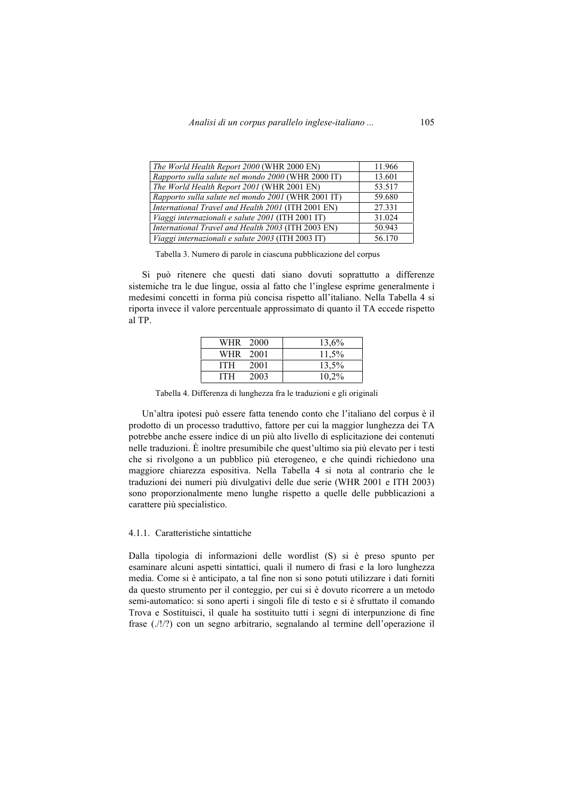| The World Health Report 2000 (WHR 2000 EN)         | 11.966 |
|----------------------------------------------------|--------|
| Rapporto sulla salute nel mondo 2000 (WHR 2000 IT) | 13.601 |
| The World Health Report 2001 (WHR 2001 EN)         | 53.517 |
| Rapporto sulla salute nel mondo 2001 (WHR 2001 IT) | 59.680 |
| International Travel and Health 2001 (ITH 2001 EN) | 27.331 |
| Viaggi internazionali e salute 2001 (ITH 2001 IT)  | 31.024 |
| International Travel and Health 2003 (ITH 2003 EN) | 50.943 |
| Viaggi internazionali e salute 2003 (ITH 2003 IT)  | 56.170 |

Tabella 3. Numero di parole in ciascuna pubblicazione del corpus

Si può ritenere che questi dati siano dovuti soprattutto a differenze sistemiche tra le due lingue, ossia al fatto che l'inglese esprime generalmente i medesimi concetti in forma più concisa rispetto all'italiano. Nella Tabella 4 si riporta invece il valore percentuale approssimato di quanto il TA eccede rispetto al TP.

| WHR 2000   |      | 13,6% |
|------------|------|-------|
| WHR 2001   |      | 11.5% |
| <b>ITH</b> | 2001 | 13.5% |
| <b>ITH</b> | 2003 | 10,2% |

Tabella 4. Differenza di lunghezza fra le traduzioni e gli originali

Un'altra ipotesi può essere fatta tenendo conto che l'italiano del corpus è il prodotto di un processo traduttivo, fattore per cui la maggior lunghezza dei TA potrebbe anche essere indice di un più alto livello di esplicitazione dei contenuti nelle traduzioni. È inoltre presumibile che quest'ultimo sia più elevato per i testi che si rivolgono a un pubblico più eterogeneo, e che quindi richiedono una maggiore chiarezza espositiva. Nella Tabella 4 si nota al contrario che le traduzioni dei numeri più divulgativi delle due serie (WHR 2001 e ITH 2003) sono proporzionalmente meno lunghe rispetto a quelle delle pubblicazioni a carattere più specialistico.

## 4.1.1. Caratteristiche sintattiche

Dalla tipologia di informazioni delle wordlist (S) si è preso spunto per esaminare alcuni aspetti sintattici, quali il numero di frasi e la loro lunghezza media. Come si è anticipato, a tal fine non si sono potuti utilizzare i dati forniti da questo strumento per il conteggio, per cui si è dovuto ricorrere a un metodo semi-automatico: si sono aperti i singoli file di testo e si è sfruttato il comando Trova e Sostituisci, il quale ha sostituito tutti i segni di interpunzione di fine frase (./!/?) con un segno arbitrario, segnalando al termine dell'operazione il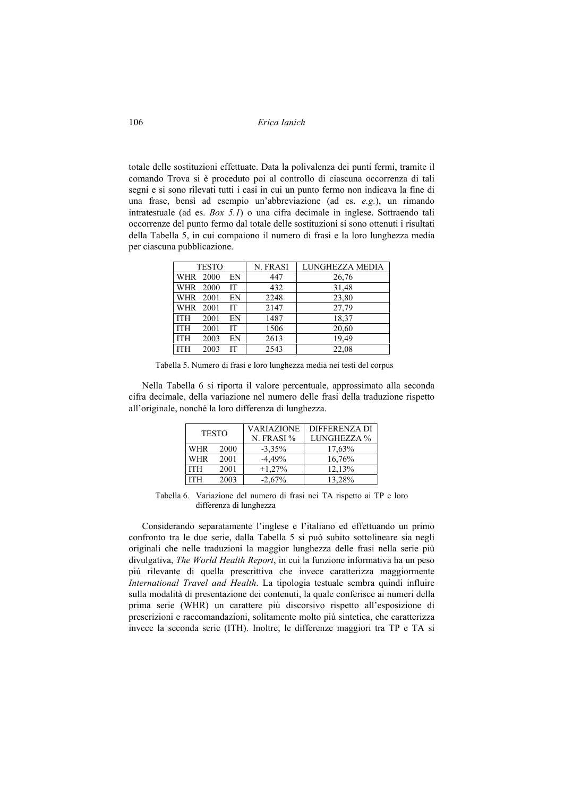106 *Erica Ianich* 

totale delle sostituzioni effettuate. Data la polivalenza dei punti fermi, tramite il comando Trova si è proceduto poi al controllo di ciascuna occorrenza di tali segni e si sono rilevati tutti i casi in cui un punto fermo non indicava la fine di una frase, bensì ad esempio un'abbreviazione (ad es. *e.g.*), un rimando intratestuale (ad es. *Box 5.1*) o una cifra decimale in inglese. Sottraendo tali occorrenze del punto fermo dal totale delle sostituzioni si sono ottenuti i risultati della Tabella 5, in cui compaiono il numero di frasi e la loro lunghezza media per ciascuna pubblicazione.

|            | <b>TESTO</b> |           | N. FRASI | LUNGHEZZA MEDIA |
|------------|--------------|-----------|----------|-----------------|
| WHR 2000   |              | EN        | 447      | 26,76           |
| WHR 2000   |              | IT        | 432      | 31,48           |
| WHR 2001   |              | EN        | 2248     | 23,80           |
| WHR 2001   |              | IT        | 2147     | 27,79           |
| <b>ITH</b> | 2001         | EN        | 1487     | 18,37           |
| <b>ITH</b> | 2001         | <b>IT</b> | 1506     | 20,60           |
| <b>ITH</b> | 2003         | EN        | 2613     | 19,49           |
| <b>ITH</b> | 2003         | <b>IT</b> | 2543     | 22,08           |

Tabella 5. Numero di frasi e loro lunghezza media nei testi del corpus

Nella Tabella 6 si riporta il valore percentuale, approssimato alla seconda cifra decimale, della variazione nel numero delle frasi della traduzione rispetto all'originale, nonché la loro differenza di lunghezza.

| <b>TESTO</b> |      | <b>VARIAZIONE</b> | DIFFERENZA DI |
|--------------|------|-------------------|---------------|
|              |      | N. FRASI %        | LUNGHEZZA %   |
| <b>WHR</b>   | 2000 | $-3.35%$          | 17,63%        |
| <b>WHR</b>   | 2001 | $-4.49%$          | 16,76%        |
| <b>ITH</b>   | 2001 | $+1,27%$          | 12,13%        |
| <b>ITH</b>   | 2003 | $-2.67%$          | 13.28%        |

Tabella 6. Variazione del numero di frasi nei TA rispetto ai TP e loro differenza di lunghezza

Considerando separatamente l'inglese e l'italiano ed effettuando un primo confronto tra le due serie, dalla Tabella 5 si può subito sottolineare sia negli originali che nelle traduzioni la maggior lunghezza delle frasi nella serie più divulgativa, *The World Health Report*, in cui la funzione informativa ha un peso più rilevante di quella prescrittiva che invece caratterizza maggiormente *International Travel and Health*. La tipologia testuale sembra quindi influire sulla modalità di presentazione dei contenuti, la quale conferisce ai numeri della prima serie (WHR) un carattere più discorsivo rispetto all'esposizione di prescrizioni e raccomandazioni, solitamente molto più sintetica, che caratterizza invece la seconda serie (ITH). Inoltre, le differenze maggiori tra TP e TA si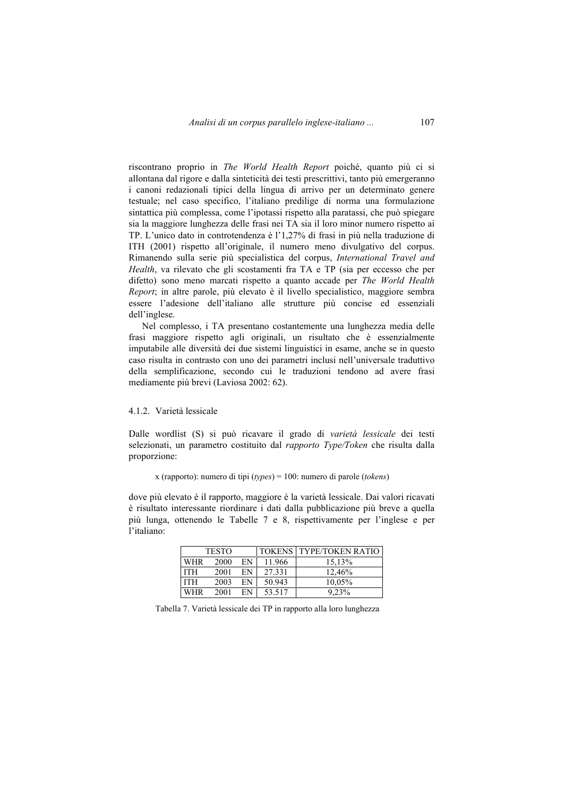riscontrano proprio in *The World Health Report* poiché, quanto più ci si allontana dal rigore e dalla sinteticità dei testi prescrittivi, tanto più emergeranno i canoni redazionali tipici della lingua di arrivo per un determinato genere testuale; nel caso specifico, l'italiano predilige di norma una formulazione sintattica più complessa, come l'ipotassi rispetto alla paratassi, che può spiegare sia la maggiore lunghezza delle frasi nei TA sia il loro minor numero rispetto ai TP. L'unico dato in controtendenza è l'1,27% di frasi in più nella traduzione di ITH (2001) rispetto all'originale, il numero meno divulgativo del corpus. Rimanendo sulla serie più specialistica del corpus, *International Travel and Health*, va rilevato che gli scostamenti fra TA e TP (sia per eccesso che per difetto) sono meno marcati rispetto a quanto accade per *The World Health Report*; in altre parole, più elevato è il livello specialistico, maggiore sembra essere l'adesione dell'italiano alle strutture più concise ed essenziali dell'inglese.

Nel complesso, i TA presentano costantemente una lunghezza media delle frasi maggiore rispetto agli originali, un risultato che è essenzialmente imputabile alle diversità dei due sistemi linguistici in esame, anche se in questo caso risulta in contrasto con uno dei parametri inclusi nell'universale traduttivo della semplificazione, secondo cui le traduzioni tendono ad avere frasi mediamente più brevi (Laviosa 2002: 62).

### 4.1.2. Varietà lessicale

Dalle wordlist (S) si può ricavare il grado di *varietà lessicale* dei testi selezionati, un parametro costituito dal *rapporto Type/Token* che risulta dalla proporzione:

x (rapporto): numero di tipi (*types*) = 100: numero di parole (*tokens*)

dove più elevato è il rapporto, maggiore è la varietà lessicale. Dai valori ricavati è risultato interessante riordinare i dati dalla pubblicazione più breve a quella più lunga, ottenendo le Tabelle 7 e 8, rispettivamente per l'inglese e per l'italiano:

|            | <b>TESTO</b> |    |        | <b>TOKENS   TYPE/TOKEN RATIO</b> |
|------------|--------------|----|--------|----------------------------------|
| <b>WHR</b> | 2000         | EN | 11.966 | 15,13%                           |
| <b>ITH</b> | 2001         | EN | 27.331 | 12,46%                           |
| <b>ITH</b> | 2003         | EN | 50.943 | 10,05%                           |
| <b>WHR</b> | 2001         | EN | 53.517 | 9.23%                            |

Tabella 7. Varietà lessicale dei TP in rapporto alla loro lunghezza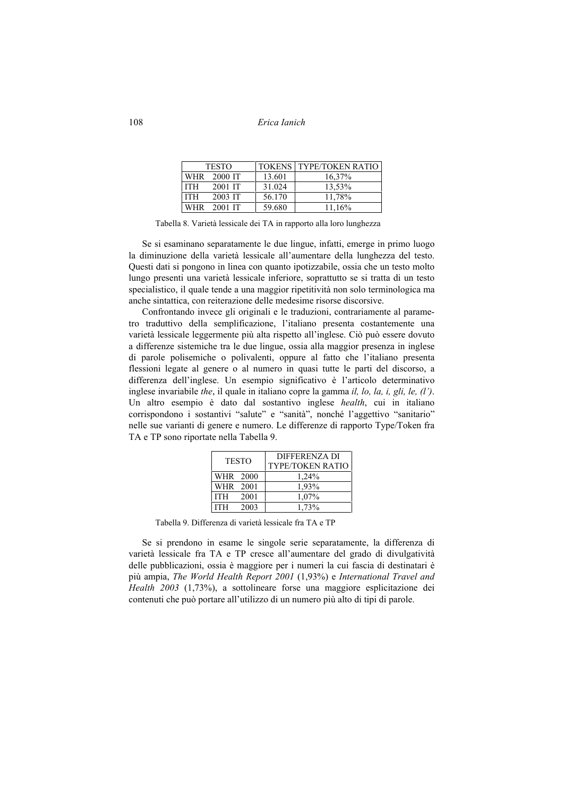108 *Erica Ianich* 

|            | <b>TESTO</b> |        | <b>TOKENS   TYPE/TOKEN RATIO</b> |
|------------|--------------|--------|----------------------------------|
| <b>WHR</b> | 2000 IT      | 13.601 | 16,37%                           |
| <b>ITH</b> | 2001 IT      | 31.024 | 13,53%                           |
| <b>ITH</b> | 2003 IT      | 56.170 | 11,78%                           |
| <b>WHR</b> | 2001 IT      | 59.680 | 11,16%                           |

Tabella 8. Varietà lessicale dei TA in rapporto alla loro lunghezza

Se si esaminano separatamente le due lingue, infatti, emerge in primo luogo la diminuzione della varietà lessicale all'aumentare della lunghezza del testo. Questi dati si pongono in linea con quanto ipotizzabile, ossia che un testo molto lungo presenti una varietà lessicale inferiore, soprattutto se si tratta di un testo specialistico, il quale tende a una maggior ripetitività non solo terminologica ma anche sintattica, con reiterazione delle medesime risorse discorsive.

Confrontando invece gli originali e le traduzioni, contrariamente al parametro traduttivo della semplificazione, l'italiano presenta costantemente una varietà lessicale leggermente più alta rispetto all'inglese. Ciò può essere dovuto a differenze sistemiche tra le due lingue, ossia alla maggior presenza in inglese di parole polisemiche o polivalenti, oppure al fatto che l'italiano presenta flessioni legate al genere o al numero in quasi tutte le parti del discorso, a differenza dell'inglese. Un esempio significativo è l'articolo determinativo inglese invariabile *the*, il quale in italiano copre la gamma *il, lo, la, i, gli, le, (l')*. Un altro esempio è dato dal sostantivo inglese *health*, cui in italiano corrispondono i sostantivi "salute" e "sanità", nonché l'aggettivo "sanitario" nelle sue varianti di genere e numero. Le differenze di rapporto Type/Token fra TA e TP sono riportate nella Tabella 9.

| <b>TESTO</b> |      | DIFFERENZA DI<br>TYPE/TOKEN RATIO |
|--------------|------|-----------------------------------|
| WHR 2000     |      | 1,24%                             |
| WHR 2001     |      | 1,93%                             |
| <b>ITH</b>   | 2001 | 1,07%                             |
| <b>ITH</b>   | 2003 | 1,73%                             |

Tabella 9. Differenza di varietà lessicale fra TA e TP

Se si prendono in esame le singole serie separatamente, la differenza di varietà lessicale fra TA e TP cresce all'aumentare del grado di divulgatività delle pubblicazioni, ossia è maggiore per i numeri la cui fascia di destinatari è più ampia, *The World Health Report 2001* (1,93%) e *International Travel and Health 2003* (1,73%), a sottolineare forse una maggiore esplicitazione dei contenuti che può portare all'utilizzo di un numero più alto di tipi di parole.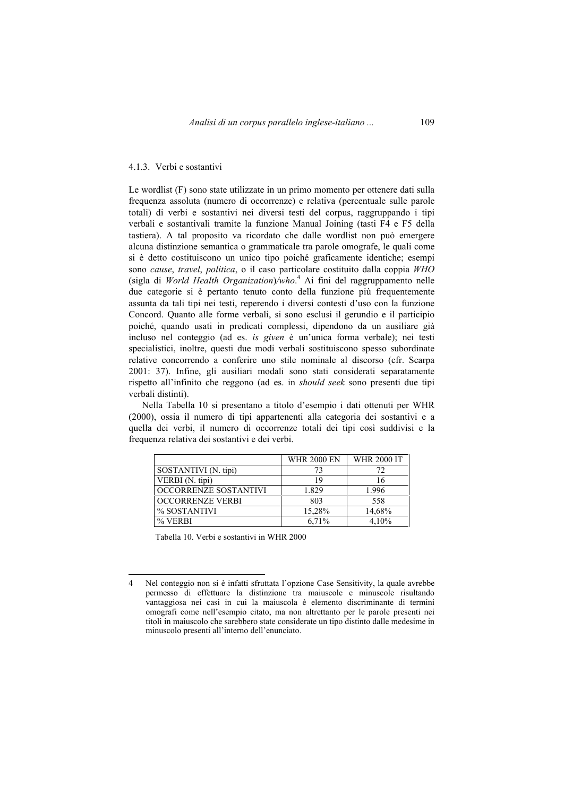#### 4.1.3. Verbi e sostantivi

Le wordlist (F) sono state utilizzate in un primo momento per ottenere dati sulla frequenza assoluta (numero di occorrenze) e relativa (percentuale sulle parole totali) di verbi e sostantivi nei diversi testi del corpus, raggruppando i tipi verbali e sostantivali tramite la funzione Manual Joining (tasti F4 e F5 della tastiera). A tal proposito va ricordato che dalle wordlist non può emergere alcuna distinzione semantica o grammaticale tra parole omografe, le quali come si è detto costituiscono un unico tipo poiché graficamente identiche; esempi sono *cause*, *travel*, *politica*, o il caso particolare costituito dalla coppia *WHO* (sigla di *World Health Organization*)*/who*. 4 Ai fini del raggruppamento nelle due categorie si è pertanto tenuto conto della funzione più frequentemente assunta da tali tipi nei testi, reperendo i diversi contesti d'uso con la funzione Concord. Quanto alle forme verbali, si sono esclusi il gerundio e il participio poiché, quando usati in predicati complessi, dipendono da un ausiliare già incluso nel conteggio (ad es. *is given* è un'unica forma verbale); nei testi specialistici, inoltre, questi due modi verbali sostituiscono spesso subordinate relative concorrendo a conferire uno stile nominale al discorso (cfr. Scarpa 2001: 37). Infine, gli ausiliari modali sono stati considerati separatamente rispetto all'infinito che reggono (ad es. in *should seek* sono presenti due tipi verbali distinti).

Nella Tabella 10 si presentano a titolo d'esempio i dati ottenuti per WHR (2000), ossia il numero di tipi appartenenti alla categoria dei sostantivi e a quella dei verbi, il numero di occorrenze totali dei tipi così suddivisi e la frequenza relativa dei sostantivi e dei verbi.

|                         | <b>WHR 2000 EN</b> | <b>WHR 2000 IT</b> |
|-------------------------|--------------------|--------------------|
| SOSTANTIVI (N. tipi)    | 73                 | 72                 |
| VERBI (N. tipi)         | 19                 | 16                 |
| OCCORRENZE SOSTANTIVI   | 1.829              | 1.996              |
| <b>OCCORRENZE VERBI</b> | 803                | 558                |
| % SOSTANTIVI            | 15,28%             | 14,68%             |
| $%$ VERBI               | 6.71%              | 4.10%              |

Tabella 10. Verbi e sostantivi in WHR 2000

 $\overline{a}$ 

<sup>4</sup> Nel conteggio non si è infatti sfruttata l'opzione Case Sensitivity, la quale avrebbe permesso di effettuare la distinzione tra maiuscole e minuscole risultando vantaggiosa nei casi in cui la maiuscola è elemento discriminante di termini omografi come nell'esempio citato, ma non altrettanto per le parole presenti nei titoli in maiuscolo che sarebbero state considerate un tipo distinto dalle medesime in minuscolo presenti all'interno dell'enunciato.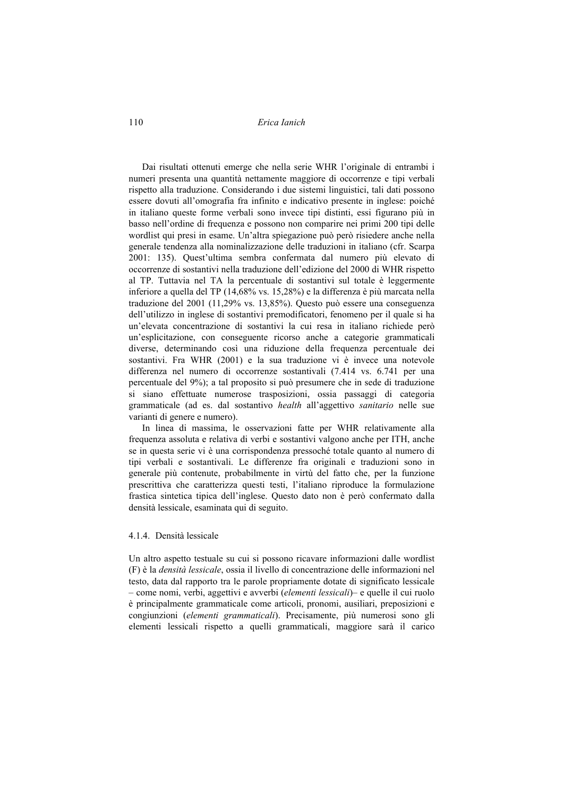110 *Erica Ianich* 

Dai risultati ottenuti emerge che nella serie WHR l'originale di entrambi i numeri presenta una quantità nettamente maggiore di occorrenze e tipi verbali rispetto alla traduzione. Considerando i due sistemi linguistici, tali dati possono essere dovuti all'omografia fra infinito e indicativo presente in inglese: poiché in italiano queste forme verbali sono invece tipi distinti, essi figurano più in basso nell'ordine di frequenza e possono non comparire nei primi 200 tipi delle wordlist qui presi in esame. Un'altra spiegazione può però risiedere anche nella generale tendenza alla nominalizzazione delle traduzioni in italiano (cfr. Scarpa 2001: 135). Quest'ultima sembra confermata dal numero più elevato di occorrenze di sostantivi nella traduzione dell'edizione del 2000 di WHR rispetto al TP. Tuttavia nel TA la percentuale di sostantivi sul totale è leggermente inferiore a quella del TP (14,68% vs. 15,28%) e la differenza è più marcata nella traduzione del 2001 (11,29% vs. 13,85%). Questo può essere una conseguenza dell'utilizzo in inglese di sostantivi premodificatori, fenomeno per il quale si ha un'elevata concentrazione di sostantivi la cui resa in italiano richiede però un'esplicitazione, con conseguente ricorso anche a categorie grammaticali diverse, determinando così una riduzione della frequenza percentuale dei sostantivi. Fra WHR (2001) e la sua traduzione vi è invece una notevole differenza nel numero di occorrenze sostantivali (7.414 vs. 6.741 per una percentuale del 9%); a tal proposito si può presumere che in sede di traduzione si siano effettuate numerose trasposizioni, ossia passaggi di categoria grammaticale (ad es. dal sostantivo *health* all'aggettivo *sanitario* nelle sue varianti di genere e numero).

In linea di massima, le osservazioni fatte per WHR relativamente alla frequenza assoluta e relativa di verbi e sostantivi valgono anche per ITH, anche se in questa serie vi è una corrispondenza pressoché totale quanto al numero di tipi verbali e sostantivali. Le differenze fra originali e traduzioni sono in generale più contenute, probabilmente in virtù del fatto che, per la funzione prescrittiva che caratterizza questi testi, l'italiano riproduce la formulazione frastica sintetica tipica dell'inglese. Questo dato non è però confermato dalla densità lessicale, esaminata qui di seguito.

#### 4.1.4. Densità lessicale

Un altro aspetto testuale su cui si possono ricavare informazioni dalle wordlist (F) è la *densità lessicale*, ossia il livello di concentrazione delle informazioni nel testo, data dal rapporto tra le parole propriamente dotate di significato lessicale – come nomi, verbi, aggettivi e avverbi (*elementi lessicali*)– e quelle il cui ruolo è principalmente grammaticale come articoli, pronomi, ausiliari, preposizioni e congiunzioni (*elementi grammaticali*). Precisamente, più numerosi sono gli elementi lessicali rispetto a quelli grammaticali, maggiore sarà il carico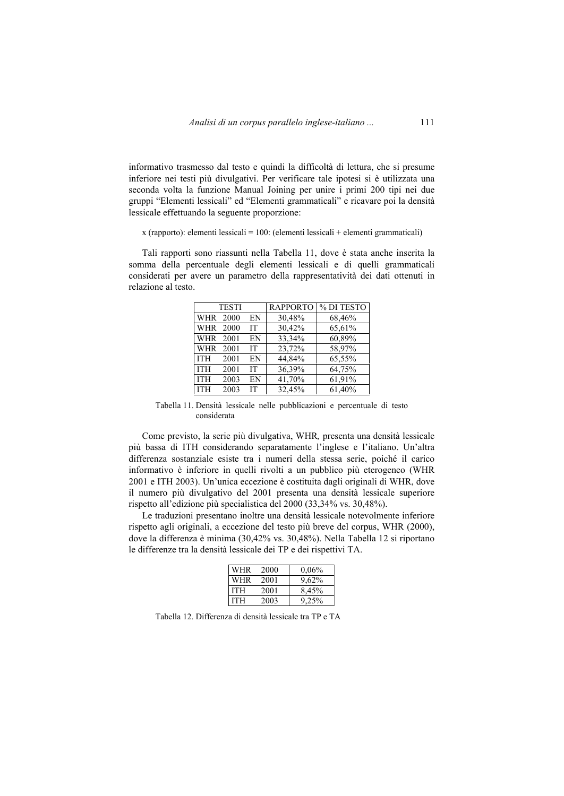informativo trasmesso dal testo e quindi la difficoltà di lettura, che si presume inferiore nei testi più divulgativi. Per verificare tale ipotesi si è utilizzata una seconda volta la funzione Manual Joining per unire i primi 200 tipi nei due gruppi "Elementi lessicali" ed "Elementi grammaticali" e ricavare poi la densità lessicale effettuando la seguente proporzione:

#### x (rapporto): elementi lessicali = 100: (elementi lessicali + elementi grammaticali)

Tali rapporti sono riassunti nella Tabella 11, dove è stata anche inserita la somma della percentuale degli elementi lessicali e di quelli grammaticali considerati per avere un parametro della rappresentatività dei dati ottenuti in relazione al testo.

|            | <b>TESTI</b> |           | <b>RAPPORTO</b> | % DI TESTO |
|------------|--------------|-----------|-----------------|------------|
| WHR 2000   |              | EN        | 30,48%          | 68,46%     |
| WHR 2000   |              | <b>IT</b> | 30,42%          | 65,61%     |
| WHR 2001   |              | EN        | 33,34%          | 60,89%     |
| <b>WHR</b> | 2001         | <b>IT</b> | 23,72%          | 58,97%     |
| <b>ITH</b> | 2001         | EN        | 44,84%          | 65,55%     |
| <b>ITH</b> | 2001         | <b>IT</b> | 36,39%          | 64,75%     |
| <b>ITH</b> | 2003         | EN        | 41,70%          | 61,91%     |
| <b>ITH</b> | 2003         | IТ        | 32,45%          | 61,40%     |

Tabella 11. Densità lessicale nelle pubblicazioni e percentuale di testo considerata

Come previsto, la serie più divulgativa, WHR*,* presenta una densità lessicale più bassa di ITH considerando separatamente l'inglese e l'italiano. Un'altra differenza sostanziale esiste tra i numeri della stessa serie, poiché il carico informativo è inferiore in quelli rivolti a un pubblico più eterogeneo (WHR 2001 e ITH 2003). Un'unica eccezione è costituita dagli originali di WHR, dove il numero più divulgativo del 2001 presenta una densità lessicale superiore rispetto all'edizione più specialistica del 2000 (33,34% vs. 30,48%).

Le traduzioni presentano inoltre una densità lessicale notevolmente inferiore rispetto agli originali, a eccezione del testo più breve del corpus, WHR (2000), dove la differenza è minima (30,42% vs. 30,48%). Nella Tabella 12 si riportano le differenze tra la densità lessicale dei TP e dei rispettivi TA.

| WHR        | 2000 | 0.06% |
|------------|------|-------|
| <b>WHR</b> | 2001 | 9,62% |
| <b>ITH</b> | 2001 | 8,45% |
| <b>ITH</b> | 2003 | 9.25% |

Tabella 12. Differenza di densità lessicale tra TP e TA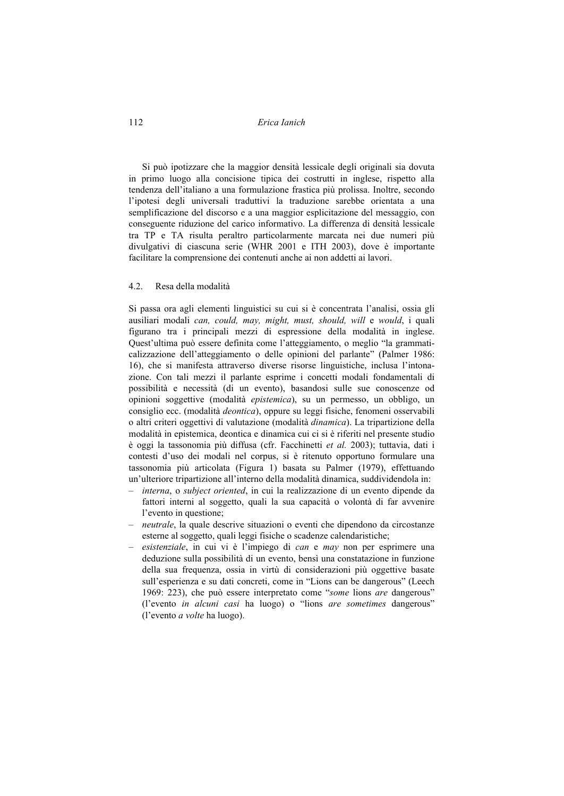### 112 *Erica Ianich*

Si può ipotizzare che la maggior densità lessicale degli originali sia dovuta in primo luogo alla concisione tipica dei costrutti in inglese, rispetto alla tendenza dell'italiano a una formulazione frastica più prolissa. Inoltre, secondo l'ipotesi degli universali traduttivi la traduzione sarebbe orientata a una semplificazione del discorso e a una maggior esplicitazione del messaggio, con conseguente riduzione del carico informativo. La differenza di densità lessicale tra TP e TA risulta peraltro particolarmente marcata nei due numeri più divulgativi di ciascuna serie (WHR 2001 e ITH 2003), dove è importante facilitare la comprensione dei contenuti anche ai non addetti ai lavori.

#### 4.2. Resa della modalità

Si passa ora agli elementi linguistici su cui si è concentrata l'analisi, ossia gli ausiliari modali *can, could, may, might, must, should, will* e *would*, i quali figurano tra i principali mezzi di espressione della modalità in inglese. Quest'ultima può essere definita come l'atteggiamento, o meglio "la grammaticalizzazione dell'atteggiamento o delle opinioni del parlante" (Palmer 1986: 16), che si manifesta attraverso diverse risorse linguistiche, inclusa l'intonazione. Con tali mezzi il parlante esprime i concetti modali fondamentali di possibilità e necessità (di un evento), basandosi sulle sue conoscenze od opinioni soggettive (modalità *epistemica*), su un permesso, un obbligo, un consiglio ecc. (modalità *deontica*), oppure su leggi fisiche, fenomeni osservabili o altri criteri oggettivi di valutazione (modalità *dinamica*). La tripartizione della modalità in epistemica, deontica e dinamica cui ci si è riferiti nel presente studio è oggi la tassonomia più diffusa (cfr. Facchinetti *et al.* 2003); tuttavia, dati i contesti d'uso dei modali nel corpus, si è ritenuto opportuno formulare una tassonomia più articolata (Figura 1) basata su Palmer (1979), effettuando un'ulteriore tripartizione all'interno della modalità dinamica, suddividendola in:

- *interna*, o *subject oriented*, in cui la realizzazione di un evento dipende da fattori interni al soggetto, quali la sua capacità o volontà di far avvenire l'evento in questione;
- *neutrale*, la quale descrive situazioni o eventi che dipendono da circostanze esterne al soggetto, quali leggi fisiche o scadenze calendaristiche;
- *esistenziale*, in cui vi è l'impiego di *can* e *may* non per esprimere una deduzione sulla possibilità di un evento, bensì una constatazione in funzione della sua frequenza, ossia in virtù di considerazioni più oggettive basate sull'esperienza e su dati concreti, come in "Lions can be dangerous" (Leech 1969: 223), che può essere interpretato come "*some* lions *are* dangerous" (l'evento *in alcuni casi* ha luogo) o "lions *are sometimes* dangerous" (l'evento *a volte* ha luogo).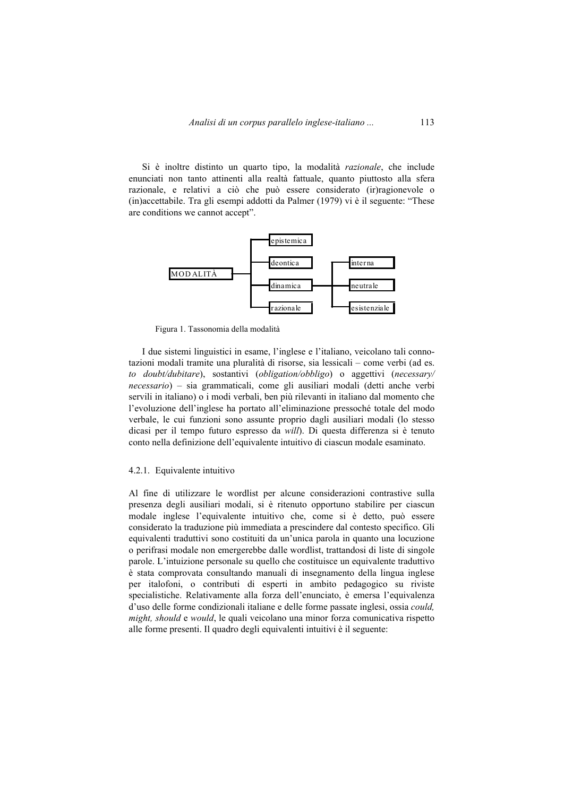Si è inoltre distinto un quarto tipo, la modalità *razionale*, che include enunciati non tanto attinenti alla realtà fattuale, quanto piuttosto alla sfera razionale, e relativi a ciò che può essere considerato (ir)ragionevole o (in)accettabile. Tra gli esempi addotti da Palmer (1979) vi è il seguente: "These are conditions we cannot accept".



Figura 1. Tassonomia della modalità

I due sistemi linguistici in esame, l'inglese e l'italiano, veicolano tali connotazioni modali tramite una pluralità di risorse, sia lessicali – come verbi (ad es. *to doubt/dubitare*), sostantivi (*obligation/obbligo*) o aggettivi (*necessary/ necessario*) – sia grammaticali, come gli ausiliari modali (detti anche verbi servili in italiano) o i modi verbali, ben più rilevanti in italiano dal momento che l'evoluzione dell'inglese ha portato all'eliminazione pressoché totale del modo verbale, le cui funzioni sono assunte proprio dagli ausiliari modali (lo stesso dicasi per il tempo futuro espresso da *will*). Di questa differenza si è tenuto conto nella definizione dell'equivalente intuitivo di ciascun modale esaminato.

### 4.2.1. Equivalente intuitivo

Al fine di utilizzare le wordlist per alcune considerazioni contrastive sulla presenza degli ausiliari modali, si è ritenuto opportuno stabilire per ciascun modale inglese l'equivalente intuitivo che, come si è detto, può essere considerato la traduzione più immediata a prescindere dal contesto specifico. Gli equivalenti traduttivi sono costituiti da un'unica parola in quanto una locuzione o perifrasi modale non emergerebbe dalle wordlist, trattandosi di liste di singole parole. L'intuizione personale su quello che costituisce un equivalente traduttivo è stata comprovata consultando manuali di insegnamento della lingua inglese per italofoni, o contributi di esperti in ambito pedagogico su riviste specialistiche. Relativamente alla forza dell'enunciato, è emersa l'equivalenza d'uso delle forme condizionali italiane e delle forme passate inglesi, ossia *could, might, should* e *would*, le quali veicolano una minor forza comunicativa rispetto alle forme presenti. Il quadro degli equivalenti intuitivi è il seguente: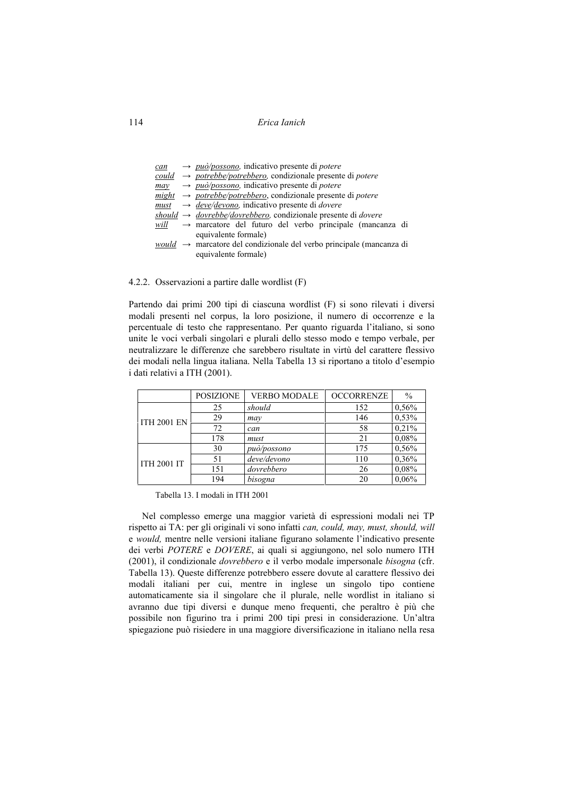### 114 *Erica Ianich*

| can  | $\rightarrow$ può/possono, indicativo presente di potere                         |
|------|----------------------------------------------------------------------------------|
|      | could $\rightarrow$ potrebbe/potrebbero, condizionale presente di potere         |
| may  | $\rightarrow$ può/possono, indicativo presente di potere                         |
|      | $might \rightarrow potrebbe/potrebbero$ , condizionale presente di <i>potere</i> |
|      | $\frac{must}{\rightarrow}$ deve/devono, indicativo presente di <i>dovere</i>     |
|      | should $\rightarrow$ dovrebbe/dovrebbero, condizionale presente di dovere        |
| will | $\rightarrow$ marcatore del futuro del verbo principale (mancanza di             |
|      | equivalente formale)                                                             |
|      | $would \rightarrow$ marcatore del condizionale del verbo principale (mancanza di |
|      | equivalente formale)                                                             |

4.2.2. Osservazioni a partire dalle wordlist (F)

Partendo dai primi 200 tipi di ciascuna wordlist (F) si sono rilevati i diversi modali presenti nel corpus, la loro posizione, il numero di occorrenze e la percentuale di testo che rappresentano. Per quanto riguarda l'italiano, si sono unite le voci verbali singolari e plurali dello stesso modo e tempo verbale, per neutralizzare le differenze che sarebbero risultate in virtù del carattere flessivo dei modali nella lingua italiana. Nella Tabella 13 si riportano a titolo d'esempio i dati relativi a ITH (2001).

|                    | <b>POSIZIONE</b> | <b>VERBO MODALE</b> | <b>OCCORRENZE</b> | $\frac{0}{0}$ |
|--------------------|------------------|---------------------|-------------------|---------------|
|                    | 25               | should              | 152               | 0,56%         |
| <b>ITH 2001 EN</b> | 29               | may                 | 146               | 0,53%         |
|                    | 72               | can                 | 58                | 0,21%         |
|                    | 178              | must                | 21                | 0.08%         |
|                    | 30               | può/possono         | 175               | 0,56%         |
| <b>ITH 2001 IT</b> | 51               | deve/devono         | 110               | 0,36%         |
|                    | 151              | dovrebbero          | 26                | 0.08%         |
|                    | 194              | bisogna             | 20                | 0,06%         |

Tabella 13. I modali in ITH 2001

Nel complesso emerge una maggior varietà di espressioni modali nei TP rispetto ai TA: per gli originali vi sono infatti *can, could, may, must, should, will*  e *would,* mentre nelle versioni italiane figurano solamente l'indicativo presente dei verbi *POTERE* e *DOVERE*, ai quali si aggiungono, nel solo numero ITH (2001), il condizionale *dovrebbero* e il verbo modale impersonale *bisogna* (cfr. Tabella 13). Queste differenze potrebbero essere dovute al carattere flessivo dei modali italiani per cui, mentre in inglese un singolo tipo contiene automaticamente sia il singolare che il plurale, nelle wordlist in italiano si avranno due tipi diversi e dunque meno frequenti, che peraltro è più che possibile non figurino tra i primi 200 tipi presi in considerazione. Un'altra spiegazione può risiedere in una maggiore diversificazione in italiano nella resa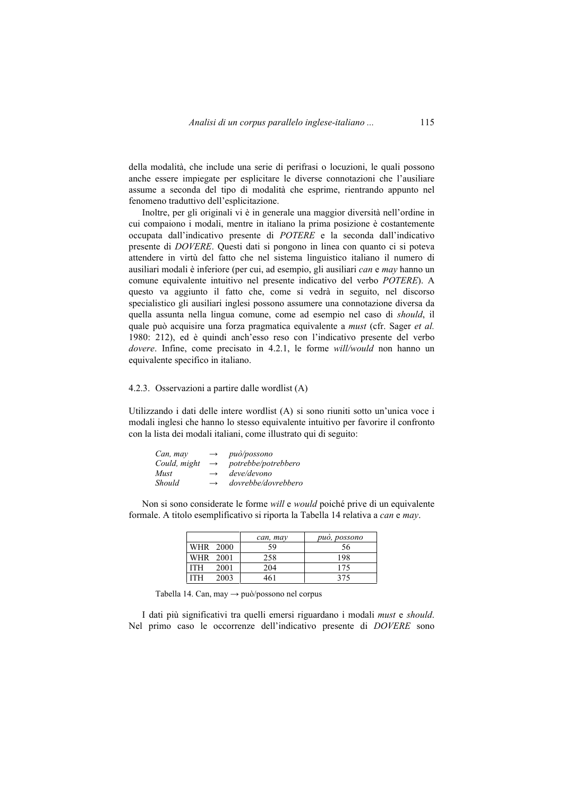della modalità, che include una serie di perifrasi o locuzioni, le quali possono anche essere impiegate per esplicitare le diverse connotazioni che l'ausiliare assume a seconda del tipo di modalità che esprime, rientrando appunto nel fenomeno traduttivo dell'esplicitazione.

Inoltre, per gli originali vi è in generale una maggior diversità nell'ordine in cui compaiono i modali, mentre in italiano la prima posizione è costantemente occupata dall'indicativo presente di *POTERE* e la seconda dall'indicativo presente di *DOVERE*. Questi dati si pongono in linea con quanto ci si poteva attendere in virtù del fatto che nel sistema linguistico italiano il numero di ausiliari modali è inferiore (per cui, ad esempio, gli ausiliari *can* e *may* hanno un comune equivalente intuitivo nel presente indicativo del verbo *POTERE*). A questo va aggiunto il fatto che, come si vedrà in seguito, nel discorso specialistico gli ausiliari inglesi possono assumere una connotazione diversa da quella assunta nella lingua comune, come ad esempio nel caso di *should*, il quale può acquisire una forza pragmatica equivalente a *must* (cfr. Sager *et al.* 1980: 212), ed è quindi anch'esso reso con l'indicativo presente del verbo *dovere*. Infine, come precisato in 4.2.1, le forme *will/would* non hanno un equivalente specifico in italiano.

### 4.2.3. Osservazioni a partire dalle wordlist (A)

Utilizzando i dati delle intere wordlist (A) si sono riuniti sotto un'unica voce i modali inglesi che hanno lo stesso equivalente intuitivo per favorire il confronto con la lista dei modali italiani, come illustrato qui di seguito:

| Can, may     | $\longrightarrow$ | <i>può/possono</i>  |
|--------------|-------------------|---------------------|
| Could, might | $\rightarrow$     | potrebbe/potrebbero |
| Must         | $\rightarrow$     | deve/devono         |
| Should       | $\rightarrow$     | dovrebbe/dovrebbero |

Non si sono considerate le forme *will* e *would* poiché prive di un equivalente formale. A titolo esemplificativo si riporta la Tabella 14 relativa a *can* e *may*.

|          |      | can, may | può, possono |
|----------|------|----------|--------------|
| WHR 2000 |      | 59       | 56           |
| WHR 2001 |      | 258      | 198          |
| ITH      | 2001 | 204      | 175          |
| ITH      | 2003 | 461      | 375          |

Tabella 14. Can, may → può/possono nel corpus

I dati più significativi tra quelli emersi riguardano i modali *must* e *should*. Nel primo caso le occorrenze dell'indicativo presente di *DOVERE* sono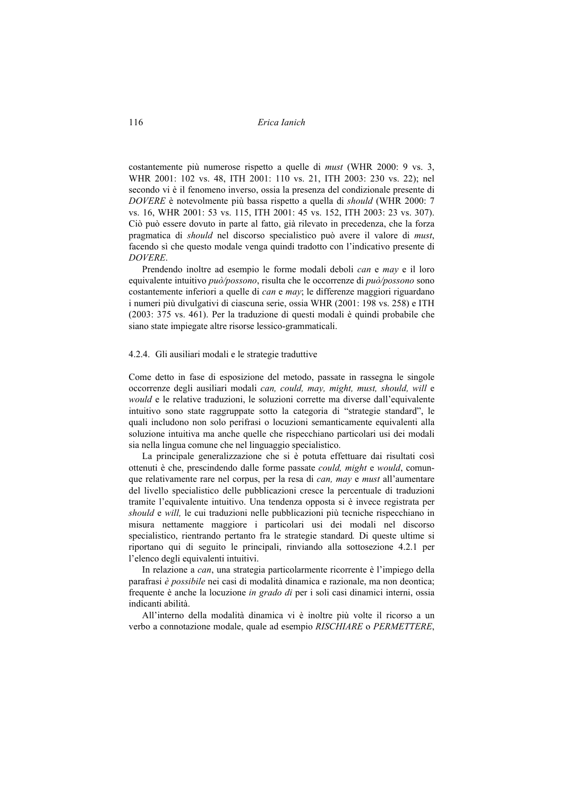116 *Erica Ianich* 

costantemente più numerose rispetto a quelle di *must* (WHR 2000: 9 vs. 3, WHR 2001: 102 vs. 48, ITH 2001: 110 vs. 21, ITH 2003: 230 vs. 22); nel secondo vi è il fenomeno inverso, ossia la presenza del condizionale presente di *DOVERE* è notevolmente più bassa rispetto a quella di *should* (WHR 2000: 7 vs. 16, WHR 2001: 53 vs. 115, ITH 2001: 45 vs. 152, ITH 2003: 23 vs. 307). Ciò può essere dovuto in parte al fatto, già rilevato in precedenza, che la forza pragmatica di *should* nel discorso specialistico può avere il valore di *must*, facendo sì che questo modale venga quindi tradotto con l'indicativo presente di *DOVERE*.

Prendendo inoltre ad esempio le forme modali deboli *can* e *may* e il loro equivalente intuitivo *può/possono*, risulta che le occorrenze di *può/possono* sono costantemente inferiori a quelle di *can* e *may*; le differenze maggiori riguardano i numeri più divulgativi di ciascuna serie, ossia WHR (2001: 198 vs. 258) e ITH (2003: 375 vs. 461). Per la traduzione di questi modali è quindi probabile che siano state impiegate altre risorse lessico-grammaticali.

#### 4.2.4. Gli ausiliari modali e le strategie traduttive

Come detto in fase di esposizione del metodo, passate in rassegna le singole occorrenze degli ausiliari modali *can, could, may, might, must, should, will* e *would* e le relative traduzioni, le soluzioni corrette ma diverse dall'equivalente intuitivo sono state raggruppate sotto la categoria di "strategie standard", le quali includono non solo perifrasi o locuzioni semanticamente equivalenti alla soluzione intuitiva ma anche quelle che rispecchiano particolari usi dei modali sia nella lingua comune che nel linguaggio specialistico.

La principale generalizzazione che si è potuta effettuare dai risultati così ottenuti è che, prescindendo dalle forme passate *could, might* e *would*, comunque relativamente rare nel corpus, per la resa di *can, may* e *must* all'aumentare del livello specialistico delle pubblicazioni cresce la percentuale di traduzioni tramite l'equivalente intuitivo. Una tendenza opposta si è invece registrata per *should* e *will,* le cui traduzioni nelle pubblicazioni più tecniche rispecchiano in misura nettamente maggiore i particolari usi dei modali nel discorso specialistico, rientrando pertanto fra le strategie standard*.* Di queste ultime si riportano qui di seguito le principali, rinviando alla sottosezione 4.2.1 per l'elenco degli equivalenti intuitivi.

In relazione a *can*, una strategia particolarmente ricorrente è l'impiego della parafrasi *è possibile* nei casi di modalità dinamica e razionale, ma non deontica; frequente è anche la locuzione *in grado di* per i soli casi dinamici interni, ossia indicanti abilità.

All'interno della modalità dinamica vi è inoltre più volte il ricorso a un verbo a connotazione modale, quale ad esempio *RISCHIARE* o *PERMETTERE*,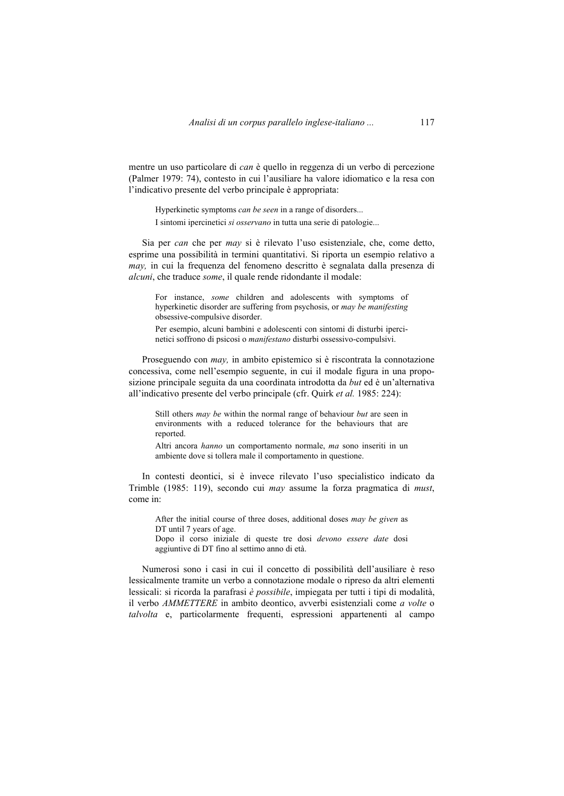mentre un uso particolare di *can* è quello in reggenza di un verbo di percezione (Palmer 1979: 74), contesto in cui l'ausiliare ha valore idiomatico e la resa con l'indicativo presente del verbo principale è appropriata:

Hyperkinetic symptoms *can be seen* in a range of disorders... I sintomi ipercinetici *si osservano* in tutta una serie di patologie...

Sia per *can* che per *may* si è rilevato l'uso esistenziale, che, come detto, esprime una possibilità in termini quantitativi. Si riporta un esempio relativo a *may,* in cui la frequenza del fenomeno descritto è segnalata dalla presenza di *alcuni*, che traduce *some*, il quale rende ridondante il modale:

For instance, *some* children and adolescents with symptoms of hyperkinetic disorder are suffering from psychosis, or *may be manifesting* obsessive-compulsive disorder.

Per esempio, alcuni bambini e adolescenti con sintomi di disturbi ipercinetici soffrono di psicosi o *manifestano* disturbi ossessivo-compulsivi.

Proseguendo con *may,* in ambito epistemico si è riscontrata la connotazione concessiva, come nell'esempio seguente, in cui il modale figura in una proposizione principale seguita da una coordinata introdotta da *but* ed è un'alternativa all'indicativo presente del verbo principale (cfr. Quirk *et al.* 1985: 224):

Still others *may be* within the normal range of behaviour *but* are seen in environments with a reduced tolerance for the behaviours that are reported.

Altri ancora *hanno* un comportamento normale, *ma* sono inseriti in un ambiente dove si tollera male il comportamento in questione.

In contesti deontici, si è invece rilevato l'uso specialistico indicato da Trimble (1985: 119), secondo cui *may* assume la forza pragmatica di *must*, come in:

After the initial course of three doses, additional doses *may be given* as DT until 7 years of age.

Dopo il corso iniziale di queste tre dosi *devono essere date* dosi aggiuntive di DT fino al settimo anno di età.

Numerosi sono i casi in cui il concetto di possibilità dell'ausiliare è reso lessicalmente tramite un verbo a connotazione modale o ripreso da altri elementi lessicali: si ricorda la parafrasi *è possibile*, impiegata per tutti i tipi di modalità, il verbo *AMMETTERE* in ambito deontico, avverbi esistenziali come *a volte* o *talvolta* e, particolarmente frequenti, espressioni appartenenti al campo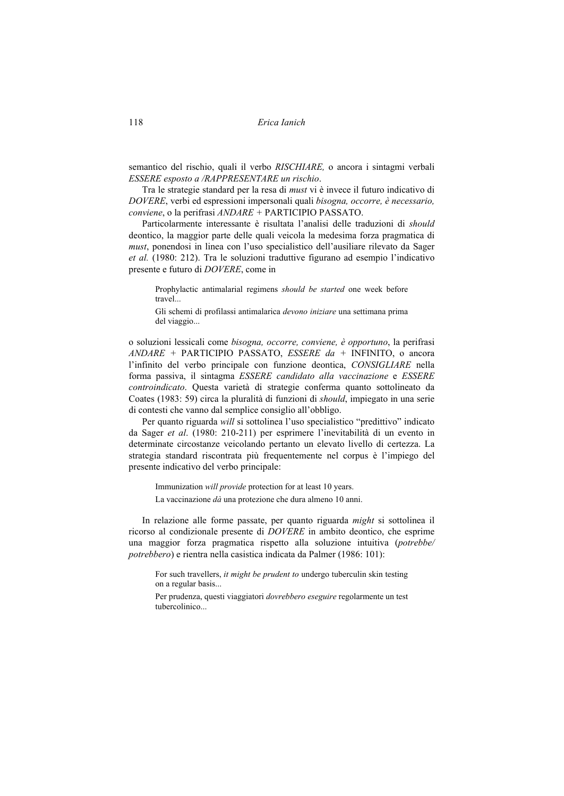118 *Erica Ianich* 

semantico del rischio, quali il verbo *RISCHIARE,* o ancora i sintagmi verbali *ESSERE esposto a /RAPPRESENTARE un rischio*.

Tra le strategie standard per la resa di *must* vi è invece il futuro indicativo di *DOVERE*, verbi ed espressioni impersonali quali *bisogna, occorre, è necessario, conviene*, o la perifrasi *ANDARE +* PARTICIPIO PASSATO.

Particolarmente interessante è risultata l'analisi delle traduzioni di *should*  deontico, la maggior parte delle quali veicola la medesima forza pragmatica di *must*, ponendosi in linea con l'uso specialistico dell'ausiliare rilevato da Sager *et al.* (1980: 212). Tra le soluzioni traduttive figurano ad esempio l'indicativo presente e futuro di *DOVERE*, come in

Prophylactic antimalarial regimens *should be started* one week before travel...

Gli schemi di profilassi antimalarica *devono iniziare* una settimana prima del viaggio...

o soluzioni lessicali come *bisogna, occorre, conviene, è opportuno*, la perifrasi *ANDARE +* PARTICIPIO PASSATO, *ESSERE da +* INFINITO, o ancora l'infinito del verbo principale con funzione deontica, *CONSIGLIARE* nella forma passiva, il sintagma *ESSERE candidato alla vaccinazione* e *ESSERE controindicato*. Questa varietà di strategie conferma quanto sottolineato da Coates (1983: 59) circa la pluralità di funzioni di *should*, impiegato in una serie di contesti che vanno dal semplice consiglio all'obbligo.

Per quanto riguarda *will* si sottolinea l'uso specialistico "predittivo" indicato da Sager *et al*. (1980: 210-211) per esprimere l'inevitabilità di un evento in determinate circostanze veicolando pertanto un elevato livello di certezza. La strategia standard riscontrata più frequentemente nel corpus è l'impiego del presente indicativo del verbo principale:

Immunization *will provide* protection for at least 10 years. La vaccinazione *dà* una protezione che dura almeno 10 anni.

In relazione alle forme passate, per quanto riguarda *might* si sottolinea il ricorso al condizionale presente di *DOVERE* in ambito deontico, che esprime una maggior forza pragmatica rispetto alla soluzione intuitiva (*potrebbe/ potrebbero*) e rientra nella casistica indicata da Palmer (1986: 101):

For such travellers, *it might be prudent to* undergo tuberculin skin testing on a regular basis...

Per prudenza, questi viaggiatori *dovrebbero eseguire* regolarmente un test tubercolinico...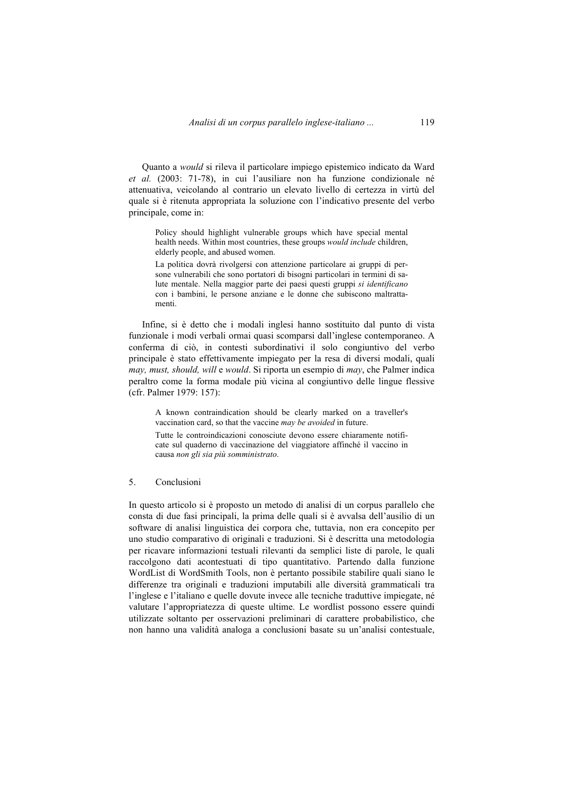Quanto a *would* si rileva il particolare impiego epistemico indicato da Ward *et al.* (2003: 71-78), in cui l'ausiliare non ha funzione condizionale né attenuativa, veicolando al contrario un elevato livello di certezza in virtù del quale si è ritenuta appropriata la soluzione con l'indicativo presente del verbo principale, come in:

Policy should highlight vulnerable groups which have special mental health needs. Within most countries, these groups *would include* children, elderly people, and abused women.

La politica dovrà rivolgersi con attenzione particolare ai gruppi di persone vulnerabili che sono portatori di bisogni particolari in termini di salute mentale. Nella maggior parte dei paesi questi gruppi *si identificano* con i bambini, le persone anziane e le donne che subiscono maltrattamenti.

Infine, si è detto che i modali inglesi hanno sostituito dal punto di vista funzionale i modi verbali ormai quasi scomparsi dall'inglese contemporaneo. A conferma di ciò, in contesti subordinativi il solo congiuntivo del verbo principale è stato effettivamente impiegato per la resa di diversi modali, quali *may, must, should, will* e *would*. Si riporta un esempio di *may*, che Palmer indica peraltro come la forma modale più vicina al congiuntivo delle lingue flessive (cfr. Palmer 1979: 157):

A known contraindication should be clearly marked on a traveller's vaccination card, so that the vaccine *may be avoided* in future.

Tutte le controindicazioni conosciute devono essere chiaramente notificate sul quaderno di vaccinazione del viaggiatore affinché il vaccino in causa *non gli sia più somministrato*.

### 5. Conclusioni

In questo articolo si è proposto un metodo di analisi di un corpus parallelo che consta di due fasi principali, la prima delle quali si è avvalsa dell'ausilio di un software di analisi linguistica dei corpora che, tuttavia, non era concepito per uno studio comparativo di originali e traduzioni. Si è descritta una metodologia per ricavare informazioni testuali rilevanti da semplici liste di parole, le quali raccolgono dati acontestuati di tipo quantitativo. Partendo dalla funzione WordList di WordSmith Tools, non è pertanto possibile stabilire quali siano le differenze tra originali e traduzioni imputabili alle diversità grammaticali tra l'inglese e l'italiano e quelle dovute invece alle tecniche traduttive impiegate, né valutare l'appropriatezza di queste ultime. Le wordlist possono essere quindi utilizzate soltanto per osservazioni preliminari di carattere probabilistico, che non hanno una validità analoga a conclusioni basate su un'analisi contestuale,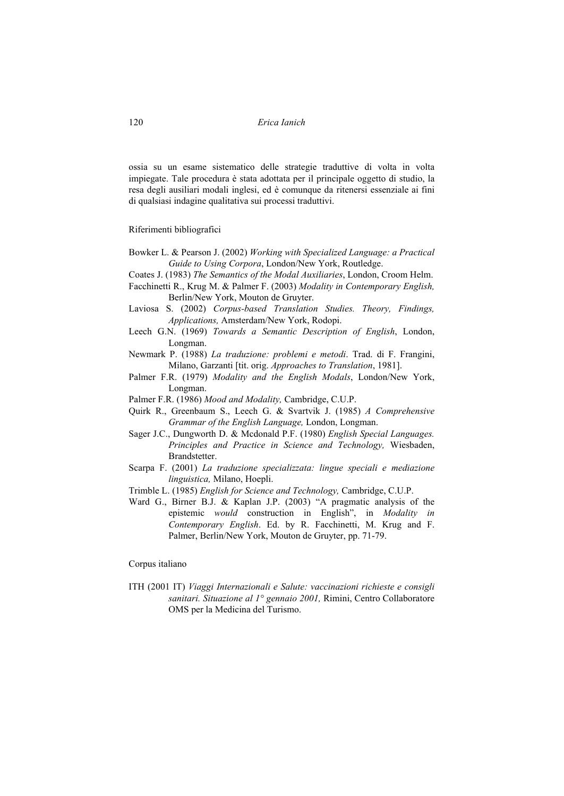### 120 *Erica Ianich*

ossia su un esame sistematico delle strategie traduttive di volta in volta impiegate. Tale procedura è stata adottata per il principale oggetto di studio, la resa degli ausiliari modali inglesi, ed è comunque da ritenersi essenziale ai fini di qualsiasi indagine qualitativa sui processi traduttivi.

Riferimenti bibliografici

- Bowker L. & Pearson J. (2002) *Working with Specialized Language: a Practical Guide to Using Corpora*, London/New York, Routledge.
- Coates J. (1983) *The Semantics of the Modal Auxiliaries*, London, Croom Helm.
- Facchinetti R., Krug M. & Palmer F. (2003) *Modality in Contemporary English,*  Berlin/New York, Mouton de Gruyter.
- Laviosa S. (2002) *Corpus-based Translation Studies. Theory, Findings, Applications,* Amsterdam/New York, Rodopi.
- Leech G.N. (1969) *Towards a Semantic Description of English*, London, Longman.
- Newmark P. (1988) *La traduzione: problemi e metodi*. Trad. di F. Frangini, Milano, Garzanti [tit. orig. *Approaches to Translation*, 1981].
- Palmer F.R. (1979) *Modality and the English Modals*, London/New York, Longman.
- Palmer F.R. (1986) *Mood and Modality,* Cambridge, C.U.P.
- Quirk R., Greenbaum S., Leech G. & Svartvik J. (1985) *A Comprehensive Grammar of the English Language,* London, Longman.
- Sager J.C., Dungworth D. & Mcdonald P.F. (1980) *English Special Languages. Principles and Practice in Science and Technology,* Wiesbaden, Brandstetter.
- Scarpa F. (2001) *La traduzione specializzata: lingue speciali e mediazione linguistica,* Milano, Hoepli.
- Trimble L. (1985) *English for Science and Technology,* Cambridge, C.U.P.
- Ward G., Birner B.J. & Kaplan J.P. (2003) "A pragmatic analysis of the epistemic *would* construction in English", in *Modality in Contemporary English*. Ed. by R. Facchinetti, M. Krug and F. Palmer, Berlin/New York, Mouton de Gruyter, pp. 71-79.

### Corpus italiano

ITH (2001 IT) *Viaggi Internazionali e Salute: vaccinazioni richieste e consigli sanitari. Situazione al 1° gennaio 2001,* Rimini, Centro Collaboratore OMS per la Medicina del Turismo.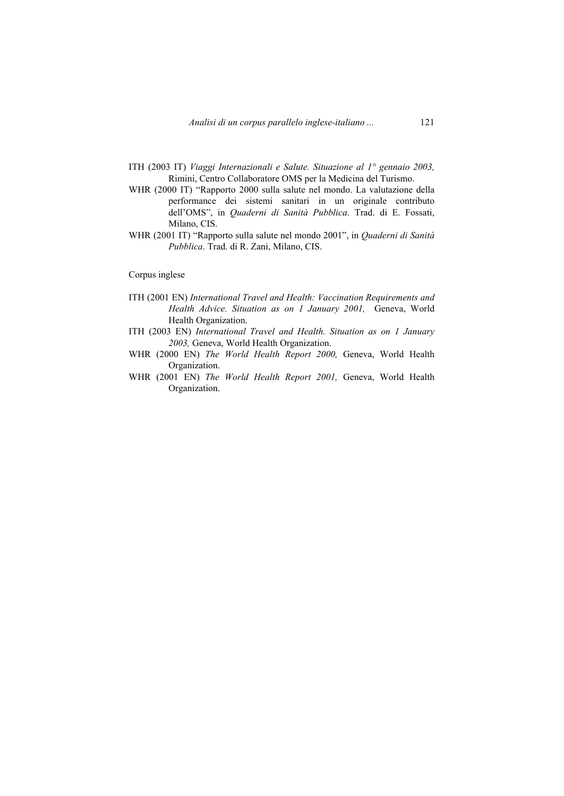- ITH (2003 IT) *Viaggi Internazionali e Salute. Situazione al 1° gennaio 2003,*  Rimini, Centro Collaboratore OMS per la Medicina del Turismo.
- WHR (2000 IT) "Rapporto 2000 sulla salute nel mondo. La valutazione della performance dei sistemi sanitari in un originale contributo dell'OMS", in *Quaderni di Sanità Pubblica*. Trad. di E. Fossati, Milano, CIS.
- WHR (2001 IT) "Rapporto sulla salute nel mondo 2001", in *Quaderni di Sanità Pubblica*. Trad. di R. Zani, Milano, CIS.

### Corpus inglese

- ITH (2001 EN) *International Travel and Health: Vaccination Requirements and Health Advice. Situation as on 1 January 2001,* Geneva, World Health Organization.
- ITH (2003 EN) *International Travel and Health. Situation as on 1 January 2003,* Geneva, World Health Organization.
- WHR (2000 EN) *The World Health Report 2000,* Geneva, World Health Organization.
- WHR (2001 EN) *The World Health Report 2001,* Geneva, World Health Organization.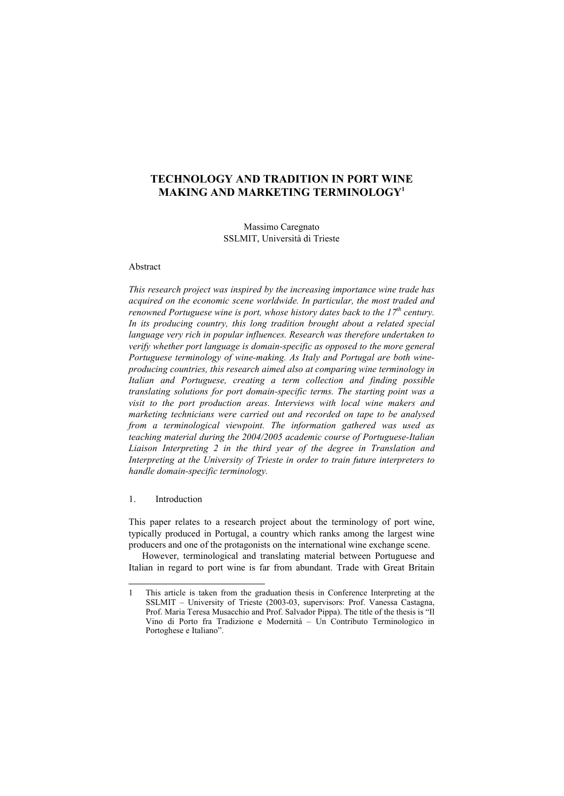# **TECHNOLOGY AND TRADITION IN PORT WINE MAKING AND MARKETING TERMINOLOGY1**

Massimo Caregnato SSLMIT, Università di Trieste

### Abstract

*This research project was inspired by the increasing importance wine trade has acquired on the economic scene worldwide. In particular, the most traded and renowned Portuguese wine is port, whose history dates back to the 17<sup>th</sup> century. In its producing country, this long tradition brought about a related special language very rich in popular influences. Research was therefore undertaken to verify whether port language is domain-specific as opposed to the more general Portuguese terminology of wine-making. As Italy and Portugal are both wineproducing countries, this research aimed also at comparing wine terminology in Italian and Portuguese, creating a term collection and finding possible translating solutions for port domain-specific terms. The starting point was a visit to the port production areas. Interviews with local wine makers and marketing technicians were carried out and recorded on tape to be analysed from a terminological viewpoint. The information gathered was used as teaching material during the 2004/2005 academic course of Portuguese-Italian Liaison Interpreting 2 in the third year of the degree in Translation and Interpreting at the University of Trieste in order to train future interpreters to handle domain-specific terminology.* 

### 1. Introduction

 $\overline{a}$ 

This paper relates to a research project about the terminology of port wine, typically produced in Portugal, a country which ranks among the largest wine producers and one of the protagonists on the international wine exchange scene.

However, terminological and translating material between Portuguese and Italian in regard to port wine is far from abundant. Trade with Great Britain

<sup>1</sup> This article is taken from the graduation thesis in Conference Interpreting at the SSLMIT – University of Trieste (2003-03, supervisors: Prof. Vanessa Castagna, Prof. Maria Teresa Musacchio and Prof. Salvador Pippa). The title of the thesis is "Il Vino di Porto fra Tradizione e Modernità – Un Contributo Terminologico in Portoghese e Italiano".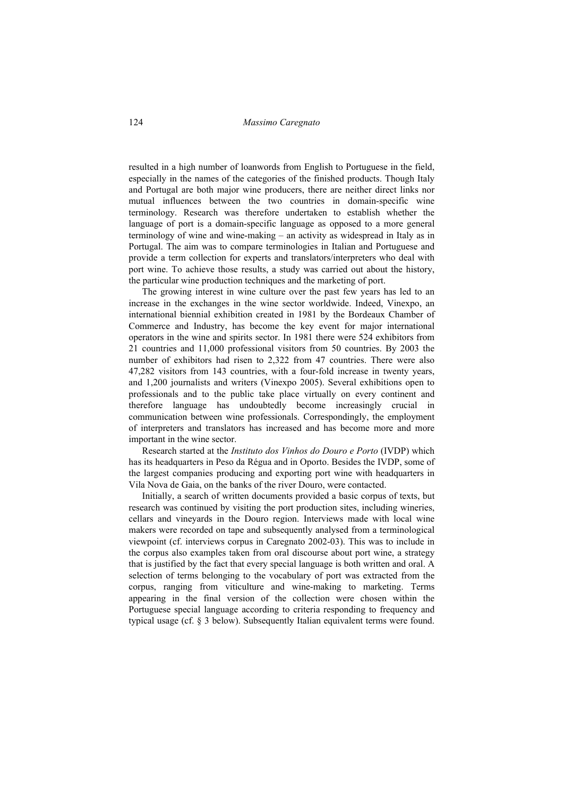resulted in a high number of loanwords from English to Portuguese in the field, especially in the names of the categories of the finished products. Though Italy and Portugal are both major wine producers, there are neither direct links nor mutual influences between the two countries in domain-specific wine terminology. Research was therefore undertaken to establish whether the language of port is a domain-specific language as opposed to a more general terminology of wine and wine-making – an activity as widespread in Italy as in Portugal. The aim was to compare terminologies in Italian and Portuguese and provide a term collection for experts and translators/interpreters who deal with port wine. To achieve those results, a study was carried out about the history, the particular wine production techniques and the marketing of port.

The growing interest in wine culture over the past few years has led to an increase in the exchanges in the wine sector worldwide. Indeed, Vinexpo, an international biennial exhibition created in 1981 by the Bordeaux Chamber of Commerce and Industry, has become the key event for major international operators in the wine and spirits sector. In 1981 there were 524 exhibitors from 21 countries and 11,000 professional visitors from 50 countries. By 2003 the number of exhibitors had risen to 2,322 from 47 countries. There were also 47,282 visitors from 143 countries, with a four-fold increase in twenty years, and 1,200 journalists and writers (Vinexpo 2005). Several exhibitions open to professionals and to the public take place virtually on every continent and therefore language has undoubtedly become increasingly crucial in communication between wine professionals. Correspondingly, the employment of interpreters and translators has increased and has become more and more important in the wine sector.

Research started at the *Instituto dos Vinhos do Douro e Porto* (IVDP) which has its headquarters in Peso da Régua and in Oporto. Besides the IVDP, some of the largest companies producing and exporting port wine with headquarters in Vila Nova de Gaia, on the banks of the river Douro, were contacted.

Initially, a search of written documents provided a basic corpus of texts, but research was continued by visiting the port production sites, including wineries, cellars and vineyards in the Douro region. Interviews made with local wine makers were recorded on tape and subsequently analysed from a terminological viewpoint (cf. interviews corpus in Caregnato 2002-03). This was to include in the corpus also examples taken from oral discourse about port wine, a strategy that is justified by the fact that every special language is both written and oral. A selection of terms belonging to the vocabulary of port was extracted from the corpus, ranging from viticulture and wine-making to marketing. Terms appearing in the final version of the collection were chosen within the Portuguese special language according to criteria responding to frequency and typical usage (cf. § 3 below). Subsequently Italian equivalent terms were found.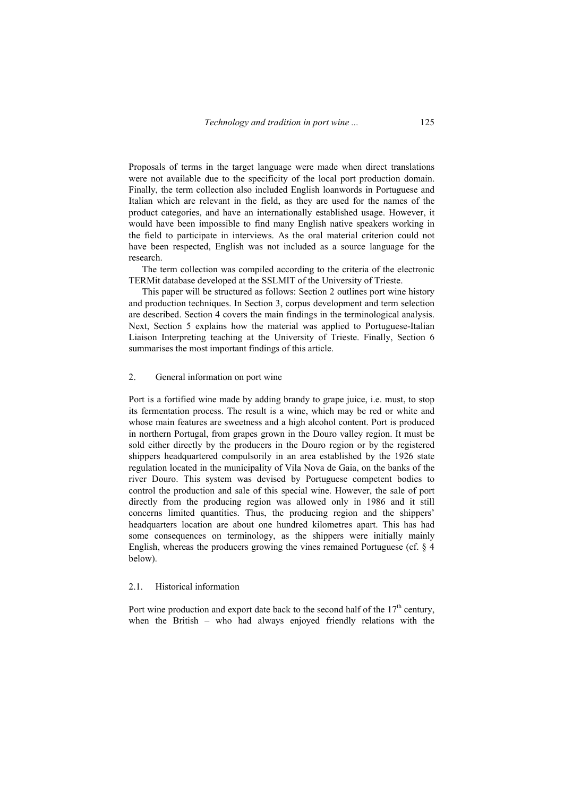Proposals of terms in the target language were made when direct translations were not available due to the specificity of the local port production domain. Finally, the term collection also included English loanwords in Portuguese and Italian which are relevant in the field, as they are used for the names of the product categories, and have an internationally established usage. However, it would have been impossible to find many English native speakers working in the field to participate in interviews. As the oral material criterion could not have been respected, English was not included as a source language for the research.

The term collection was compiled according to the criteria of the electronic TERMit database developed at the SSLMIT of the University of Trieste.

This paper will be structured as follows: Section 2 outlines port wine history and production techniques. In Section 3, corpus development and term selection are described. Section 4 covers the main findings in the terminological analysis. Next, Section 5 explains how the material was applied to Portuguese-Italian Liaison Interpreting teaching at the University of Trieste. Finally, Section 6 summarises the most important findings of this article.

#### 2. General information on port wine

Port is a fortified wine made by adding brandy to grape juice, i.e. must, to stop its fermentation process. The result is a wine, which may be red or white and whose main features are sweetness and a high alcohol content. Port is produced in northern Portugal, from grapes grown in the Douro valley region. It must be sold either directly by the producers in the Douro region or by the registered shippers headquartered compulsorily in an area established by the 1926 state regulation located in the municipality of Vila Nova de Gaia, on the banks of the river Douro. This system was devised by Portuguese competent bodies to control the production and sale of this special wine. However, the sale of port directly from the producing region was allowed only in 1986 and it still concerns limited quantities. Thus, the producing region and the shippers' headquarters location are about one hundred kilometres apart. This has had some consequences on terminology, as the shippers were initially mainly English, whereas the producers growing the vines remained Portuguese (cf. § 4 below).

#### 2.1. Historical information

Port wine production and export date back to the second half of the  $17<sup>th</sup>$  century. when the British – who had always enjoyed friendly relations with the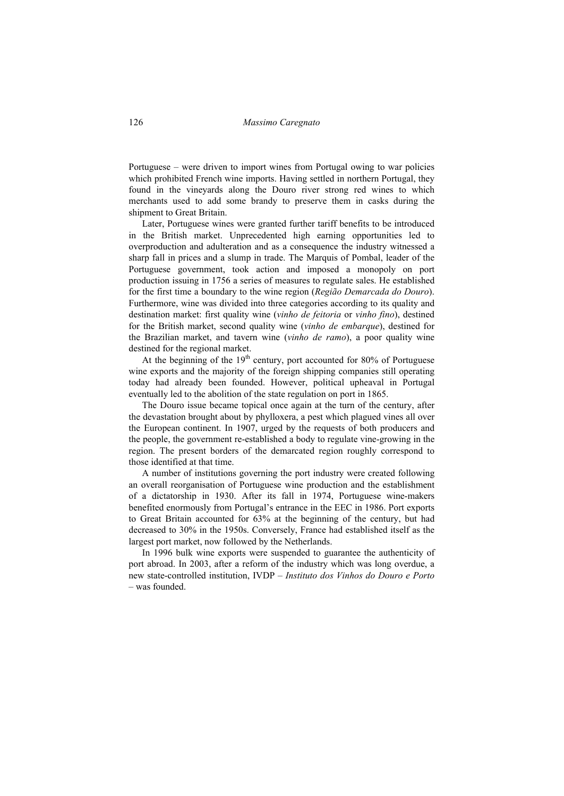Portuguese – were driven to import wines from Portugal owing to war policies which prohibited French wine imports. Having settled in northern Portugal, they found in the vineyards along the Douro river strong red wines to which merchants used to add some brandy to preserve them in casks during the shipment to Great Britain.

Later, Portuguese wines were granted further tariff benefits to be introduced in the British market. Unprecedented high earning opportunities led to overproduction and adulteration and as a consequence the industry witnessed a sharp fall in prices and a slump in trade. The Marquis of Pombal, leader of the Portuguese government, took action and imposed a monopoly on port production issuing in 1756 a series of measures to regulate sales. He established for the first time a boundary to the wine region (*Região Demarcada do Douro*). Furthermore, wine was divided into three categories according to its quality and destination market: first quality wine (*vinho de feitoria* or *vinho fino*), destined for the British market, second quality wine (*vinho de embarque*), destined for the Brazilian market, and tavern wine (*vinho de ramo*), a poor quality wine destined for the regional market.

At the beginning of the  $19<sup>th</sup>$  century, port accounted for 80% of Portuguese wine exports and the majority of the foreign shipping companies still operating today had already been founded. However, political upheaval in Portugal eventually led to the abolition of the state regulation on port in 1865.

The Douro issue became topical once again at the turn of the century, after the devastation brought about by phylloxera, a pest which plagued vines all over the European continent. In 1907, urged by the requests of both producers and the people, the government re-established a body to regulate vine-growing in the region. The present borders of the demarcated region roughly correspond to those identified at that time.

A number of institutions governing the port industry were created following an overall reorganisation of Portuguese wine production and the establishment of a dictatorship in 1930. After its fall in 1974, Portuguese wine-makers benefited enormously from Portugal's entrance in the EEC in 1986. Port exports to Great Britain accounted for 63% at the beginning of the century, but had decreased to 30% in the 1950s. Conversely, France had established itself as the largest port market, now followed by the Netherlands.

In 1996 bulk wine exports were suspended to guarantee the authenticity of port abroad. In 2003, after a reform of the industry which was long overdue, a new state-controlled institution, IVDP – *Instituto dos Vinhos do Douro e Porto* – was founded.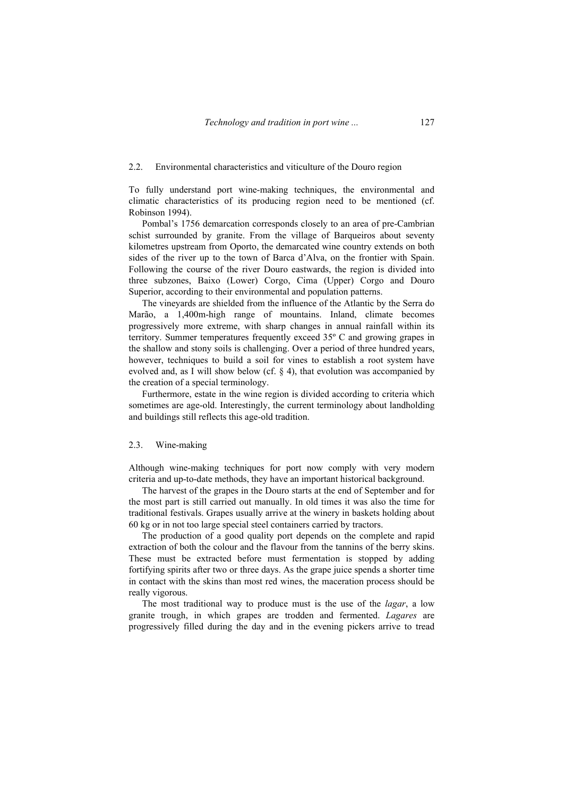#### 2.2. Environmental characteristics and viticulture of the Douro region

To fully understand port wine-making techniques, the environmental and climatic characteristics of its producing region need to be mentioned (cf. Robinson 1994).

Pombal's 1756 demarcation corresponds closely to an area of pre-Cambrian schist surrounded by granite. From the village of Barqueiros about seventy kilometres upstream from Oporto, the demarcated wine country extends on both sides of the river up to the town of Barca d'Alva, on the frontier with Spain. Following the course of the river Douro eastwards, the region is divided into three subzones, Baixo (Lower) Corgo, Cima (Upper) Corgo and Douro Superior, according to their environmental and population patterns.

The vineyards are shielded from the influence of the Atlantic by the Serra do Marão, a 1,400m-high range of mountains. Inland, climate becomes progressively more extreme, with sharp changes in annual rainfall within its territory. Summer temperatures frequently exceed 35º C and growing grapes in the shallow and stony soils is challenging. Over a period of three hundred years, however, techniques to build a soil for vines to establish a root system have evolved and, as I will show below (cf. § 4), that evolution was accompanied by the creation of a special terminology.

Furthermore, estate in the wine region is divided according to criteria which sometimes are age-old. Interestingly, the current terminology about landholding and buildings still reflects this age-old tradition.

#### 2.3. Wine-making

Although wine-making techniques for port now comply with very modern criteria and up-to-date methods, they have an important historical background.

The harvest of the grapes in the Douro starts at the end of September and for the most part is still carried out manually. In old times it was also the time for traditional festivals. Grapes usually arrive at the winery in baskets holding about 60 kg or in not too large special steel containers carried by tractors.

The production of a good quality port depends on the complete and rapid extraction of both the colour and the flavour from the tannins of the berry skins. These must be extracted before must fermentation is stopped by adding fortifying spirits after two or three days. As the grape juice spends a shorter time in contact with the skins than most red wines, the maceration process should be really vigorous.

The most traditional way to produce must is the use of the *lagar*, a low granite trough, in which grapes are trodden and fermented. *Lagares* are progressively filled during the day and in the evening pickers arrive to tread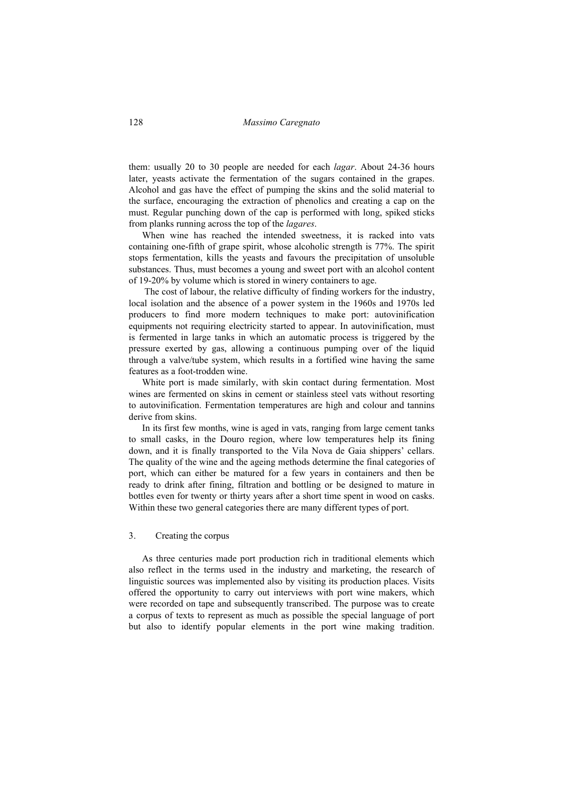them: usually 20 to 30 people are needed for each *lagar*. About 24-36 hours later, yeasts activate the fermentation of the sugars contained in the grapes. Alcohol and gas have the effect of pumping the skins and the solid material to the surface, encouraging the extraction of phenolics and creating a cap on the must. Regular punching down of the cap is performed with long, spiked sticks from planks running across the top of the *lagares*.

When wine has reached the intended sweetness, it is racked into vats containing one-fifth of grape spirit, whose alcoholic strength is 77%. The spirit stops fermentation, kills the yeasts and favours the precipitation of unsoluble substances. Thus, must becomes a young and sweet port with an alcohol content of 19-20% by volume which is stored in winery containers to age.

 The cost of labour, the relative difficulty of finding workers for the industry, local isolation and the absence of a power system in the 1960s and 1970s led producers to find more modern techniques to make port: autovinification equipments not requiring electricity started to appear. In autovinification, must is fermented in large tanks in which an automatic process is triggered by the pressure exerted by gas, allowing a continuous pumping over of the liquid through a valve/tube system, which results in a fortified wine having the same features as a foot-trodden wine.

White port is made similarly, with skin contact during fermentation. Most wines are fermented on skins in cement or stainless steel vats without resorting to autovinification. Fermentation temperatures are high and colour and tannins derive from skins.

In its first few months, wine is aged in vats, ranging from large cement tanks to small casks, in the Douro region, where low temperatures help its fining down, and it is finally transported to the Vila Nova de Gaia shippers' cellars. The quality of the wine and the ageing methods determine the final categories of port, which can either be matured for a few years in containers and then be ready to drink after fining, filtration and bottling or be designed to mature in bottles even for twenty or thirty years after a short time spent in wood on casks. Within these two general categories there are many different types of port.

### 3. Creating the corpus

As three centuries made port production rich in traditional elements which also reflect in the terms used in the industry and marketing, the research of linguistic sources was implemented also by visiting its production places. Visits offered the opportunity to carry out interviews with port wine makers, which were recorded on tape and subsequently transcribed. The purpose was to create a corpus of texts to represent as much as possible the special language of port but also to identify popular elements in the port wine making tradition.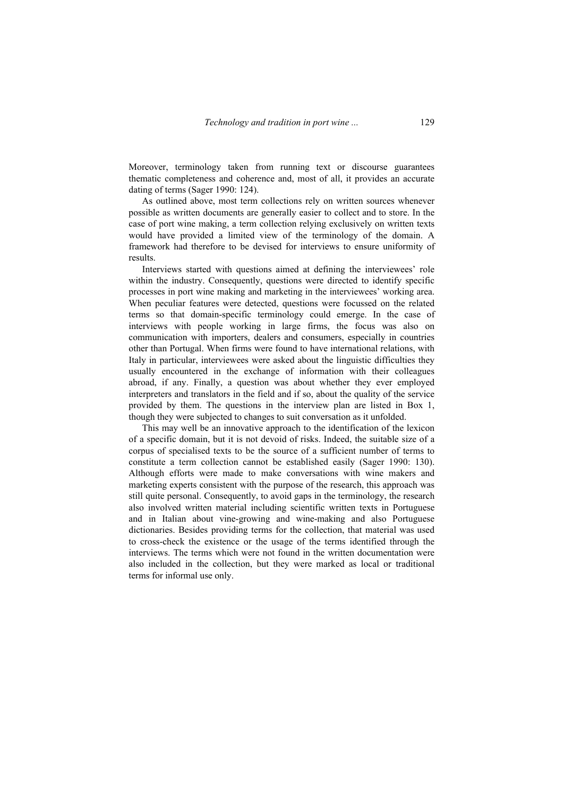Moreover, terminology taken from running text or discourse guarantees thematic completeness and coherence and, most of all, it provides an accurate dating of terms (Sager 1990: 124).

As outlined above, most term collections rely on written sources whenever possible as written documents are generally easier to collect and to store. In the case of port wine making, a term collection relying exclusively on written texts would have provided a limited view of the terminology of the domain. A framework had therefore to be devised for interviews to ensure uniformity of results.

Interviews started with questions aimed at defining the interviewees' role within the industry. Consequently, questions were directed to identify specific processes in port wine making and marketing in the interviewees' working area. When peculiar features were detected, questions were focussed on the related terms so that domain-specific terminology could emerge. In the case of interviews with people working in large firms, the focus was also on communication with importers, dealers and consumers, especially in countries other than Portugal. When firms were found to have international relations, with Italy in particular, interviewees were asked about the linguistic difficulties they usually encountered in the exchange of information with their colleagues abroad, if any. Finally, a question was about whether they ever employed interpreters and translators in the field and if so, about the quality of the service provided by them. The questions in the interview plan are listed in Box 1, though they were subjected to changes to suit conversation as it unfolded.

This may well be an innovative approach to the identification of the lexicon of a specific domain, but it is not devoid of risks. Indeed, the suitable size of a corpus of specialised texts to be the source of a sufficient number of terms to constitute a term collection cannot be established easily (Sager 1990: 130). Although efforts were made to make conversations with wine makers and marketing experts consistent with the purpose of the research, this approach was still quite personal. Consequently, to avoid gaps in the terminology, the research also involved written material including scientific written texts in Portuguese and in Italian about vine-growing and wine-making and also Portuguese dictionaries. Besides providing terms for the collection, that material was used to cross-check the existence or the usage of the terms identified through the interviews. The terms which were not found in the written documentation were also included in the collection, but they were marked as local or traditional terms for informal use only.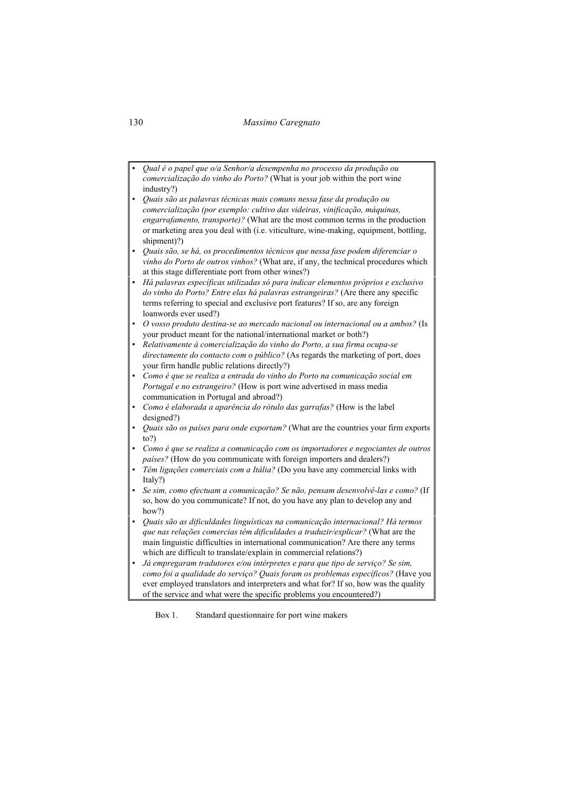### 130 *Massimo Caregnato*

*▪ Qual é o papel que o/a Senhor/a desempenha no processo da produção ou comercialização do vinho do Porto?* (What is your job within the port wine industry?) *▪ Quais são as palavras técnicas mais comuns nessa fase da produção ou comercialização (por exemplo: cultivo das videiras, vinificação, máquinas, engarrafamento, transporte)?* (What are the most common terms in the production or marketing area you deal with (i.e. viticulture, wine-making, equipment, bottling, shipment)?) *▪ Quais são, se há, os procedimentos técnicos que nessa fase podem diferenciar o vinho do Porto de outros vinhos?* (What are, if any, the technical procedures which at this stage differentiate port from other wines?) *▪ Há palavras específicas utilizadas só para indicar elementos próprios e exclusivo do vinho do Porto? Entre elas há palavras estrangeiras?* (Are there any specific terms referring to special and exclusive port features? If so, are any foreign loanwords ever used?) *▪ O vosso produto destina-se ao mercado nacional ou internacional ou a ambos?* (Is your product meant for the national/international market or both?) *▪ Relativamente à comercialização do vinho do Porto, a sua firma ocupa-se directamente do contacto com o público?* (As regards the marketing of port, does your firm handle public relations directly?) *▪ Como é que se realiza a entrada do vinho do Porto na comunicação social em Portugal e no estrangeiro?* (How is port wine advertised in mass media communication in Portugal and abroad?) *▪ Como é elaborada a aparência do rótulo das garrafas?* (How is the label designed?) *▪ Quais são os países para onde exportam?* (What are the countries your firm exports to?) *▪ Como é que se realiza a comunicação com os importadores e negociantes de outros países?* (How do you communicate with foreign importers and dealers?) *▪ Têm ligações comerciais com a Itália?* (Do you have any commercial links with Italy?) *▪ Se sim, como efectuam a comunicação? Se não, pensam desenvolvê-las e como?* (If so, how do you communicate? If not, do you have any plan to develop any and how?) *▪ Quais são as dificuldades linguísticas na comunicação internacional? Há termos que nas relações comercias têm dificuldades a traduzir/explicar?* (What are the main linguistic difficulties in international communication? Are there any terms which are difficult to translate/explain in commercial relations?) *▪ Já empregaram tradutores e/ou intérpretes e para que tipo de serviço? Se sim, como foi a qualidade do serviço? Quais foram os problemas específicos?* (Have you ever employed translators and interpreters and what for? If so, how was the quality of the service and what were the specific problems you encountered?)

Box 1. Standard questionnaire for port wine makers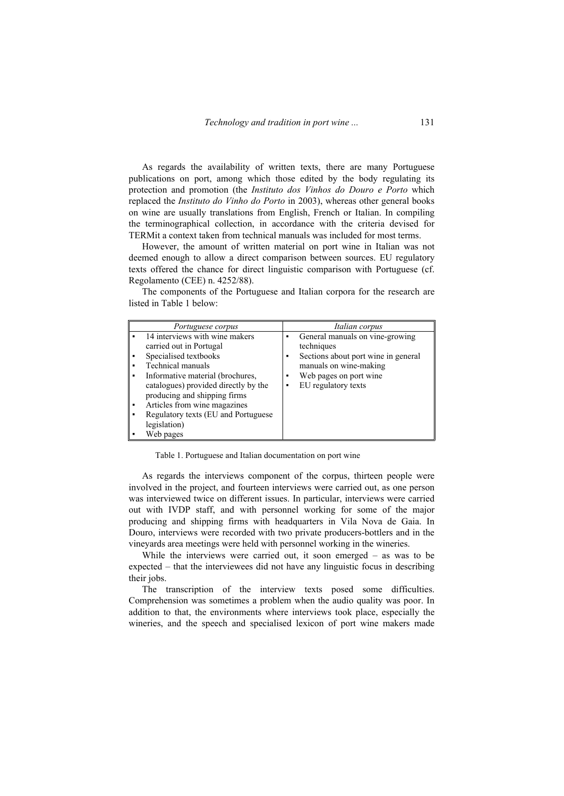As regards the availability of written texts, there are many Portuguese publications on port, among which those edited by the body regulating its protection and promotion (the *Instituto dos Vinhos do Douro e Porto* which replaced the *Instituto do Vinho do Porto* in 2003), whereas other general books on wine are usually translations from English, French or Italian. In compiling the terminographical collection, in accordance with the criteria devised for TERMit a context taken from technical manuals was included for most terms.

However, the amount of written material on port wine in Italian was not deemed enough to allow a direct comparison between sources. EU regulatory texts offered the chance for direct linguistic comparison with Portuguese (cf. Regolamento (CEE) n. 4252/88).

The components of the Portuguese and Italian corpora for the research are listed in Table 1 below:

| Portuguese corpus                                                                                                                                                                                                                                                                                                                 | Italian corpus                                                                                                                                                                  |
|-----------------------------------------------------------------------------------------------------------------------------------------------------------------------------------------------------------------------------------------------------------------------------------------------------------------------------------|---------------------------------------------------------------------------------------------------------------------------------------------------------------------------------|
| 14 interviews with wine makers<br>carried out in Portugal<br>Specialised textbooks<br>Technical manuals<br>٠<br>Informative material (brochures,<br>catalogues) provided directly by the<br>producing and shipping firms<br>Articles from wine magazines<br>٠<br>Regulatory texts (EU and Portuguese<br>legislation)<br>Web pages | General manuals on vine-growing<br>٠<br>techniques<br>Sections about port wine in general<br>manuals on wine-making<br>Web pages on port wine.<br>٠<br>EU regulatory texts<br>٠ |

Table 1. Portuguese and Italian documentation on port wine

As regards the interviews component of the corpus, thirteen people were involved in the project, and fourteen interviews were carried out, as one person was interviewed twice on different issues. In particular, interviews were carried out with IVDP staff, and with personnel working for some of the major producing and shipping firms with headquarters in Vila Nova de Gaia. In Douro, interviews were recorded with two private producers-bottlers and in the vineyards area meetings were held with personnel working in the wineries.

While the interviews were carried out, it soon emerged – as was to be expected – that the interviewees did not have any linguistic focus in describing their jobs.

The transcription of the interview texts posed some difficulties. Comprehension was sometimes a problem when the audio quality was poor. In addition to that, the environments where interviews took place, especially the wineries, and the speech and specialised lexicon of port wine makers made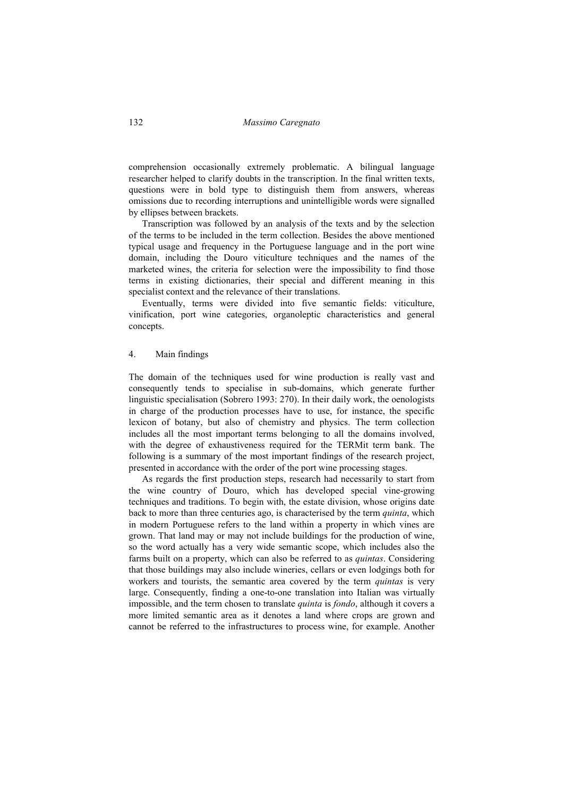comprehension occasionally extremely problematic. A bilingual language researcher helped to clarify doubts in the transcription. In the final written texts, questions were in bold type to distinguish them from answers, whereas omissions due to recording interruptions and unintelligible words were signalled by ellipses between brackets.

Transcription was followed by an analysis of the texts and by the selection of the terms to be included in the term collection. Besides the above mentioned typical usage and frequency in the Portuguese language and in the port wine domain, including the Douro viticulture techniques and the names of the marketed wines, the criteria for selection were the impossibility to find those terms in existing dictionaries, their special and different meaning in this specialist context and the relevance of their translations.

Eventually, terms were divided into five semantic fields: viticulture, vinification, port wine categories, organoleptic characteristics and general concepts.

### 4. Main findings

The domain of the techniques used for wine production is really vast and consequently tends to specialise in sub-domains, which generate further linguistic specialisation (Sobrero 1993: 270). In their daily work, the oenologists in charge of the production processes have to use, for instance, the specific lexicon of botany, but also of chemistry and physics. The term collection includes all the most important terms belonging to all the domains involved, with the degree of exhaustiveness required for the TERMit term bank. The following is a summary of the most important findings of the research project, presented in accordance with the order of the port wine processing stages.

As regards the first production steps, research had necessarily to start from the wine country of Douro, which has developed special vine-growing techniques and traditions. To begin with, the estate division, whose origins date back to more than three centuries ago, is characterised by the term *quinta*, which in modern Portuguese refers to the land within a property in which vines are grown. That land may or may not include buildings for the production of wine, so the word actually has a very wide semantic scope, which includes also the farms built on a property, which can also be referred to as *quintas*. Considering that those buildings may also include wineries, cellars or even lodgings both for workers and tourists, the semantic area covered by the term *quintas* is very large. Consequently, finding a one-to-one translation into Italian was virtually impossible, and the term chosen to translate *quinta* is *fondo*, although it covers a more limited semantic area as it denotes a land where crops are grown and cannot be referred to the infrastructures to process wine, for example. Another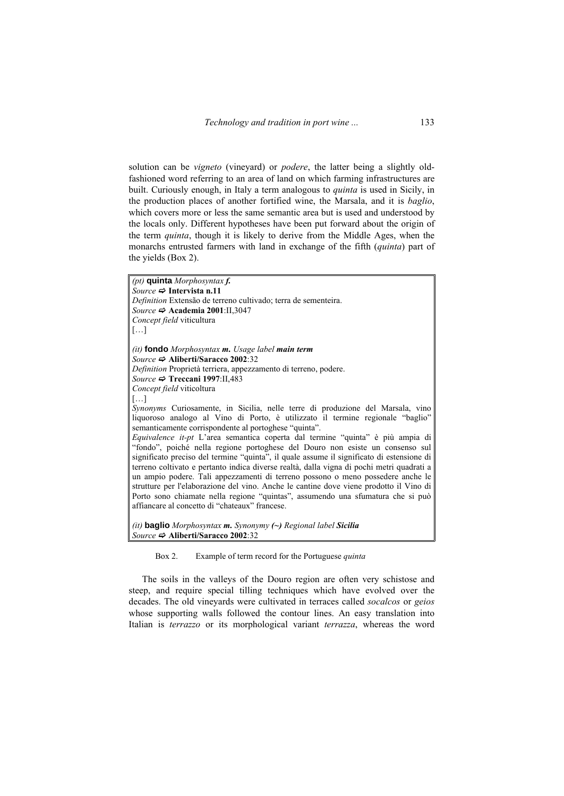solution can be *vigneto* (vineyard) or *podere*, the latter being a slightly oldfashioned word referring to an area of land on which farming infrastructures are built. Curiously enough, in Italy a term analogous to *quinta* is used in Sicily, in the production places of another fortified wine, the Marsala, and it is *baglio*, which covers more or less the same semantic area but is used and understood by the locals only. Different hypotheses have been put forward about the origin of the term *quinta*, though it is likely to derive from the Middle Ages, when the monarchs entrusted farmers with land in exchange of the fifth (*quinta*) part of the yields (Box 2).

*(pt)* **quinta** *Morphosyntax f. Source*  $\Rightarrow$  **Intervista n.11** *Definition* Extensão de terreno cultivado; terra de sementeira. *Source*  $\Rightarrow$  **Academia 2001**:II,3047 *Concept field* viticultura […] *(it)* **fondo** *Morphosyntax m. Usage label main term Source*  $\Rightarrow$  Aliberti/Saracco 2002:32 *Definition* Proprietà terriera, appezzamento di terreno, podere. *Source*  $\Rightarrow$  **Treccani 1997**:II.483 *Concept field* viticoltura […] *Synonyms* Curiosamente, in Sicilia, nelle terre di produzione del Marsala, vino liquoroso analogo al Vino di Porto, è utilizzato il termine regionale "baglio" semanticamente corrispondente al portoghese "quinta". *Equivalence it-pt* L'area semantica coperta dal termine "quinta" è più ampia di "fondo", poiché nella regione portoghese del Douro non esiste un consenso sul significato preciso del termine "quinta", il quale assume il significato di estensione di terreno coltivato e pertanto indica diverse realtà, dalla vigna di pochi metri quadrati a un ampio podere. Tali appezzamenti di terreno possono o meno possedere anche le strutture per l'elaborazione del vino. Anche le cantine dove viene prodotto il Vino di Porto sono chiamate nella regione "quintas", assumendo una sfumatura che si può affiancare al concetto di "chateaux" francese. *(it)* **baglio** *Morphosyntax m. Synonymy (~) Regional label Sicilia Source*  $\Rightarrow$  Aliberti/Saracco 2002:32

Box 2. Example of term record for the Portuguese *quinta*

The soils in the valleys of the Douro region are often very schistose and steep, and require special tilling techniques which have evolved over the decades. The old vineyards were cultivated in terraces called *socalcos* or *geios* whose supporting walls followed the contour lines. An easy translation into Italian is *terrazzo* or its morphological variant *terrazza*, whereas the word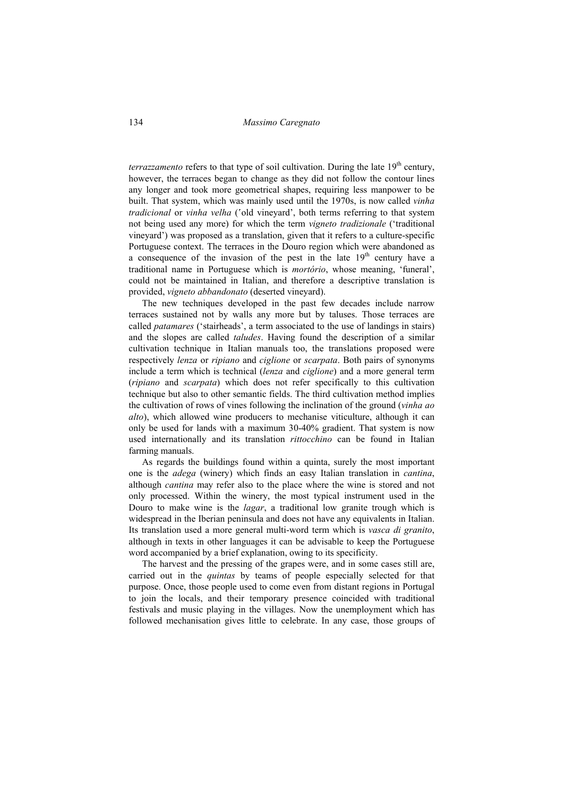*terrazzamento* refers to that type of soil cultivation. During the late  $19<sup>th</sup>$  century, however, the terraces began to change as they did not follow the contour lines any longer and took more geometrical shapes, requiring less manpower to be built. That system, which was mainly used until the 1970s, is now called *vinha tradicional* or *vinha velha* ('old vineyard', both terms referring to that system not being used any more) for which the term *vigneto tradizionale* ('traditional vineyard') was proposed as a translation, given that it refers to a culture-specific Portuguese context. The terraces in the Douro region which were abandoned as a consequence of the invasion of the pest in the late  $19<sup>th</sup>$  century have a traditional name in Portuguese which is *mortório*, whose meaning, 'funeral', could not be maintained in Italian, and therefore a descriptive translation is provided, *vigneto abbandonato* (deserted vineyard).

The new techniques developed in the past few decades include narrow terraces sustained not by walls any more but by taluses. Those terraces are called *patamares* ('stairheads', a term associated to the use of landings in stairs) and the slopes are called *taludes*. Having found the description of a similar cultivation technique in Italian manuals too, the translations proposed were respectively *lenza* or *ripiano* and *ciglione* or *scarpata*. Both pairs of synonyms include a term which is technical (*lenza* and *ciglione*) and a more general term (*ripiano* and *scarpata*) which does not refer specifically to this cultivation technique but also to other semantic fields. The third cultivation method implies the cultivation of rows of vines following the inclination of the ground (*vinha ao alto*), which allowed wine producers to mechanise viticulture, although it can only be used for lands with a maximum 30-40% gradient. That system is now used internationally and its translation *rittocchino* can be found in Italian farming manuals.

As regards the buildings found within a quinta, surely the most important one is the *adega* (winery) which finds an easy Italian translation in *cantina*, although *cantina* may refer also to the place where the wine is stored and not only processed. Within the winery, the most typical instrument used in the Douro to make wine is the *lagar*, a traditional low granite trough which is widespread in the Iberian peninsula and does not have any equivalents in Italian. Its translation used a more general multi-word term which is *vasca di granito*, although in texts in other languages it can be advisable to keep the Portuguese word accompanied by a brief explanation, owing to its specificity.

The harvest and the pressing of the grapes were, and in some cases still are, carried out in the *quintas* by teams of people especially selected for that purpose. Once, those people used to come even from distant regions in Portugal to join the locals, and their temporary presence coincided with traditional festivals and music playing in the villages. Now the unemployment which has followed mechanisation gives little to celebrate. In any case, those groups of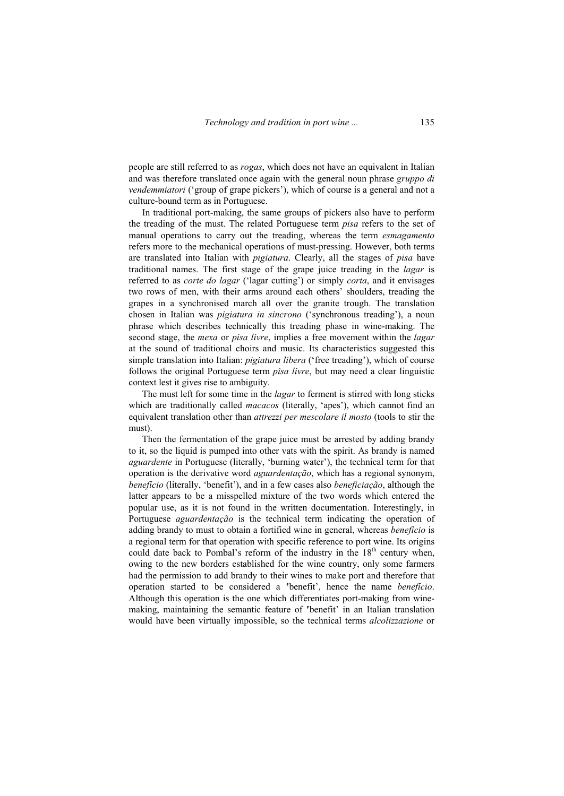people are still referred to as *rogas*, which does not have an equivalent in Italian and was therefore translated once again with the general noun phrase *gruppo di vendemmiatori* ('group of grape pickers'), which of course is a general and not a culture-bound term as in Portuguese.

In traditional port-making, the same groups of pickers also have to perform the treading of the must. The related Portuguese term *pisa* refers to the set of manual operations to carry out the treading, whereas the term *esmagamento* refers more to the mechanical operations of must-pressing. However, both terms are translated into Italian with *pigiatura*. Clearly, all the stages of *pisa* have traditional names. The first stage of the grape juice treading in the *lagar* is referred to as *corte do lagar* ('lagar cutting') or simply *corta*, and it envisages two rows of men, with their arms around each others' shoulders, treading the grapes in a synchronised march all over the granite trough. The translation chosen in Italian was *pigiatura in sincrono* ('synchronous treading'), a noun phrase which describes technically this treading phase in wine-making. The second stage, the *mexa* or *pisa livre*, implies a free movement within the *lagar* at the sound of traditional choirs and music. Its characteristics suggested this simple translation into Italian: *pigiatura libera* ('free treading'), which of course follows the original Portuguese term *pisa livre*, but may need a clear linguistic context lest it gives rise to ambiguity.

The must left for some time in the *lagar* to ferment is stirred with long sticks which are traditionally called *macacos* (literally, 'apes'), which cannot find an equivalent translation other than *attrezzi per mescolare il mosto* (tools to stir the must).

Then the fermentation of the grape juice must be arrested by adding brandy to it, so the liquid is pumped into other vats with the spirit. As brandy is named *aguardente* in Portuguese (literally, 'burning water'), the technical term for that operation is the derivative word *aguardentação*, which has a regional synonym, *benefício* (literally, 'benefit'), and in a few cases also *beneficiação*, although the latter appears to be a misspelled mixture of the two words which entered the popular use, as it is not found in the written documentation. Interestingly, in Portuguese *aguardentação* is the technical term indicating the operation of adding brandy to must to obtain a fortified wine in general, whereas *benefício* is a regional term for that operation with specific reference to port wine. Its origins could date back to Pombal's reform of the industry in the  $18<sup>th</sup>$  century when, owing to the new borders established for the wine country, only some farmers had the permission to add brandy to their wines to make port and therefore that operation started to be considered a **'**benefit', hence the name *benefício*. Although this operation is the one which differentiates port-making from winemaking, maintaining the semantic feature of **'**benefit' in an Italian translation would have been virtually impossible, so the technical terms *alcolizzazione* or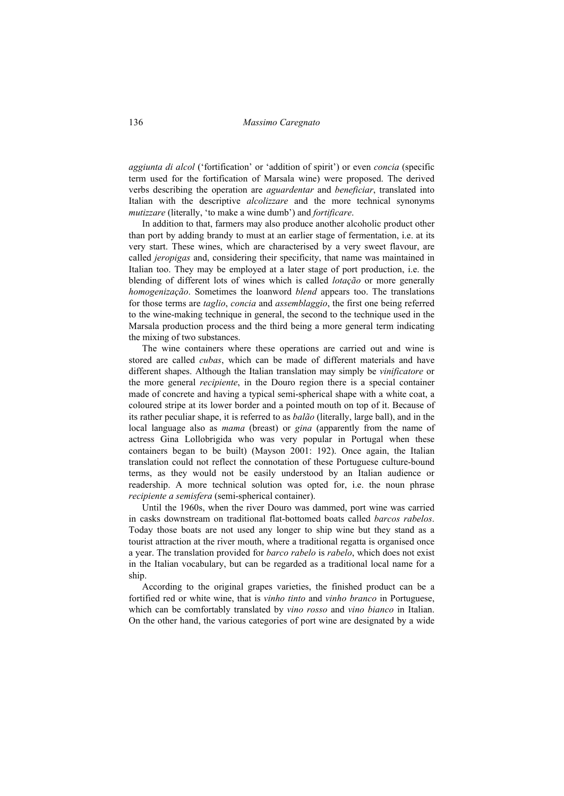#### 136 *Massimo Caregnato*

*aggiunta di alcol* ('fortification' or 'addition of spirit') or even *concia* (specific term used for the fortification of Marsala wine) were proposed. The derived verbs describing the operation are *aguardentar* and *beneficiar*, translated into Italian with the descriptive *alcolizzare* and the more technical synonyms *mutizzare* (literally, 'to make a wine dumb') and *fortificare*.

In addition to that, farmers may also produce another alcoholic product other than port by adding brandy to must at an earlier stage of fermentation, i.e. at its very start. These wines, which are characterised by a very sweet flavour, are called *jeropigas* and, considering their specificity, that name was maintained in Italian too. They may be employed at a later stage of port production, i.e. the blending of different lots of wines which is called *lotação* or more generally *homogenização*. Sometimes the loanword *blend* appears too. The translations for those terms are *taglio*, *concia* and *assemblaggio*, the first one being referred to the wine-making technique in general, the second to the technique used in the Marsala production process and the third being a more general term indicating the mixing of two substances.

The wine containers where these operations are carried out and wine is stored are called *cubas*, which can be made of different materials and have different shapes. Although the Italian translation may simply be *vinificatore* or the more general *recipiente*, in the Douro region there is a special container made of concrete and having a typical semi-spherical shape with a white coat, a coloured stripe at its lower border and a pointed mouth on top of it. Because of its rather peculiar shape, it is referred to as *balão* (literally, large ball), and in the local language also as *mama* (breast) or *gina* (apparently from the name of actress Gina Lollobrigida who was very popular in Portugal when these containers began to be built) (Mayson 2001: 192). Once again, the Italian translation could not reflect the connotation of these Portuguese culture-bound terms, as they would not be easily understood by an Italian audience or readership. A more technical solution was opted for, i.e. the noun phrase *recipiente a semisfera* (semi-spherical container).

Until the 1960s, when the river Douro was dammed, port wine was carried in casks downstream on traditional flat-bottomed boats called *barcos rabelos*. Today those boats are not used any longer to ship wine but they stand as a tourist attraction at the river mouth, where a traditional regatta is organised once a year. The translation provided for *barco rabelo* is *rabelo*, which does not exist in the Italian vocabulary, but can be regarded as a traditional local name for a ship.

According to the original grapes varieties, the finished product can be a fortified red or white wine, that is *vinho tinto* and *vinho branco* in Portuguese, which can be comfortably translated by *vino rosso* and *vino bianco* in Italian. On the other hand, the various categories of port wine are designated by a wide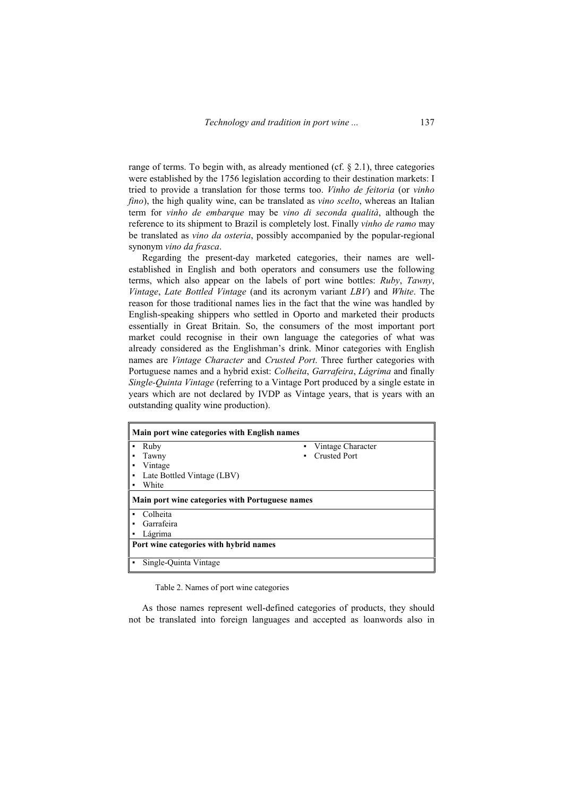range of terms. To begin with, as already mentioned (cf. § 2.1), three categories were established by the 1756 legislation according to their destination markets: I tried to provide a translation for those terms too. *Vinho de feitoria* (or *vinho fino*), the high quality wine, can be translated as *vino scelto*, whereas an Italian term for *vinho de embarque* may be *vino di seconda qualità*, although the reference to its shipment to Brazil is completely lost. Finally *vinho de ramo* may be translated as *vino da osteria*, possibly accompanied by the popular-regional synonym *vino da frasca*.

Regarding the present-day marketed categories, their names are wellestablished in English and both operators and consumers use the following terms, which also appear on the labels of port wine bottles: *Ruby*, *Tawny*, *Vintage*, *Late Bottled Vintage* (and its acronym variant *LBV*) and *White*. The reason for those traditional names lies in the fact that the wine was handled by English-speaking shippers who settled in Oporto and marketed their products essentially in Great Britain. So, the consumers of the most important port market could recognise in their own language the categories of what was already considered as the Englishman's drink. Minor categories with English names are *Vintage Character* and *Crusted Port*. Three further categories with Portuguese names and a hybrid exist: *Colheita*, *Garrafeira*, *Lágrima* and finally *Single-Quinta Vintage* (referring to a Vintage Port produced by a single estate in years which are not declared by IVDP as Vintage years, that is years with an outstanding quality wine production).

| Main port wine categories with English names           |                                        |                     |  |
|--------------------------------------------------------|----------------------------------------|---------------------|--|
| ٠                                                      | Ruby                                   | Vintage Character   |  |
|                                                        | Tawny                                  | <b>Crusted Port</b> |  |
|                                                        | Vintage                                |                     |  |
| ٠                                                      | Late Bottled Vintage (LBV)             |                     |  |
|                                                        | White                                  |                     |  |
| <b>Main port wine categories with Portuguese names</b> |                                        |                     |  |
| ٠                                                      | Colheita                               |                     |  |
|                                                        | Garrafeira                             |                     |  |
|                                                        | Lágrima                                |                     |  |
|                                                        | Port wine categories with hybrid names |                     |  |
|                                                        | Single-Quinta Vintage                  |                     |  |

Table 2. Names of port wine categories

As those names represent well-defined categories of products, they should not be translated into foreign languages and accepted as loanwords also in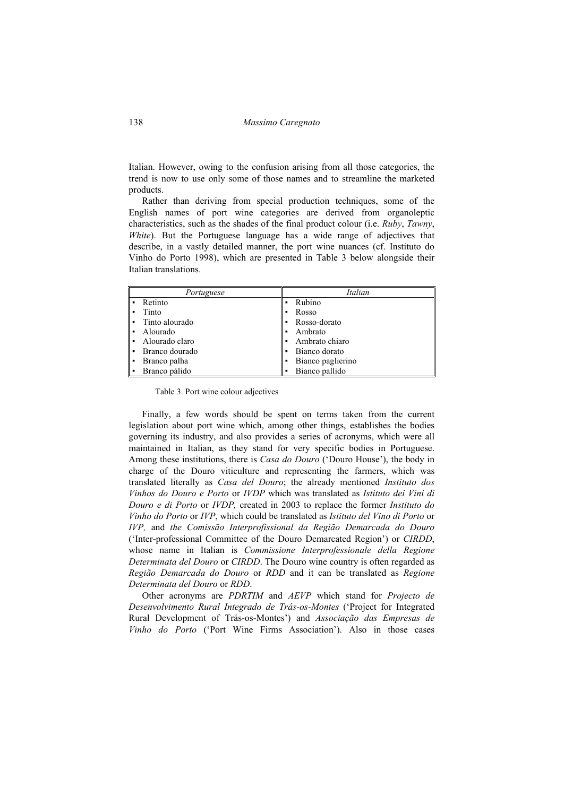138 *Massimo Caregnato* 

Italian. However, owing to the confusion arising from all those categories, the trend is now to use only some of those names and to streamline the marketed products.

Rather than deriving from special production techniques, some of the English names of port wine categories are derived from organoleptic characteristics, such as the shades of the final product colour (i.e. *Ruby*, *Tawny*, *White*). But the Portuguese language has a wide range of adjectives that describe, in a vastly detailed manner, the port wine nuances (cf. Instituto do Vinho do Porto 1998), which are presented in Table 3 below alongside their Italian translations.

| Portuguese                       | Italian           |
|----------------------------------|-------------------|
| Retinto<br>٠                     | Rubino            |
| Tinto<br>٠                       | Rosso             |
| Tinto alourado<br>٠              | Rosso-dorato      |
| Alourado<br>$\blacksquare$       | Ambrato           |
| Alourado claro<br>$\blacksquare$ | Ambrato chiaro    |
| Branco dourado<br>٠              | Bianco dorato     |
| Branco palha<br>٠                | Bianco paglierino |
| Branco pálido<br>٠               | Bianco pallido    |

Table 3. Port wine colour adjectives

Finally, a few words should be spent on terms taken from the current legislation about port wine which, among other things, establishes the bodies governing its industry, and also provides a series of acronyms, which were all maintained in Italian, as they stand for very specific bodies in Portuguese. Among these institutions, there is *Casa do Douro* ('Douro House'), the body in charge of the Douro viticulture and representing the farmers, which was translated literally as *Casa del Douro*; the already mentioned *Instituto dos Vinhos do Douro e Porto* or *IVDP* which was translated as *Istituto dei Vini di Douro e di Porto* or *IVDP,* created in 2003 to replace the former *Instituto do Vinho do Porto* or *IVP*, which could be translated as *Istituto del Vino di Porto* or *IVP,* and *the Comissão Interprofissional da Região Demarcada do Douro* ('Inter-professional Committee of the Douro Demarcated Region') or *CIRDD*, whose name in Italian is *Commissione Interprofessionale della Regione Determinata del Douro* or *CIRDD*. The Douro wine country is often regarded as *Região Demarcada do Douro* or *RDD* and it can be translated as *Regione Determinata del Douro* or *RDD*.

Other acronyms are *PDRTIM* and *AEVP* which stand for *Projecto de Desenvolvimento Rural Integrado de Trás-os-Montes* ('Project for Integrated Rural Development of Trás-os-Montes') and *Associação das Empresas de Vinho do Porto* ('Port Wine Firms Association'). Also in those cases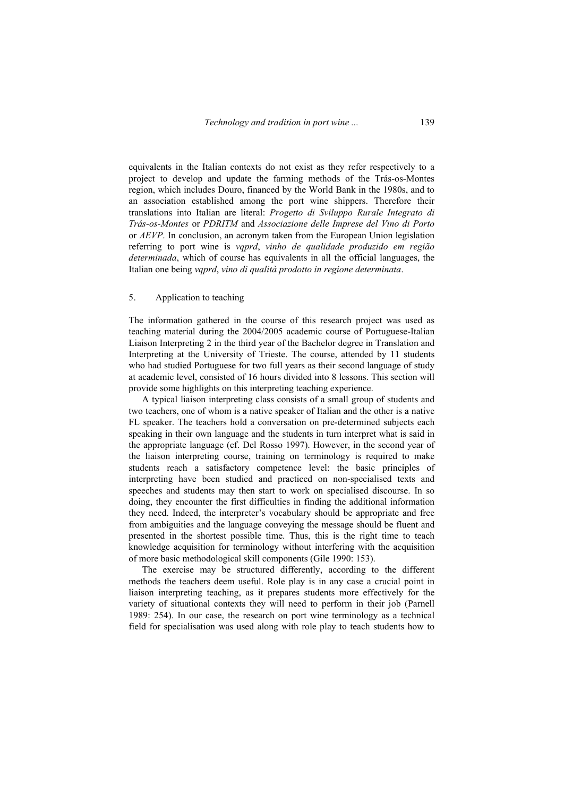equivalents in the Italian contexts do not exist as they refer respectively to a project to develop and update the farming methods of the Trás-os-Montes region, which includes Douro, financed by the World Bank in the 1980s, and to an association established among the port wine shippers. Therefore their translations into Italian are literal: *Progetto di Sviluppo Rurale Integrato di Trás-os-Montes* or *PDRITM* and *Associazione delle Imprese del Vino di Porto* or *AEVP*. In conclusion, an acronym taken from the European Union legislation referring to port wine is *vqprd*, *vinho de qualidade produzido em região determinada*, which of course has equivalents in all the official languages, the Italian one being *vqprd*, *vino di qualità prodotto in regione determinata*.

### 5. Application to teaching

The information gathered in the course of this research project was used as teaching material during the 2004/2005 academic course of Portuguese-Italian Liaison Interpreting 2 in the third year of the Bachelor degree in Translation and Interpreting at the University of Trieste. The course, attended by 11 students who had studied Portuguese for two full years as their second language of study at academic level, consisted of 16 hours divided into 8 lessons. This section will provide some highlights on this interpreting teaching experience.

A typical liaison interpreting class consists of a small group of students and two teachers, one of whom is a native speaker of Italian and the other is a native FL speaker. The teachers hold a conversation on pre-determined subjects each speaking in their own language and the students in turn interpret what is said in the appropriate language (cf. Del Rosso 1997). However, in the second year of the liaison interpreting course, training on terminology is required to make students reach a satisfactory competence level: the basic principles of interpreting have been studied and practiced on non-specialised texts and speeches and students may then start to work on specialised discourse. In so doing, they encounter the first difficulties in finding the additional information they need. Indeed, the interpreter's vocabulary should be appropriate and free from ambiguities and the language conveying the message should be fluent and presented in the shortest possible time. Thus, this is the right time to teach knowledge acquisition for terminology without interfering with the acquisition of more basic methodological skill components (Gile 1990: 153).

The exercise may be structured differently, according to the different methods the teachers deem useful. Role play is in any case a crucial point in liaison interpreting teaching, as it prepares students more effectively for the variety of situational contexts they will need to perform in their job (Parnell 1989: 254). In our case, the research on port wine terminology as a technical field for specialisation was used along with role play to teach students how to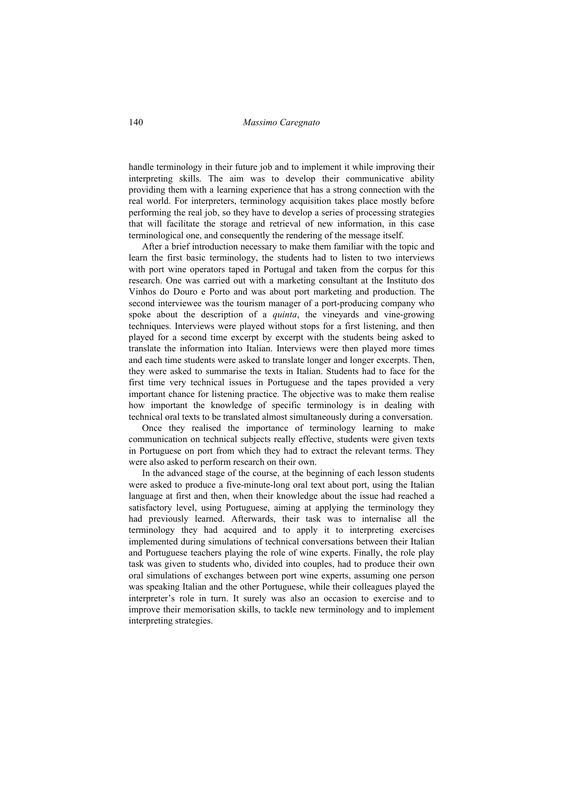handle terminology in their future job and to implement it while improving their interpreting skills. The aim was to develop their communicative ability providing them with a learning experience that has a strong connection with the real world. For interpreters, terminology acquisition takes place mostly before performing the real job, so they have to develop a series of processing strategies that will facilitate the storage and retrieval of new information, in this case terminological one, and consequently the rendering of the message itself.

After a brief introduction necessary to make them familiar with the topic and learn the first basic terminology, the students had to listen to two interviews with port wine operators taped in Portugal and taken from the corpus for this research. One was carried out with a marketing consultant at the Instituto dos Vinhos do Douro e Porto and was about port marketing and production. The second interviewee was the tourism manager of a port-producing company who spoke about the description of a *quinta*, the vineyards and vine-growing techniques. Interviews were played without stops for a first listening, and then played for a second time excerpt by excerpt with the students being asked to translate the information into Italian. Interviews were then played more times and each time students were asked to translate longer and longer excerpts. Then, they were asked to summarise the texts in Italian. Students had to face for the first time very technical issues in Portuguese and the tapes provided a very important chance for listening practice. The objective was to make them realise how important the knowledge of specific terminology is in dealing with technical oral texts to be translated almost simultaneously during a conversation.

Once they realised the importance of terminology learning to make communication on technical subjects really effective, students were given texts in Portuguese on port from which they had to extract the relevant terms. They were also asked to perform research on their own.

In the advanced stage of the course, at the beginning of each lesson students were asked to produce a five-minute-long oral text about port, using the Italian language at first and then, when their knowledge about the issue had reached a satisfactory level, using Portuguese, aiming at applying the terminology they had previously learned. Afterwards, their task was to internalise all the terminology they had acquired and to apply it to interpreting exercises implemented during simulations of technical conversations between their Italian and Portuguese teachers playing the role of wine experts. Finally, the role play task was given to students who, divided into couples, had to produce their own oral simulations of exchanges between port wine experts, assuming one person was speaking Italian and the other Portuguese, while their colleagues played the interpreter's role in turn. It surely was also an occasion to exercise and to improve their memorisation skills, to tackle new terminology and to implement interpreting strategies.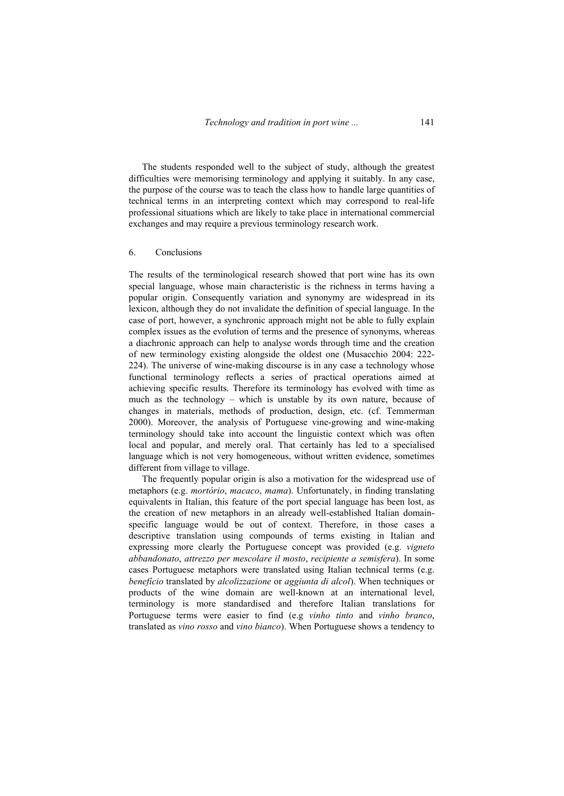The students responded well to the subject of study, although the greatest difficulties were memorising terminology and applying it suitably. In any case, the purpose of the course was to teach the class how to handle large quantities of technical terms in an interpreting context which may correspond to real-life professional situations which are likely to take place in international commercial exchanges and may require a previous terminology research work.

#### 6. Conclusions

The results of the terminological research showed that port wine has its own special language, whose main characteristic is the richness in terms having a popular origin. Consequently variation and synonymy are widespread in its lexicon, although they do not invalidate the definition of special language. In the case of port, however, a synchronic approach might not be able to fully explain complex issues as the evolution of terms and the presence of synonyms, whereas a diachronic approach can help to analyse words through time and the creation of new terminology existing alongside the oldest one (Musacchio 2004: 222- 224). The universe of wine-making discourse is in any case a technology whose functional terminology reflects a series of practical operations aimed at achieving specific results. Therefore its terminology has evolved with time as much as the technology – which is unstable by its own nature, because of changes in materials, methods of production, design, etc. (cf. Temmerman 2000). Moreover, the analysis of Portuguese vine-growing and wine-making terminology should take into account the linguistic context which was often local and popular, and merely oral. That certainly has led to a specialised language which is not very homogeneous, without written evidence, sometimes different from village to village.

The frequently popular origin is also a motivation for the widespread use of metaphors (e.g. *mortório*, *macaco*, *mama*). Unfortunately, in finding translating equivalents in Italian, this feature of the port special language has been lost, as the creation of new metaphors in an already well-established Italian domainspecific language would be out of context. Therefore, in those cases a descriptive translation using compounds of terms existing in Italian and expressing more clearly the Portuguese concept was provided (e.g. *vigneto abbandonato*, *attrezzo per mescolare il mosto*, *recipiente a semisfera*). In some cases Portuguese metaphors were translated using Italian technical terms (e.g. *benefício* translated by *alcolizzazione* or *aggiunta di alcol*). When techniques or products of the wine domain are well-known at an international level, terminology is more standardised and therefore Italian translations for Portuguese terms were easier to find (e.g *vinho tinto* and *vinho branco*, translated as *vino rosso* and *vino bianco*). When Portuguese shows a tendency to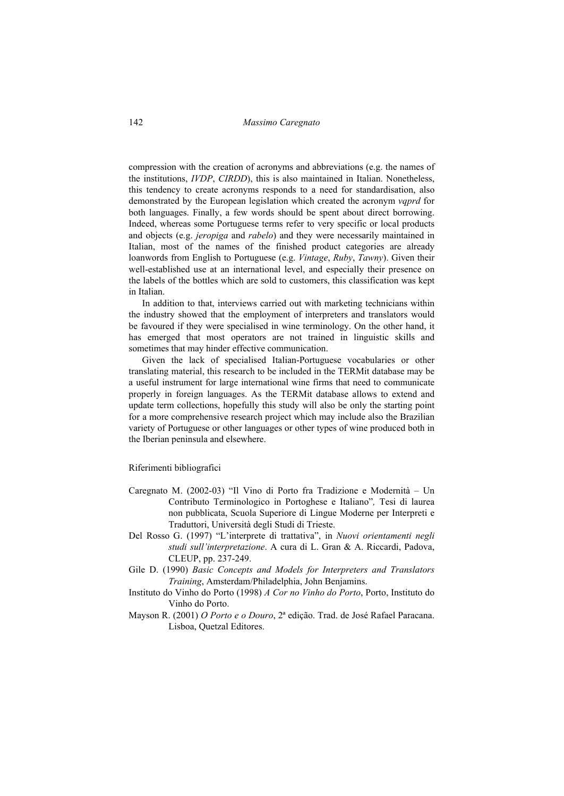compression with the creation of acronyms and abbreviations (e.g. the names of the institutions, *IVDP*, *CIRDD*), this is also maintained in Italian. Nonetheless, this tendency to create acronyms responds to a need for standardisation, also demonstrated by the European legislation which created the acronym *vqprd* for both languages. Finally, a few words should be spent about direct borrowing. Indeed, whereas some Portuguese terms refer to very specific or local products and objects (e.g. *jeropiga* and *rabelo*) and they were necessarily maintained in Italian, most of the names of the finished product categories are already loanwords from English to Portuguese (e.g. *Vintage*, *Ruby*, *Tawny*). Given their well-established use at an international level, and especially their presence on the labels of the bottles which are sold to customers, this classification was kept in Italian.

In addition to that, interviews carried out with marketing technicians within the industry showed that the employment of interpreters and translators would be favoured if they were specialised in wine terminology. On the other hand, it has emerged that most operators are not trained in linguistic skills and sometimes that may hinder effective communication.

Given the lack of specialised Italian-Portuguese vocabularies or other translating material, this research to be included in the TERMit database may be a useful instrument for large international wine firms that need to communicate properly in foreign languages. As the TERMit database allows to extend and update term collections, hopefully this study will also be only the starting point for a more comprehensive research project which may include also the Brazilian variety of Portuguese or other languages or other types of wine produced both in the Iberian peninsula and elsewhere.

#### Riferimenti bibliografici

- Caregnato M. (2002-03) "Il Vino di Porto fra Tradizione e Modernità Un Contributo Terminologico in Portoghese e Italiano"*,* Tesi di laurea non pubblicata, Scuola Superiore di Lingue Moderne per Interpreti e Traduttori, Università degli Studi di Trieste.
- Del Rosso G. (1997) "L'interprete di trattativa", in *Nuovi orientamenti negli studi sull'interpretazione*. A cura di L. Gran & A. Riccardi, Padova, CLEUP, pp. 237-249.
- Gile D. (1990) *Basic Concepts and Models for Interpreters and Translators Training*, Amsterdam/Philadelphia, John Benjamins.
- Instituto do Vinho do Porto (1998) *A Cor no Vinho do Porto*, Porto, Instituto do Vinho do Porto.
- Mayson R. (2001) *O Porto e o Douro*, 2ª edição. Trad. de José Rafael Paracana. Lisboa, Quetzal Editores.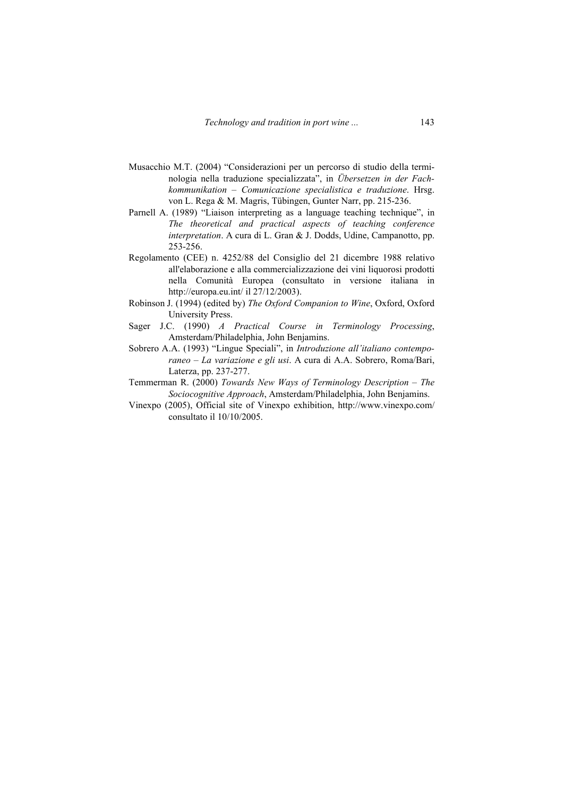- Musacchio M.T. (2004) "Considerazioni per un percorso di studio della terminologia nella traduzione specializzata", in *Übersetzen in der Fachkommunikation – Comunicazione specialistica e traduzione*. Hrsg. von L. Rega & M. Magris, Tübingen, Gunter Narr, pp. 215-236.
- Parnell A. (1989) "Liaison interpreting as a language teaching technique", in *The theoretical and practical aspects of teaching conference interpretation*. A cura di L. Gran & J. Dodds, Udine, Campanotto, pp. 253-256.
- Regolamento (CEE) n. 4252/88 del Consiglio del 21 dicembre 1988 relativo all'elaborazione e alla commercializzazione dei vini liquorosi prodotti nella Comunità Europea (consultato in versione italiana in http://europa.eu.int/ il 27/12/2003).
- Robinson J. (1994) (edited by) *The Oxford Companion to Wine*, Oxford, Oxford University Press.
- Sager J.C. (1990) *A Practical Course in Terminology Processing*, Amsterdam/Philadelphia, John Benjamins.
- Sobrero A.A. (1993) "Lingue Speciali", in *Introduzione all'italiano contemporaneo – La variazione e gli usi*. A cura di A.A. Sobrero, Roma/Bari, Laterza, pp. 237-277.
- Temmerman R. (2000) *Towards New Ways of Terminology Description The Sociocognitive Approach*, Amsterdam/Philadelphia, John Benjamins.
- Vinexpo (2005), Official site of Vinexpo exhibition, http://www.vinexpo.com/ consultato il 10/10/2005.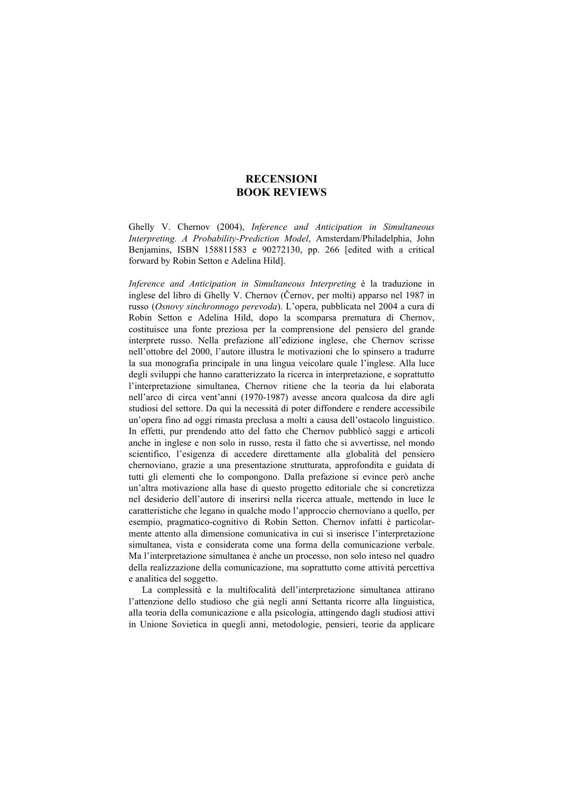## **RECENSIONI BOOK REVIEWS**

Ghelly V. Chernov (2004), *Inference and Anticipation in Simultaneous Interpreting. A Probability-Prediction Model*, Amsterdam/Philadelphia, John Benjamins, ISBN 158811583 e 90272130, pp. 266 [edited with a critical forward by Robin Setton e Adelina Hild].

*Inference and Anticipation in Simultaneous Interpreting* è la traduzione in inglese del libro di Ghelly V. Chernov (Černov, per molti) apparso nel 1987 in russo (*Osnovy sinchronnogo perevoda*). L'opera, pubblicata nel 2004 a cura di Robin Setton e Adelina Hild, dopo la scomparsa prematura di Chernov, costituisce una fonte preziosa per la comprensione del pensiero del grande interprete russo. Nella prefazione all'edizione inglese, che Chernov scrisse nell'ottobre del 2000, l'autore illustra le motivazioni che lo spinsero a tradurre la sua monografia principale in una lingua veicolare quale l'inglese. Alla luce degli sviluppi che hanno caratterizzato la ricerca in interpretazione, e soprattutto l'interpretazione simultanea, Chernov ritiene che la teoria da lui elaborata nell'arco di circa vent'anni (1970-1987) avesse ancora qualcosa da dire agli studiosi del settore. Da qui la necessità di poter diffondere e rendere accessibile un'opera fino ad oggi rimasta preclusa a molti a causa dell'ostacolo linguistico. In effetti, pur prendendo atto del fatto che Chernov pubblicò saggi e articoli anche in inglese e non solo in russo, resta il fatto che si avvertisse, nel mondo scientifico, l'esigenza di accedere direttamente alla globalità del pensiero chernoviano, grazie a una presentazione strutturata, approfondita e guidata di tutti gli elementi che lo compongono. Dalla prefazione si evince però anche un'altra motivazione alla base di questo progetto editoriale che si concretizza nel desiderio dell'autore di inserirsi nella ricerca attuale, mettendo in luce le caratteristiche che legano in qualche modo l'approccio chernoviano a quello, per esempio, pragmatico-cognitivo di Robin Setton. Chernov infatti è particolarmente attento alla dimensione comunicativa in cui si inserisce l'interpretazione simultanea, vista e considerata come una forma della comunicazione verbale. Ma l'interpretazione simultanea è anche un processo, non solo inteso nel quadro della realizzazione della comunicazione, ma soprattutto come attività percettiva e analitica del soggetto.

La complessità e la multifocalità dell'interpretazione simultanea attirano l'attenzione dello studioso che già negli anni Settanta ricorre alla linguistica, alla teoria della comunicazione e alla psicologia, attingendo dagli studiosi attivi in Unione Sovietica in quegli anni, metodologie, pensieri, teorie da applicare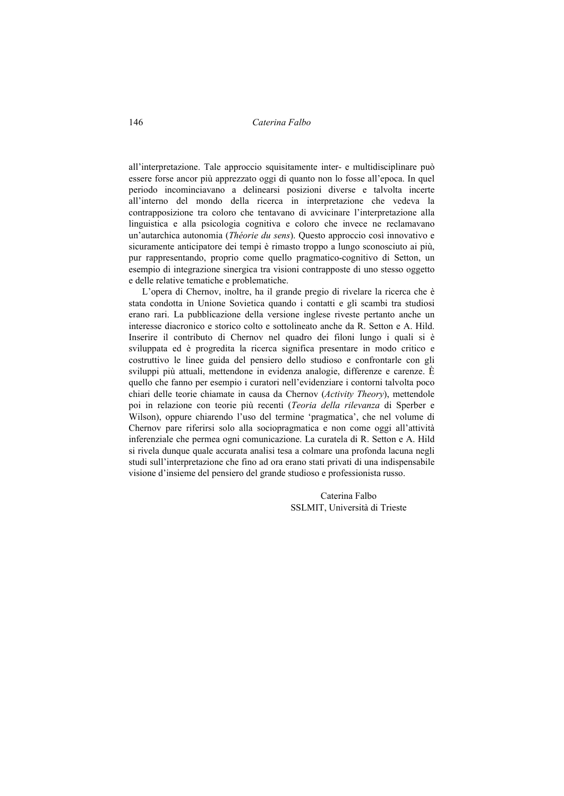146 *Caterina Falbo* 

all'interpretazione. Tale approccio squisitamente inter- e multidisciplinare può essere forse ancor più apprezzato oggi di quanto non lo fosse all'epoca. In quel periodo incominciavano a delinearsi posizioni diverse e talvolta incerte all'interno del mondo della ricerca in interpretazione che vedeva la contrapposizione tra coloro che tentavano di avvicinare l'interpretazione alla linguistica e alla psicologia cognitiva e coloro che invece ne reclamavano un'autarchica autonomia (*Théorie du sens*). Questo approccio così innovativo e sicuramente anticipatore dei tempi è rimasto troppo a lungo sconosciuto ai più, pur rappresentando, proprio come quello pragmatico-cognitivo di Setton, un esempio di integrazione sinergica tra visioni contrapposte di uno stesso oggetto e delle relative tematiche e problematiche.

L'opera di Chernov, inoltre, ha il grande pregio di rivelare la ricerca che è stata condotta in Unione Sovietica quando i contatti e gli scambi tra studiosi erano rari. La pubblicazione della versione inglese riveste pertanto anche un interesse diacronico e storico colto e sottolineato anche da R. Setton e A. Hild. Inserire il contributo di Chernov nel quadro dei filoni lungo i quali si è sviluppata ed è progredita la ricerca significa presentare in modo critico e costruttivo le linee guida del pensiero dello studioso e confrontarle con gli sviluppi più attuali, mettendone in evidenza analogie, differenze e carenze. È quello che fanno per esempio i curatori nell'evidenziare i contorni talvolta poco chiari delle teorie chiamate in causa da Chernov (*Activity Theory*), mettendole poi in relazione con teorie più recenti (*Teoria della rilevanza* di Sperber e Wilson), oppure chiarendo l'uso del termine 'pragmatica', che nel volume di Chernov pare riferirsi solo alla sociopragmatica e non come oggi all'attività inferenziale che permea ogni comunicazione. La curatela di R. Setton e A. Hild si rivela dunque quale accurata analisi tesa a colmare una profonda lacuna negli studi sull'interpretazione che fino ad ora erano stati privati di una indispensabile visione d'insieme del pensiero del grande studioso e professionista russo.

> Caterina Falbo SSLMIT, Università di Trieste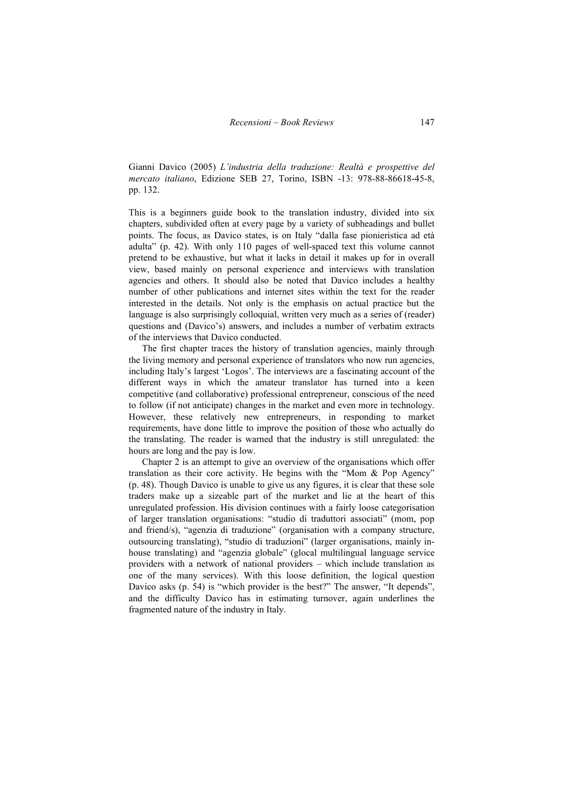Gianni Davico (2005) *L'industria della traduzione: Realtà e prospettive del mercato italiano*, Edizione SEB 27, Torino, ISBN -13: 978-88-86618-45-8, pp. 132.

This is a beginners guide book to the translation industry, divided into six chapters, subdivided often at every page by a variety of subheadings and bullet points. The focus, as Davico states, is on Italy "dalla fase pionieristica ad età adulta" (p. 42). With only 110 pages of well-spaced text this volume cannot pretend to be exhaustive, but what it lacks in detail it makes up for in overall view, based mainly on personal experience and interviews with translation agencies and others. It should also be noted that Davico includes a healthy number of other publications and internet sites within the text for the reader interested in the details. Not only is the emphasis on actual practice but the language is also surprisingly colloquial, written very much as a series of (reader) questions and (Davico's) answers, and includes a number of verbatim extracts of the interviews that Davico conducted.

The first chapter traces the history of translation agencies, mainly through the living memory and personal experience of translators who now run agencies, including Italy's largest 'Logos'. The interviews are a fascinating account of the different ways in which the amateur translator has turned into a keen competitive (and collaborative) professional entrepreneur, conscious of the need to follow (if not anticipate) changes in the market and even more in technology. However, these relatively new entrepreneurs, in responding to market requirements, have done little to improve the position of those who actually do the translating. The reader is warned that the industry is still unregulated: the hours are long and the pay is low.

Chapter 2 is an attempt to give an overview of the organisations which offer translation as their core activity. He begins with the "Mom & Pop Agency" (p. 48). Though Davico is unable to give us any figures, it is clear that these sole traders make up a sizeable part of the market and lie at the heart of this unregulated profession. His division continues with a fairly loose categorisation of larger translation organisations: "studio di traduttori associati" (mom, pop and friend/s), "agenzia di traduzione" (organisation with a company structure, outsourcing translating), "studio di traduzioni" (larger organisations, mainly inhouse translating) and "agenzia globale" (glocal multilingual language service providers with a network of national providers – which include translation as one of the many services). With this loose definition, the logical question Davico asks (p. 54) is "which provider is the best?" The answer, "It depends". and the difficulty Davico has in estimating turnover, again underlines the fragmented nature of the industry in Italy.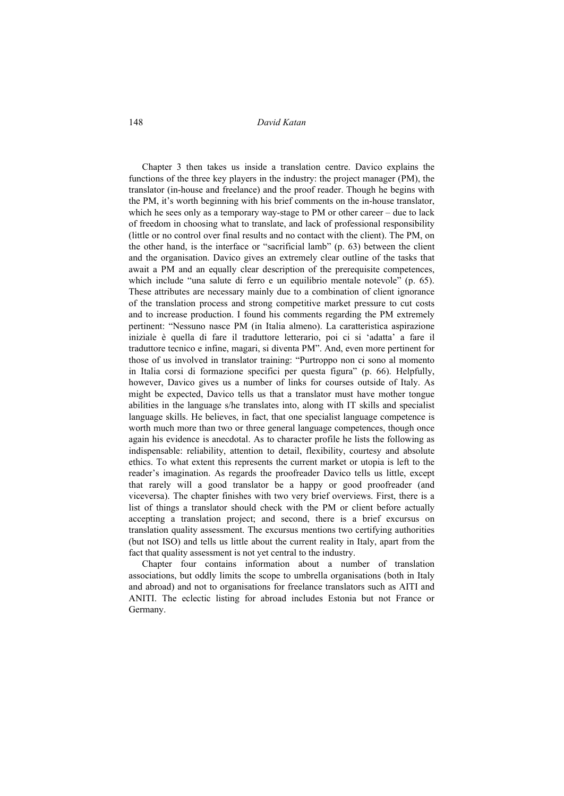148 *David Katan* 

Chapter 3 then takes us inside a translation centre. Davico explains the functions of the three key players in the industry: the project manager (PM), the translator (in-house and freelance) and the proof reader. Though he begins with the PM, it's worth beginning with his brief comments on the in-house translator, which he sees only as a temporary way-stage to PM or other career – due to lack of freedom in choosing what to translate, and lack of professional responsibility (little or no control over final results and no contact with the client). The PM, on the other hand, is the interface or "sacrificial lamb" (p. 63) between the client and the organisation. Davico gives an extremely clear outline of the tasks that await a PM and an equally clear description of the prerequisite competences, which include "una salute di ferro e un equilibrio mentale notevole" (p. 65). These attributes are necessary mainly due to a combination of client ignorance of the translation process and strong competitive market pressure to cut costs and to increase production. I found his comments regarding the PM extremely pertinent: "Nessuno nasce PM (in Italia almeno). La caratteristica aspirazione iniziale è quella di fare il traduttore letterario, poi ci si 'adatta' a fare il traduttore tecnico e infine, magari, si diventa PM". And, even more pertinent for those of us involved in translator training: "Purtroppo non ci sono al momento in Italia corsi di formazione specifici per questa figura" (p. 66). Helpfully, however, Davico gives us a number of links for courses outside of Italy. As might be expected, Davico tells us that a translator must have mother tongue abilities in the language s/he translates into, along with IT skills and specialist language skills. He believes, in fact, that one specialist language competence is worth much more than two or three general language competences, though once again his evidence is anecdotal. As to character profile he lists the following as indispensable: reliability, attention to detail, flexibility, courtesy and absolute ethics. To what extent this represents the current market or utopia is left to the reader's imagination. As regards the proofreader Davico tells us little, except that rarely will a good translator be a happy or good proofreader (and viceversa). The chapter finishes with two very brief overviews. First, there is a list of things a translator should check with the PM or client before actually accepting a translation project; and second, there is a brief excursus on translation quality assessment. The excursus mentions two certifying authorities (but not ISO) and tells us little about the current reality in Italy, apart from the fact that quality assessment is not yet central to the industry.

Chapter four contains information about a number of translation associations, but oddly limits the scope to umbrella organisations (both in Italy and abroad) and not to organisations for freelance translators such as AITI and ANITI. The eclectic listing for abroad includes Estonia but not France or Germany.